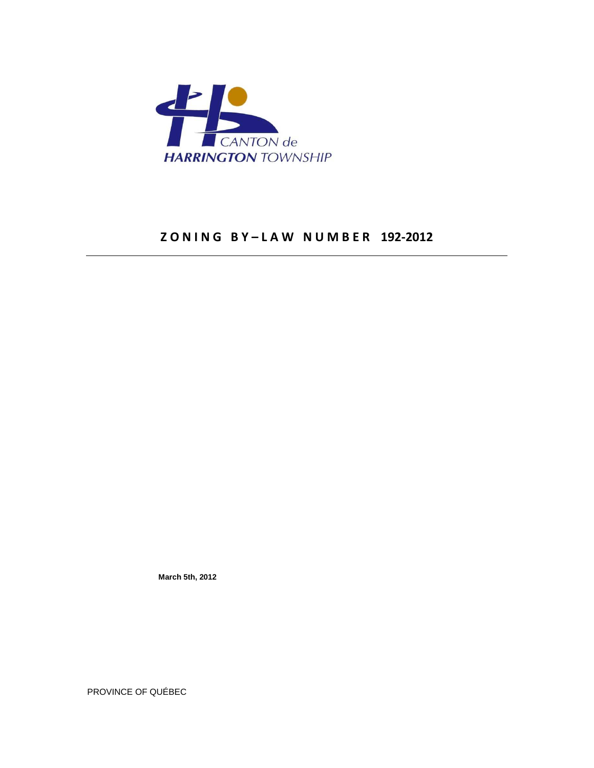

# **Z O N I N G B Y – L A W N U M B E R 192-2012**

 **March 5th, 2012** 

PROVINCE OF QUÉBEC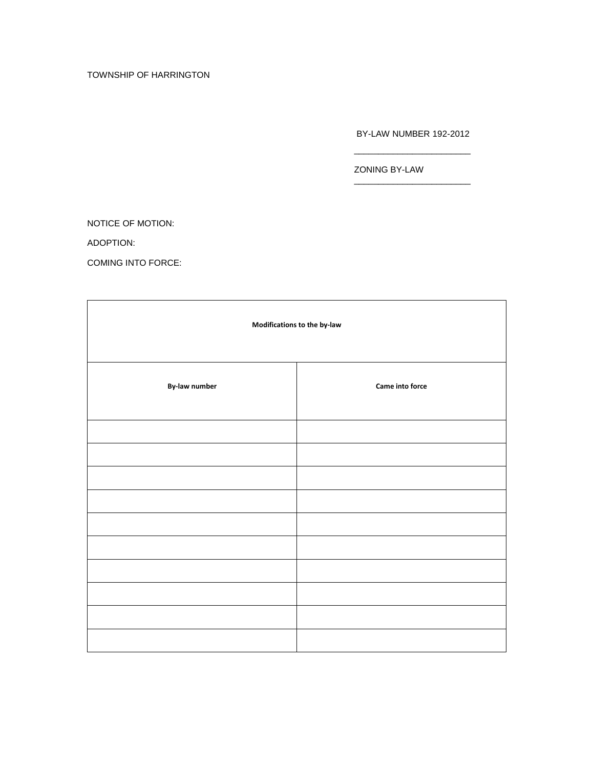# TOWNSHIP OF HARRINGTON

BY-LAW NUMBER 192-2012

ZONING BY-LAW

NOTICE OF MOTION:

ADOPTION:

COMING INTO FORCE:

| Modifications to the by-law |                 |
|-----------------------------|-----------------|
| By-law number               | Came into force |
|                             |                 |
|                             |                 |
|                             |                 |
|                             |                 |
|                             |                 |
|                             |                 |
|                             |                 |
|                             |                 |
|                             |                 |
|                             |                 |

 $\frac{1}{2}$  , and the set of the set of the set of the set of the set of the set of the set of the set of the set of the set of the set of the set of the set of the set of the set of the set of the set of the set of the set

 $\frac{1}{2}$  , and the set of the set of the set of the set of the set of the set of the set of the set of the set of the set of the set of the set of the set of the set of the set of the set of the set of the set of the set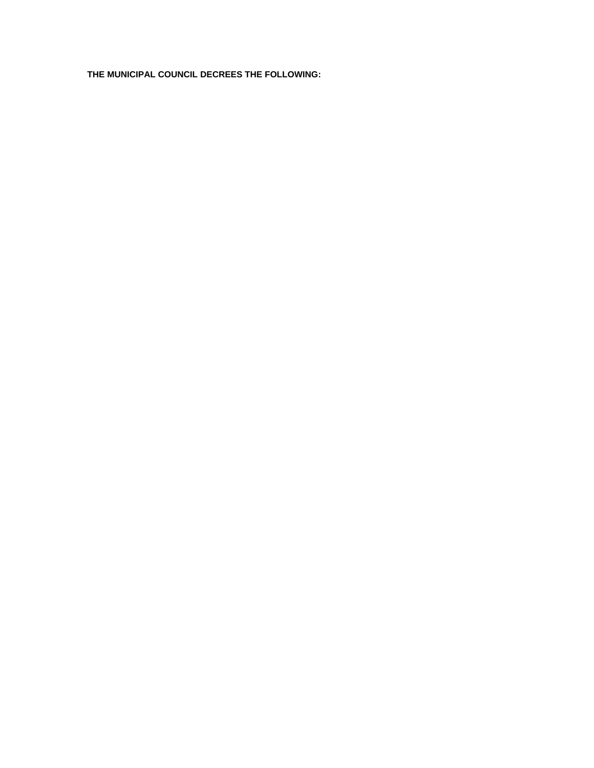**THE MUNICIPAL COUNCIL DECREES THE FOLLOWING:**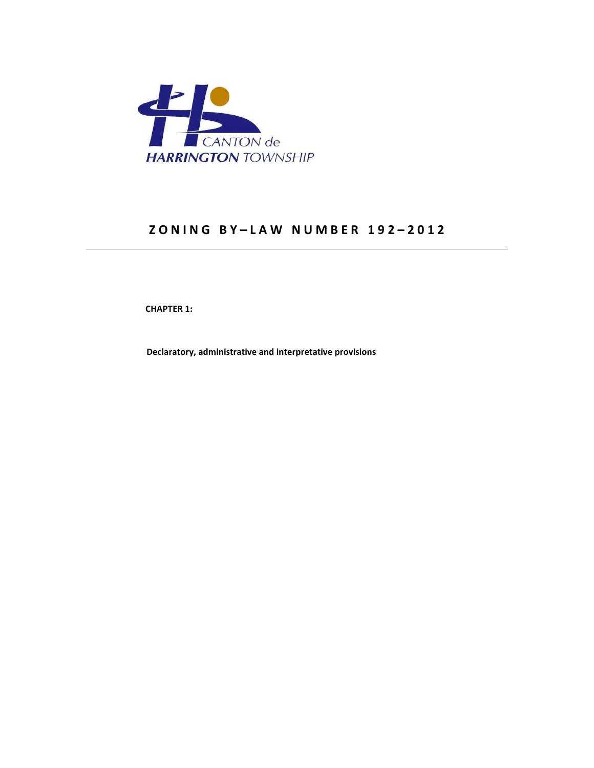

# **Z O N I N G B Y – L A W N U M B E R 1 9 2 – 2 0 1 2**

 **CHAPTER 1:** 

 **Declaratory, administrative and interpretative provisions**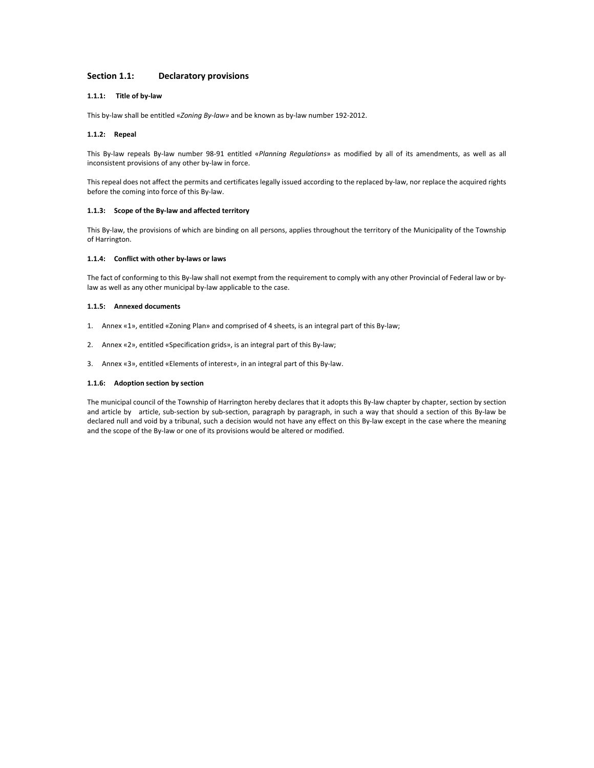### **Section 1.1: Declaratory provisions**

### **1.1.1: Title of by-law**

This by-law shall be entitled «*Zoning By-law»* and be known as by-law number 192-2012.

### **1.1.2: Repeal**

This By-law repeals By-law number 98-91 entitled «*Planning Regulations*» as modified by all of its amendments, as well as all inconsistent provisions of any other by-law in force.

This repeal does not affect the permits and certificates legally issued according to the replaced by-law, nor replace the acquired rights before the coming into force of this By-law.

### **1.1.3: Scope of the By-law and affected territory**

This By-law, the provisions of which are binding on all persons, applies throughout the territory of the Municipality of the Township of Harrington.

### **1.1.4: Conflict with other by-laws or laws**

The fact of conforming to this By-law shall not exempt from the requirement to comply with any other Provincial of Federal law or bylaw as well as any other municipal by-law applicable to the case.

#### **1.1.5: Annexed documents**

- 1. Annex «1», entitled «Zoning Plan» and comprised of 4 sheets, is an integral part of this By-law;
- 2. Annex «2», entitled «Specification grids», is an integral part of this By-law;
- 3. Annex «3», entitled «Elements of interest», in an integral part of this By-law.

### **1.1.6: Adoption section by section**

The municipal council of the Township of Harrington hereby declares that it adopts this By-law chapter by chapter, section by section and article by article, sub-section by sub-section, paragraph by paragraph, in such a way that should a section of this By-law be declared null and void by a tribunal, such a decision would not have any effect on this By-law except in the case where the meaning and the scope of the By-law or one of its provisions would be altered or modified.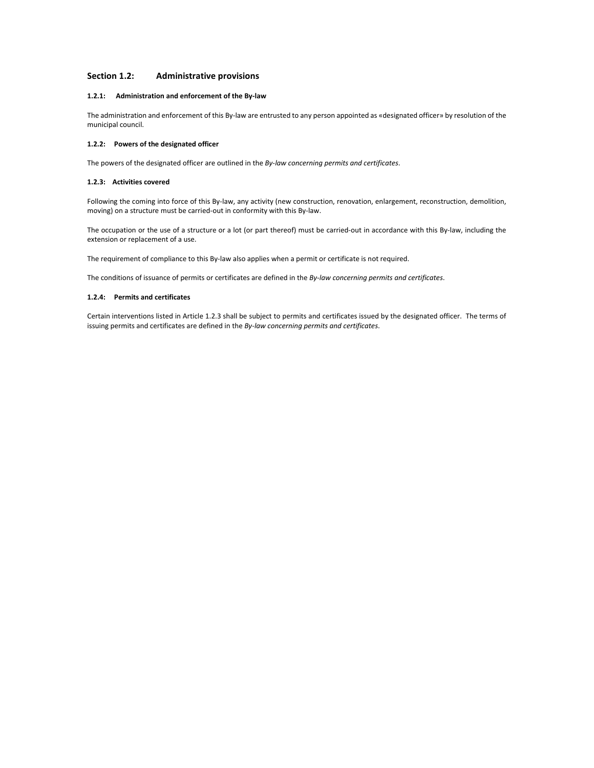### **Section 1.2: Administrative provisions**

### **1.2.1: Administration and enforcement of the By-law**

The administration and enforcement of this By-law are entrusted to any person appointed as «designated officer» by resolution of the municipal council.

### **1.2.2: Powers of the designated officer**

The powers of the designated officer are outlined in the *By-law concerning permits and certificates*.

### **1.2.3: Activities covered**

Following the coming into force of this By-law, any activity (new construction, renovation, enlargement, reconstruction, demolition, moving) on a structure must be carried-out in conformity with this By-law.

The occupation or the use of a structure or a lot (or part thereof) must be carried-out in accordance with this By-law, including the extension or replacement of a use.

The requirement of compliance to this By-law also applies when a permit or certificate is not required.

The conditions of issuance of permits or certificates are defined in the *By-law concerning permits and certificates*.

### **1.2.4: Permits and certificates**

Certain interventions listed in Article 1.2.3 shall be subject to permits and certificates issued by the designated officer. The terms of issuing permits and certificates are defined in the *By-law concerning permits and certificates*.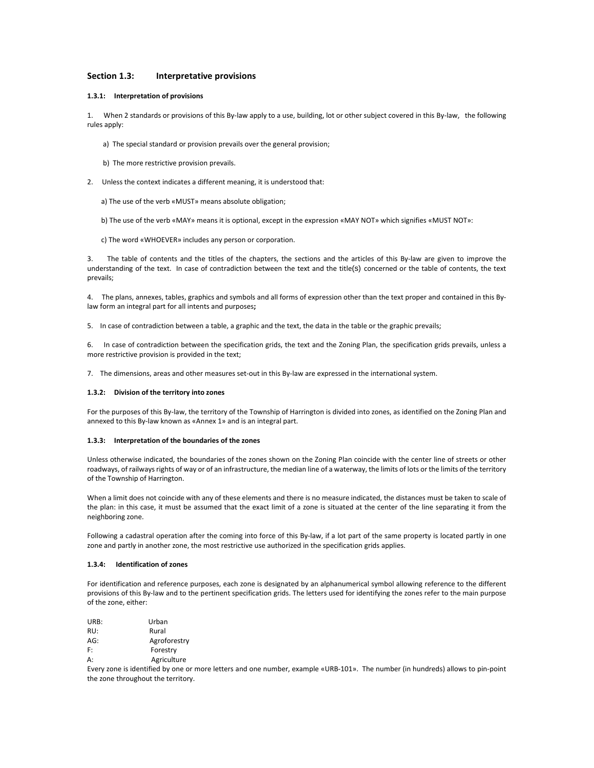### **Section 1.3: Interpretative provisions**

### **1.3.1: Interpretation of provisions**

1. When 2 standards or provisions of this By-law apply to a use, building, lot or other subject covered in this By-law, the following rules apply:

- a) The special standard or provision prevails over the general provision;
- b) The more restrictive provision prevails.
- 2. Unless the context indicates a different meaning, it is understood that:
	- a) The use of the verb «MUST» means absolute obligation;
	- b) The use of the verb «MAY» means it is optional, except in the expression «MAY NOT» which signifies «MUST NOT»:
	- c) The word «WHOEVER» includes any person or corporation.

3. The table of contents and the titles of the chapters, the sections and the articles of this By-law are given to improve the understanding of the text. In case of contradiction between the text and the title(s) concerned or the table of contents, the text prevails;

4. The plans, annexes, tables, graphics and symbols and all forms of expression other than the text proper and contained in this Bylaw form an integral part for all intents and purposes**;** 

5. In case of contradiction between a table, a graphic and the text, the data in the table or the graphic prevails;

6. In case of contradiction between the specification grids, the text and the Zoning Plan, the specification grids prevails, unless a more restrictive provision is provided in the text;

7. The dimensions, areas and other measures set-out in this By-law are expressed in the international system.

#### **1.3.2: Division of the territory into zones**

For the purposes of this By-law, the territory of the Township of Harrington is divided into zones, as identified on the Zoning Plan and annexed to this By-law known as «Annex 1» and is an integral part.

#### **1.3.3: Interpretation of the boundaries of the zones**

Unless otherwise indicated, the boundaries of the zones shown on the Zoning Plan coincide with the center line of streets or other roadways, of railways rights of way or of an infrastructure, the median line of a waterway, the limits of lots or the limits of the territory of the Township of Harrington.

When a limit does not coincide with any of these elements and there is no measure indicated, the distances must be taken to scale of the plan: in this case, it must be assumed that the exact limit of a zone is situated at the center of the line separating it from the neighboring zone.

Following a cadastral operation after the coming into force of this By-law, if a lot part of the same property is located partly in one zone and partly in another zone, the most restrictive use authorized in the specification grids applies.

#### **1.3.4: Identification of zones**

For identification and reference purposes, each zone is designated by an alphanumerical symbol allowing reference to the different provisions of this By-law and to the pertinent specification grids. The letters used for identifying the zones refer to the main purpose of the zone, either:

| URB: | Urban        |
|------|--------------|
| RU:  | Rural        |
| AG:  | Agroforestry |
| F:   | Forestry     |
| A:   | Agriculture  |

Every zone is identified by one or more letters and one number, example «URB-101». The number (in hundreds) allows to pin-point the zone throughout the territory.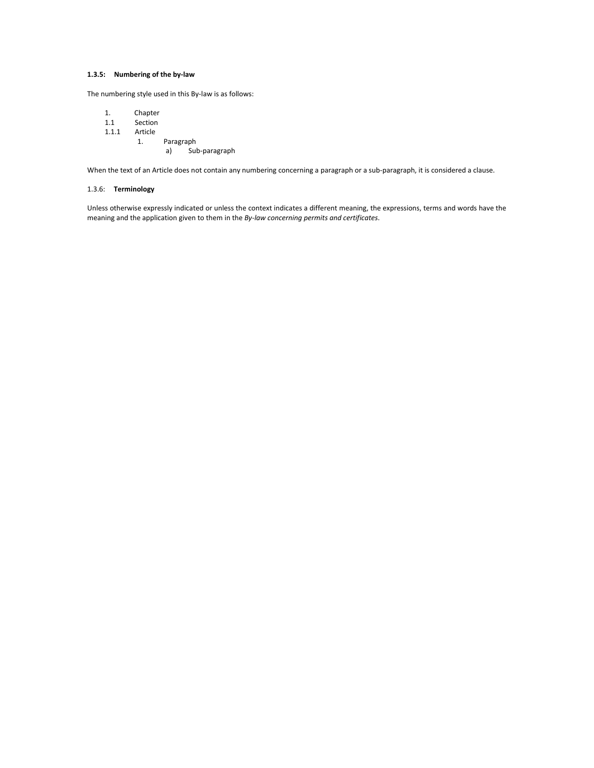# **1.3.5: Numbering of the by-law**

The numbering style used in this By-law is as follows:

- 1. Chapter
- 1.1 Section
- 1.1.1 Article
	- 1. Paragraph a) Sub-paragraph

When the text of an Article does not contain any numbering concerning a paragraph or a sub-paragraph, it is considered a clause.

### 1.3.6: **Terminology**

Unless otherwise expressly indicated or unless the context indicates a different meaning, the expressions, terms and words have the meaning and the application given to them in the *By-law concerning permits and certificates*.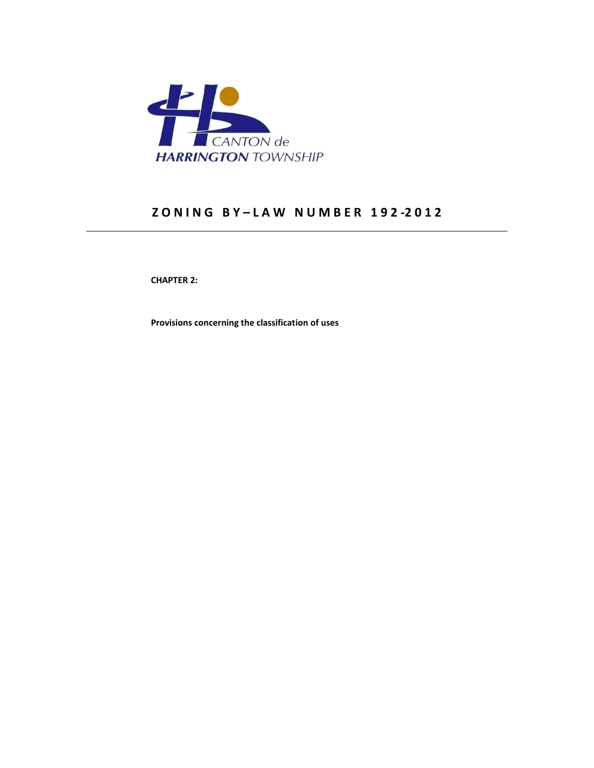

# **Z O N I N G B Y – L A W N U M B E R 1 9 2 -2 0 1 2**

 **CHAPTER 2:** 

 **Provisions concerning the classification of uses**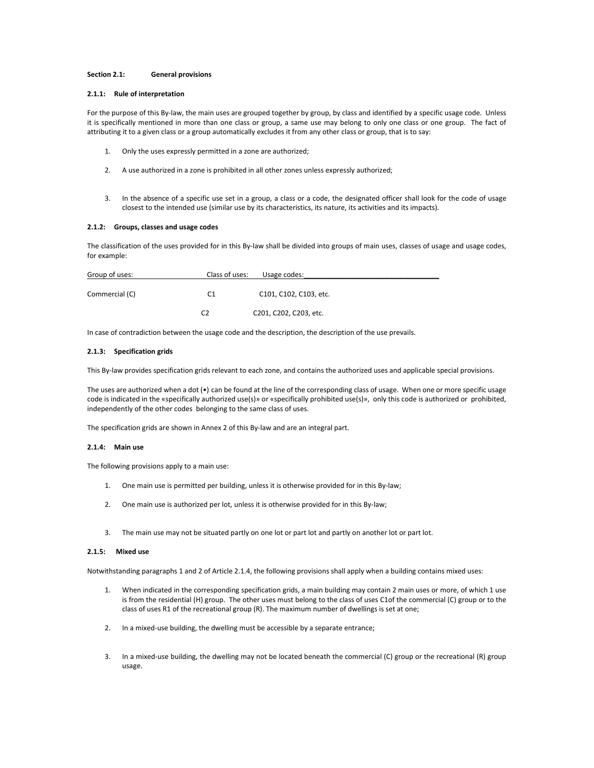### **Section 2.1: General provisions**

### **2.1.1: Rule of interpretation**

For the purpose of this By-law, the main uses are grouped together by group, by class and identified by a specific usage code. Unless it is specifically mentioned in more than one class or group, a same use may belong to only one class or one group. The fact of attributing it to a given class or a group automatically excludes it from any other class or group, that is to say:

- 1. Only the uses expressly permitted in a zone are authorized;
- 2. A use authorized in a zone is prohibited in all other zones unless expressly authorized;
- 3. In the absence of a specific use set in a group, a class or a code, the designated officer shall look for the code of usage closest to the intended use (similar use by its characteristics, its nature, its activities and its impacts).

#### **2.1.2: Groups, classes and usage codes**

The classification of the uses provided for in this By-law shall be divided into groups of main uses, classes of usage and usage codes, for example:

| Group of uses: | Class of uses: | Usage codes:           |
|----------------|----------------|------------------------|
| Commercial (C) | C1             | C101, C102, C103, etc. |
|                | C2             | C201, C202, C203, etc. |

In case of contradiction between the usage code and the description, the description of the use prevails.

### **2.1.3: Specification grids**

This By-law provides specification grids relevant to each zone, and contains the authorized uses and applicable special provisions.

The uses are authorized when a dot (•) can be found at the line of the corresponding class of usage. When one or more specific usage code is indicated in the «specifically authorized use(s)» or «specifically prohibited use(s)», only this code is authorized or prohibited, independently of the other codes belonging to the same class of uses.

The specification grids are shown in Annex 2 of this By-law and are an integral part.

#### **2.1.4: Main use**

The following provisions apply to a main use:

- 1. One main use is permitted per building, unless it is otherwise provided for in this By-law;
- 2. One main use is authorized per lot, unless it is otherwise provided for in this By-law;
- 3. The main use may not be situated partly on one lot or part lot and partly on another lot or part lot.

### **2.1.5: Mixed use**

Notwithstanding paragraphs 1 and 2 of Article 2.1.4, the following provisions shall apply when a building contains mixed uses:

- 1. When indicated in the corresponding specification grids, a main building may contain 2 main uses or more, of which 1 use is from the residential (H) group. The other uses must belong to the class of uses C1of the commercial (C) group or to the class of uses R1 of the recreational group (R). The maximum number of dwellings is set at one;
- 2. In a mixed-use building, the dwelling must be accessible by a separate entrance;
- 3. In a mixed-use building, the dwelling may not be located beneath the commercial (C) group or the recreational (R) group usage.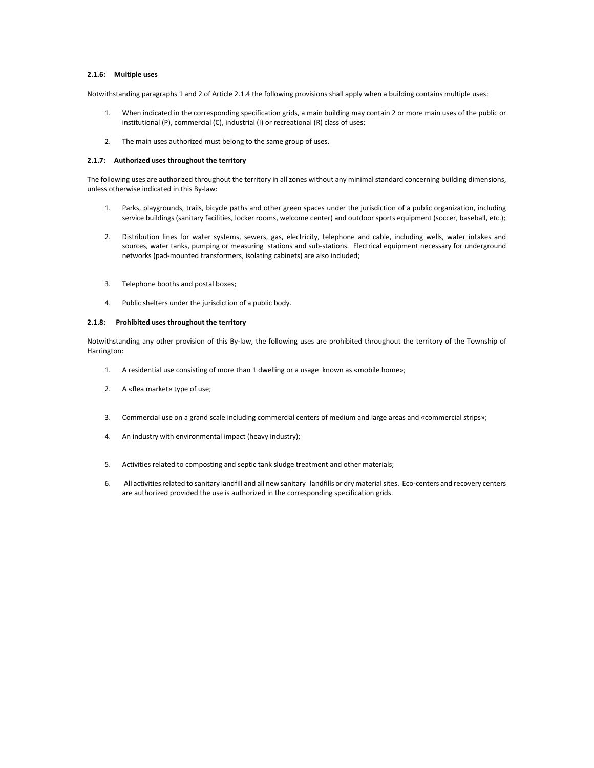## **2.1.6: Multiple uses**

Notwithstanding paragraphs 1 and 2 of Article 2.1.4 the following provisions shall apply when a building contains multiple uses:

- 1. When indicated in the corresponding specification grids, a main building may contain 2 or more main uses of the public or institutional (P), commercial (C), industrial (I) or recreational (R) class of uses;
- 2. The main uses authorized must belong to the same group of uses.

### **2.1.7: Authorized uses throughout the territory**

The following uses are authorized throughout the territory in all zones without any minimal standard concerning building dimensions, unless otherwise indicated in this By-law:

- 1. Parks, playgrounds, trails, bicycle paths and other green spaces under the jurisdiction of a public organization, including service buildings (sanitary facilities, locker rooms, welcome center) and outdoor sports equipment (soccer, baseball, etc.);
- 2. Distribution lines for water systems, sewers, gas, electricity, telephone and cable, including wells, water intakes and sources, water tanks, pumping or measuring stations and sub-stations. Electrical equipment necessary for underground networks (pad-mounted transformers, isolating cabinets) are also included;
- 3. Telephone booths and postal boxes;
- 4. Public shelters under the jurisdiction of a public body.

### **2.1.8: Prohibited uses throughout the territory**

Notwithstanding any other provision of this By-law, the following uses are prohibited throughout the territory of the Township of Harrington:

- 1. A residential use consisting of more than 1 dwelling or a usage known as «mobile home»;
- 2. A «flea market» type of use;
- 3. Commercial use on a grand scale including commercial centers of medium and large areas and «commercial strips»;
- 4. An industry with environmental impact (heavy industry);
- 5. Activities related to composting and septic tank sludge treatment and other materials;
- 6. All activities related to sanitary landfill and all new sanitary landfills or dry material sites. Eco-centers and recovery centers are authorized provided the use is authorized in the corresponding specification grids.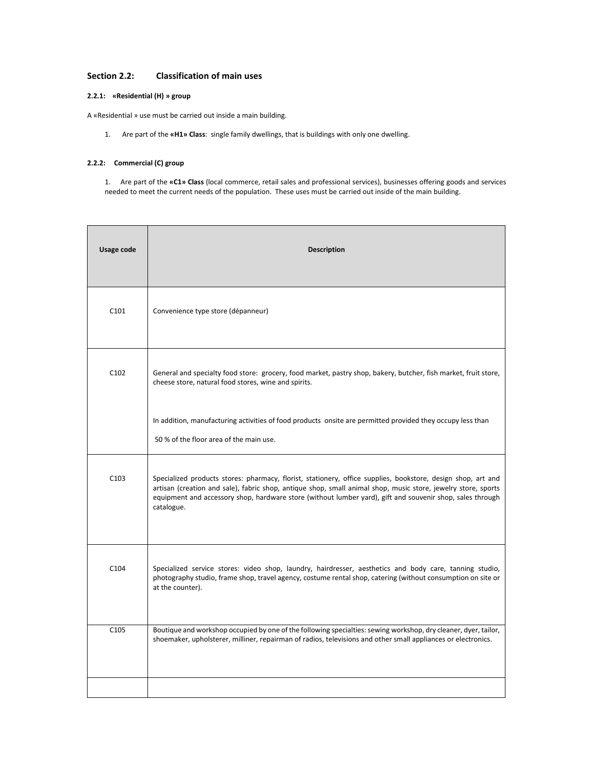# **Section 2.2: Classification of main uses**

# **2.2.1: «Residential (H) » group**

A «Residential » use must be carried out inside a main building.

1. Are part of the **«H1» Class**: single family dwellings, that is buildings with only one dwelling.

# **2.2.2: Commercial (C) group**

1. Are part of the **«C1» Class** (local commerce, retail sales and professional services), businesses offering goods and services needed to meet the current needs of the population. These uses must be carried out inside of the main building.

| Usage code       | <b>Description</b>                                                                                                                                                                                                                                                                                                                                       |
|------------------|----------------------------------------------------------------------------------------------------------------------------------------------------------------------------------------------------------------------------------------------------------------------------------------------------------------------------------------------------------|
| C <sub>101</sub> | Convenience type store (dépanneur)                                                                                                                                                                                                                                                                                                                       |
| C <sub>102</sub> | General and specialty food store: grocery, food market, pastry shop, bakery, butcher, fish market, fruit store,<br>cheese store, natural food stores, wine and spirits.                                                                                                                                                                                  |
|                  | In addition, manufacturing activities of food products onsite are permitted provided they occupy less than<br>50 % of the floor area of the main use.                                                                                                                                                                                                    |
| C <sub>103</sub> | Specialized products stores: pharmacy, florist, stationery, office supplies, bookstore, design shop, art and<br>artisan (creation and sale), fabric shop, antique shop, small animal shop, music store, jewelry store, sports<br>equipment and accessory shop, hardware store (without lumber yard), gift and souvenir shop, sales through<br>catalogue. |
| C <sub>104</sub> | Specialized service stores: video shop, laundry, hairdresser, aesthetics and body care, tanning studio,<br>photography studio, frame shop, travel agency, costume rental shop, catering (without consumption on site or<br>at the counter).                                                                                                              |
| C <sub>105</sub> | Boutique and workshop occupied by one of the following specialties: sewing workshop, dry cleaner, dyer, tailor,<br>shoemaker, upholsterer, milliner, repairman of radios, televisions and other small appliances or electronics.                                                                                                                         |
|                  |                                                                                                                                                                                                                                                                                                                                                          |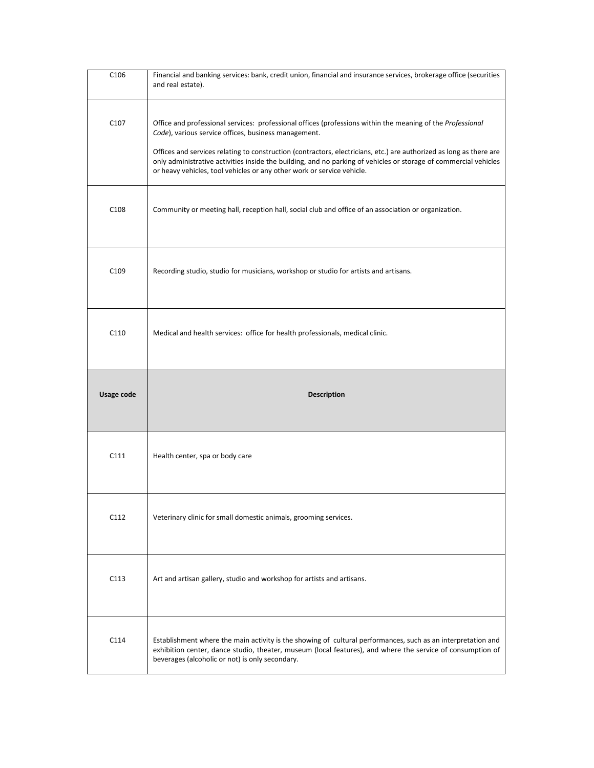| C <sub>106</sub> | Financial and banking services: bank, credit union, financial and insurance services, brokerage office (securities<br>and real estate).                                                                                                                                                                                                                                                                                                                                                 |
|------------------|-----------------------------------------------------------------------------------------------------------------------------------------------------------------------------------------------------------------------------------------------------------------------------------------------------------------------------------------------------------------------------------------------------------------------------------------------------------------------------------------|
| C <sub>107</sub> | Office and professional services: professional offices (professions within the meaning of the Professional<br>Code), various service offices, business management.<br>Offices and services relating to construction (contractors, electricians, etc.) are authorized as long as there are<br>only administrative activities inside the building, and no parking of vehicles or storage of commercial vehicles<br>or heavy vehicles, tool vehicles or any other work or service vehicle. |
| C <sub>108</sub> | Community or meeting hall, reception hall, social club and office of an association or organization.                                                                                                                                                                                                                                                                                                                                                                                    |
| C <sub>109</sub> | Recording studio, studio for musicians, workshop or studio for artists and artisans.                                                                                                                                                                                                                                                                                                                                                                                                    |
| C110             | Medical and health services: office for health professionals, medical clinic.                                                                                                                                                                                                                                                                                                                                                                                                           |
|                  |                                                                                                                                                                                                                                                                                                                                                                                                                                                                                         |
| Usage code       | <b>Description</b>                                                                                                                                                                                                                                                                                                                                                                                                                                                                      |
| C111             | Health center, spa or body care                                                                                                                                                                                                                                                                                                                                                                                                                                                         |
| C112             | Veterinary clinic for small domestic animals, grooming services.                                                                                                                                                                                                                                                                                                                                                                                                                        |
| C113             | Art and artisan gallery, studio and workshop for artists and artisans.                                                                                                                                                                                                                                                                                                                                                                                                                  |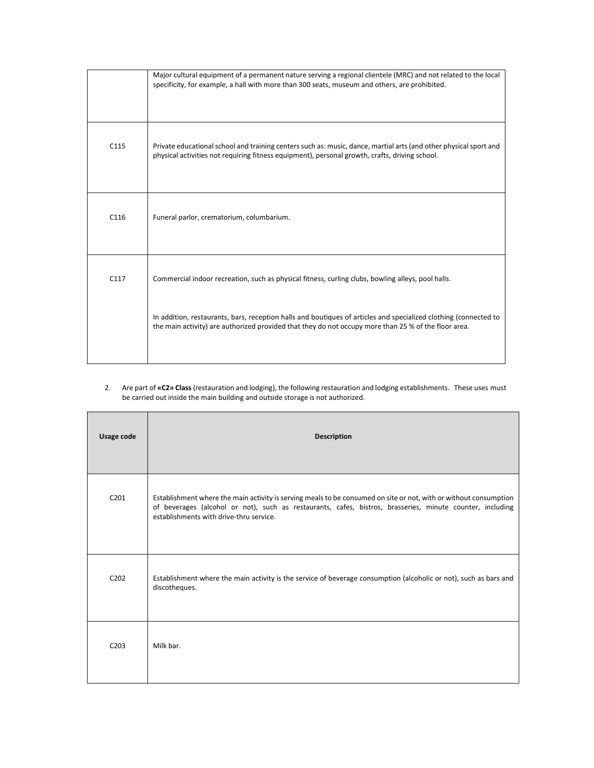|      | Major cultural equipment of a permanent nature serving a regional clientele (MRC) and not related to the local<br>specificity, for example, a hall with more than 300 seats, museum and others, are prohibited.        |
|------|------------------------------------------------------------------------------------------------------------------------------------------------------------------------------------------------------------------------|
| C115 | Private educational school and training centers such as: music, dance, martial arts (and other physical sport and<br>physical activities not requiring fitness equipment), personal growth, crafts, driving school.    |
| C116 | Funeral parlor, crematorium, columbarium.                                                                                                                                                                              |
| C117 | Commercial indoor recreation, such as physical fitness, curling clubs, bowling alleys, pool halls.<br>In addition, restaurants, bars, reception halls and boutiques of articles and specialized clothing (connected to |
|      | the main activity) are authorized provided that they do not occupy more than 25 % of the floor area.                                                                                                                   |

# 2. Are part of **«C2» Class** (restauration and lodging), the following restauration and lodging establishments. These uses must be carried out inside the main building and outside storage is not authorized.

| Usage code                    | <b>Description</b>                                                                                                                                                                                                                                                        |
|-------------------------------|---------------------------------------------------------------------------------------------------------------------------------------------------------------------------------------------------------------------------------------------------------------------------|
| C <sub>201</sub>              | Establishment where the main activity is serving meals to be consumed on site or not, with or without consumption<br>of beverages (alcohol or not), such as restaurants, cafes, bistros, brasseries, minute counter, including<br>establishments with drive-thru service. |
| C <sub>2</sub> 0 <sub>2</sub> | Establishment where the main activity is the service of beverage consumption (alcoholic or not), such as bars and<br>discotheques.                                                                                                                                        |
| C <sub>203</sub>              | Milk bar.                                                                                                                                                                                                                                                                 |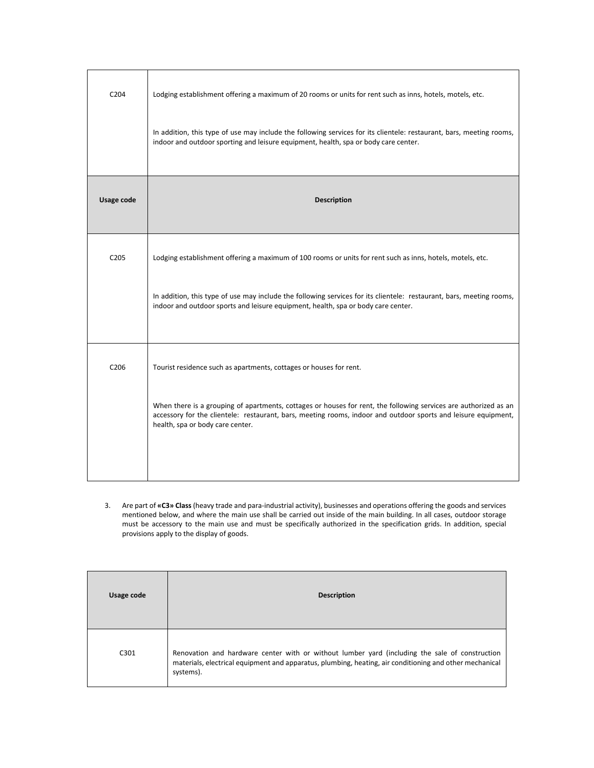| C <sub>204</sub> | Lodging establishment offering a maximum of 20 rooms or units for rent such as inns, hotels, motels, etc.                                                                                                                                                              |
|------------------|------------------------------------------------------------------------------------------------------------------------------------------------------------------------------------------------------------------------------------------------------------------------|
|                  | In addition, this type of use may include the following services for its clientele: restaurant, bars, meeting rooms,<br>indoor and outdoor sporting and leisure equipment, health, spa or body care center.                                                            |
| Usage code       | <b>Description</b>                                                                                                                                                                                                                                                     |
| C <sub>205</sub> | Lodging establishment offering a maximum of 100 rooms or units for rent such as inns, hotels, motels, etc.                                                                                                                                                             |
|                  | In addition, this type of use may include the following services for its clientele: restaurant, bars, meeting rooms,<br>indoor and outdoor sports and leisure equipment, health, spa or body care center.                                                              |
| C206             | Tourist residence such as apartments, cottages or houses for rent.                                                                                                                                                                                                     |
|                  | When there is a grouping of apartments, cottages or houses for rent, the following services are authorized as an<br>accessory for the clientele: restaurant, bars, meeting rooms, indoor and outdoor sports and leisure equipment,<br>health, spa or body care center. |
|                  |                                                                                                                                                                                                                                                                        |

3. Are part of **«C3» Class** (heavy trade and para-industrial activity), businesses and operations offering the goods and services mentioned below, and where the main use shall be carried out inside of the main building. In all cases, outdoor storage must be accessory to the main use and must be specifically authorized in the specification grids. In addition, special provisions apply to the display of goods.

| Usage code | <b>Description</b>                                                                                                                                                                                                     |
|------------|------------------------------------------------------------------------------------------------------------------------------------------------------------------------------------------------------------------------|
| C301       | Renovation and hardware center with or without lumber yard (including the sale of construction<br>materials, electrical equipment and apparatus, plumbing, heating, air conditioning and other mechanical<br>systems). |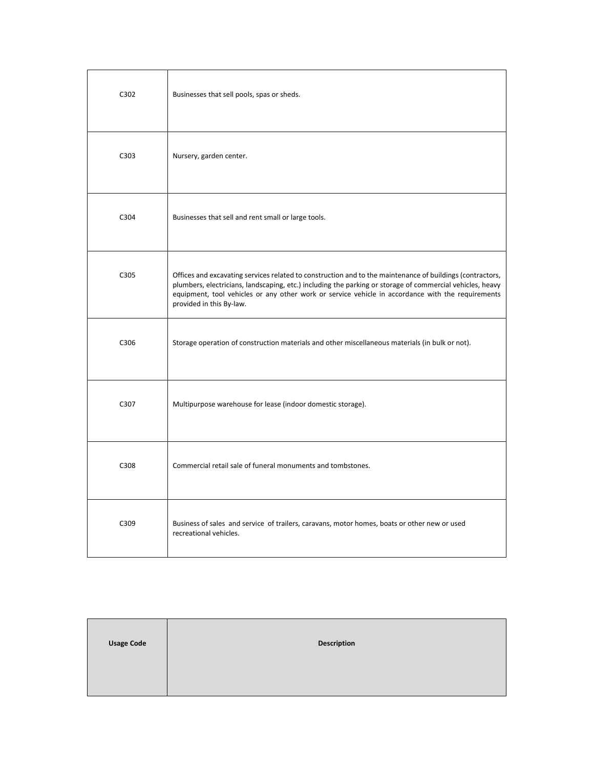| C302 | Businesses that sell pools, spas or sheds.                                                                                                                                                                                                                                                                                                              |
|------|---------------------------------------------------------------------------------------------------------------------------------------------------------------------------------------------------------------------------------------------------------------------------------------------------------------------------------------------------------|
| C303 | Nursery, garden center.                                                                                                                                                                                                                                                                                                                                 |
| C304 | Businesses that sell and rent small or large tools.                                                                                                                                                                                                                                                                                                     |
| C305 | Offices and excavating services related to construction and to the maintenance of buildings (contractors,<br>plumbers, electricians, landscaping, etc.) including the parking or storage of commercial vehicles, heavy<br>equipment, tool vehicles or any other work or service vehicle in accordance with the requirements<br>provided in this By-law. |
| C306 | Storage operation of construction materials and other miscellaneous materials (in bulk or not).                                                                                                                                                                                                                                                         |
| C307 | Multipurpose warehouse for lease (indoor domestic storage).                                                                                                                                                                                                                                                                                             |
| C308 | Commercial retail sale of funeral monuments and tombstones.                                                                                                                                                                                                                                                                                             |
| C309 | Business of sales and service of trailers, caravans, motor homes, boats or other new or used<br>recreational vehicles.                                                                                                                                                                                                                                  |

| <b>Usage Code</b> | <b>Description</b> |
|-------------------|--------------------|
|                   |                    |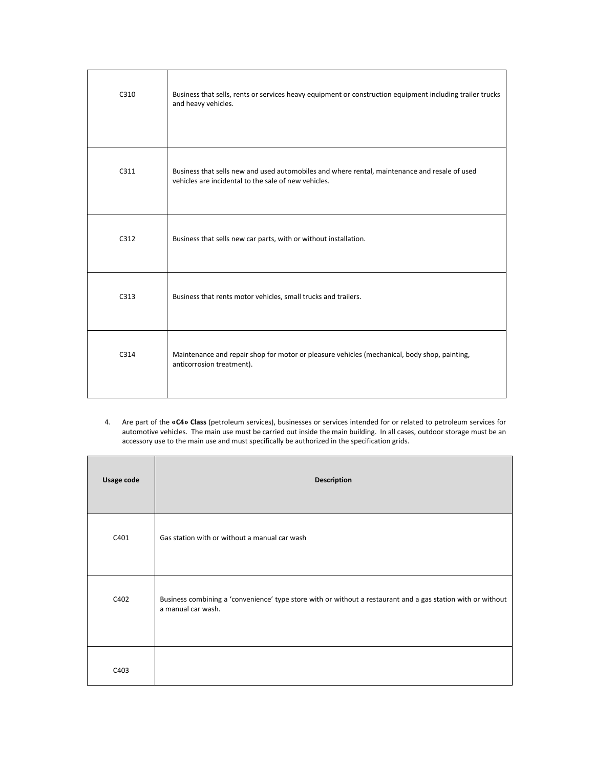| C310 | Business that sells, rents or services heavy equipment or construction equipment including trailer trucks<br>and heavy vehicles.                      |
|------|-------------------------------------------------------------------------------------------------------------------------------------------------------|
| C311 | Business that sells new and used automobiles and where rental, maintenance and resale of used<br>vehicles are incidental to the sale of new vehicles. |
| C312 | Business that sells new car parts, with or without installation.                                                                                      |
| C313 | Business that rents motor vehicles, small trucks and trailers.                                                                                        |
| C314 | Maintenance and repair shop for motor or pleasure vehicles (mechanical, body shop, painting,<br>anticorrosion treatment).                             |

4. Are part of the **«C4» Class** (petroleum services), businesses or services intended for or related to petroleum services for automotive vehicles. The main use must be carried out inside the main building. In all cases, outdoor storage must be an accessory use to the main use and must specifically be authorized in the specification grids.

| Usage code | <b>Description</b>                                                                                                                 |
|------------|------------------------------------------------------------------------------------------------------------------------------------|
| C401       | Gas station with or without a manual car wash                                                                                      |
| C402       | Business combining a 'convenience' type store with or without a restaurant and a gas station with or without<br>a manual car wash. |
| C403       |                                                                                                                                    |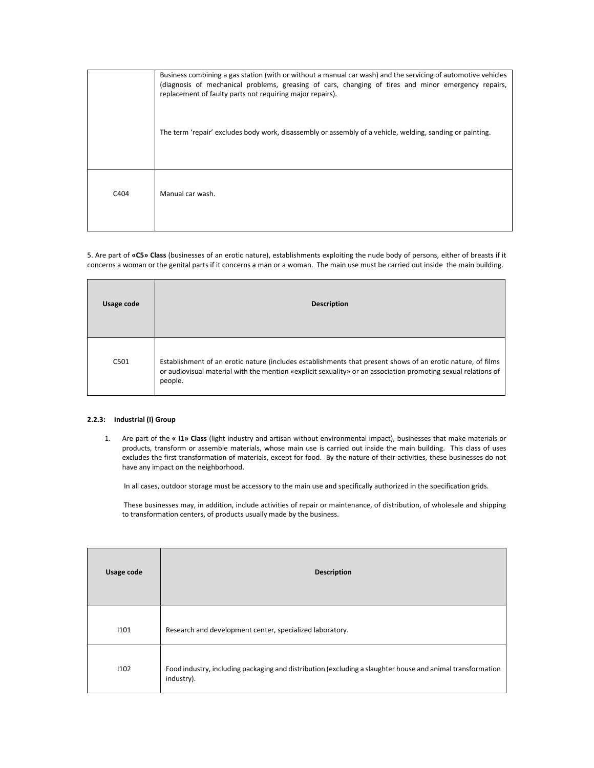|                  | Business combining a gas station (with or without a manual car wash) and the servicing of automotive vehicles<br>(diagnosis of mechanical problems, greasing of cars, changing of tires and minor emergency repairs,<br>replacement of faulty parts not requiring major repairs). |
|------------------|-----------------------------------------------------------------------------------------------------------------------------------------------------------------------------------------------------------------------------------------------------------------------------------|
|                  | The term 'repair' excludes body work, disassembly or assembly of a vehicle, welding, sanding or painting.                                                                                                                                                                         |
| C <sub>404</sub> | Manual car wash.                                                                                                                                                                                                                                                                  |

5. Are part of **«C5» Class** (businesses of an erotic nature), establishments exploiting the nude body of persons, either of breasts if it concerns a woman or the genital parts if it concerns a man or a woman. The main use must be carried out inside the main building.

| Usage code | <b>Description</b>                                                                                                                                                                                                                      |
|------------|-----------------------------------------------------------------------------------------------------------------------------------------------------------------------------------------------------------------------------------------|
| C501       | Establishment of an erotic nature (includes establishments that present shows of an erotic nature, of films<br>or audiovisual material with the mention «explicit sexuality» or an association promoting sexual relations of<br>people. |

# **2.2.3: Industrial (I) Group**

1. Are part of the **« I1» Class** (light industry and artisan without environmental impact), businesses that make materials or products, transform or assemble materials, whose main use is carried out inside the main building. This class of uses excludes the first transformation of materials, except for food. By the nature of their activities, these businesses do not have any impact on the neighborhood.

In all cases, outdoor storage must be accessory to the main use and specifically authorized in the specification grids.

 These businesses may, in addition, include activities of repair or maintenance, of distribution, of wholesale and shipping to transformation centers, of products usually made by the business.

| Usage code | <b>Description</b>                                                                                                       |
|------------|--------------------------------------------------------------------------------------------------------------------------|
| 1101       | Research and development center, specialized laboratory.                                                                 |
| 1102       | Food industry, including packaging and distribution (excluding a slaughter house and animal transformation<br>industry). |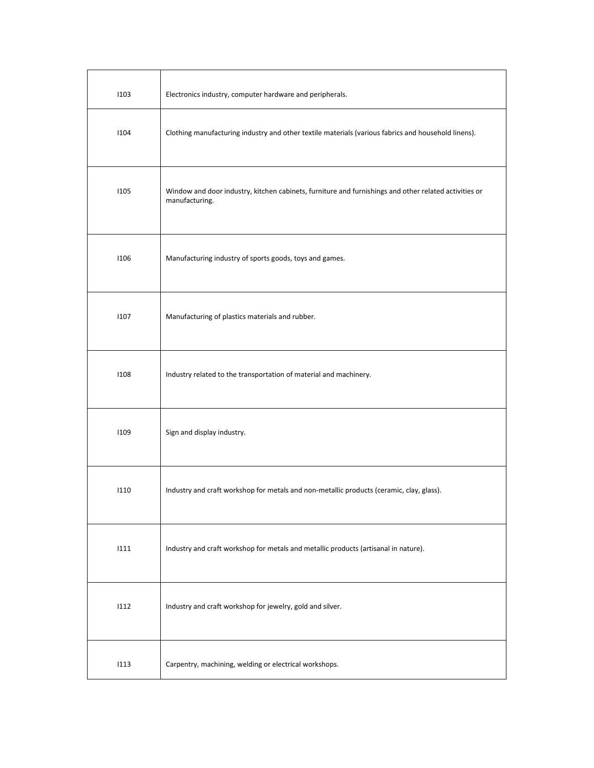| 1103 | Electronics industry, computer hardware and peripherals.                                                                |
|------|-------------------------------------------------------------------------------------------------------------------------|
| 1104 | Clothing manufacturing industry and other textile materials (various fabrics and household linens).                     |
| 1105 | Window and door industry, kitchen cabinets, furniture and furnishings and other related activities or<br>manufacturing. |
| 1106 | Manufacturing industry of sports goods, toys and games.                                                                 |
| 1107 | Manufacturing of plastics materials and rubber.                                                                         |
| 1108 | Industry related to the transportation of material and machinery.                                                       |
| 1109 | Sign and display industry.                                                                                              |
| 1110 | Industry and craft workshop for metals and non-metallic products (ceramic, clay, glass).                                |
| 1111 | Industry and craft workshop for metals and metallic products (artisanal in nature).                                     |
| 1112 | Industry and craft workshop for jewelry, gold and silver.                                                               |
| 1113 | Carpentry, machining, welding or electrical workshops.                                                                  |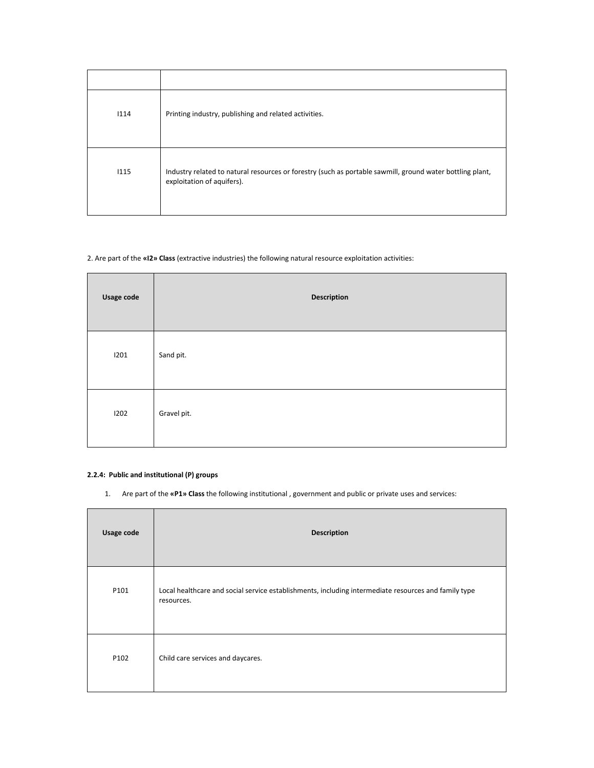| 1114 | Printing industry, publishing and related activities.                                                                                   |
|------|-----------------------------------------------------------------------------------------------------------------------------------------|
| 1115 | Industry related to natural resources or forestry (such as portable sawmill, ground water bottling plant,<br>exploitation of aquifers). |

# 2. Are part of the **«I2» Class** (extractive industries) the following natural resource exploitation activities:

| Usage code | Description |
|------------|-------------|
| 1201       | Sand pit.   |
| 1202       | Gravel pit. |

# **2.2.4: Public and institutional (P) groups**

1. Are part of the **«P1» Class** the following institutional , government and public or private uses and services:

| Usage code | <b>Description</b>                                                                                                 |
|------------|--------------------------------------------------------------------------------------------------------------------|
| P101       | Local healthcare and social service establishments, including intermediate resources and family type<br>resources. |
| P102       | Child care services and daycares.                                                                                  |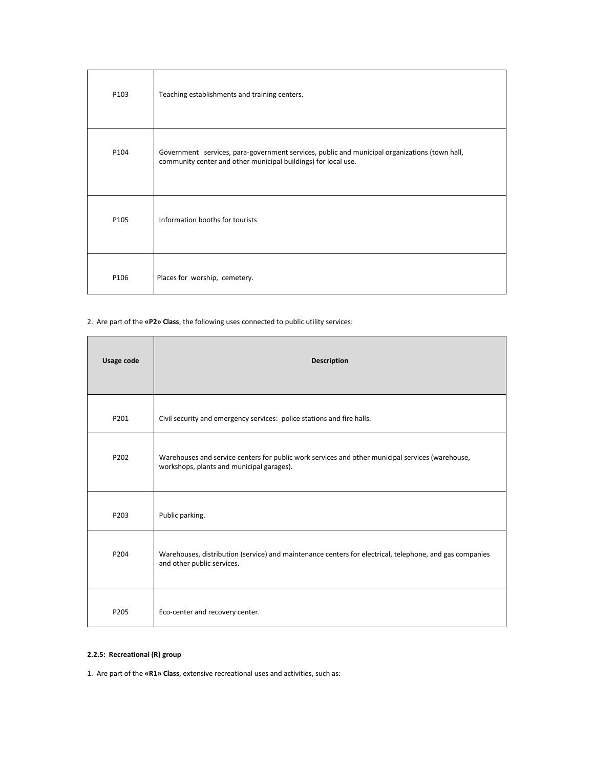| P103 | Teaching establishments and training centers.                                                                                                                   |
|------|-----------------------------------------------------------------------------------------------------------------------------------------------------------------|
| P104 | Government services, para-government services, public and municipal organizations (town hall,<br>community center and other municipal buildings) for local use. |
| P105 | Information booths for tourists                                                                                                                                 |
| P106 | Places for worship, cemetery.                                                                                                                                   |

2. Are part of the **«P2» Class**, the following uses connected to public utility services:

| Usage code | <b>Description</b>                                                                                                                            |
|------------|-----------------------------------------------------------------------------------------------------------------------------------------------|
| P201       | Civil security and emergency services: police stations and fire halls.                                                                        |
| P202       | Warehouses and service centers for public work services and other municipal services (warehouse,<br>workshops, plants and municipal garages). |
| P203       | Public parking.                                                                                                                               |
| P204       | Warehouses, distribution (service) and maintenance centers for electrical, telephone, and gas companies<br>and other public services.         |
| P205       | Eco-center and recovery center.                                                                                                               |

# **2.2.5: Recreational (R) group**

1. Are part of the **«R1» Class**, extensive recreational uses and activities, such as: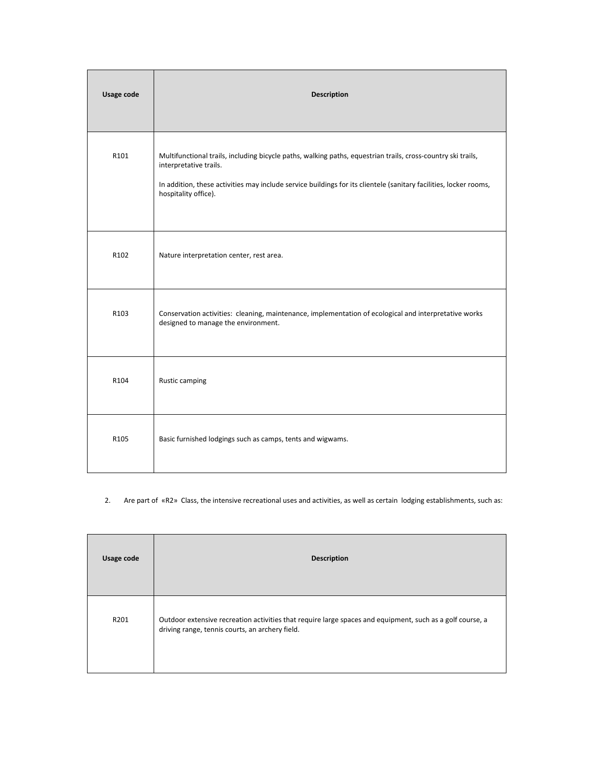| Usage code       | <b>Description</b>                                                                                                                                                                                                                                                                  |
|------------------|-------------------------------------------------------------------------------------------------------------------------------------------------------------------------------------------------------------------------------------------------------------------------------------|
| R101             | Multifunctional trails, including bicycle paths, walking paths, equestrian trails, cross-country ski trails,<br>interpretative trails.<br>In addition, these activities may include service buildings for its clientele (sanitary facilities, locker rooms,<br>hospitality office). |
| R102             | Nature interpretation center, rest area.                                                                                                                                                                                                                                            |
| R103             | Conservation activities: cleaning, maintenance, implementation of ecological and interpretative works<br>designed to manage the environment.                                                                                                                                        |
| R104             | Rustic camping                                                                                                                                                                                                                                                                      |
| R <sub>105</sub> | Basic furnished lodgings such as camps, tents and wigwams.                                                                                                                                                                                                                          |

# 2. Are part of «R2» Class, the intensive recreational uses and activities, as well as certain lodging establishments, such as:

| Usage code | <b>Description</b>                                                                                                                                           |
|------------|--------------------------------------------------------------------------------------------------------------------------------------------------------------|
| R201       | Outdoor extensive recreation activities that require large spaces and equipment, such as a golf course, a<br>driving range, tennis courts, an archery field. |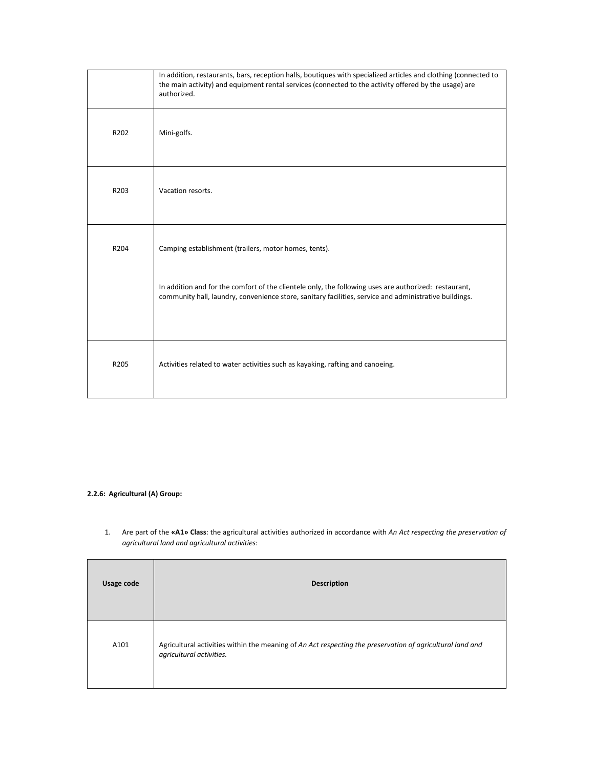|      | In addition, restaurants, bars, reception halls, boutiques with specialized articles and clothing (connected to<br>the main activity) and equipment rental services (connected to the activity offered by the usage) are<br>authorized.                                  |
|------|--------------------------------------------------------------------------------------------------------------------------------------------------------------------------------------------------------------------------------------------------------------------------|
| R202 | Mini-golfs.                                                                                                                                                                                                                                                              |
| R203 | Vacation resorts.                                                                                                                                                                                                                                                        |
| R204 | Camping establishment (trailers, motor homes, tents).<br>In addition and for the comfort of the clientele only, the following uses are authorized: restaurant,<br>community hall, laundry, convenience store, sanitary facilities, service and administrative buildings. |
| R205 | Activities related to water activities such as kayaking, rafting and canoeing.                                                                                                                                                                                           |

# **2.2.6: Agricultural (A) Group:**

Ē

1. Are part of the **«A1» Class**: the agricultural activities authorized in accordance with *An Act respecting the preservation of agricultural land and agricultural activities*:

| Usage code | <b>Description</b>                                                                                                                    |
|------------|---------------------------------------------------------------------------------------------------------------------------------------|
| A101       | Agricultural activities within the meaning of An Act respecting the preservation of agricultural land and<br>agricultural activities. |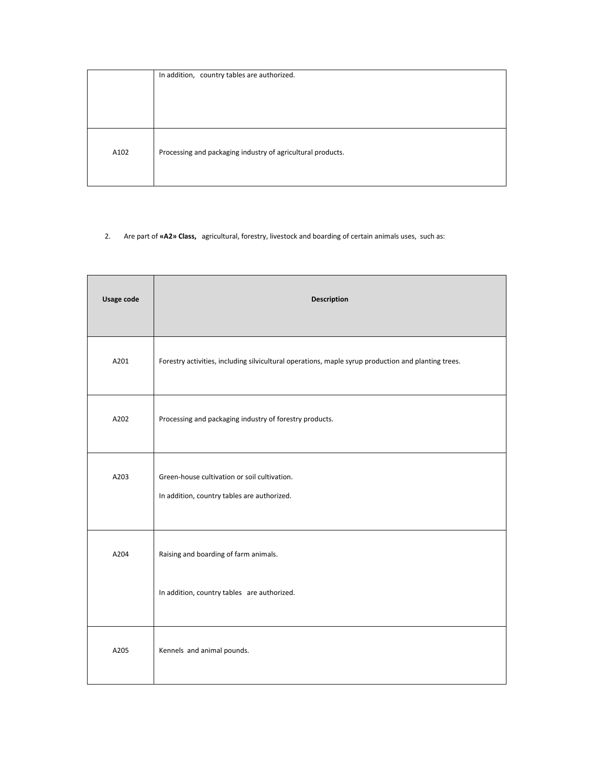|      | In addition, country tables are authorized.                 |
|------|-------------------------------------------------------------|
| A102 | Processing and packaging industry of agricultural products. |

# 2. Are part of **«A2» Class,** agricultural, forestry, livestock and boarding of certain animals uses, such as:

| Usage code | <b>Description</b>                                                                                  |
|------------|-----------------------------------------------------------------------------------------------------|
| A201       | Forestry activities, including silvicultural operations, maple syrup production and planting trees. |
| A202       | Processing and packaging industry of forestry products.                                             |
| A203       | Green-house cultivation or soil cultivation.<br>In addition, country tables are authorized.         |
| A204       | Raising and boarding of farm animals.<br>In addition, country tables are authorized.                |
| A205       | Kennels and animal pounds.                                                                          |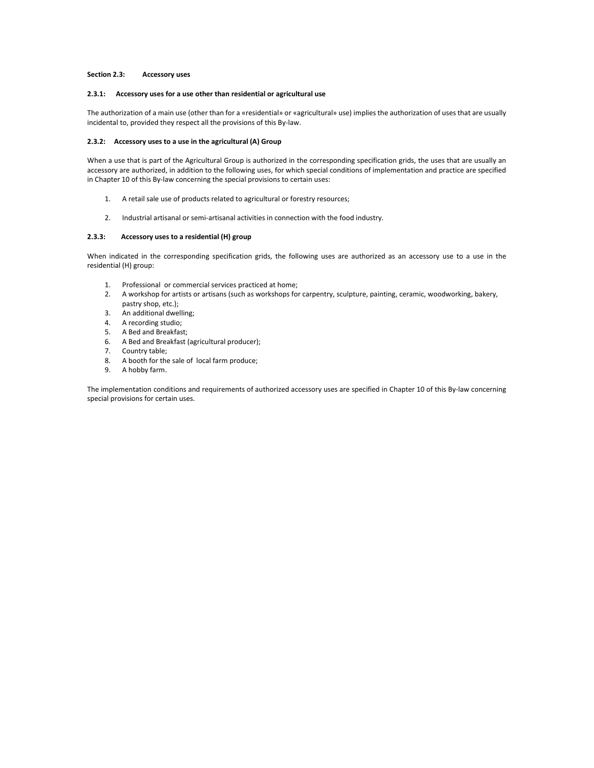# **Section 2.3: Accessory uses**

### **2.3.1: Accessory uses for a use other than residential or agricultural use**

The authorization of a main use (other than for a «residential» or «agricultural» use) implies the authorization of uses that are usually incidental to, provided they respect all the provisions of this By-law.

### **2.3.2: Accessory uses to a use in the agricultural (A) Group**

When a use that is part of the Agricultural Group is authorized in the corresponding specification grids, the uses that are usually an accessory are authorized, in addition to the following uses, for which special conditions of implementation and practice are specified in Chapter 10 of this By-law concerning the special provisions to certain uses:

- 1. A retail sale use of products related to agricultural or forestry resources;
- 2. Industrial artisanal or semi-artisanal activities in connection with the food industry.

### **2.3.3: Accessory uses to a residential (H) group**

When indicated in the corresponding specification grids, the following uses are authorized as an accessory use to a use in the residential (H) group:

- 1. Professional or commercial services practiced at home;
- 2. A workshop for artists or artisans (such as workshops for carpentry, sculpture, painting, ceramic, woodworking, bakery, pastry shop, etc.);
- 3. An additional dwelling;
- 4. A recording studio;
- 5. A Bed and Breakfast;
- 6. A Bed and Breakfast (agricultural producer);
- 7. Country table;
- 8. A booth for the sale of local farm produce;
- 9. A hobby farm.

The implementation conditions and requirements of authorized accessory uses are specified in Chapter 10 of this By-law concerning special provisions for certain uses.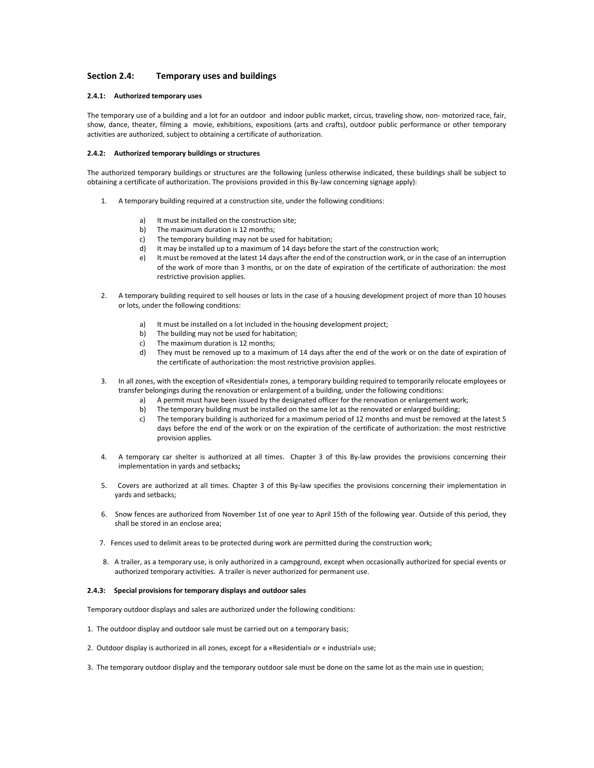# **Section 2.4: Temporary uses and buildings**

### **2.4.1: Authorized temporary uses**

The temporary use of a building and a lot for an outdoor and indoor public market, circus, traveling show, non- motorized race, fair, show, dance, theater, filming a movie, exhibitions, expositions (arts and crafts), outdoor public performance or other temporary activities are authorized, subject to obtaining a certificate of authorization.

### **2.4.2: Authorized temporary buildings or structures**

The authorized temporary buildings or structures are the following (unless otherwise indicated, these buildings shall be subject to obtaining a certificate of authorization. The provisions provided in this By-law concerning signage apply):

- 1. A temporary building required at a construction site, under the following conditions:
	- a) It must be installed on the construction site;
	- b) The maximum duration is 12 months;
	- c) The temporary building may not be used for habitation;
	- d) It may be installed up to a maximum of 14 days before the start of the construction work;
	- e) It must be removed at the latest 14 days after the end of the construction work, or in the case of an interruption of the work of more than 3 months, or on the date of expiration of the certificate of authorization: the most restrictive provision applies.
- 2. A temporary building required to sell houses or lots in the case of a housing development project of more than 10 houses or lots, under the following conditions:
	- a) It must be installed on a lot included in the housing development project;
	- b) The building may not be used for habitation;
	- c) The maximum duration is 12 months;
	- d) They must be removed up to a maximum of 14 days after the end of the work or on the date of expiration of the certificate of authorization: the most restrictive provision applies.
- 3. In all zones, with the exception of «Residential» zones, a temporary building required to temporarily relocate employees or transfer belongings during the renovation or enlargement of a building, under the following conditions:
	- a) A permit must have been issued by the designated officer for the renovation or enlargement work;
	- b) The temporary building must be installed on the same lot as the renovated or enlarged building;
	- c) The temporary building is authorized for a maximum period of 12 months and must be removed at the latest 5 days before the end of the work or on the expiration of the certificate of authorization: the most restrictive provision applies.
- 4. A temporary car shelter is authorized at all times. Chapter 3 of this By-law provides the provisions concerning their implementation in yards and setbacks**;**
- 5. Covers are authorized at all times. Chapter 3 of this By-law specifies the provisions concerning their implementation in yards and setbacks;
- 6. Snow fences are authorized from November 1st of one year to April 15th of the following year. Outside of this period, they shall be stored in an enclose area;
- 7. Fences used to delimit areas to be protected during work are permitted during the construction work;
- 8. A trailer, as a temporary use, is only authorized in a campground, except when occasionally authorized for special events or authorized temporary activities. A trailer is never authorized for permanent use.

### **2.4.3: Special provisions for temporary displays and outdoor sales**

Temporary outdoor displays and sales are authorized under the following conditions:

- 1. The outdoor display and outdoor sale must be carried out on a temporary basis;
- 2. Outdoor display is authorized in all zones, except for a «Residential» or « industrial» use;
- 3. The temporary outdoor display and the temporary outdoor sale must be done on the same lot as the main use in question;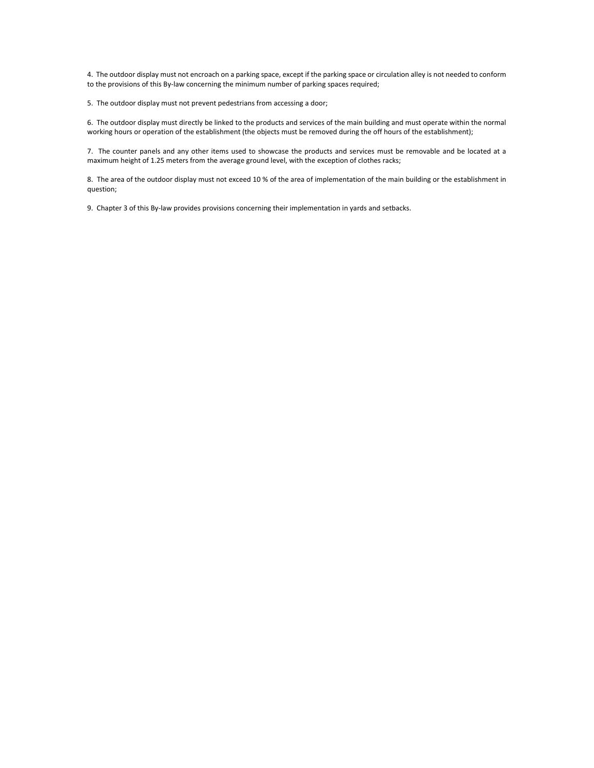4. The outdoor display must not encroach on a parking space, except if the parking space or circulation alley is not needed to conform to the provisions of this By-law concerning the minimum number of parking spaces required;

5. The outdoor display must not prevent pedestrians from accessing a door;

6. The outdoor display must directly be linked to the products and services of the main building and must operate within the normal working hours or operation of the establishment (the objects must be removed during the off hours of the establishment);

7. The counter panels and any other items used to showcase the products and services must be removable and be located at a maximum height of 1.25 meters from the average ground level, with the exception of clothes racks;

8. The area of the outdoor display must not exceed 10 % of the area of implementation of the main building or the establishment in question;

9. Chapter 3 of this By-law provides provisions concerning their implementation in yards and setbacks.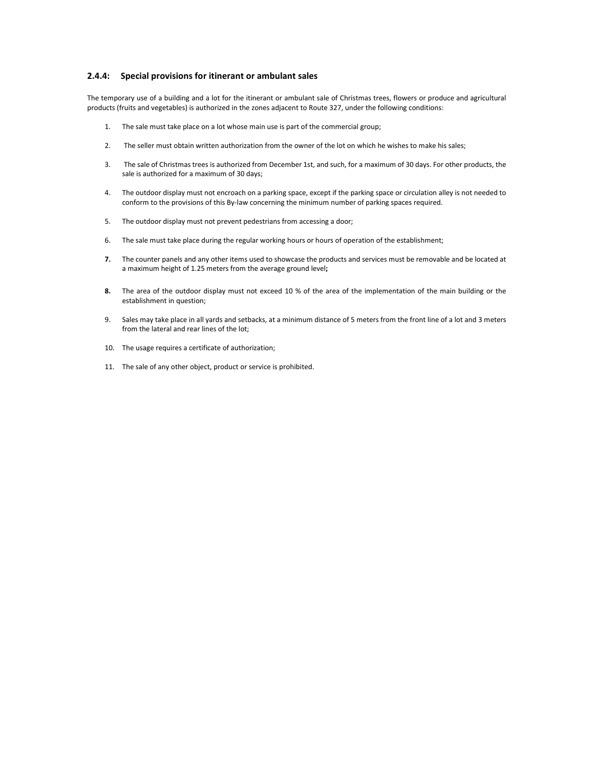# **2.4.4: Special provisions for itinerant or ambulant sales**

The temporary use of a building and a lot for the itinerant or ambulant sale of Christmas trees, flowers or produce and agricultural products (fruits and vegetables) is authorized in the zones adjacent to Route 327, under the following conditions:

- 1. The sale must take place on a lot whose main use is part of the commercial group;
- 2. The seller must obtain written authorization from the owner of the lot on which he wishes to make his sales;
- 3. The sale of Christmas trees is authorized from December 1st, and such, for a maximum of 30 days. For other products, the sale is authorized for a maximum of 30 days;
- 4. The outdoor display must not encroach on a parking space, except if the parking space or circulation alley is not needed to conform to the provisions of this By-law concerning the minimum number of parking spaces required.
- 5. The outdoor display must not prevent pedestrians from accessing a door;
- 6. The sale must take place during the regular working hours or hours of operation of the establishment;
- **7.** The counter panels and any other items used to showcase the products and services must be removable and be located at a maximum height of 1.25 meters from the average ground level**;**
- **8.** The area of the outdoor display must not exceed 10 % of the area of the implementation of the main building or the establishment in question;
- 9. Sales may take place in all yards and setbacks, at a minimum distance of 5 meters from the front line of a lot and 3 meters from the lateral and rear lines of the lot;
- 10. The usage requires a certificate of authorization;
- 11. The sale of any other object, product or service is prohibited.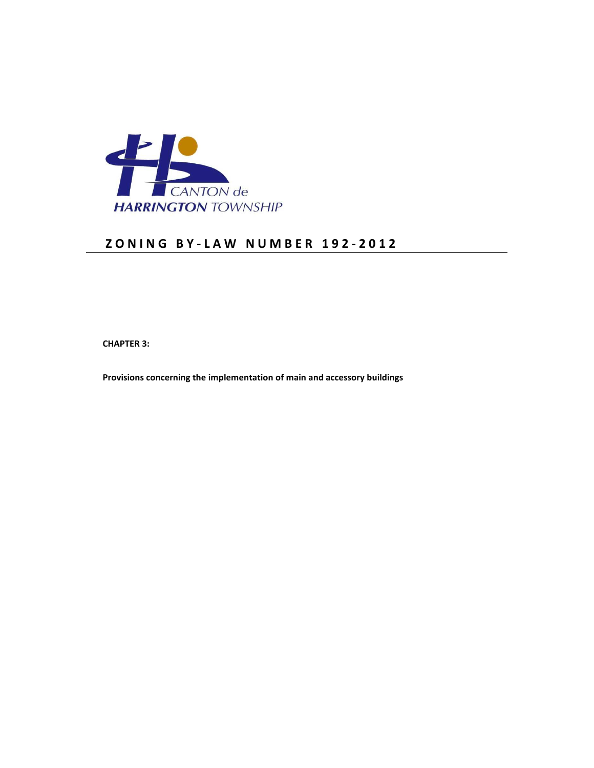

# **Z O N I N G B Y - L A W N U M B E R 1 9 2 - 2 0 1 2**

 **CHAPTER 3:** 

 **Provisions concerning the implementation of main and accessory buildings**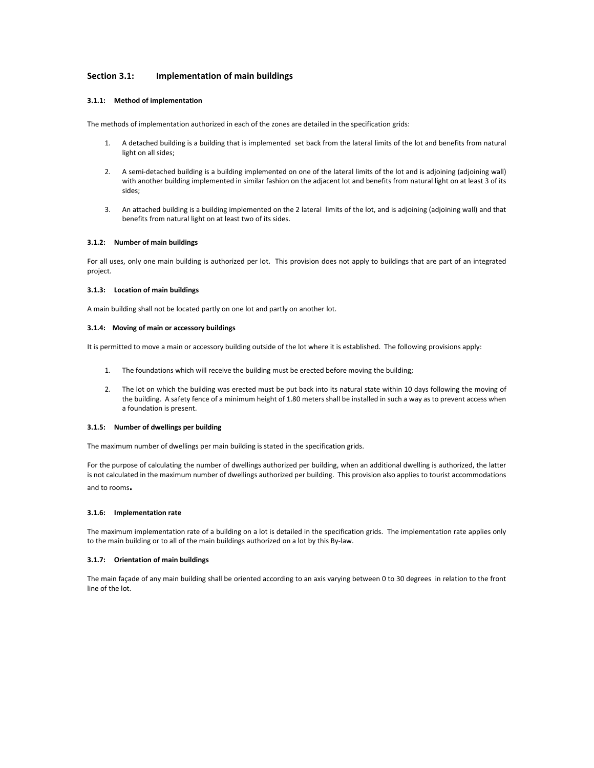# **Section 3.1: Implementation of main buildings**

# **3.1.1: Method of implementation**

The methods of implementation authorized in each of the zones are detailed in the specification grids:

- 1. A detached building is a building that is implemented set back from the lateral limits of the lot and benefits from natural light on all sides;
- 2. A semi-detached building is a building implemented on one of the lateral limits of the lot and is adjoining (adjoining wall) with another building implemented in similar fashion on the adjacent lot and benefits from natural light on at least 3 of its sides;
- 3. An attached building is a building implemented on the 2 lateral limits of the lot, and is adjoining (adjoining wall) and that benefits from natural light on at least two of its sides.

### **3.1.2: Number of main buildings**

For all uses, only one main building is authorized per lot. This provision does not apply to buildings that are part of an integrated project.

### **3.1.3: Location of main buildings**

A main building shall not be located partly on one lot and partly on another lot.

### **3.1.4: Moving of main or accessory buildings**

It is permitted to move a main or accessory building outside of the lot where it is established. The following provisions apply:

- 1. The foundations which will receive the building must be erected before moving the building;
- 2. The lot on which the building was erected must be put back into its natural state within 10 days following the moving of the building. A safety fence of a minimum height of 1.80 meters shall be installed in such a way as to prevent access when a foundation is present.

### **3.1.5: Number of dwellings per building**

The maximum number of dwellings per main building is stated in the specification grids.

For the purpose of calculating the number of dwellings authorized per building, when an additional dwelling is authorized, the latter is not calculated in the maximum number of dwellings authorized per building. This provision also applies to tourist accommodations and to rooms**.** 

### **3.1.6: Implementation rate**

The maximum implementation rate of a building on a lot is detailed in the specification grids. The implementation rate applies only to the main building or to all of the main buildings authorized on a lot by this By-law.

### **3.1.7: Orientation of main buildings**

The main façade of any main building shall be oriented according to an axis varying between 0 to 30 degrees in relation to the front line of the lot.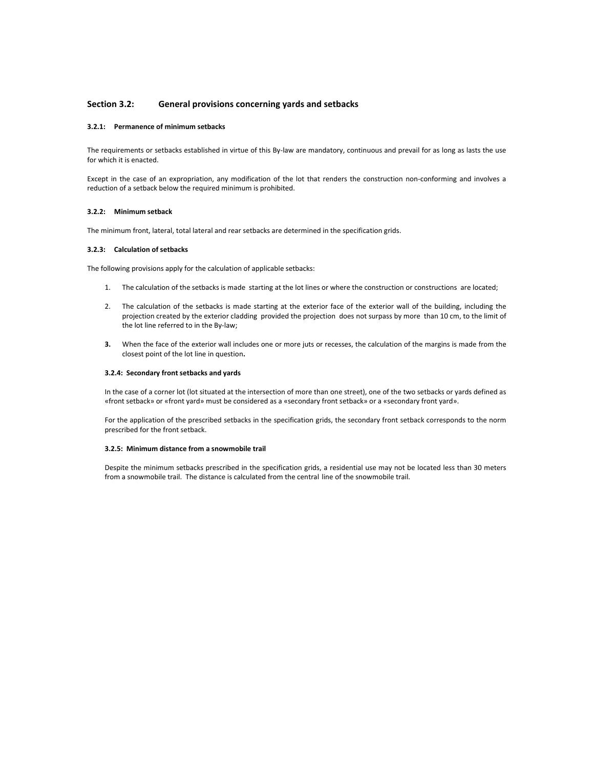### **Section 3.2: General provisions concerning yards and setbacks**

### **3.2.1: Permanence of minimum setbacks**

The requirements or setbacks established in virtue of this By-law are mandatory, continuous and prevail for as long as lasts the use for which it is enacted.

Except in the case of an expropriation, any modification of the lot that renders the construction non-conforming and involves a reduction of a setback below the required minimum is prohibited.

### **3.2.2: Minimum setback**

The minimum front, lateral, total lateral and rear setbacks are determined in the specification grids.

### **3.2.3: Calculation of setbacks**

The following provisions apply for the calculation of applicable setbacks:

- 1. The calculation of the setbacks is made starting at the lot lines or where the construction or constructions are located;
- 2. The calculation of the setbacks is made starting at the exterior face of the exterior wall of the building, including the projection created by the exterior cladding provided the projection does not surpass by more than 10 cm, to the limit of the lot line referred to in the By-law;
- **3.** When the face of the exterior wall includes one or more juts or recesses, the calculation of the margins is made from the closest point of the lot line in question**.**

### **3.2.4: Secondary front setbacks and yards**

In the case of a corner lot (lot situated at the intersection of more than one street), one of the two setbacks or yards defined as «front setback» or «front yard» must be considered as a «secondary front setback» or a «secondary front yard».

For the application of the prescribed setbacks in the specification grids, the secondary front setback corresponds to the norm prescribed for the front setback.

### **3.2.5: Minimum distance from a snowmobile trail**

Despite the minimum setbacks prescribed in the specification grids, a residential use may not be located less than 30 meters from a snowmobile trail. The distance is calculated from the central line of the snowmobile trail.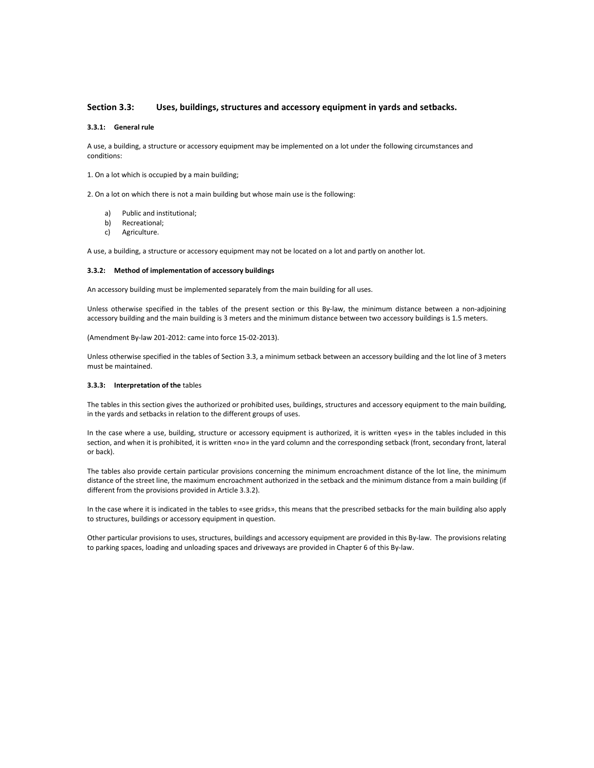# **Section 3.3: Uses, buildings, structures and accessory equipment in yards and setbacks.**

# **3.3.1: General rule**

A use, a building, a structure or accessory equipment may be implemented on a lot under the following circumstances and conditions:

1. On a lot which is occupied by a main building;

2. On a lot on which there is not a main building but whose main use is the following:

- a) Public and institutional;
- b) Recreational;
- c) Agriculture.

A use, a building, a structure or accessory equipment may not be located on a lot and partly on another lot.

### **3.3.2: Method of implementation of accessory buildings**

An accessory building must be implemented separately from the main building for all uses.

Unless otherwise specified in the tables of the present section or this By-law, the minimum distance between a non-adjoining accessory building and the main building is 3 meters and the minimum distance between two accessory buildings is 1.5 meters.

(Amendment By-law 201-2012: came into force 15-02-2013).

Unless otherwise specified in the tables of Section 3.3, a minimum setback between an accessory building and the lot line of 3 meters must be maintained.

#### **3.3.3: Interpretation of the** tables

The tables in this section gives the authorized or prohibited uses, buildings, structures and accessory equipment to the main building, in the yards and setbacks in relation to the different groups of uses.

In the case where a use, building, structure or accessory equipment is authorized, it is written «yes» in the tables included in this section, and when it is prohibited, it is written «no» in the yard column and the corresponding setback (front, secondary front, lateral or back).

The tables also provide certain particular provisions concerning the minimum encroachment distance of the lot line, the minimum distance of the street line, the maximum encroachment authorized in the setback and the minimum distance from a main building (if different from the provisions provided in Article 3.3.2).

In the case where it is indicated in the tables to «see grids», this means that the prescribed setbacks for the main building also apply to structures, buildings or accessory equipment in question.

Other particular provisions to uses, structures, buildings and accessory equipment are provided in this By-law. The provisions relating to parking spaces, loading and unloading spaces and driveways are provided in Chapter 6 of this By-law.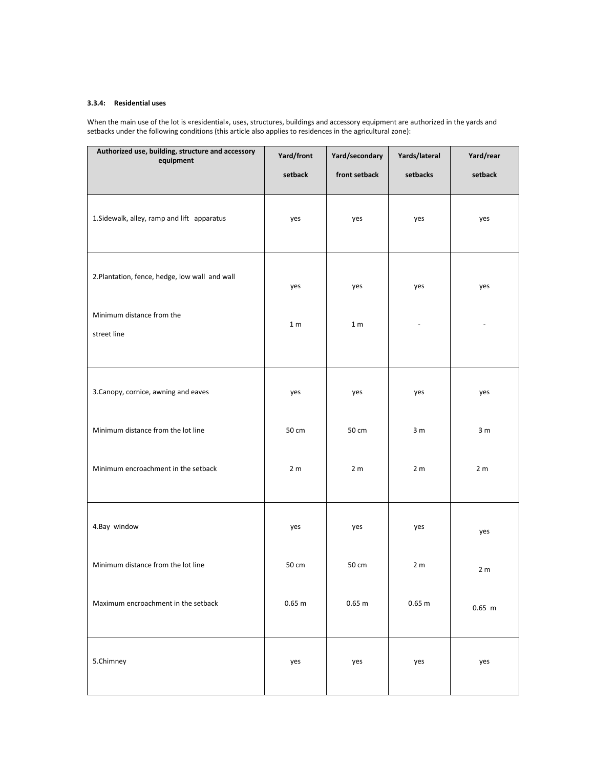## **3.3.4: Residential uses**

When the main use of the lot is «residential», uses, structures, buildings and accessory equipment are authorized in the yards and setbacks under the following conditions (this article also applies to residences in the agricultural zone):

| Authorized use, building, structure and accessory<br>equipment | Yard/front     | Yard/secondary | Yards/lateral  | Yard/rear      |
|----------------------------------------------------------------|----------------|----------------|----------------|----------------|
|                                                                | setback        | front setback  | setbacks       | setback        |
| 1. Sidewalk, alley, ramp and lift apparatus                    | yes            | yes            | yes            | yes            |
| 2. Plantation, fence, hedge, low wall and wall                 | yes            | yes            | yes            | yes            |
| Minimum distance from the                                      | 1 <sub>m</sub> | 1 <sub>m</sub> |                |                |
| street line                                                    |                |                |                |                |
| 3. Canopy, cornice, awning and eaves                           | yes            | yes            | yes            | yes            |
| Minimum distance from the lot line                             | 50 cm          | 50 cm          | 3 <sub>m</sub> | 3 <sub>m</sub> |
| Minimum encroachment in the setback                            | 2 <sub>m</sub> | 2 <sub>m</sub> | 2 <sub>m</sub> | 2 <sub>m</sub> |
| 4.Bay window                                                   | yes            | yes            | yes            | yes            |
| Minimum distance from the lot line                             | 50 cm          | 50 cm          | 2 <sub>m</sub> | 2 <sub>m</sub> |
| Maximum encroachment in the setback                            | 0.65 m         | 0.65 m         | 0.65 m         | $0.65$ m       |
| 5.Chimney                                                      | yes            | yes            | yes            | yes            |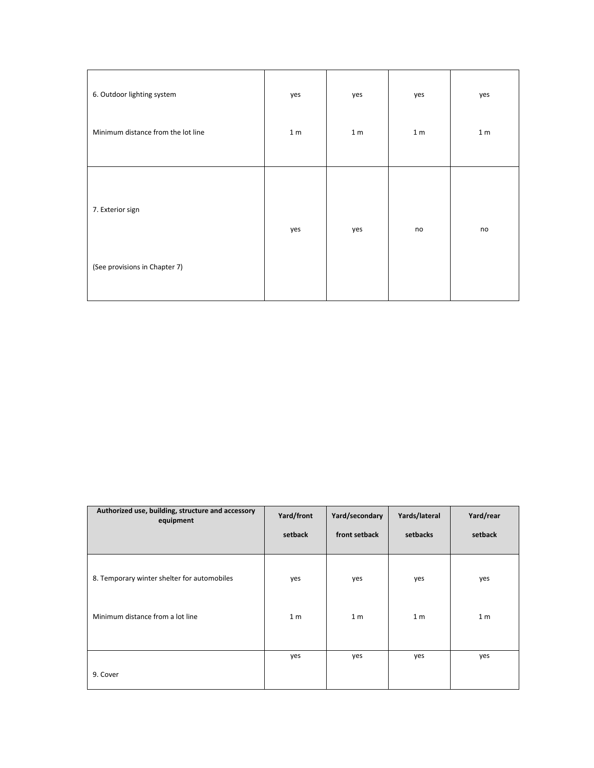| 6. Outdoor lighting system                        | yes            | yes            | yes            | yes            |
|---------------------------------------------------|----------------|----------------|----------------|----------------|
| Minimum distance from the lot line                | 1 <sub>m</sub> | 1 <sub>m</sub> | 1 <sub>m</sub> | 1 <sub>m</sub> |
| 7. Exterior sign<br>(See provisions in Chapter 7) | yes            | yes            | no             | no             |
|                                                   |                |                |                |                |

| Authorized use, building, structure and accessory<br>equipment | Yard/front<br>setback | Yard/secondary<br>front setback | Yards/lateral<br>setbacks | Yard/rear<br>setback |
|----------------------------------------------------------------|-----------------------|---------------------------------|---------------------------|----------------------|
| 8. Temporary winter shelter for automobiles                    | yes                   | yes                             | yes                       | yes                  |
| Minimum distance from a lot line                               | 1 <sub>m</sub>        | 1 <sub>m</sub>                  | 1 <sub>m</sub>            | 1 <sub>m</sub>       |
| 9. Cover                                                       | yes                   | yes                             | yes                       | yes                  |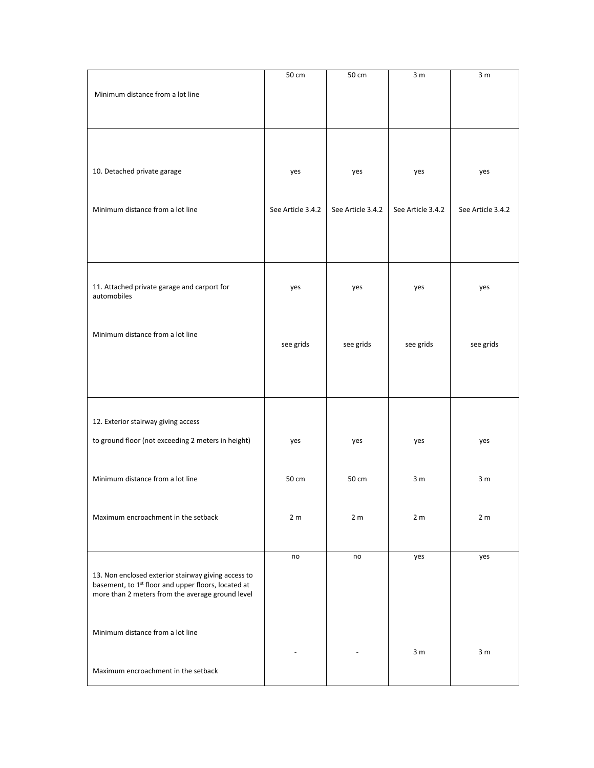|                                                                                                                                                                            | 50 cm             | 50 cm             | 3 <sub>m</sub>    | 3 <sub>m</sub>    |
|----------------------------------------------------------------------------------------------------------------------------------------------------------------------------|-------------------|-------------------|-------------------|-------------------|
| Minimum distance from a lot line                                                                                                                                           |                   |                   |                   |                   |
|                                                                                                                                                                            |                   |                   |                   |                   |
| 10. Detached private garage                                                                                                                                                | yes               | yes               | yes               | yes               |
| Minimum distance from a lot line                                                                                                                                           | See Article 3.4.2 | See Article 3.4.2 | See Article 3.4.2 | See Article 3.4.2 |
|                                                                                                                                                                            |                   |                   |                   |                   |
| 11. Attached private garage and carport for<br>automobiles                                                                                                                 | yes               | yes               | yes               | yes               |
| Minimum distance from a lot line                                                                                                                                           | see grids         | see grids         | see grids         | see grids         |
| 12. Exterior stairway giving access                                                                                                                                        |                   |                   |                   |                   |
| to ground floor (not exceeding 2 meters in height)                                                                                                                         | yes               | yes               | yes               | yes               |
| Minimum distance from a lot line                                                                                                                                           | 50 cm             | 50 cm             | 3 <sub>m</sub>    | 3 <sub>m</sub>    |
| Maximum encroachment in the setback                                                                                                                                        | 2 <sub>m</sub>    | 2 <sub>m</sub>    | 2 <sub>m</sub>    | 2 <sub>m</sub>    |
| 13. Non enclosed exterior stairway giving access to<br>basement, to 1 <sup>st</sup> floor and upper floors, located at<br>more than 2 meters from the average ground level | no                | no                | yes               | yes               |
| Minimum distance from a lot line                                                                                                                                           |                   |                   | 3 <sub>m</sub>    | 3 <sub>m</sub>    |
| Maximum encroachment in the setback                                                                                                                                        |                   |                   |                   |                   |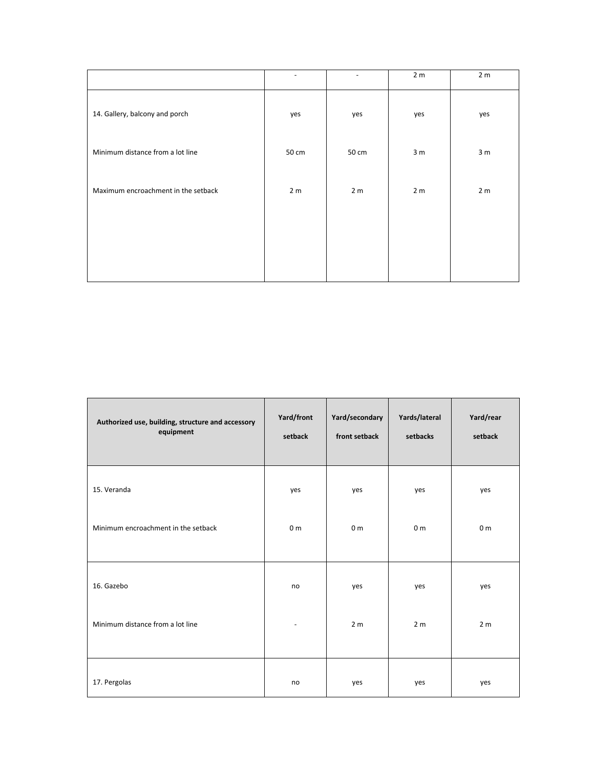|                                     |                |                | 2 <sub>m</sub> | 2 <sub>m</sub> |
|-------------------------------------|----------------|----------------|----------------|----------------|
| 14. Gallery, balcony and porch      | yes            | yes            | yes            | yes            |
| Minimum distance from a lot line    | 50 cm          | 50 cm          | 3 <sub>m</sub> | 3 <sub>m</sub> |
| Maximum encroachment in the setback | 2 <sub>m</sub> | 2 <sub>m</sub> | 2 <sub>m</sub> | 2 <sub>m</sub> |
|                                     |                |                |                |                |
|                                     |                |                |                |                |

| Authorized use, building, structure and accessory<br>equipment | Yard/front<br>setback | Yard/secondary<br>front setback | Yards/lateral<br>setbacks | Yard/rear<br>setback |
|----------------------------------------------------------------|-----------------------|---------------------------------|---------------------------|----------------------|
| 15. Veranda                                                    | yes                   | yes                             | yes                       | yes                  |
| Minimum encroachment in the setback                            | 0 <sub>m</sub>        | 0 <sub>m</sub>                  | 0 <sub>m</sub>            | 0 <sub>m</sub>       |
| 16. Gazebo                                                     | no                    | yes                             | yes                       | yes                  |
| Minimum distance from a lot line                               |                       | 2 <sub>m</sub>                  | 2 <sub>m</sub>            | 2 <sub>m</sub>       |
| 17. Pergolas                                                   | no                    | yes                             | yes                       | yes                  |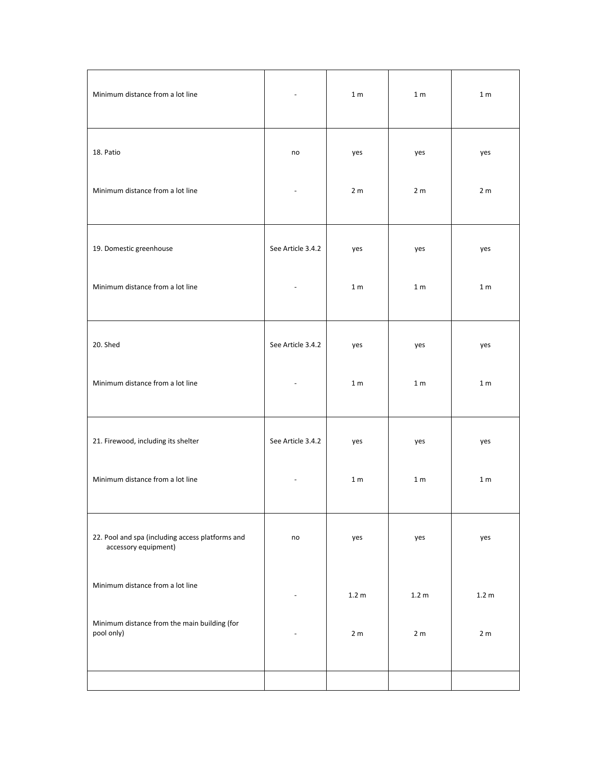| Minimum distance from a lot line                                         |                   | 1 <sub>m</sub>   | 1 <sub>m</sub>   | 1 <sub>m</sub> |
|--------------------------------------------------------------------------|-------------------|------------------|------------------|----------------|
| 18. Patio                                                                | no                | yes              | yes              | yes            |
| Minimum distance from a lot line                                         |                   | 2 <sub>m</sub>   | 2 <sub>m</sub>   | 2 <sub>m</sub> |
| 19. Domestic greenhouse                                                  | See Article 3.4.2 | yes              | yes              | yes            |
| Minimum distance from a lot line                                         |                   | 1 <sub>m</sub>   | 1 <sub>m</sub>   | 1 <sub>m</sub> |
| 20. Shed                                                                 | See Article 3.4.2 | yes              | yes              | yes            |
| Minimum distance from a lot line                                         |                   | 1 <sub>m</sub>   | 1 <sub>m</sub>   | 1 <sub>m</sub> |
| 21. Firewood, including its shelter                                      | See Article 3.4.2 | yes              | yes              | yes            |
| Minimum distance from a lot line                                         |                   | 1 <sub>m</sub>   | 1 <sub>m</sub>   | 1 <sub>m</sub> |
| 22. Pool and spa (including access platforms and<br>accessory equipment) | no                | yes              | yes              | yes            |
| Minimum distance from a lot line                                         |                   | 1.2 <sub>m</sub> | 1.2 <sub>m</sub> | 1.2 m          |
| Minimum distance from the main building (for<br>pool only)               |                   | 2 <sub>m</sub>   | 2 <sub>m</sub>   | 2 <sub>m</sub> |
|                                                                          |                   |                  |                  |                |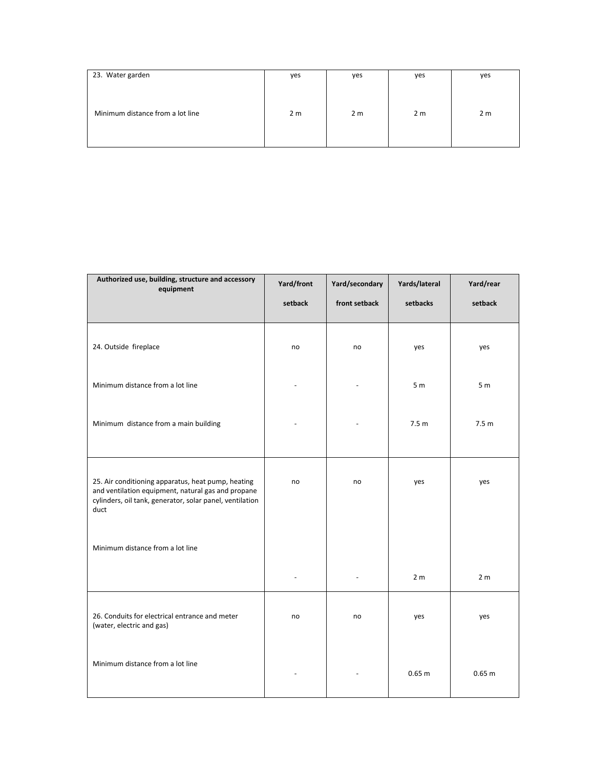| 23. Water garden                 | yes            | yes            | yes            | yes            |
|----------------------------------|----------------|----------------|----------------|----------------|
|                                  |                |                |                |                |
| Minimum distance from a lot line | 2 <sub>m</sub> | 2 <sub>m</sub> | 2 <sub>m</sub> | 2 <sub>m</sub> |
|                                  |                |                |                |                |

| Authorized use, building, structure and accessory<br>equipment                                                                                                               | Yard/front | Yard/secondary | Yards/lateral    | Yard/rear        |
|------------------------------------------------------------------------------------------------------------------------------------------------------------------------------|------------|----------------|------------------|------------------|
|                                                                                                                                                                              | setback    | front setback  | setbacks         | setback          |
| 24. Outside fireplace                                                                                                                                                        | no         | no             | yes              | yes              |
| Minimum distance from a lot line                                                                                                                                             |            |                | 5 <sub>m</sub>   | 5 <sub>m</sub>   |
| Minimum distance from a main building                                                                                                                                        |            |                | 7.5 <sub>m</sub> | 7.5 <sub>m</sub> |
| 25. Air conditioning apparatus, heat pump, heating<br>and ventilation equipment, natural gas and propane<br>cylinders, oil tank, generator, solar panel, ventilation<br>duct | no         | no             | yes              | yes              |
| Minimum distance from a lot line                                                                                                                                             |            |                |                  |                  |
|                                                                                                                                                                              |            |                | 2 <sub>m</sub>   | 2 <sub>m</sub>   |
| 26. Conduits for electrical entrance and meter<br>(water, electric and gas)                                                                                                  | no         | no             | yes              | yes              |
| Minimum distance from a lot line                                                                                                                                             |            |                | 0.65 m           | 0.65 m           |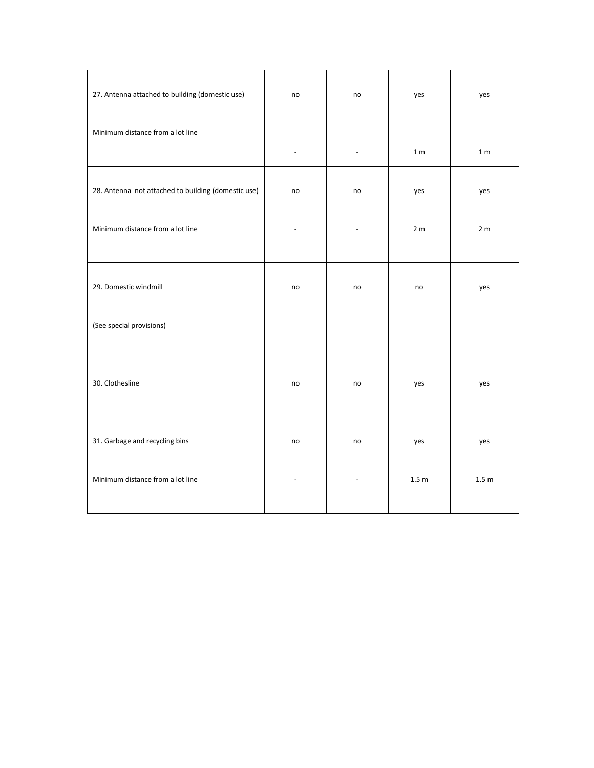| 27. Antenna attached to building (domestic use)     | no | no             | yes              | yes              |
|-----------------------------------------------------|----|----------------|------------------|------------------|
| Minimum distance from a lot line                    |    | ÷,             | 1 <sub>m</sub>   | 1 <sub>m</sub>   |
| 28. Antenna not attached to building (domestic use) | no | no             | yes              | yes              |
| Minimum distance from a lot line                    |    | L.             | 2 <sub>m</sub>   | 2 <sub>m</sub>   |
| 29. Domestic windmill                               | no | no             | no               | yes              |
| (See special provisions)                            |    |                |                  |                  |
| 30. Clothesline                                     | no | no             | yes              | yes              |
| 31. Garbage and recycling bins                      | no | no             | yes              | yes              |
| Minimum distance from a lot line                    |    | $\blacksquare$ | 1.5 <sub>m</sub> | 1.5 <sub>m</sub> |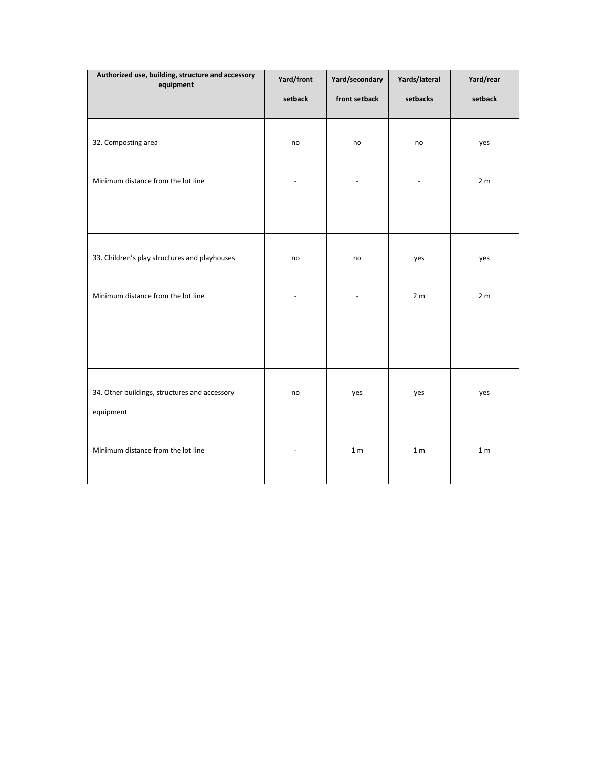| Authorized use, building, structure and accessory<br>equipment | Yard/front | Yard/secondary | Yards/lateral  | Yard/rear      |
|----------------------------------------------------------------|------------|----------------|----------------|----------------|
|                                                                | setback    | front setback  | setbacks       | setback        |
| 32. Composting area                                            | no         | no             | no             | yes            |
| Minimum distance from the lot line                             |            |                |                | 2 <sub>m</sub> |
|                                                                |            |                |                |                |
| 33. Children's play structures and playhouses                  | no         | no             | yes            | yes            |
| Minimum distance from the lot line                             |            |                | 2 <sub>m</sub> | 2 <sub>m</sub> |
|                                                                |            |                |                |                |
| 34. Other buildings, structures and accessory<br>equipment     | no         | yes            | yes            | yes            |
| Minimum distance from the lot line                             |            | 1 <sub>m</sub> | 1 <sub>m</sub> | 1 <sub>m</sub> |
|                                                                |            |                |                |                |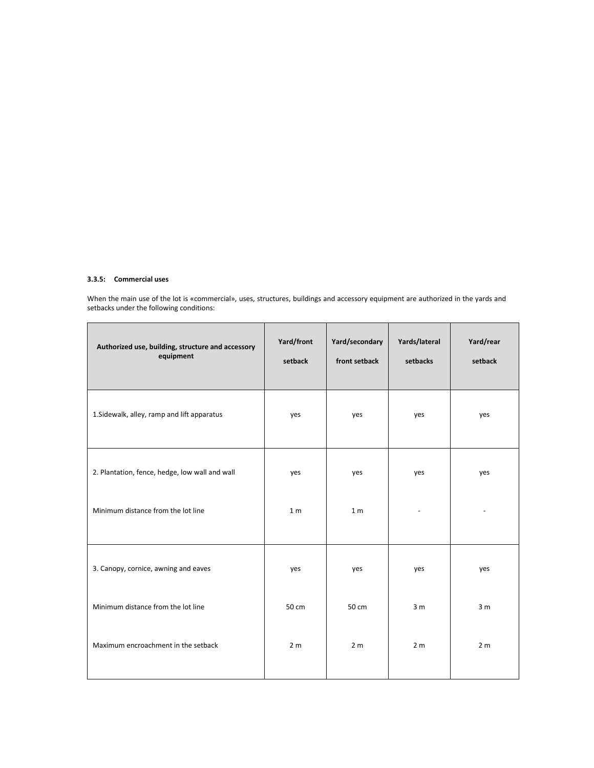## **3.3.5: Commercial uses**

When the main use of the lot is «commercial», uses, structures, buildings and accessory equipment are authorized in the yards and setbacks under the following conditions:

| Authorized use, building, structure and accessory<br>equipment | Yard/front<br>setback | Yard/secondary<br>front setback | Yards/lateral<br>setbacks | Yard/rear<br>setback |
|----------------------------------------------------------------|-----------------------|---------------------------------|---------------------------|----------------------|
| 1. Sidewalk, alley, ramp and lift apparatus                    | yes                   | yes                             | yes                       | yes                  |
| 2. Plantation, fence, hedge, low wall and wall                 | yes                   | yes                             | yes                       | yes                  |
| Minimum distance from the lot line                             | 1 <sub>m</sub>        | 1 <sub>m</sub>                  |                           |                      |
| 3. Canopy, cornice, awning and eaves                           | yes                   | yes                             | yes                       | yes                  |
| Minimum distance from the lot line                             | 50 cm                 | 50 cm                           | 3 <sub>m</sub>            | 3 <sub>m</sub>       |
| Maximum encroachment in the setback                            | 2 <sub>m</sub>        | 2 <sub>m</sub>                  | 2 <sub>m</sub>            | 2 <sub>m</sub>       |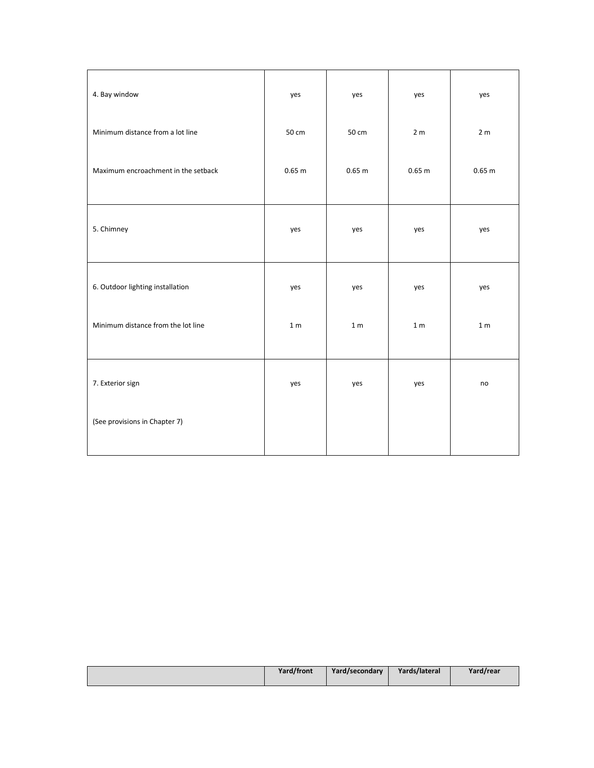| 4. Bay window                       | yes            | yes            | yes            | yes            |
|-------------------------------------|----------------|----------------|----------------|----------------|
| Minimum distance from a lot line    | 50 cm          | 50 cm          | 2 <sub>m</sub> | 2 <sub>m</sub> |
| Maximum encroachment in the setback | 0.65 m         | 0.65 m         | 0.65 m         | 0.65 m         |
| 5. Chimney                          | yes            | yes            | yes            | yes            |
| 6. Outdoor lighting installation    | yes            | yes            | yes            | yes            |
| Minimum distance from the lot line  | 1 <sub>m</sub> | 1 <sub>m</sub> | 1 <sub>m</sub> | 1 <sub>m</sub> |
| 7. Exterior sign                    | yes            | yes            | yes            | no             |
| (See provisions in Chapter 7)       |                |                |                |                |

|  | Yard/front | Yard/secondary | Yards/lateral | Yard/rear |
|--|------------|----------------|---------------|-----------|
|--|------------|----------------|---------------|-----------|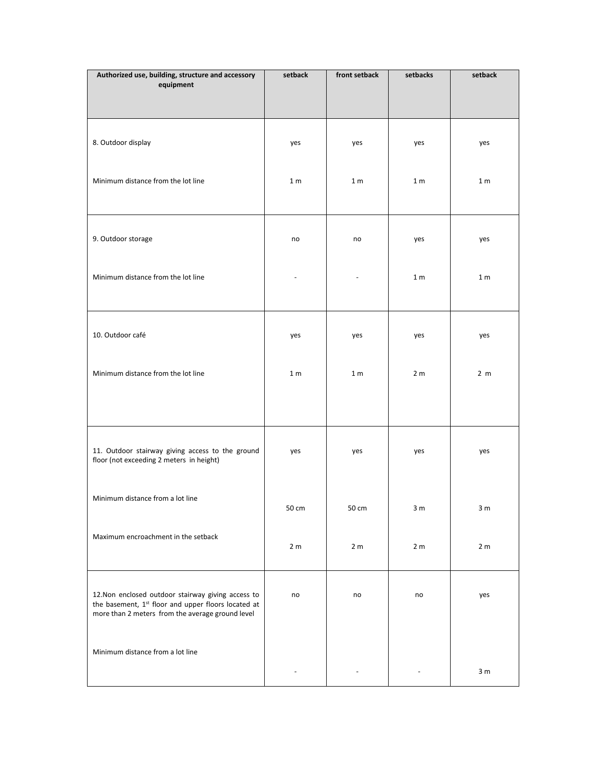| Authorized use, building, structure and accessory<br>equipment                                                      | setback           | front setback  | setbacks       | setback        |
|---------------------------------------------------------------------------------------------------------------------|-------------------|----------------|----------------|----------------|
|                                                                                                                     |                   |                |                |                |
|                                                                                                                     |                   |                |                |                |
|                                                                                                                     |                   |                |                |                |
| 8. Outdoor display                                                                                                  | yes               | yes            | yes            | yes            |
|                                                                                                                     |                   |                |                |                |
| Minimum distance from the lot line                                                                                  | 1 <sub>m</sub>    | 1 <sub>m</sub> | 1 <sub>m</sub> | 1 <sub>m</sub> |
|                                                                                                                     |                   |                |                |                |
|                                                                                                                     |                   |                |                |                |
|                                                                                                                     |                   |                |                |                |
| 9. Outdoor storage                                                                                                  | no                | no             | yes            | yes            |
|                                                                                                                     |                   |                |                |                |
| Minimum distance from the lot line                                                                                  |                   | ÷,             | 1 <sub>m</sub> | 1 <sub>m</sub> |
|                                                                                                                     |                   |                |                |                |
|                                                                                                                     |                   |                |                |                |
|                                                                                                                     |                   |                |                |                |
| 10. Outdoor café                                                                                                    | yes               | yes            | yes            | yes            |
|                                                                                                                     |                   |                |                |                |
| Minimum distance from the lot line                                                                                  | 1 <sub>m</sub>    | 1 <sub>m</sub> | 2 <sub>m</sub> | 2 <sub>m</sub> |
|                                                                                                                     |                   |                |                |                |
|                                                                                                                     |                   |                |                |                |
|                                                                                                                     |                   |                |                |                |
| 11. Outdoor stairway giving access to the ground                                                                    | yes               | yes            | yes            | yes            |
| floor (not exceeding 2 meters in height)                                                                            |                   |                |                |                |
|                                                                                                                     |                   |                |                |                |
| Minimum distance from a lot line                                                                                    |                   |                |                |                |
|                                                                                                                     | $50\,\mathrm{cm}$ | 50 cm          | 3 <sub>m</sub> | 3 <sub>m</sub> |
|                                                                                                                     |                   |                |                |                |
| Maximum encroachment in the setback                                                                                 | 2 <sub>m</sub>    | 2 <sub>m</sub> | 2 <sub>m</sub> | 2 <sub>m</sub> |
|                                                                                                                     |                   |                |                |                |
|                                                                                                                     |                   |                |                |                |
| 12. Non enclosed outdoor stairway giving access to                                                                  | no                | no             | no             | yes            |
| the basement, 1 <sup>st</sup> floor and upper floors located at<br>more than 2 meters from the average ground level |                   |                |                |                |
|                                                                                                                     |                   |                |                |                |
| Minimum distance from a lot line                                                                                    |                   |                |                |                |
|                                                                                                                     |                   |                |                |                |
|                                                                                                                     |                   |                |                | 3 <sub>m</sub> |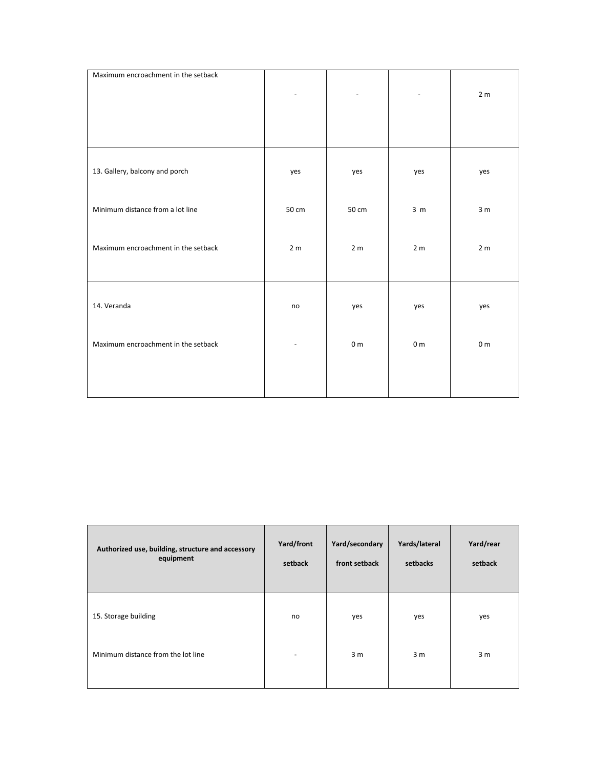| Maximum encroachment in the setback |                |                |                | 2 <sub>m</sub> |
|-------------------------------------|----------------|----------------|----------------|----------------|
|                                     |                |                |                |                |
| 13. Gallery, balcony and porch      | yes            | yes            | yes            | yes            |
|                                     |                |                |                |                |
| Minimum distance from a lot line    | 50 cm          | 50 cm          | 3 <sub>m</sub> | 3 <sub>m</sub> |
| Maximum encroachment in the setback | 2 <sub>m</sub> | 2 <sub>m</sub> | 2 <sub>m</sub> | 2 <sub>m</sub> |
|                                     |                |                |                |                |
| 14. Veranda                         | no             | yes            | yes            | yes            |
|                                     |                |                |                |                |
| Maximum encroachment in the setback |                | 0 <sub>m</sub> | 0 <sub>m</sub> | 0 <sub>m</sub> |
|                                     |                |                |                |                |
|                                     |                |                |                |                |

| Authorized use, building, structure and accessory<br>equipment | Yard/front<br>setback    | Yard/secondary<br>front setback | Yards/lateral<br>setbacks | Yard/rear<br>setback |
|----------------------------------------------------------------|--------------------------|---------------------------------|---------------------------|----------------------|
| 15. Storage building                                           | no                       | yes                             | yes                       | yes                  |
| Minimum distance from the lot line                             | $\overline{\phantom{0}}$ | 3 <sub>m</sub>                  | 3 <sub>m</sub>            | 3 <sub>m</sub>       |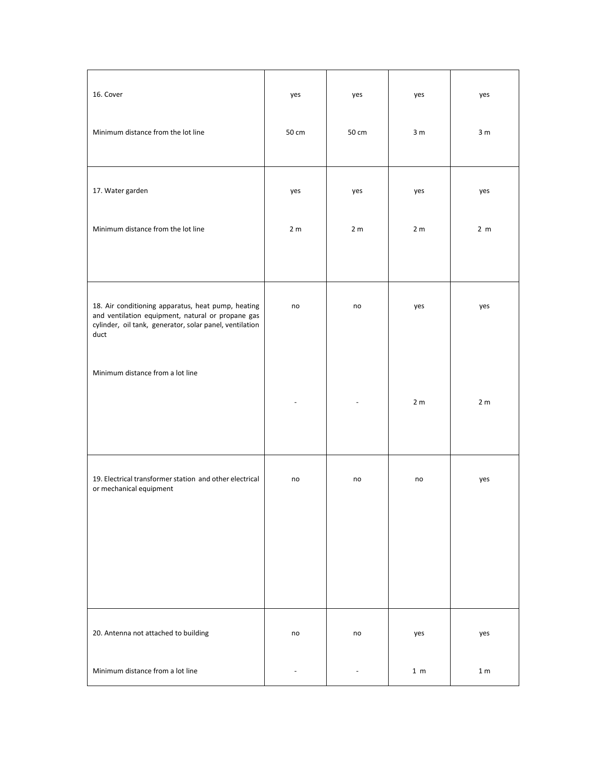| 16. Cover                                                                                                                                                                  | yes            | yes            | yes            | yes            |
|----------------------------------------------------------------------------------------------------------------------------------------------------------------------------|----------------|----------------|----------------|----------------|
| Minimum distance from the lot line                                                                                                                                         | 50 cm          | 50 cm          | 3 <sub>m</sub> | 3 <sub>m</sub> |
| 17. Water garden                                                                                                                                                           | yes            | yes            | yes            | yes            |
| Minimum distance from the lot line                                                                                                                                         | 2 <sub>m</sub> | 2 <sub>m</sub> | 2 <sub>m</sub> | 2 <sub>m</sub> |
|                                                                                                                                                                            |                |                |                |                |
| 18. Air conditioning apparatus, heat pump, heating<br>and ventilation equipment, natural or propane gas<br>cylinder, oil tank, generator, solar panel, ventilation<br>duct | no             | no             | yes            | yes            |
| Minimum distance from a lot line                                                                                                                                           |                |                |                |                |
|                                                                                                                                                                            |                |                | 2 <sub>m</sub> | 2 <sub>m</sub> |
| 19. Electrical transformer station and other electrical<br>or mechanical equipment                                                                                         | no             | no             | no             | yes            |
|                                                                                                                                                                            |                |                |                |                |
|                                                                                                                                                                            |                |                |                |                |
| 20. Antenna not attached to building                                                                                                                                       | no             | no             | yes            | yes            |
| Minimum distance from a lot line                                                                                                                                           |                |                | 1 <sub>m</sub> | 1 <sub>m</sub> |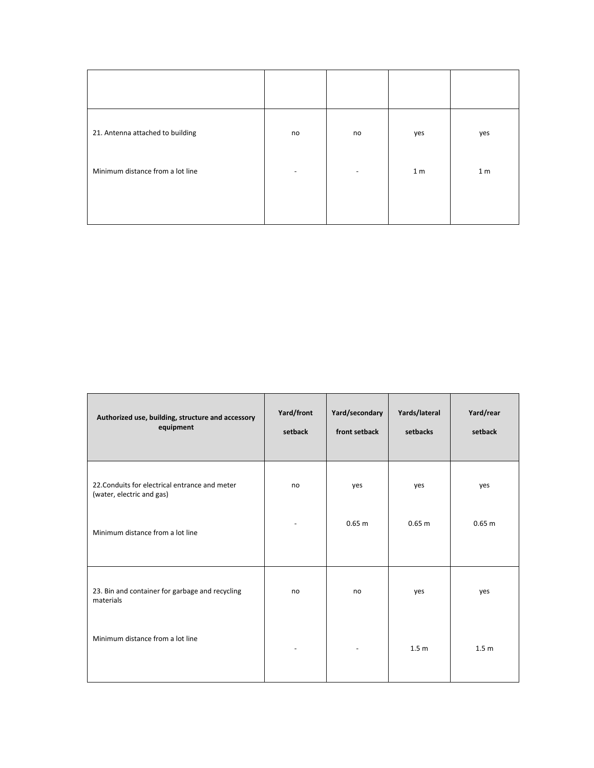| 21. Antenna attached to building | no | no | yes            | yes            |
|----------------------------------|----|----|----------------|----------------|
| Minimum distance from a lot line | ۰  | ٠  | 1 <sub>m</sub> | 1 <sub>m</sub> |
|                                  |    |    |                |                |

| Authorized use, building, structure and accessory<br>equipment              | Yard/front<br>setback | Yard/secondary<br>front setback | Yards/lateral<br>setbacks | Yard/rear<br>setback |
|-----------------------------------------------------------------------------|-----------------------|---------------------------------|---------------------------|----------------------|
| 22. Conduits for electrical entrance and meter<br>(water, electric and gas) | no                    | yes                             | yes                       | yes                  |
| Minimum distance from a lot line                                            |                       | 0.65 m                          | 0.65 m                    | 0.65 m               |
| 23. Bin and container for garbage and recycling<br>materials                | no                    | no                              | yes                       | yes                  |
| Minimum distance from a lot line                                            |                       |                                 | 1.5 <sub>m</sub>          | 1.5 <sub>m</sub>     |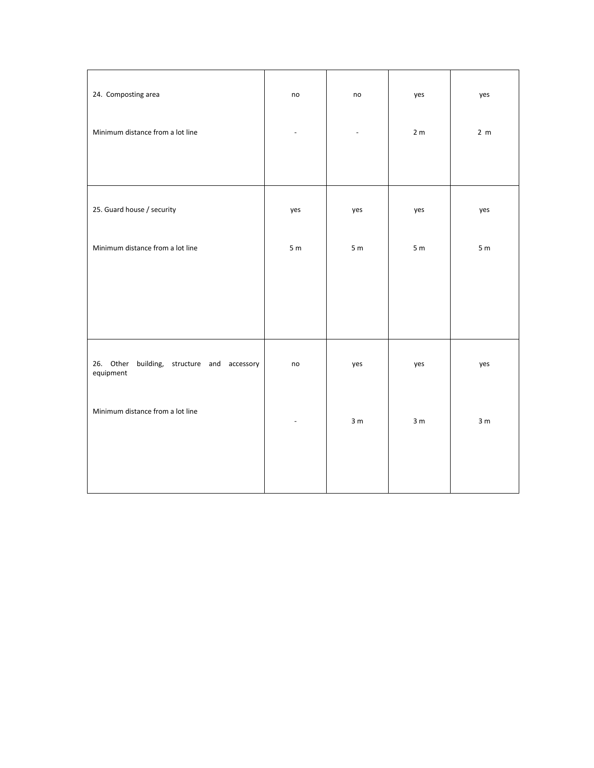| 24. Composting area                                         | no                       | no             | yes            | yes            |
|-------------------------------------------------------------|--------------------------|----------------|----------------|----------------|
| Minimum distance from a lot line                            | $\overline{\phantom{a}}$ | $\omega$       | 2 <sub>m</sub> | 2 <sub>m</sub> |
|                                                             |                          |                |                |                |
| 25. Guard house / security                                  | yes                      | yes            | yes            | yes            |
| Minimum distance from a lot line                            | 5m                       | 5m             | 5m             | 5m             |
|                                                             |                          |                |                |                |
|                                                             |                          |                |                |                |
| 26. Other<br>building, structure and accessory<br>equipment | no                       | yes            | yes            | yes            |
| Minimum distance from a lot line                            |                          | 3 <sub>m</sub> | 3 <sub>m</sub> | 3 <sub>m</sub> |
|                                                             |                          |                |                |                |
|                                                             |                          |                |                |                |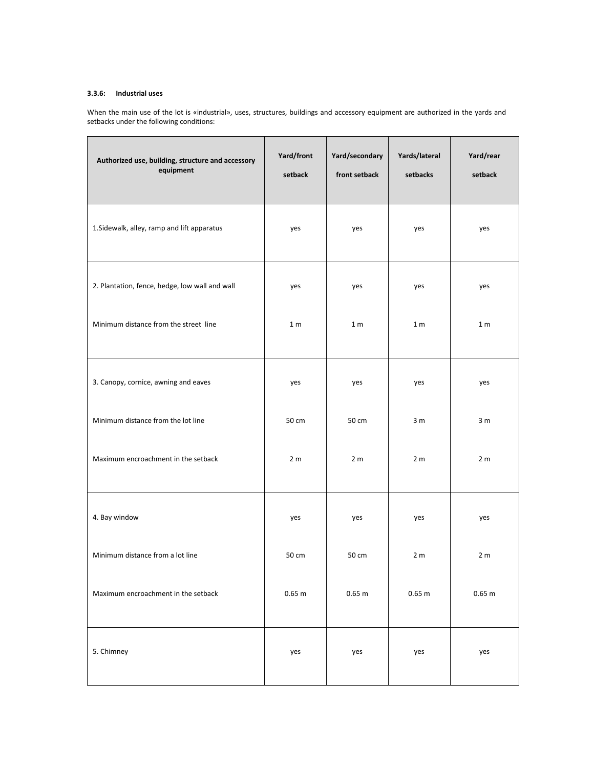# **3.3.6: Industrial uses**

When the main use of the lot is «industrial», uses, structures, buildings and accessory equipment are authorized in the yards and setbacks under the following conditions:

| Authorized use, building, structure and accessory<br>equipment | Yard/front<br>setback | Yard/secondary<br>front setback | Yards/lateral<br>setbacks | Yard/rear<br>setback |
|----------------------------------------------------------------|-----------------------|---------------------------------|---------------------------|----------------------|
| 1. Sidewalk, alley, ramp and lift apparatus                    | yes                   | yes                             | yes                       | yes                  |
| 2. Plantation, fence, hedge, low wall and wall                 | yes                   | yes                             | yes                       | yes                  |
| Minimum distance from the street line                          | 1 <sub>m</sub>        | 1 <sub>m</sub>                  | 1 <sub>m</sub>            | 1 <sub>m</sub>       |
| 3. Canopy, cornice, awning and eaves                           | yes                   | yes                             | yes                       | yes                  |
| Minimum distance from the lot line                             | 50 cm                 | 50 cm                           | 3 <sub>m</sub>            | 3 <sub>m</sub>       |
| Maximum encroachment in the setback                            | 2 <sub>m</sub>        | 2 <sub>m</sub>                  | 2 <sub>m</sub>            | 2 <sub>m</sub>       |
| 4. Bay window                                                  | yes                   | yes                             | yes                       | yes                  |
| Minimum distance from a lot line                               | 50 cm                 | 50 cm                           | 2 <sub>m</sub>            | 2 <sub>m</sub>       |
| Maximum encroachment in the setback                            | $0.65$ m              | $0.65$ m                        | $0.65$ m                  | 0.65 <sub>m</sub>    |
| 5. Chimney                                                     | yes                   | yes                             | yes                       | yes                  |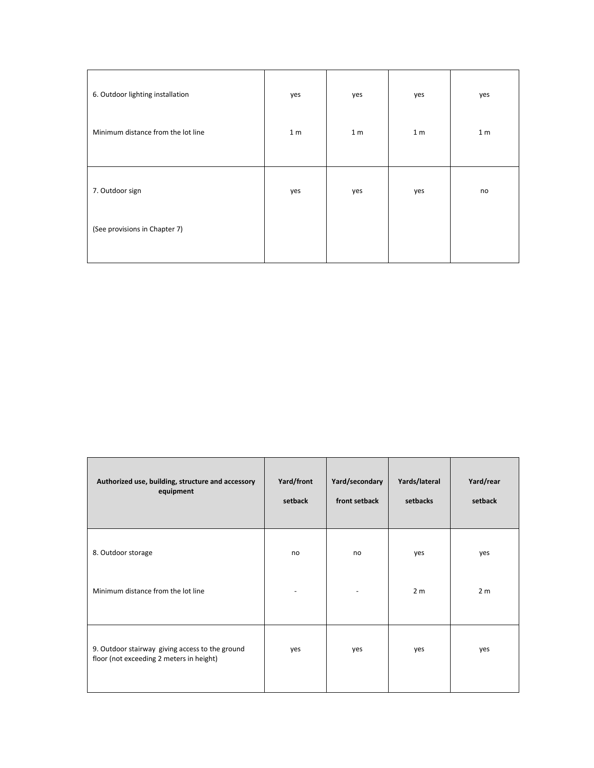| 6. Outdoor lighting installation   | yes            | yes            | yes            | yes            |
|------------------------------------|----------------|----------------|----------------|----------------|
| Minimum distance from the lot line | 1 <sub>m</sub> | 1 <sub>m</sub> | 1 <sub>m</sub> | 1 <sub>m</sub> |
|                                    |                |                |                |                |
| 7. Outdoor sign                    | yes            | yes            | yes            | no             |
| (See provisions in Chapter 7)      |                |                |                |                |
|                                    |                |                |                |                |

| Authorized use, building, structure and accessory<br>equipment                              | Yard/front<br>setback | Yard/secondary<br>front setback | Yards/lateral<br>setbacks | Yard/rear<br>setback  |
|---------------------------------------------------------------------------------------------|-----------------------|---------------------------------|---------------------------|-----------------------|
| 8. Outdoor storage<br>Minimum distance from the lot line                                    | no                    | no                              | yes<br>2 <sub>m</sub>     | yes<br>2 <sub>m</sub> |
| 9. Outdoor stairway giving access to the ground<br>floor (not exceeding 2 meters in height) | yes                   | yes                             | yes                       | yes                   |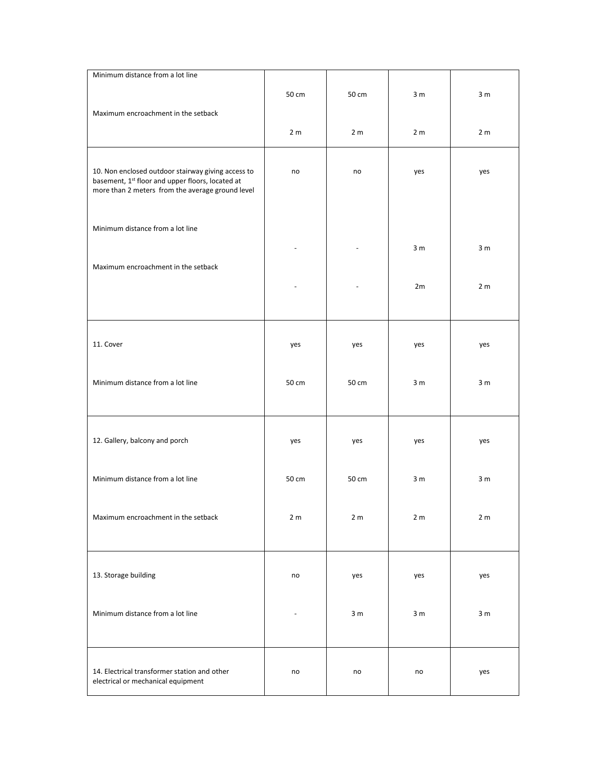| Minimum distance from a lot line                                                                                                                           |                |                |                |                |
|------------------------------------------------------------------------------------------------------------------------------------------------------------|----------------|----------------|----------------|----------------|
| Maximum encroachment in the setback                                                                                                                        | 50 cm          | 50 cm          | 3 <sub>m</sub> | 3 <sub>m</sub> |
|                                                                                                                                                            | 2 <sub>m</sub> | 2 <sub>m</sub> | 2 <sub>m</sub> | 2 <sub>m</sub> |
| 10. Non enclosed outdoor stairway giving access to<br>basement, 1st floor and upper floors, located at<br>more than 2 meters from the average ground level | no             | no             | yes            | yes            |
| Minimum distance from a lot line                                                                                                                           |                |                |                |                |
| Maximum encroachment in the setback                                                                                                                        |                |                | 3 <sub>m</sub> | 3 <sub>m</sub> |
|                                                                                                                                                            |                |                | 2m             | 2 <sub>m</sub> |
| 11. Cover                                                                                                                                                  | yes            | yes            | yes            | yes            |
| Minimum distance from a lot line                                                                                                                           | 50 cm          | 50 cm          | 3 <sub>m</sub> | 3 <sub>m</sub> |
| 12. Gallery, balcony and porch                                                                                                                             | yes            | yes            | yes            | yes            |
| Minimum distance from a lot line                                                                                                                           | 50 cm          | 50 cm          | 3 <sub>m</sub> | 3 <sub>m</sub> |
| Maximum encroachment in the setback                                                                                                                        | 2 <sub>m</sub> | 2 <sub>m</sub> | 2 <sub>m</sub> | 2 <sub>m</sub> |
| 13. Storage building                                                                                                                                       | no             | yes            | yes            | yes            |
| Minimum distance from a lot line                                                                                                                           |                | 3 <sub>m</sub> | 3 <sub>m</sub> | 3 <sub>m</sub> |
| 14. Electrical transformer station and other<br>electrical or mechanical equipment                                                                         | no             | no             | no             | yes            |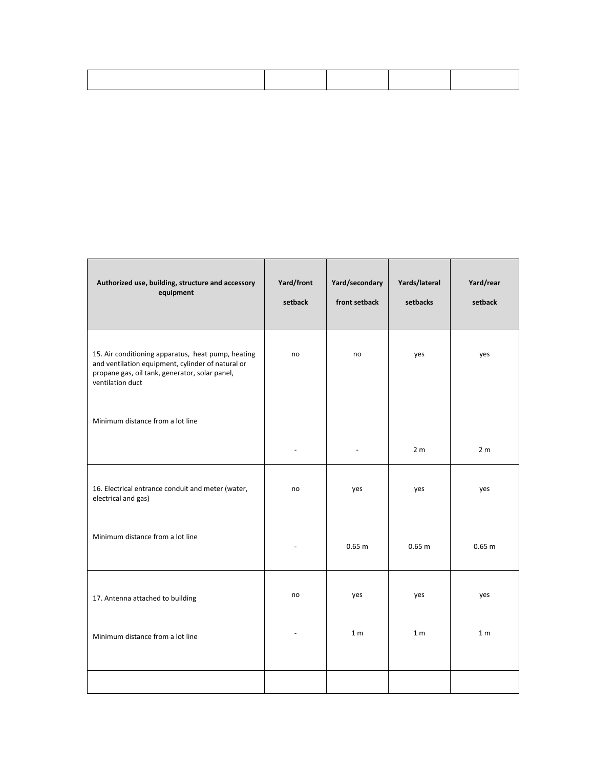| Authorized use, building, structure and accessory<br>equipment                                                                                                                | Yard/front<br>setback | Yard/secondary<br>front setback | Yards/lateral<br>setbacks | Yard/rear<br>setback |
|-------------------------------------------------------------------------------------------------------------------------------------------------------------------------------|-----------------------|---------------------------------|---------------------------|----------------------|
| 15. Air conditioning apparatus, heat pump, heating<br>and ventilation equipment, cylinder of natural or<br>propane gas, oil tank, generator, solar panel,<br>ventilation duct | no                    | no                              | yes                       | yes                  |
| Minimum distance from a lot line                                                                                                                                              |                       |                                 |                           |                      |
|                                                                                                                                                                               |                       |                                 | 2 <sub>m</sub>            | 2 <sub>m</sub>       |
| 16. Electrical entrance conduit and meter (water,<br>electrical and gas)                                                                                                      | no                    | yes                             | yes                       | yes                  |
| Minimum distance from a lot line                                                                                                                                              |                       | 0.65 m                          | 0.65 <sub>m</sub>         | 0.65 m               |
| 17. Antenna attached to building                                                                                                                                              | no                    | yes                             | yes                       | yes                  |
| Minimum distance from a lot line                                                                                                                                              |                       | 1 <sub>m</sub>                  | 1 <sub>m</sub>            | 1 <sub>m</sub>       |
|                                                                                                                                                                               |                       |                                 |                           |                      |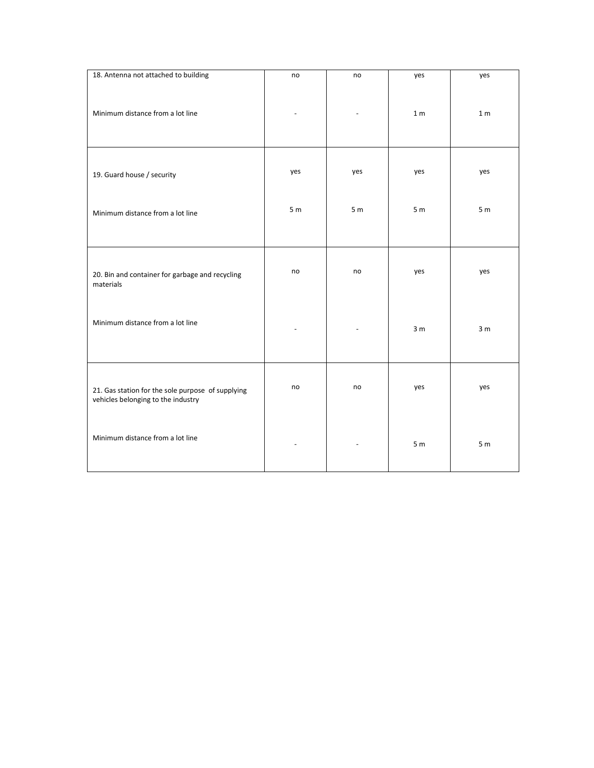| 18. Antenna not attached to building                                                    | no             | no             | yes            | yes            |
|-----------------------------------------------------------------------------------------|----------------|----------------|----------------|----------------|
| Minimum distance from a lot line                                                        |                |                | 1 <sub>m</sub> | 1 <sub>m</sub> |
|                                                                                         |                |                |                |                |
| 19. Guard house / security                                                              | yes            | yes            | yes            | yes            |
| Minimum distance from a lot line                                                        | 5 <sub>m</sub> | 5 <sub>m</sub> | 5 <sub>m</sub> | 5 <sub>m</sub> |
|                                                                                         |                |                |                |                |
| 20. Bin and container for garbage and recycling<br>materials                            | no             | no             | yes            | yes            |
|                                                                                         |                |                |                |                |
| Minimum distance from a lot line                                                        |                |                | 3 <sub>m</sub> | 3 <sub>m</sub> |
|                                                                                         |                |                |                |                |
| 21. Gas station for the sole purpose of supplying<br>vehicles belonging to the industry | no             | no             | yes            | yes            |
| Minimum distance from a lot line                                                        |                |                |                |                |
|                                                                                         |                |                | 5 <sub>m</sub> | 5 <sub>m</sub> |
|                                                                                         |                |                |                |                |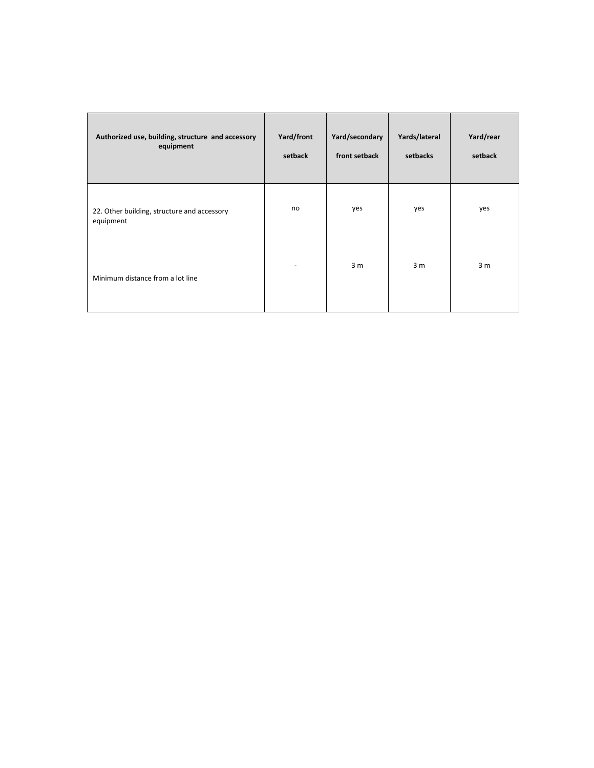| Authorized use, building, structure and accessory<br>equipment | Yard/front<br>setback | Yard/secondary<br>front setback | Yards/lateral<br>setbacks | Yard/rear<br>setback |
|----------------------------------------------------------------|-----------------------|---------------------------------|---------------------------|----------------------|
| 22. Other building, structure and accessory<br>equipment       | no                    | yes                             | yes                       | yes                  |
| Minimum distance from a lot line                               |                       | 3 <sub>m</sub>                  | 3 <sub>m</sub>            | 3 <sub>m</sub>       |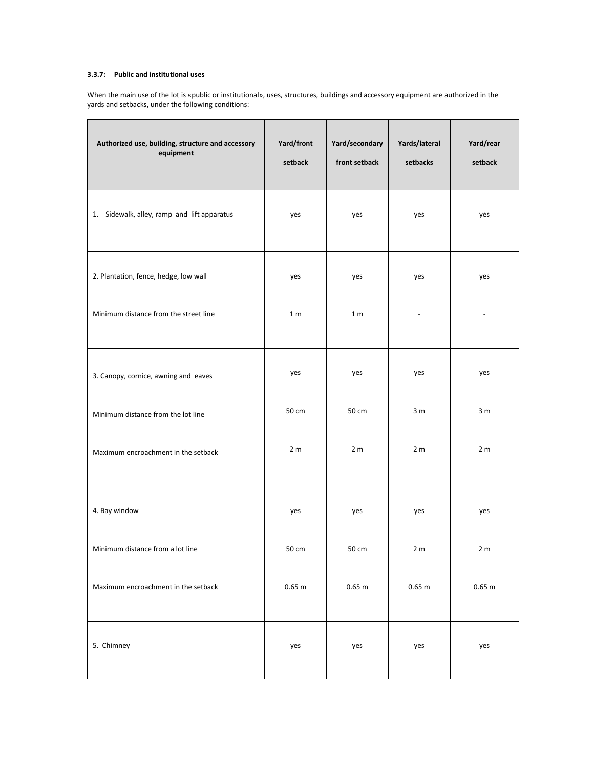# **3.3.7: Public and institutional uses**

When the main use of the lot is «public or institutional», uses, structures, buildings and accessory equipment are authorized in the yards and setbacks, under the following conditions:

| Authorized use, building, structure and accessory<br>equipment | Yard/front<br>setback | Yard/secondary<br>front setback | Yards/lateral<br>setbacks | Yard/rear<br>setback |
|----------------------------------------------------------------|-----------------------|---------------------------------|---------------------------|----------------------|
| 1. Sidewalk, alley, ramp and lift apparatus                    | yes                   | yes                             | yes                       | yes                  |
| 2. Plantation, fence, hedge, low wall                          | yes                   | yes                             | yes                       | yes                  |
| Minimum distance from the street line                          | 1 <sub>m</sub>        | 1 <sub>m</sub>                  |                           |                      |
| 3. Canopy, cornice, awning and eaves                           | yes                   | yes                             | yes                       | yes                  |
| Minimum distance from the lot line                             | 50 cm                 | 50 cm                           | 3 <sub>m</sub>            | 3 <sub>m</sub>       |
| Maximum encroachment in the setback                            | 2 <sub>m</sub>        | 2 <sub>m</sub>                  | 2 <sub>m</sub>            | 2 <sub>m</sub>       |
| 4. Bay window                                                  | yes                   | yes                             | yes                       | yes                  |
| Minimum distance from a lot line                               | 50 cm                 | 50 cm                           | 2 <sub>m</sub>            | 2 <sub>m</sub>       |
| Maximum encroachment in the setback                            | $0.65$ m              | 0.65 m                          | 0.65 <sub>m</sub>         | 0.65 m               |
| 5. Chimney                                                     | yes                   | yes                             | yes                       | yes                  |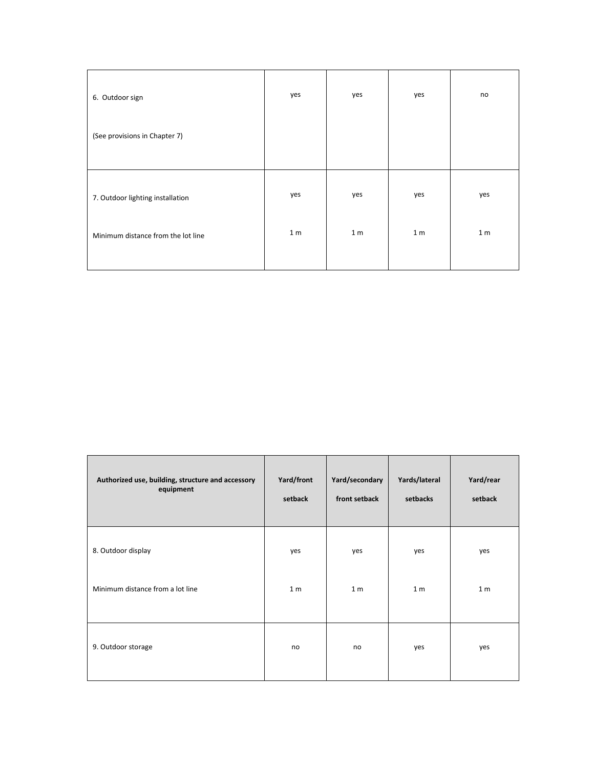| 6. Outdoor sign                    | yes            | yes            | yes            | no             |
|------------------------------------|----------------|----------------|----------------|----------------|
| (See provisions in Chapter 7)      |                |                |                |                |
|                                    |                |                |                |                |
| 7. Outdoor lighting installation   | yes            | yes            | yes            | yes            |
| Minimum distance from the lot line | 1 <sub>m</sub> | 1 <sub>m</sub> | 1 <sub>m</sub> | 1 <sub>m</sub> |
|                                    |                |                |                |                |

| Authorized use, building, structure and accessory | Yard/front     | Yard/secondary | Yards/lateral  | Yard/rear      |
|---------------------------------------------------|----------------|----------------|----------------|----------------|
| equipment                                         | setback        | front setback  | setbacks       | setback        |
| 8. Outdoor display                                | yes            | yes            | yes            | yes            |
| Minimum distance from a lot line                  | 1 <sub>m</sub> | 1 <sub>m</sub> | 1 <sub>m</sub> | 1 <sub>m</sub> |
| 9. Outdoor storage                                | no             | no             | yes            | yes            |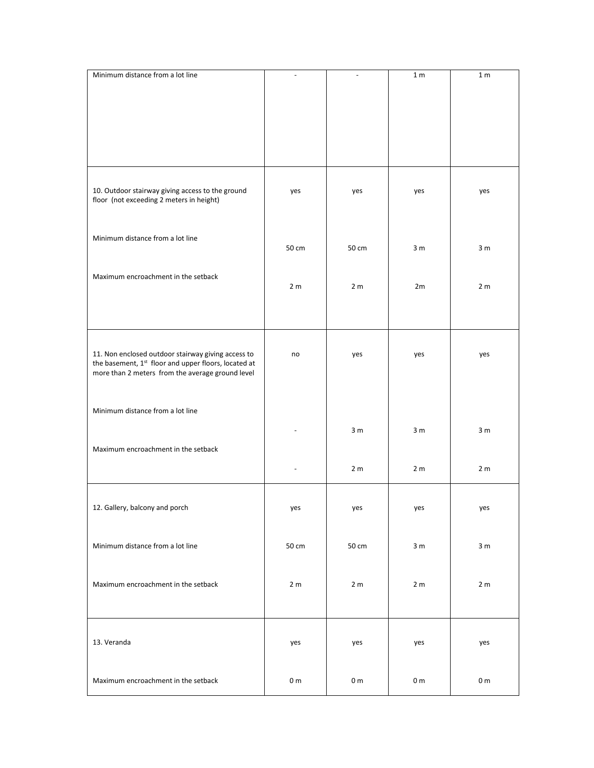| Minimum distance from a lot line                                                                         | $\blacksquare$ | $\overline{\phantom{a}}$ | 1 <sub>m</sub> | 1 <sub>m</sub> |
|----------------------------------------------------------------------------------------------------------|----------------|--------------------------|----------------|----------------|
|                                                                                                          |                |                          |                |                |
|                                                                                                          |                |                          |                |                |
|                                                                                                          |                |                          |                |                |
|                                                                                                          |                |                          |                |                |
|                                                                                                          |                |                          |                |                |
|                                                                                                          |                |                          |                |                |
|                                                                                                          |                |                          |                |                |
|                                                                                                          |                |                          |                |                |
| 10. Outdoor stairway giving access to the ground                                                         | yes            | yes                      | yes            | yes            |
| floor (not exceeding 2 meters in height)                                                                 |                |                          |                |                |
|                                                                                                          |                |                          |                |                |
|                                                                                                          |                |                          |                |                |
| Minimum distance from a lot line                                                                         |                |                          |                |                |
|                                                                                                          | 50 cm          | 50 cm                    | 3 <sub>m</sub> | 3 <sub>m</sub> |
|                                                                                                          |                |                          |                |                |
| Maximum encroachment in the setback                                                                      |                |                          |                |                |
|                                                                                                          | 2 <sub>m</sub> | 2 <sub>m</sub>           | 2m             | 2 <sub>m</sub> |
|                                                                                                          |                |                          |                |                |
|                                                                                                          |                |                          |                |                |
|                                                                                                          |                |                          |                |                |
|                                                                                                          |                |                          |                |                |
| 11. Non enclosed outdoor stairway giving access to                                                       | no             | yes                      | yes            | yes            |
| the basement, 1st floor and upper floors, located at<br>more than 2 meters from the average ground level |                |                          |                |                |
|                                                                                                          |                |                          |                |                |
|                                                                                                          |                |                          |                |                |
| Minimum distance from a lot line                                                                         |                |                          |                |                |
|                                                                                                          |                |                          |                |                |
|                                                                                                          |                | 3 <sub>m</sub>           | 3 <sub>m</sub> | 3 <sub>m</sub> |
| Maximum encroachment in the setback                                                                      |                |                          |                |                |
|                                                                                                          |                |                          |                |                |
|                                                                                                          |                | 2 <sub>m</sub>           | 2 <sub>m</sub> | 2 <sub>m</sub> |
|                                                                                                          |                |                          |                |                |
|                                                                                                          |                |                          |                |                |
| 12. Gallery, balcony and porch                                                                           | yes            | yes                      | yes            | yes            |
|                                                                                                          |                |                          |                |                |
| Minimum distance from a lot line                                                                         |                |                          |                |                |
|                                                                                                          | 50 cm          | 50 cm                    | 3 <sub>m</sub> | 3 <sub>m</sub> |
|                                                                                                          |                |                          |                |                |
|                                                                                                          |                |                          |                |                |
| Maximum encroachment in the setback                                                                      | 2 <sub>m</sub> | 2 <sub>m</sub>           | 2 <sub>m</sub> | 2 <sub>m</sub> |
|                                                                                                          |                |                          |                |                |
|                                                                                                          |                |                          |                |                |
|                                                                                                          |                |                          |                |                |
| 13. Veranda                                                                                              | yes            | yes                      | yes            | yes            |
|                                                                                                          |                |                          |                |                |
|                                                                                                          |                |                          |                |                |
| Maximum encroachment in the setback                                                                      | 0 <sub>m</sub> | 0 <sub>m</sub>           | 0 <sub>m</sub> | 0 <sub>m</sub> |
|                                                                                                          |                |                          |                |                |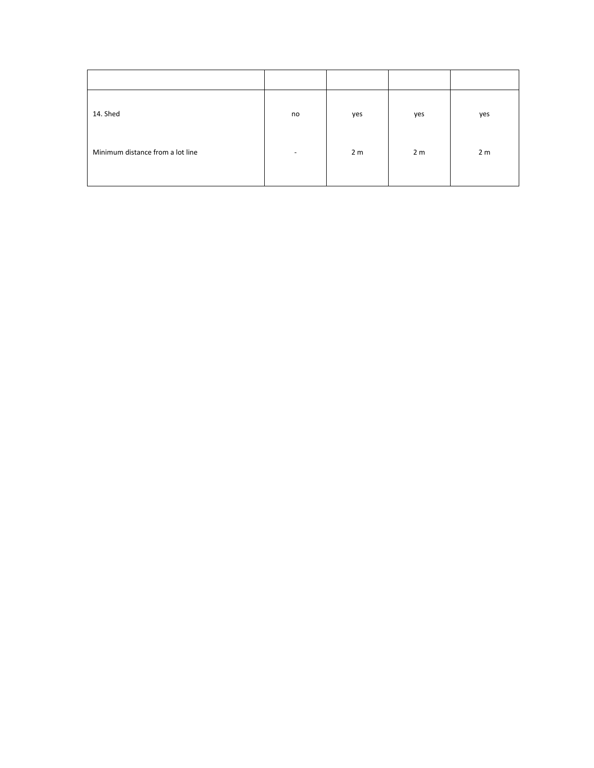| 14. Shed                         | no                       | yes            | yes            | yes            |
|----------------------------------|--------------------------|----------------|----------------|----------------|
| Minimum distance from a lot line | $\overline{\phantom{0}}$ | 2 <sub>m</sub> | 2 <sub>m</sub> | 2 <sub>m</sub> |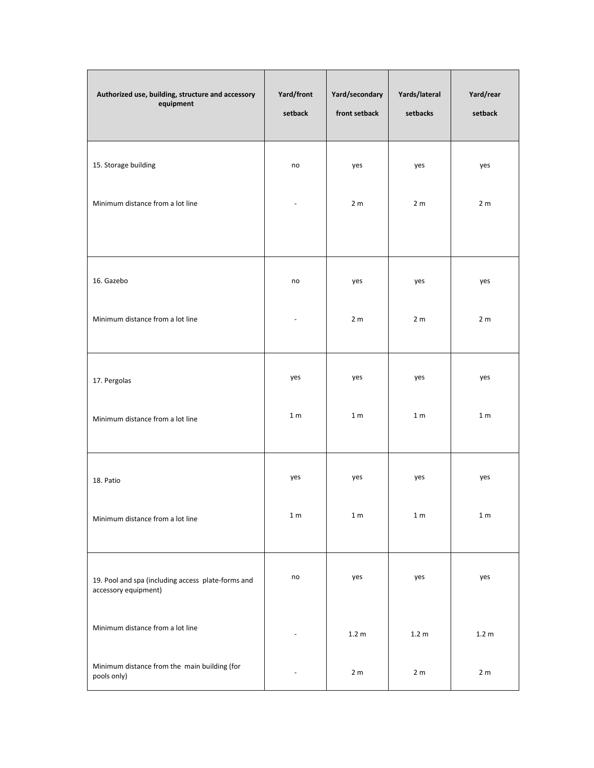| Authorized use, building, structure and accessory<br>equipment             | Yard/front<br>setback | Yard/secondary<br>front setback | Yards/lateral<br>setbacks | Yard/rear<br>setback |
|----------------------------------------------------------------------------|-----------------------|---------------------------------|---------------------------|----------------------|
| 15. Storage building                                                       | no                    | yes                             | yes                       | yes                  |
| Minimum distance from a lot line                                           |                       | 2 <sub>m</sub>                  | 2 <sub>m</sub>            | 2 <sub>m</sub>       |
| 16. Gazebo                                                                 | no                    | yes                             | yes                       | yes                  |
| Minimum distance from a lot line                                           |                       | 2 <sub>m</sub>                  | 2 <sub>m</sub>            | 2 <sub>m</sub>       |
| 17. Pergolas                                                               | yes                   | yes                             | yes                       | yes                  |
| Minimum distance from a lot line                                           | 1 <sub>m</sub>        | 1 <sub>m</sub>                  | 1 <sub>m</sub>            | 1 <sub>m</sub>       |
| 18. Patio                                                                  | yes                   | yes                             | yes                       | yes                  |
| Minimum distance from a lot line                                           | $1\ \mathrm{m}$       | 1 <sub>m</sub>                  | 1 <sub>m</sub>            | 1 <sub>m</sub>       |
| 19. Pool and spa (including access plate-forms and<br>accessory equipment) | no                    | yes                             | yes                       | yes                  |
| Minimum distance from a lot line                                           |                       | 1.2 <sub>m</sub>                | 1.2 <sub>m</sub>          | 1.2 <sub>m</sub>     |
| Minimum distance from the main building (for<br>pools only)                |                       | 2 <sub>m</sub>                  | 2 <sub>m</sub>            | 2 <sub>m</sub>       |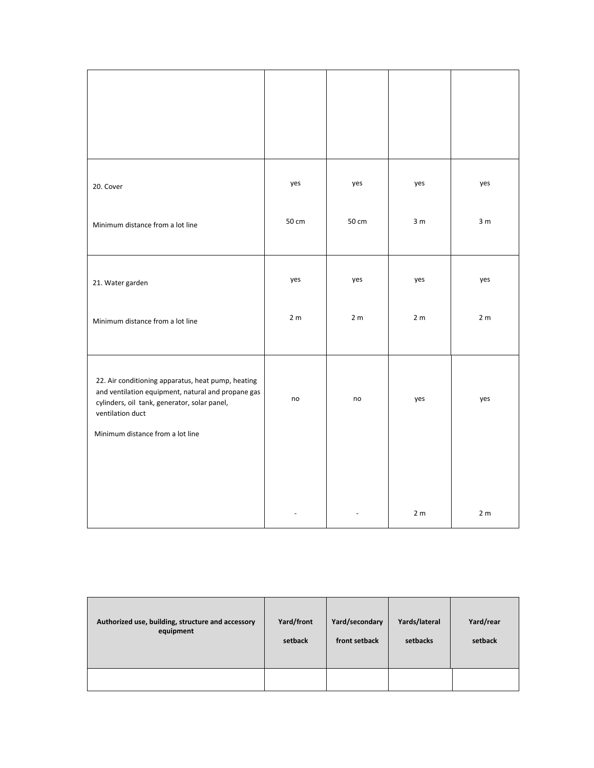| 20. Cover                                                                                                                                                                                                        | yes            | yes            | yes            | yes            |
|------------------------------------------------------------------------------------------------------------------------------------------------------------------------------------------------------------------|----------------|----------------|----------------|----------------|
| Minimum distance from a lot line                                                                                                                                                                                 | 50 cm          | 50 cm          | 3 <sub>m</sub> | 3 <sub>m</sub> |
| 21. Water garden                                                                                                                                                                                                 | yes            | yes            | yes            | yes            |
| Minimum distance from a lot line                                                                                                                                                                                 | 2 <sub>m</sub> | 2 <sub>m</sub> | 2 <sub>m</sub> | 2 <sub>m</sub> |
| 22. Air conditioning apparatus, heat pump, heating<br>and ventilation equipment, natural and propane gas<br>cylinders, oil tank, generator, solar panel,<br>ventilation duct<br>Minimum distance from a lot line | no             | no             | yes            | yes            |
|                                                                                                                                                                                                                  |                |                | 2 <sub>m</sub> | 2 <sub>m</sub> |

| Authorized use, building, structure and accessory | Yard/front | Yard/secondary | Yards/lateral | Yard/rear |
|---------------------------------------------------|------------|----------------|---------------|-----------|
| equipment                                         | setback    | front setback  | setbacks      | setback   |
|                                                   |            |                |               |           |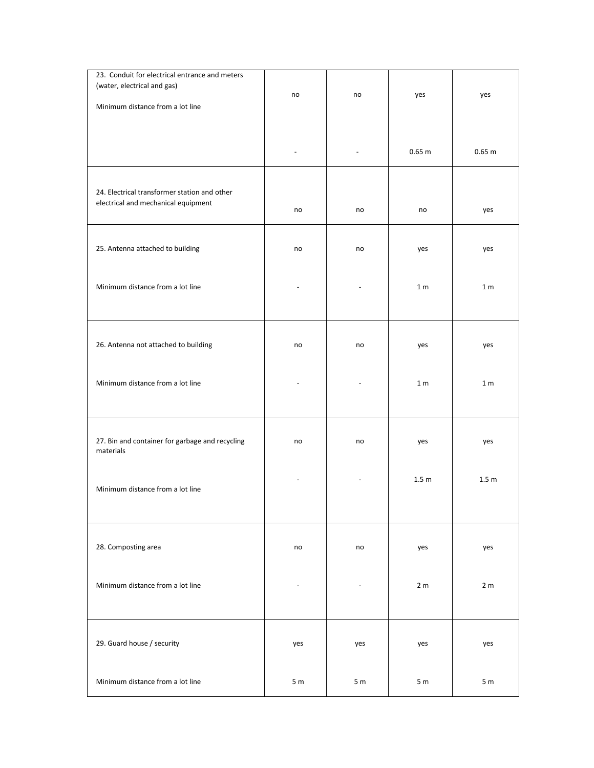| 23. Conduit for electrical entrance and meters  |                |                |                  |                   |
|-------------------------------------------------|----------------|----------------|------------------|-------------------|
| (water, electrical and gas)                     |                |                |                  |                   |
|                                                 | no             | no             | yes              | yes               |
| Minimum distance from a lot line                |                |                |                  |                   |
|                                                 |                |                |                  |                   |
|                                                 |                |                |                  |                   |
|                                                 |                |                |                  |                   |
|                                                 |                |                | 0.65 m           | 0.65 <sub>m</sub> |
|                                                 |                |                |                  |                   |
|                                                 |                |                |                  |                   |
| 24. Electrical transformer station and other    |                |                |                  |                   |
| electrical and mechanical equipment             |                |                |                  |                   |
|                                                 | no             | no             | no               | yes               |
|                                                 |                |                |                  |                   |
|                                                 |                |                |                  |                   |
| 25. Antenna attached to building                | no             | no             | yes              | yes               |
|                                                 |                |                |                  |                   |
|                                                 |                |                |                  |                   |
| Minimum distance from a lot line                |                |                | 1 <sub>m</sub>   | 1 <sub>m</sub>    |
|                                                 |                |                |                  |                   |
|                                                 |                |                |                  |                   |
|                                                 |                |                |                  |                   |
|                                                 |                |                |                  |                   |
| 26. Antenna not attached to building            | no             | no             | yes              | yes               |
|                                                 |                |                |                  |                   |
|                                                 |                |                |                  |                   |
|                                                 |                |                |                  |                   |
| Minimum distance from a lot line                |                |                | 1 <sub>m</sub>   | 1 <sub>m</sub>    |
|                                                 |                |                |                  |                   |
|                                                 |                |                |                  |                   |
|                                                 |                |                |                  |                   |
| 27. Bin and container for garbage and recycling | no             | no             |                  |                   |
| materials                                       |                |                | yes              | yes               |
|                                                 |                |                |                  |                   |
|                                                 |                |                |                  |                   |
|                                                 |                |                | 1.5 <sub>m</sub> | 1.5 <sub>m</sub>  |
| Minimum distance from a lot line                |                |                |                  |                   |
|                                                 |                |                |                  |                   |
|                                                 |                |                |                  |                   |
|                                                 |                |                |                  |                   |
| 28. Composting area                             | no             | no             | yes              | yes               |
|                                                 |                |                |                  |                   |
|                                                 |                |                |                  |                   |
|                                                 |                |                |                  |                   |
| Minimum distance from a lot line                |                |                | 2 <sub>m</sub>   | 2 <sub>m</sub>    |
|                                                 |                |                |                  |                   |
|                                                 |                |                |                  |                   |
|                                                 |                |                |                  |                   |
|                                                 |                |                |                  |                   |
| 29. Guard house / security                      | yes            | yes            | yes              | yes               |
|                                                 |                |                |                  |                   |
|                                                 |                |                |                  |                   |
| Minimum distance from a lot line                | 5 <sub>m</sub> | 5 <sub>m</sub> | 5 <sub>m</sub>   | 5 <sub>m</sub>    |
|                                                 |                |                |                  |                   |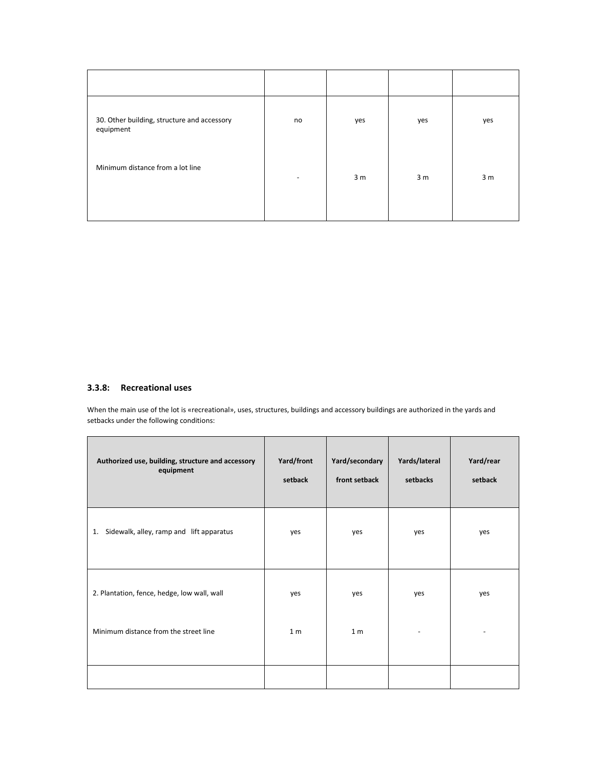| 30. Other building, structure and accessory<br>equipment | no                           | yes            | yes            | yes            |
|----------------------------------------------------------|------------------------------|----------------|----------------|----------------|
| Minimum distance from a lot line                         | $\qquad \qquad \blacksquare$ | 3 <sub>m</sub> | 3 <sub>m</sub> | 3 <sub>m</sub> |
|                                                          |                              |                |                |                |

# **3.3.8: Recreational uses**

When the main use of the lot is «recreational», uses, structures, buildings and accessory buildings are authorized in the yards and setbacks under the following conditions:

| Authorized use, building, structure and accessory<br>equipment | Yard/front<br>setback | Yard/secondary<br>front setback | Yards/lateral<br>setbacks | Yard/rear<br>setback |
|----------------------------------------------------------------|-----------------------|---------------------------------|---------------------------|----------------------|
| 1. Sidewalk, alley, ramp and lift apparatus                    | yes                   | yes                             | yes                       | yes                  |
| 2. Plantation, fence, hedge, low wall, wall                    | yes                   | yes                             | yes                       | yes                  |
| Minimum distance from the street line                          | 1 <sub>m</sub>        | 1 <sub>m</sub>                  |                           |                      |
|                                                                |                       |                                 |                           |                      |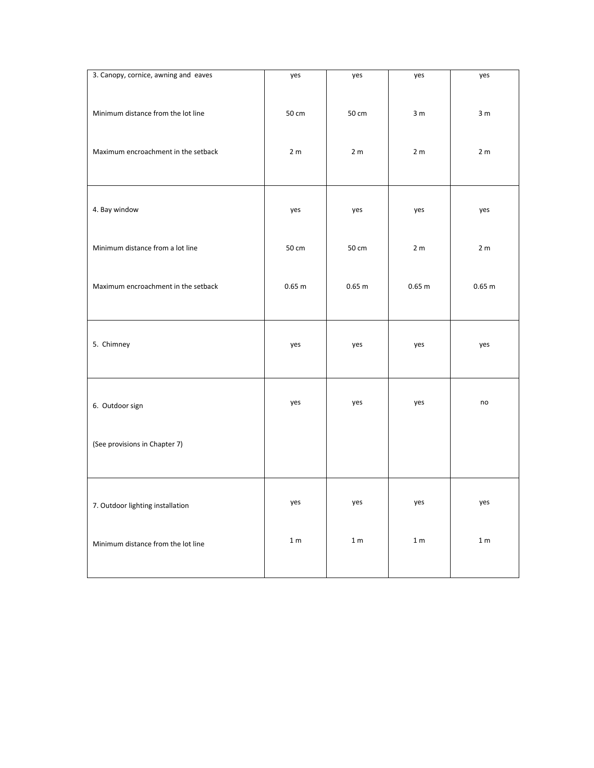| 3. Canopy, cornice, awning and eaves | yes             | yes            | yes               | yes            |
|--------------------------------------|-----------------|----------------|-------------------|----------------|
| Minimum distance from the lot line   | 50 cm           | 50 cm          | 3 <sub>m</sub>    | 3 <sub>m</sub> |
| Maximum encroachment in the setback  | 2 <sub>m</sub>  | 2 <sub>m</sub> | 2 <sub>m</sub>    | 2 <sub>m</sub> |
| 4. Bay window                        | yes             | yes            | yes               | yes            |
| Minimum distance from a lot line     | 50 cm           | 50 cm          | 2 <sub>m</sub>    | 2 <sub>m</sub> |
| Maximum encroachment in the setback  | $0.65$ m        | 0.65 m         | 0.65 <sub>m</sub> | 0.65 m         |
| 5. Chimney                           | yes             | yes            | yes               | yes            |
| 6. Outdoor sign                      | yes             | yes            | yes               | no             |
| (See provisions in Chapter 7)        |                 |                |                   |                |
| 7. Outdoor lighting installation     | yes             | yes            | yes               | yes            |
| Minimum distance from the lot line   | $1\ \mathrm{m}$ | $1 m$          | 1 <sub>m</sub>    | $1 m$          |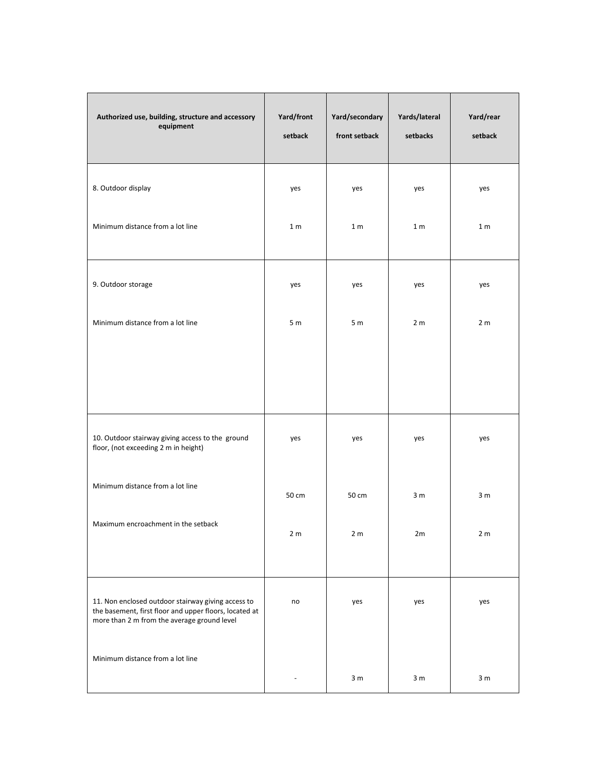| Authorized use, building, structure and accessory<br>equipment                                                                                              | Yard/front<br>setback | Yard/secondary<br>front setback | Yards/lateral<br>setbacks | Yard/rear<br>setback |
|-------------------------------------------------------------------------------------------------------------------------------------------------------------|-----------------------|---------------------------------|---------------------------|----------------------|
| 8. Outdoor display                                                                                                                                          | yes                   | yes                             | yes                       | yes                  |
| Minimum distance from a lot line                                                                                                                            | 1 <sub>m</sub>        | 1 <sub>m</sub>                  | 1 <sub>m</sub>            | 1 <sub>m</sub>       |
| 9. Outdoor storage                                                                                                                                          | yes                   | yes                             | yes                       | yes                  |
| Minimum distance from a lot line                                                                                                                            | 5 <sub>m</sub>        | 5 <sub>m</sub>                  | 2 <sub>m</sub>            | 2 <sub>m</sub>       |
|                                                                                                                                                             |                       |                                 |                           |                      |
| 10. Outdoor stairway giving access to the ground<br>floor, (not exceeding 2 m in height)                                                                    | yes                   | yes                             | yes                       | yes                  |
| Minimum distance from a lot line                                                                                                                            | 50 cm                 | 50 cm                           | 3 <sub>m</sub>            | 3 m                  |
| Maximum encroachment in the setback                                                                                                                         | 2 <sub>m</sub>        | 2 <sub>m</sub>                  | 2m                        | 2 <sub>m</sub>       |
| 11. Non enclosed outdoor stairway giving access to<br>the basement, first floor and upper floors, located at<br>more than 2 m from the average ground level | no                    | yes                             | yes                       | yes                  |
| Minimum distance from a lot line                                                                                                                            |                       | 3 <sub>m</sub>                  | 3 <sub>m</sub>            | 3 <sub>m</sub>       |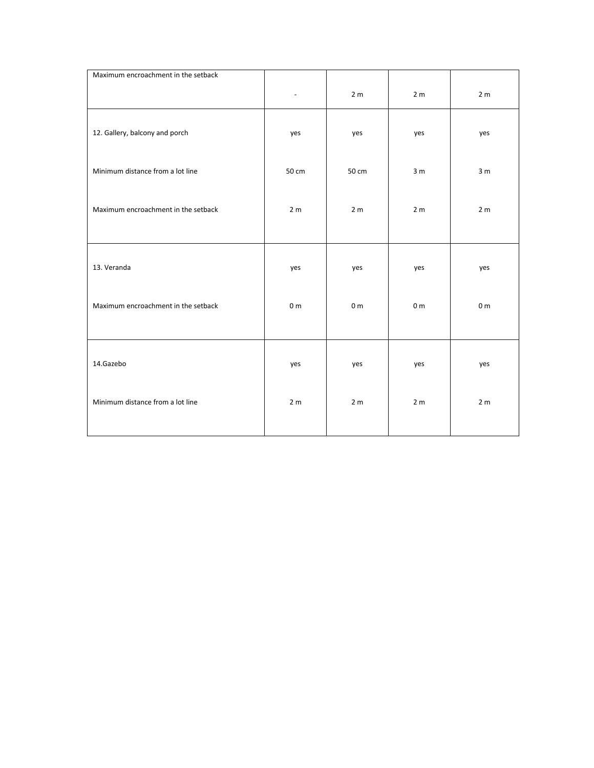| Maximum encroachment in the setback |                |                |                |                |
|-------------------------------------|----------------|----------------|----------------|----------------|
|                                     |                | 2 <sub>m</sub> | 2 <sub>m</sub> | 2 <sub>m</sub> |
| 12. Gallery, balcony and porch      | yes            | yes            | yes            | yes            |
| Minimum distance from a lot line    | 50 cm          | 50 cm          | 3 <sub>m</sub> | 3 <sub>m</sub> |
| Maximum encroachment in the setback | 2 <sub>m</sub> | 2 <sub>m</sub> | 2 <sub>m</sub> | 2 <sub>m</sub> |
| 13. Veranda                         | yes            | yes            | yes            | yes            |
| Maximum encroachment in the setback | 0 <sub>m</sub> | 0 <sub>m</sub> | 0 <sub>m</sub> | 0 <sub>m</sub> |
| 14.Gazebo                           | yes            | yes            | yes            | yes            |
| Minimum distance from a lot line    | 2 <sub>m</sub> | 2 <sub>m</sub> | 2 <sub>m</sub> | 2 <sub>m</sub> |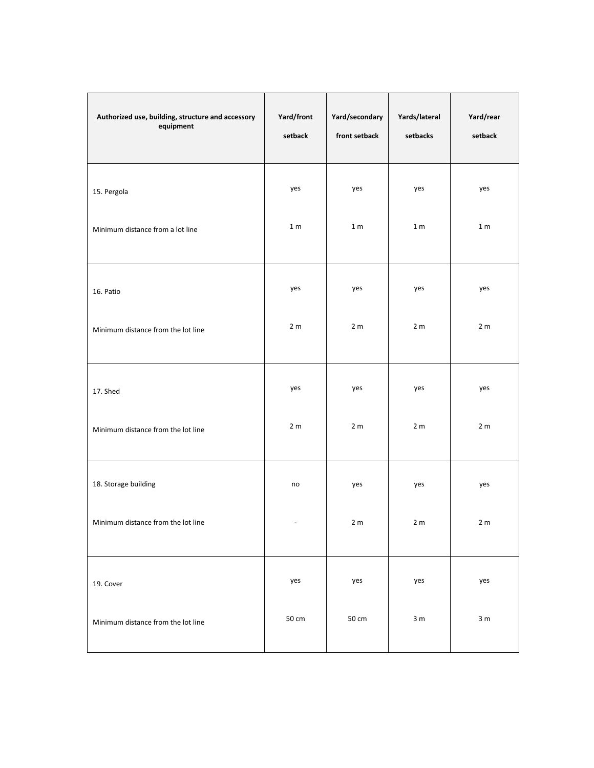| Authorized use, building, structure and accessory<br>equipment | Yard/front<br>setback    | Yard/secondary<br>front setback | Yards/lateral<br>setbacks | Yard/rear<br>setback |
|----------------------------------------------------------------|--------------------------|---------------------------------|---------------------------|----------------------|
| 15. Pergola                                                    | yes                      | yes                             | yes                       | yes                  |
| Minimum distance from a lot line                               | 1 <sub>m</sub>           | 1 <sub>m</sub>                  | 1 <sub>m</sub>            | 1 <sub>m</sub>       |
| 16. Patio                                                      | yes                      | yes                             | yes                       | yes                  |
| Minimum distance from the lot line                             | 2 <sub>m</sub>           | 2 <sub>m</sub>                  | 2 <sub>m</sub>            | 2 <sub>m</sub>       |
| 17. Shed                                                       | yes                      | yes                             | yes                       | yes                  |
| Minimum distance from the lot line                             | 2 <sub>m</sub>           | 2 <sub>m</sub>                  | 2 <sub>m</sub>            | 2 <sub>m</sub>       |
| 18. Storage building                                           | no                       | yes                             | yes                       | yes                  |
| Minimum distance from the lot line                             | $\overline{\phantom{a}}$ | 2 <sub>m</sub>                  | 2 <sub>m</sub>            | 2 <sub>m</sub>       |
| 19. Cover                                                      | yes                      | yes                             | yes                       | yes                  |
| Minimum distance from the lot line                             | 50 cm                    | 50 cm                           | 3 <sub>m</sub>            | 3 <sub>m</sub>       |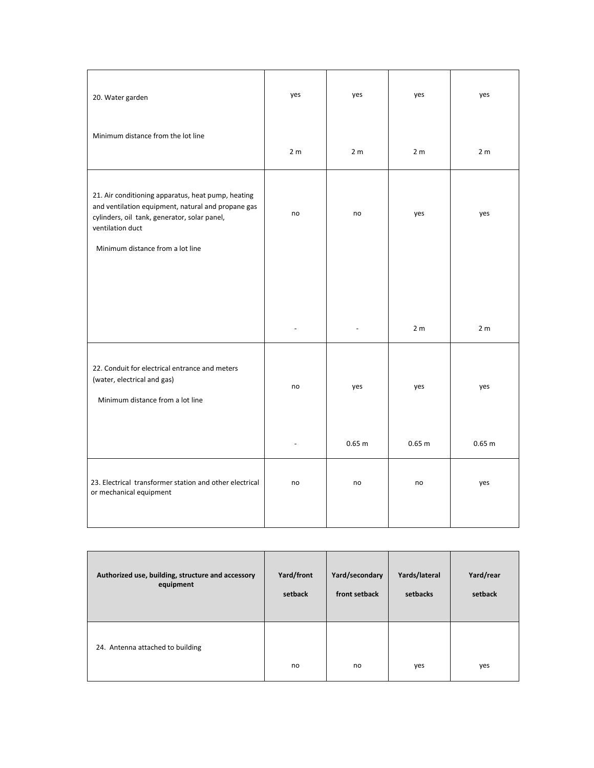| 20. Water garden                                                                                                                                                                                                 | yes            | yes            | yes            | yes            |
|------------------------------------------------------------------------------------------------------------------------------------------------------------------------------------------------------------------|----------------|----------------|----------------|----------------|
| Minimum distance from the lot line                                                                                                                                                                               | 2 <sub>m</sub> | 2 <sub>m</sub> | 2 <sub>m</sub> | 2 <sub>m</sub> |
| 21. Air conditioning apparatus, heat pump, heating<br>and ventilation equipment, natural and propane gas<br>cylinders, oil tank, generator, solar panel,<br>ventilation duct<br>Minimum distance from a lot line | no             | no             | yes            | yes            |
|                                                                                                                                                                                                                  |                |                |                |                |
|                                                                                                                                                                                                                  |                |                | 2 <sub>m</sub> | 2 <sub>m</sub> |
| 22. Conduit for electrical entrance and meters<br>(water, electrical and gas)<br>Minimum distance from a lot line                                                                                                | no             | yes            | yes            | yes            |
|                                                                                                                                                                                                                  |                | 0.65 m         | 0.65 m         | 0.65 m         |
| 23. Electrical transformer station and other electrical<br>or mechanical equipment                                                                                                                               | no             | no             | no             | yes            |

| Authorized use, building, structure and accessory | Yard/front | Yard/secondary | Yards/lateral | Yard/rear |
|---------------------------------------------------|------------|----------------|---------------|-----------|
| equipment                                         | setback    | front setback  | setbacks      | setback   |
| 24. Antenna attached to building                  | no         | no             | yes           | yes       |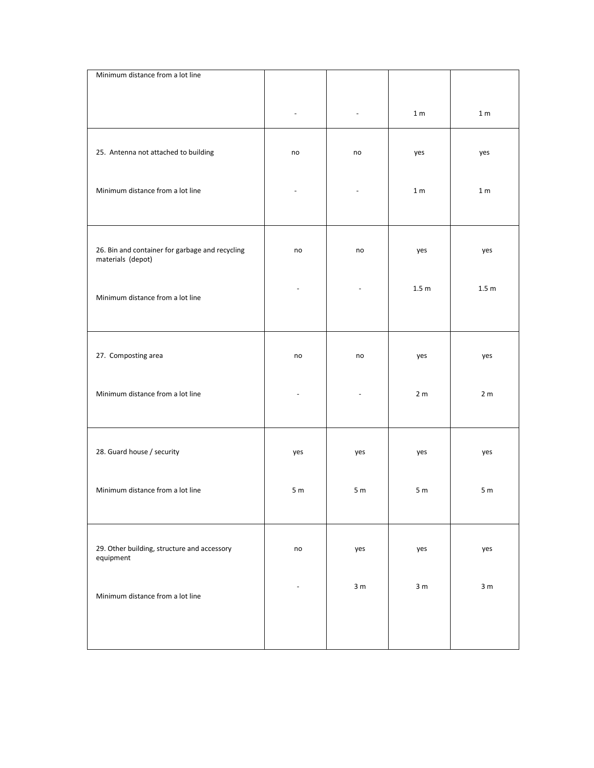| Minimum distance from a lot line                                     |                |                          |                  |                  |
|----------------------------------------------------------------------|----------------|--------------------------|------------------|------------------|
|                                                                      |                | $\frac{1}{2}$            | 1 <sub>m</sub>   | $1\,\mathrm{m}$  |
| 25. Antenna not attached to building                                 | no             | no                       | yes              | yes              |
| Minimum distance from a lot line                                     |                | $\overline{\phantom{a}}$ | 1 <sub>m</sub>   | 1 <sub>m</sub>   |
| 26. Bin and container for garbage and recycling<br>materials (depot) | no             | no                       | yes              | yes              |
| Minimum distance from a lot line                                     |                |                          | 1.5 <sub>m</sub> | 1.5 <sub>m</sub> |
| 27. Composting area                                                  | no             | no                       | yes              | yes              |
| Minimum distance from a lot line                                     |                |                          | 2 <sub>m</sub>   | 2 <sub>m</sub>   |
| 28. Guard house / security                                           | yes            | yes                      | yes              | yes              |
| Minimum distance from a lot line                                     | 5 <sub>m</sub> | 5 <sub>m</sub>           | 5 <sub>m</sub>   | 5 <sub>m</sub>   |
| 29. Other building, structure and accessory<br>equipment             | no             | yes                      | yes              | yes              |
| Minimum distance from a lot line                                     |                | 3 <sub>m</sub>           | 3 <sub>m</sub>   | 3 <sub>m</sub>   |
|                                                                      |                |                          |                  |                  |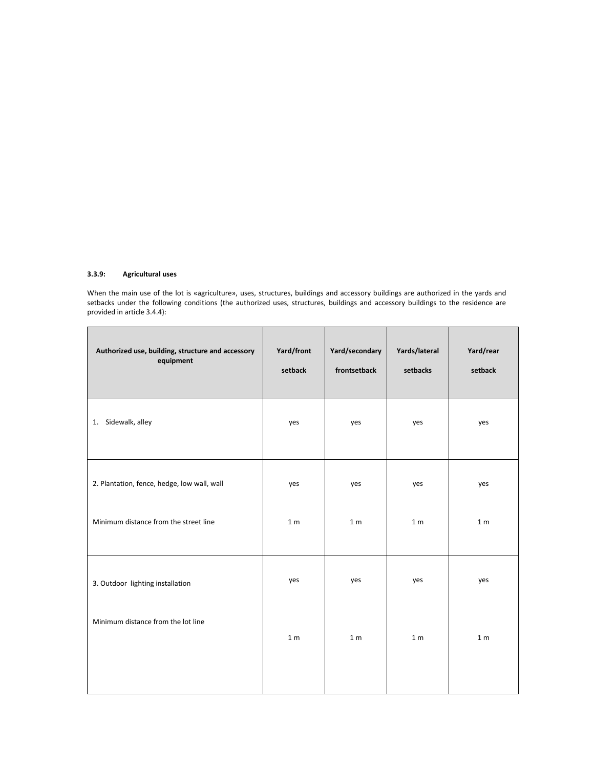## **3.3.9: Agricultural uses**

When the main use of the lot is «agriculture», uses, structures, buildings and accessory buildings are authorized in the yards and setbacks under the following conditions (the authorized uses, structures, buildings and accessory buildings to the residence are provided in article 3.4.4):

| Authorized use, building, structure and accessory<br>equipment | Yard/front<br>setback | Yard/secondary<br>frontsetback | Yards/lateral<br>setbacks | Yard/rear<br>setback |
|----------------------------------------------------------------|-----------------------|--------------------------------|---------------------------|----------------------|
| 1. Sidewalk, alley                                             | yes                   | yes                            | yes                       | yes                  |
| 2. Plantation, fence, hedge, low wall, wall                    | yes                   | yes                            | yes                       | yes                  |
| Minimum distance from the street line                          | 1 <sub>m</sub>        | 1 <sub>m</sub>                 | 1 <sub>m</sub>            | 1 <sub>m</sub>       |
| 3. Outdoor lighting installation                               | yes                   | yes                            | yes                       | yes                  |
| Minimum distance from the lot line                             | 1 <sub>m</sub>        | 1 <sub>m</sub>                 | 1 <sub>m</sub>            | 1 <sub>m</sub>       |
|                                                                |                       |                                |                           |                      |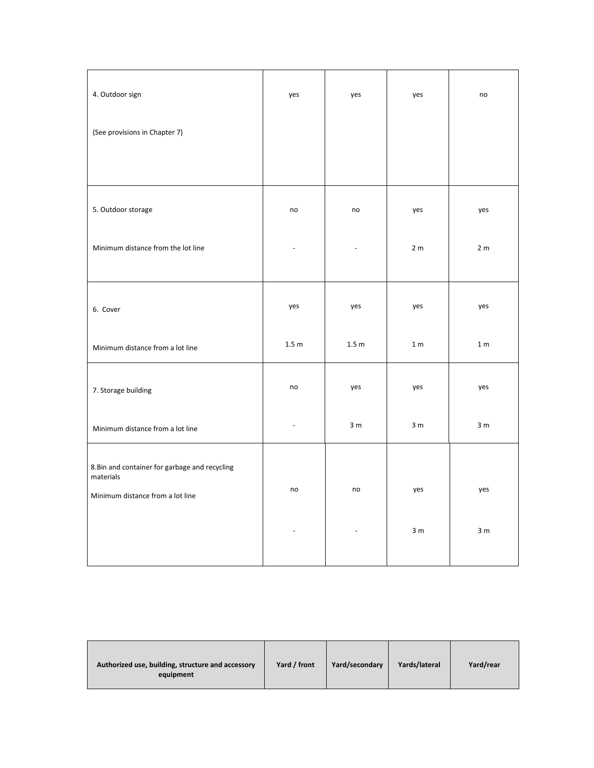| 4. Outdoor sign                                             | yes            | yes                      | yes            | no             |
|-------------------------------------------------------------|----------------|--------------------------|----------------|----------------|
| (See provisions in Chapter 7)                               |                |                          |                |                |
|                                                             |                |                          |                |                |
| 5. Outdoor storage                                          | no             | no                       | yes            | yes            |
| Minimum distance from the lot line                          |                | $\overline{\phantom{a}}$ | 2 <sub>m</sub> | 2 <sub>m</sub> |
| 6. Cover                                                    | yes            | yes                      | yes            | yes            |
| Minimum distance from a lot line                            | 1.5 m          | 1.5 m                    | 1 <sub>m</sub> | 1 <sub>m</sub> |
| 7. Storage building                                         | no             | yes                      | yes            | yes            |
| Minimum distance from a lot line                            | ÷,             | 3 <sub>m</sub>           | 3 <sub>m</sub> | 3 <sub>m</sub> |
| 8. Bin and container for garbage and recycling<br>materials |                |                          |                |                |
| Minimum distance from a lot line                            | no             | no                       | yes            | yes            |
|                                                             | $\blacksquare$ | $\overline{\phantom{a}}$ | 3 <sub>m</sub> | 3 <sub>m</sub> |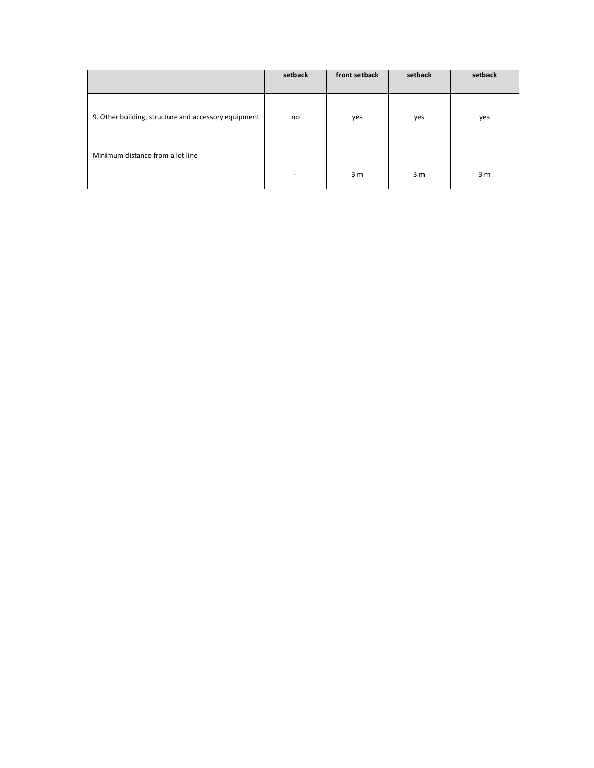|                                                      | setback | front setback  | setback        | setback |
|------------------------------------------------------|---------|----------------|----------------|---------|
| 9. Other building, structure and accessory equipment | no      | yes            | yes            | yes     |
| Minimum distance from a lot line                     |         |                |                |         |
|                                                      | -       | 3 <sub>m</sub> | 3 <sub>m</sub> | 3 m     |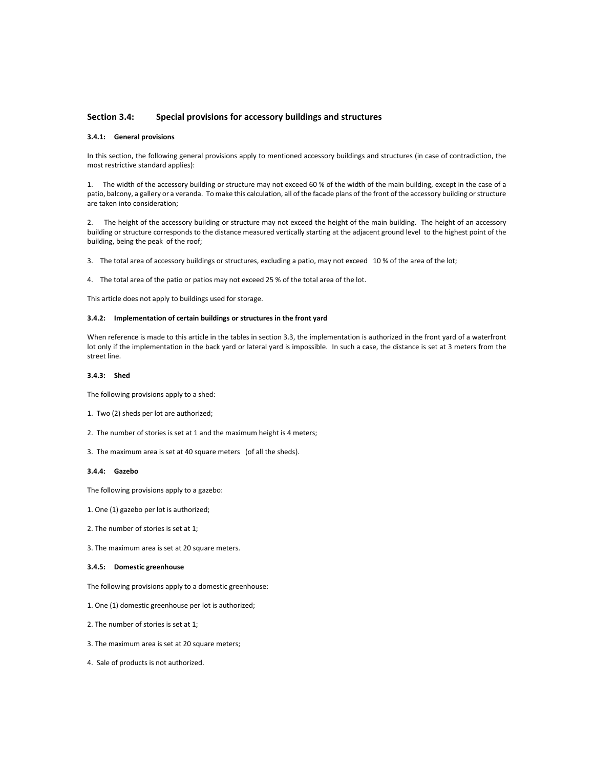## **Section 3.4: Special provisions for accessory buildings and structures**

### **3.4.1: General provisions**

In this section, the following general provisions apply to mentioned accessory buildings and structures (in case of contradiction, the most restrictive standard applies):

1. The width of the accessory building or structure may not exceed 60 % of the width of the main building, except in the case of a patio, balcony, a gallery or a veranda. To make this calculation, all of the facade plans of the front of the accessory building or structure are taken into consideration;

2. The height of the accessory building or structure may not exceed the height of the main building. The height of an accessory building or structure corresponds to the distance measured vertically starting at the adjacent ground level to the highest point of the building, being the peak of the roof;

3. The total area of accessory buildings or structures, excluding a patio, may not exceed 10 % of the area of the lot;

4. The total area of the patio or patios may not exceed 25 % of the total area of the lot.

This article does not apply to buildings used for storage.

## **3.4.2: Implementation of certain buildings or structures in the front yard**

When reference is made to this article in the tables in section 3.3, the implementation is authorized in the front yard of a waterfront lot only if the implementation in the back yard or lateral yard is impossible. In such a case, the distance is set at 3 meters from the street line.

#### **3.4.3: Shed**

The following provisions apply to a shed:

- 1. Two (2) sheds per lot are authorized;
- 2. The number of stories is set at 1 and the maximum height is 4 meters;
- 3. The maximum area is set at 40 square meters (of all the sheds).

#### **3.4.4: Gazebo**

The following provisions apply to a gazebo:

- 1. One (1) gazebo per lot is authorized;
- 2. The number of stories is set at 1;

3. The maximum area is set at 20 square meters.

#### **3.4.5: Domestic greenhouse**

The following provisions apply to a domestic greenhouse:

- 1. One (1) domestic greenhouse per lot is authorized;
- 2. The number of stories is set at 1;
- 3. The maximum area is set at 20 square meters;
- 4. Sale of products is not authorized.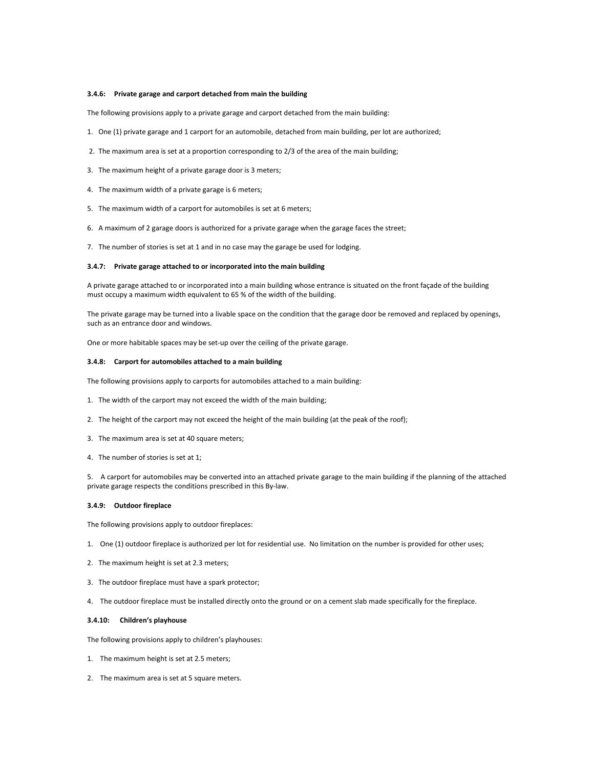#### **3.4.6: Private garage and carport detached from main the building**

The following provisions apply to a private garage and carport detached from the main building:

- 1. One (1) private garage and 1 carport for an automobile, detached from main building, per lot are authorized;
- 2. The maximum area is set at a proportion corresponding to 2/3 of the area of the main building;
- 3. The maximum height of a private garage door is 3 meters;
- 4. The maximum width of a private garage is 6 meters;
- 5. The maximum width of a carport for automobiles is set at 6 meters;
- 6. A maximum of 2 garage doors is authorized for a private garage when the garage faces the street;
- 7. The number of stories is set at 1 and in no case may the garage be used for lodging.

### **3.4.7: Private garage attached to or incorporated into the main building**

A private garage attached to or incorporated into a main building whose entrance is situated on the front façade of the building must occupy a maximum width equivalent to 65 % of the width of the building.

The private garage may be turned into a livable space on the condition that the garage door be removed and replaced by openings, such as an entrance door and windows.

One or more habitable spaces may be set-up over the ceiling of the private garage.

### **3.4.8: Carport for automobiles attached to a main building**

The following provisions apply to carports for automobiles attached to a main building:

- 1. The width of the carport may not exceed the width of the main building;
- 2. The height of the carport may not exceed the height of the main building (at the peak of the roof);
- 3. The maximum area is set at 40 square meters;
- 4. The number of stories is set at 1;

5. A carport for automobiles may be converted into an attached private garage to the main building if the planning of the attached private garage respects the conditions prescribed in this By-law.

#### **3.4.9: Outdoor fireplace**

The following provisions apply to outdoor fireplaces:

- 1. One (1) outdoor fireplace is authorized per lot for residential use. No limitation on the number is provided for other uses;
- 2. The maximum height is set at 2.3 meters;
- 3. The outdoor fireplace must have a spark protector;
- 4. The outdoor fireplace must be installed directly onto the ground or on a cement slab made specifically for the fireplace.

#### **3.4.10: Children's playhouse**

The following provisions apply to children's playhouses:

- 1. The maximum height is set at 2.5 meters;
- 2. The maximum area is set at 5 square meters.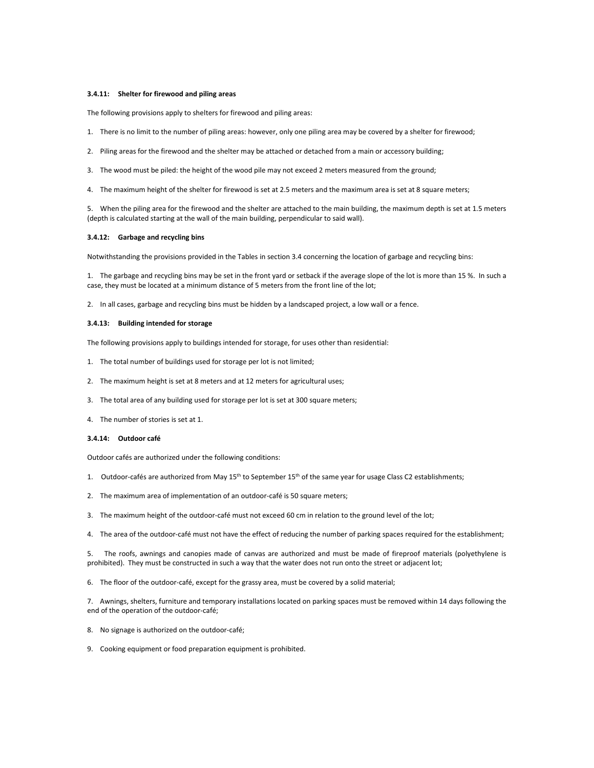#### **3.4.11: Shelter for firewood and piling areas**

The following provisions apply to shelters for firewood and piling areas:

- 1. There is no limit to the number of piling areas: however, only one piling area may be covered by a shelter for firewood;
- 2. Piling areas for the firewood and the shelter may be attached or detached from a main or accessory building;
- 3. The wood must be piled: the height of the wood pile may not exceed 2 meters measured from the ground;
- 4. The maximum height of the shelter for firewood is set at 2.5 meters and the maximum area is set at 8 square meters;

5. When the piling area for the firewood and the shelter are attached to the main building, the maximum depth is set at 1.5 meters (depth is calculated starting at the wall of the main building, perpendicular to said wall).

#### **3.4.12: Garbage and recycling bins**

Notwithstanding the provisions provided in the Tables in section 3.4 concerning the location of garbage and recycling bins:

1. The garbage and recycling bins may be set in the front yard or setback if the average slope of the lot is more than 15 %. In such a case, they must be located at a minimum distance of 5 meters from the front line of the lot;

2. In all cases, garbage and recycling bins must be hidden by a landscaped project, a low wall or a fence.

#### **3.4.13: Building intended for storage**

The following provisions apply to buildings intended for storage, for uses other than residential:

- 1. The total number of buildings used for storage per lot is not limited;
- 2. The maximum height is set at 8 meters and at 12 meters for agricultural uses;
- 3. The total area of any building used for storage per lot is set at 300 square meters;
- 4. The number of stories is set at 1.

# **3.4.14: Outdoor café**

Outdoor cafés are authorized under the following conditions:

- 1. Outdoor-cafés are authorized from May 15<sup>th</sup> to September 15<sup>th</sup> of the same year for usage Class C2 establishments;
- 2. The maximum area of implementation of an outdoor-café is 50 square meters;
- 3. The maximum height of the outdoor-café must not exceed 60 cm in relation to the ground level of the lot;
- 4. The area of the outdoor-café must not have the effect of reducing the number of parking spaces required for the establishment;

5. The roofs, awnings and canopies made of canvas are authorized and must be made of fireproof materials (polyethylene is prohibited). They must be constructed in such a way that the water does not run onto the street or adjacent lot;

6. The floor of the outdoor-café, except for the grassy area, must be covered by a solid material;

7. Awnings, shelters, furniture and temporary installations located on parking spaces must be removed within 14 days following the end of the operation of the outdoor-café;

- 8. No signage is authorized on the outdoor-café;
- 9. Cooking equipment or food preparation equipment is prohibited.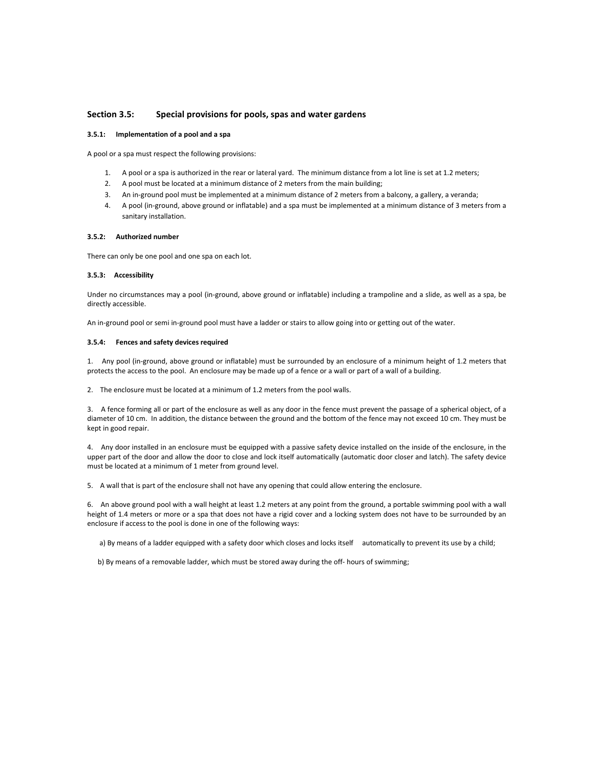# **Section 3.5: Special provisions for pools, spas and water gardens**

### **3.5.1: Implementation of a pool and a spa**

A pool or a spa must respect the following provisions:

- 1. A pool or a spa is authorized in the rear or lateral yard. The minimum distance from a lot line is set at 1.2 meters;
- 2. A pool must be located at a minimum distance of 2 meters from the main building;
- 3. An in-ground pool must be implemented at a minimum distance of 2 meters from a balcony, a gallery, a veranda;
- 4. A pool (in-ground, above ground or inflatable) and a spa must be implemented at a minimum distance of 3 meters from a sanitary installation.

#### **3.5.2: Authorized number**

There can only be one pool and one spa on each lot.

#### **3.5.3: Accessibility**

Under no circumstances may a pool (in-ground, above ground or inflatable) including a trampoline and a slide, as well as a spa, be directly accessible.

An in-ground pool or semi in-ground pool must have a ladder or stairs to allow going into or getting out of the water.

#### **3.5.4: Fences and safety devices required**

1. Any pool (in-ground, above ground or inflatable) must be surrounded by an enclosure of a minimum height of 1.2 meters that protects the access to the pool. An enclosure may be made up of a fence or a wall or part of a wall of a building.

2. The enclosure must be located at a minimum of 1.2 meters from the pool walls.

3. A fence forming all or part of the enclosure as well as any door in the fence must prevent the passage of a spherical object, of a diameter of 10 cm. In addition, the distance between the ground and the bottom of the fence may not exceed 10 cm. They must be kept in good repair.

4. Any door installed in an enclosure must be equipped with a passive safety device installed on the inside of the enclosure, in the upper part of the door and allow the door to close and lock itself automatically (automatic door closer and latch). The safety device must be located at a minimum of 1 meter from ground level.

5. A wall that is part of the enclosure shall not have any opening that could allow entering the enclosure.

6. An above ground pool with a wall height at least 1.2 meters at any point from the ground, a portable swimming pool with a wall height of 1.4 meters or more or a spa that does not have a rigid cover and a locking system does not have to be surrounded by an enclosure if access to the pool is done in one of the following ways:

a) By means of a ladder equipped with a safety door which closes and locks itself automatically to prevent its use by a child;

b) By means of a removable ladder, which must be stored away during the off- hours of swimming;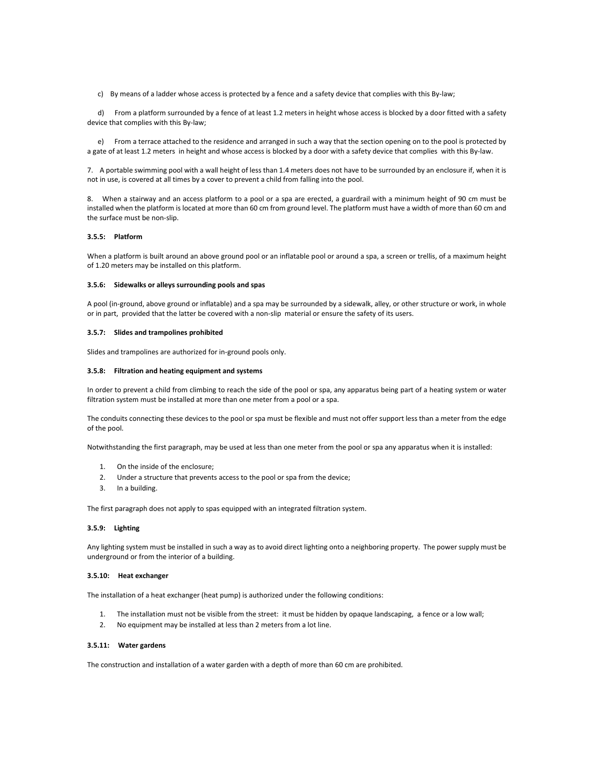c) By means of a ladder whose access is protected by a fence and a safety device that complies with this By-law;

 d) From a platform surrounded by a fence of at least 1.2 meters in height whose access is blocked by a door fitted with a safety device that complies with this By-law;

 e) From a terrace attached to the residence and arranged in such a way that the section opening on to the pool is protected by a gate of at least 1.2 meters in height and whose access is blocked by a door with a safety device that complies with this By-law.

7. A portable swimming pool with a wall height of less than 1.4 meters does not have to be surrounded by an enclosure if, when it is not in use, is covered at all times by a cover to prevent a child from falling into the pool.

8. When a stairway and an access platform to a pool or a spa are erected, a guardrail with a minimum height of 90 cm must be installed when the platform is located at more than 60 cm from ground level. The platform must have a width of more than 60 cm and the surface must be non-slip.

## **3.5.5: Platform**

When a platform is built around an above ground pool or an inflatable pool or around a spa, a screen or trellis, of a maximum height of 1.20 meters may be installed on this platform.

## **3.5.6: Sidewalks or alleys surrounding pools and spas**

A pool (in-ground, above ground or inflatable) and a spa may be surrounded by a sidewalk, alley, or other structure or work, in whole or in part, provided that the latter be covered with a non-slip material or ensure the safety of its users.

## **3.5.7: Slides and trampolines prohibited**

Slides and trampolines are authorized for in-ground pools only.

#### **3.5.8: Filtration and heating equipment and systems**

In order to prevent a child from climbing to reach the side of the pool or spa, any apparatus being part of a heating system or water filtration system must be installed at more than one meter from a pool or a spa.

The conduits connecting these devices to the pool or spa must be flexible and must not offer support less than a meter from the edge of the pool.

Notwithstanding the first paragraph, may be used at less than one meter from the pool or spa any apparatus when it is installed:

- 1. On the inside of the enclosure;
- 2. Under a structure that prevents access to the pool or spa from the device;
- 3. In a building.

The first paragraph does not apply to spas equipped with an integrated filtration system.

#### **3.5.9: Lighting**

Any lighting system must be installed in such a way as to avoid direct lighting onto a neighboring property. The power supply must be underground or from the interior of a building.

# **3.5.10: Heat exchanger**

The installation of a heat exchanger (heat pump) is authorized under the following conditions:

- 1. The installation must not be visible from the street: it must be hidden by opaque landscaping, a fence or a low wall;
- 2. No equipment may be installed at less than 2 meters from a lot line.

# **3.5.11: Water gardens**

The construction and installation of a water garden with a depth of more than 60 cm are prohibited.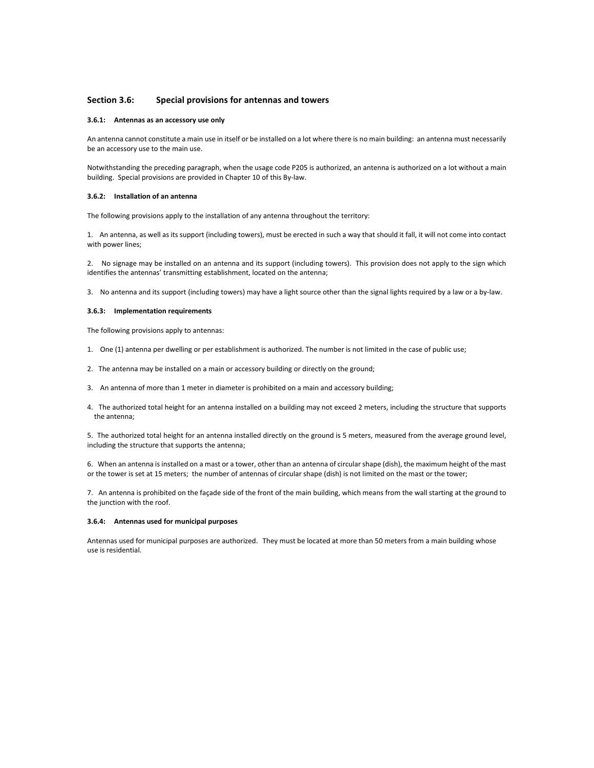# **Section 3.6: Special provisions for antennas and towers**

#### **3.6.1: Antennas as an accessory use only**

An antenna cannot constitute a main use in itself or be installed on a lot where there is no main building: an antenna must necessarily be an accessory use to the main use.

Notwithstanding the preceding paragraph, when the usage code P205 is authorized, an antenna is authorized on a lot without a main building. Special provisions are provided in Chapter 10 of this By-law.

### **3.6.2: Installation of an antenna**

The following provisions apply to the installation of any antenna throughout the territory:

1. An antenna, as well as its support (including towers), must be erected in such a way that should it fall, it will not come into contact with power lines;

2. No signage may be installed on an antenna and its support (including towers). This provision does not apply to the sign which identifies the antennas' transmitting establishment, located on the antenna;

3. No antenna and its support (including towers) may have a light source other than the signal lights required by a law or a by-law.

#### **3.6.3: Implementation requirements**

The following provisions apply to antennas:

- 1. One (1) antenna per dwelling or per establishment is authorized. The number is not limited in the case of public use;
- 2. The antenna may be installed on a main or accessory building or directly on the ground;
- 3. An antenna of more than 1 meter in diameter is prohibited on a main and accessory building;
- 4. The authorized total height for an antenna installed on a building may not exceed 2 meters, including the structure that supports the antenna;

5. The authorized total height for an antenna installed directly on the ground is 5 meters, measured from the average ground level, including the structure that supports the antenna;

6. When an antenna is installed on a mast or a tower, other than an antenna of circular shape (dish), the maximum height of the mast or the tower is set at 15 meters; the number of antennas of circular shape (dish) is not limited on the mast or the tower;

7. An antenna is prohibited on the façade side of the front of the main building, which means from the wall starting at the ground to the junction with the roof.

## **3.6.4: Antennas used for municipal purposes**

Antennas used for municipal purposes are authorized. They must be located at more than 50 meters from a main building whose use is residential.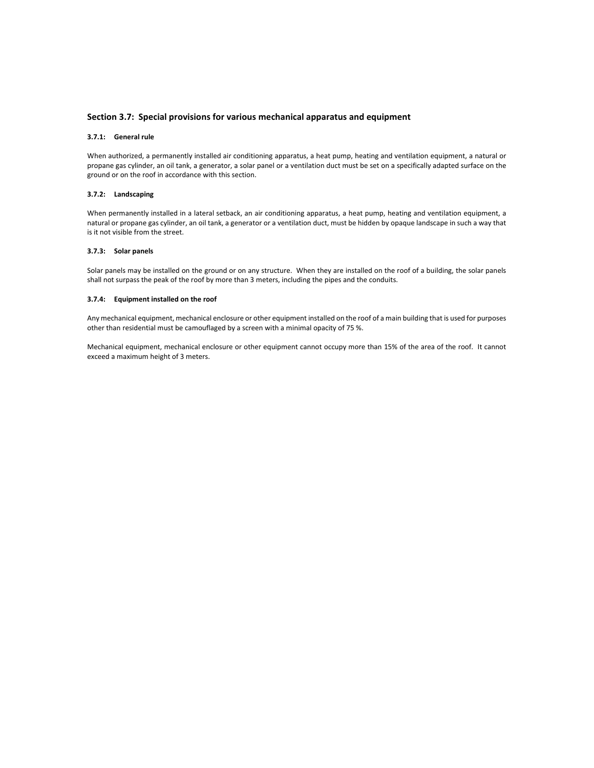# **Section 3.7: Special provisions for various mechanical apparatus and equipment**

#### **3.7.1: General rule**

When authorized, a permanently installed air conditioning apparatus, a heat pump, heating and ventilation equipment, a natural or propane gas cylinder, an oil tank, a generator, a solar panel or a ventilation duct must be set on a specifically adapted surface on the ground or on the roof in accordance with this section.

# **3.7.2: Landscaping**

When permanently installed in a lateral setback, an air conditioning apparatus, a heat pump, heating and ventilation equipment, a natural or propane gas cylinder, an oil tank, a generator or a ventilation duct, must be hidden by opaque landscape in such a way that is it not visible from the street.

### **3.7.3: Solar panels**

Solar panels may be installed on the ground or on any structure. When they are installed on the roof of a building, the solar panels shall not surpass the peak of the roof by more than 3 meters, including the pipes and the conduits.

### **3.7.4: Equipment installed on the roof**

Any mechanical equipment, mechanical enclosure or other equipment installed on the roof of a main building that is used for purposes other than residential must be camouflaged by a screen with a minimal opacity of 75 %.

Mechanical equipment, mechanical enclosure or other equipment cannot occupy more than 15% of the area of the roof. It cannot exceed a maximum height of 3 meters.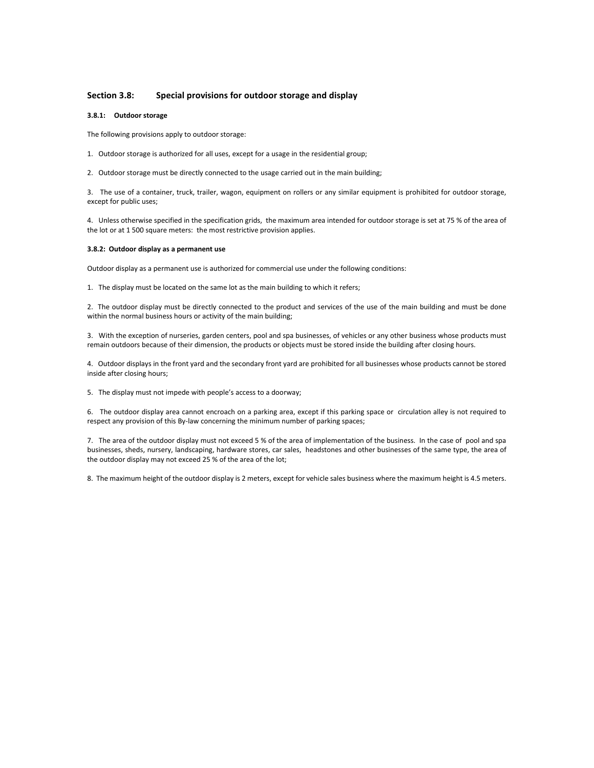# **Section 3.8: Special provisions for outdoor storage and display**

## **3.8.1: Outdoor storage**

The following provisions apply to outdoor storage:

- 1. Outdoor storage is authorized for all uses, except for a usage in the residential group;
- 2. Outdoor storage must be directly connected to the usage carried out in the main building;

3. The use of a container, truck, trailer, wagon, equipment on rollers or any similar equipment is prohibited for outdoor storage, except for public uses;

4. Unless otherwise specified in the specification grids, the maximum area intended for outdoor storage is set at 75 % of the area of the lot or at 1 500 square meters: the most restrictive provision applies.

## **3.8.2: Outdoor display as a permanent use**

Outdoor display as a permanent use is authorized for commercial use under the following conditions:

1. The display must be located on the same lot as the main building to which it refers;

2. The outdoor display must be directly connected to the product and services of the use of the main building and must be done within the normal business hours or activity of the main building;

3. With the exception of nurseries, garden centers, pool and spa businesses, of vehicles or any other business whose products must remain outdoors because of their dimension, the products or objects must be stored inside the building after closing hours.

4. Outdoor displays in the front yard and the secondary front yard are prohibited for all businesses whose products cannot be stored inside after closing hours;

5. The display must not impede with people's access to a doorway;

6. The outdoor display area cannot encroach on a parking area, except if this parking space or circulation alley is not required to respect any provision of this By-law concerning the minimum number of parking spaces;

7. The area of the outdoor display must not exceed 5 % of the area of implementation of the business. In the case of pool and spa businesses, sheds, nursery, landscaping, hardware stores, car sales, headstones and other businesses of the same type, the area of the outdoor display may not exceed 25 % of the area of the lot;

8. The maximum height of the outdoor display is 2 meters, except for vehicle sales business where the maximum height is 4.5 meters.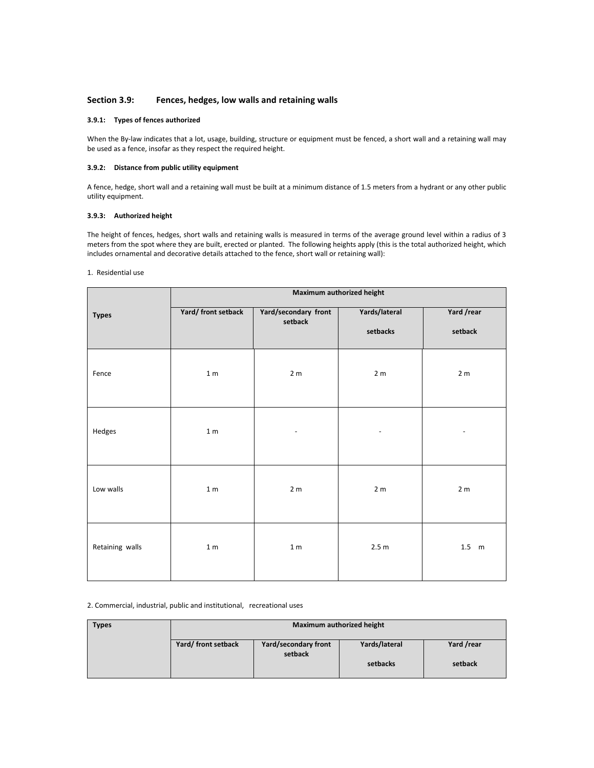# **Section 3.9: Fences, hedges, low walls and retaining walls**

## **3.9.1: Types of fences authorized**

When the By-law indicates that a lot, usage, building, structure or equipment must be fenced, a short wall and a retaining wall may be used as a fence, insofar as they respect the required height.

# **3.9.2: Distance from public utility equipment**

A fence, hedge, short wall and a retaining wall must be built at a minimum distance of 1.5 meters from a hydrant or any other public utility equipment.

# **3.9.3: Authorized height**

The height of fences, hedges, short walls and retaining walls is measured in terms of the average ground level within a radius of 3 meters from the spot where they are built, erected or planted. The following heights apply (this is the total authorized height, which includes ornamental and decorative details attached to the fence, short wall or retaining wall):

#### 1. Residential use

|                 | Maximum authorized height |                                 |                           |                       |
|-----------------|---------------------------|---------------------------------|---------------------------|-----------------------|
| <b>Types</b>    | Yard/ front setback       | Yard/secondary front<br>setback | Yards/lateral<br>setbacks | Yard /rear<br>setback |
| Fence           | 1 <sub>m</sub>            | 2 <sub>m</sub>                  | 2 <sub>m</sub>            | 2 <sub>m</sub>        |
| Hedges          | 1 <sub>m</sub>            |                                 |                           |                       |
| Low walls       | 1 <sub>m</sub>            | 2 <sub>m</sub>                  | 2 <sub>m</sub>            | 2 <sub>m</sub>        |
| Retaining walls | 1 <sub>m</sub>            | 1 <sub>m</sub>                  | 2.5 m                     | $1.5 \text{ m}$       |

2. Commercial, industrial, public and institutional, recreational uses

| <b>Types</b> | Maximum authorized height |                                 |               |            |
|--------------|---------------------------|---------------------------------|---------------|------------|
|              | Yard/ front setback       | Yard/secondary front<br>setback | Yards/lateral | Yard /rear |
|              |                           |                                 | setbacks      | setback    |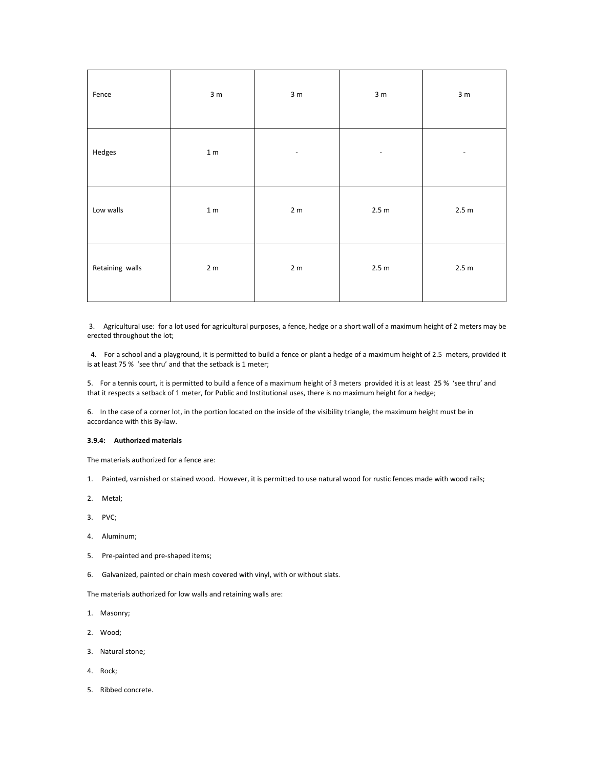| Fence           | 3 <sub>m</sub>  | 3 <sub>m</sub>           | 3 <sub>m</sub>           | 3 <sub>m</sub>           |
|-----------------|-----------------|--------------------------|--------------------------|--------------------------|
| Hedges          | 1 <sub>m</sub>  | $\overline{\phantom{a}}$ | $\overline{\phantom{a}}$ | $\overline{\phantom{a}}$ |
| Low walls       | $1\,\mathrm{m}$ | 2 <sub>m</sub>           | 2.5 m                    | 2.5 m                    |
| Retaining walls | 2 <sub>m</sub>  | 2 <sub>m</sub>           | 2.5 m                    | 2.5 m                    |

 3. Agricultural use: for a lot used for agricultural purposes, a fence, hedge or a short wall of a maximum height of 2 meters may be erected throughout the lot;

 4. For a school and a playground, it is permitted to build a fence or plant a hedge of a maximum height of 2.5 meters, provided it is at least 75 % 'see thru' and that the setback is 1 meter;

5. For a tennis court, it is permitted to build a fence of a maximum height of 3 meters provided it is at least 25 % 'see thru' and that it respects a setback of 1 meter, for Public and Institutional uses, there is no maximum height for a hedge;

6. In the case of a corner lot, in the portion located on the inside of the visibility triangle, the maximum height must be in accordance with this By-law.

# **3.9.4: Authorized materials**

The materials authorized for a fence are:

- 1. Painted, varnished or stained wood. However, it is permitted to use natural wood for rustic fences made with wood rails;
- 2. Metal;
- 3. PVC;
- 4. Aluminum;
- 5. Pre-painted and pre-shaped items;
- 6. Galvanized, painted or chain mesh covered with vinyl, with or without slats.

The materials authorized for low walls and retaining walls are:

- 1. Masonry;
- 2. Wood;
- 3. Natural stone;
- 4. Rock;
- 5. Ribbed concrete.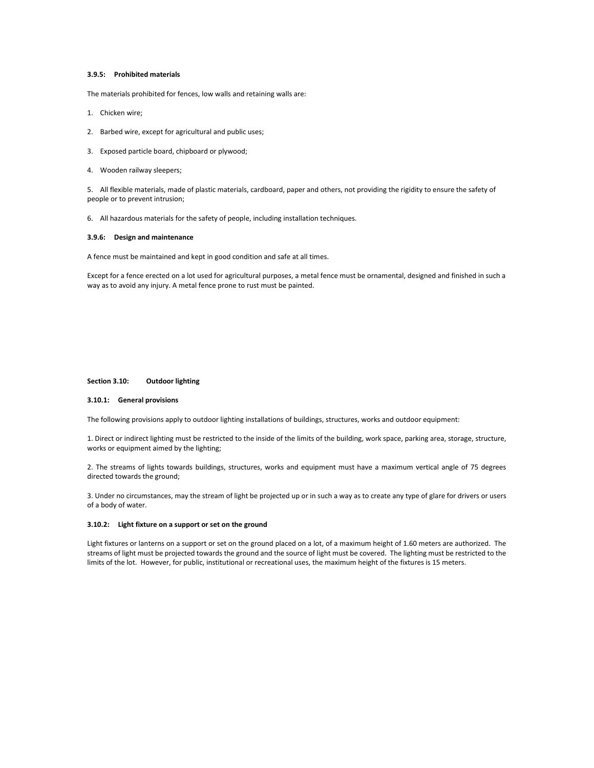# **3.9.5: Prohibited materials**

The materials prohibited for fences, low walls and retaining walls are:

- 1. Chicken wire;
- 2. Barbed wire, except for agricultural and public uses;
- 3. Exposed particle board, chipboard or plywood;
- 4. Wooden railway sleepers;

5. All flexible materials, made of plastic materials, cardboard, paper and others, not providing the rigidity to ensure the safety of people or to prevent intrusion;

6. All hazardous materials for the safety of people, including installation techniques.

#### **3.9.6: Design and maintenance**

A fence must be maintained and kept in good condition and safe at all times.

Except for a fence erected on a lot used for agricultural purposes, a metal fence must be ornamental, designed and finished in such a way as to avoid any injury. A metal fence prone to rust must be painted.

#### **Section 3.10: Outdoor lighting**

#### **3.10.1: General provisions**

The following provisions apply to outdoor lighting installations of buildings, structures, works and outdoor equipment:

1. Direct or indirect lighting must be restricted to the inside of the limits of the building, work space, parking area, storage, structure, works or equipment aimed by the lighting;

2. The streams of lights towards buildings, structures, works and equipment must have a maximum vertical angle of 75 degrees directed towards the ground;

3. Under no circumstances, may the stream of light be projected up or in such a way as to create any type of glare for drivers or users of a body of water.

#### **3.10.2: Light fixture on a support or set on the ground**

Light fixtures or lanterns on a support or set on the ground placed on a lot, of a maximum height of 1.60 meters are authorized. The streams of light must be projected towards the ground and the source of light must be covered. The lighting must be restricted to the limits of the lot. However, for public, institutional or recreational uses, the maximum height of the fixtures is 15 meters.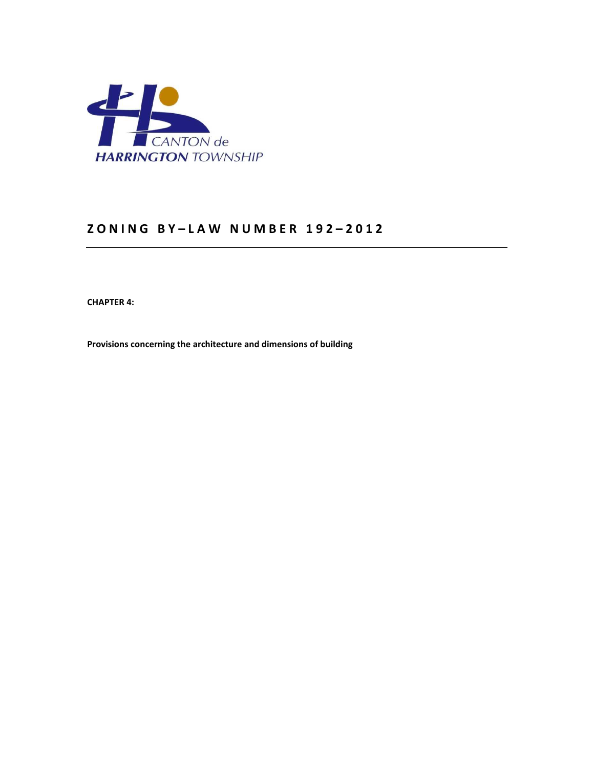

# **Z O N I N G B Y – L A W N U M B E R 1 9 2 – 2 0 1 2**

**CHAPTER 4:** 

**Provisions concerning the architecture and dimensions of building**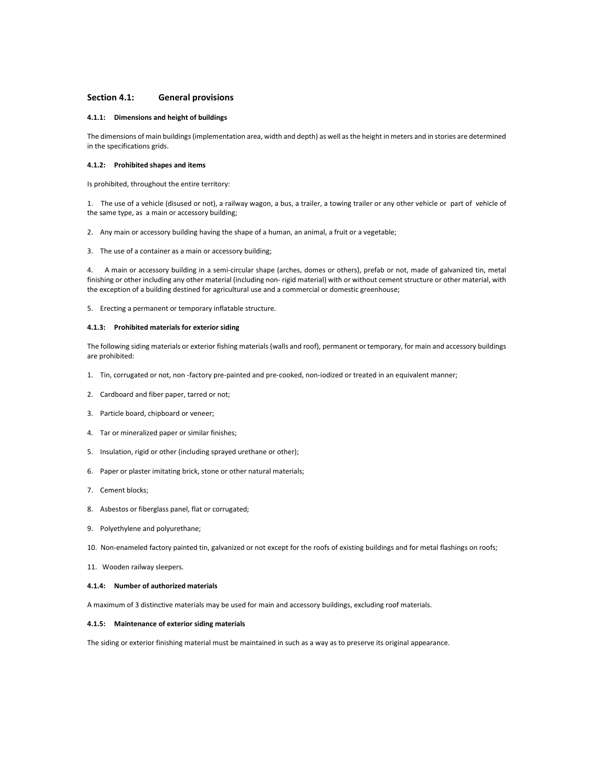## **Section 4.1: General provisions**

#### **4.1.1: Dimensions and height of buildings**

The dimensions of main buildings (implementation area, width and depth) as well as the height in meters and in stories are determined in the specifications grids.

#### **4.1.2: Prohibited shapes and items**

Is prohibited, throughout the entire territory:

1. The use of a vehicle (disused or not), a railway wagon, a bus, a trailer, a towing trailer or any other vehicle or part of vehicle of the same type, as a main or accessory building;

2. Any main or accessory building having the shape of a human, an animal, a fruit or a vegetable;

3. The use of a container as a main or accessory building;

4. A main or accessory building in a semi-circular shape (arches, domes or others), prefab or not, made of galvanized tin, metal finishing or other including any other material (including non- rigid material) with or without cement structure or other material, with the exception of a building destined for agricultural use and a commercial or domestic greenhouse;

5. Erecting a permanent or temporary inflatable structure.

## **4.1.3: Prohibited materials for exterior siding**

The following siding materials or exterior fishing materials (walls and roof), permanent or temporary, for main and accessory buildings are prohibited:

- 1. Tin, corrugated or not, non -factory pre-painted and pre-cooked, non-iodized or treated in an equivalent manner;
- 2. Cardboard and fiber paper, tarred or not;
- 3. Particle board, chipboard or veneer;
- 4. Tar or mineralized paper or similar finishes;
- 5. Insulation, rigid or other (including sprayed urethane or other);
- 6. Paper or plaster imitating brick, stone or other natural materials;
- 7. Cement blocks;
- 8. Asbestos or fiberglass panel, flat or corrugated;
- 9. Polyethylene and polyurethane;

10. Non-enameled factory painted tin, galvanized or not except for the roofs of existing buildings and for metal flashings on roofs;

11. Wooden railway sleepers.

#### **4.1.4: Number of authorized materials**

A maximum of 3 distinctive materials may be used for main and accessory buildings, excluding roof materials.

# **4.1.5: Maintenance of exterior siding materials**

The siding or exterior finishing material must be maintained in such as a way as to preserve its original appearance.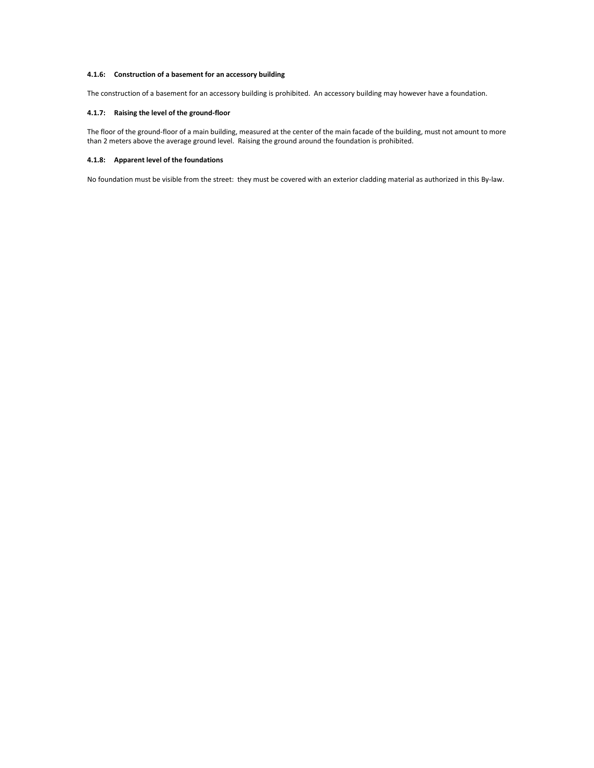# **4.1.6: Construction of a basement for an accessory building**

The construction of a basement for an accessory building is prohibited. An accessory building may however have a foundation.

# **4.1.7: Raising the level of the ground-floor**

The floor of the ground-floor of a main building, measured at the center of the main facade of the building, must not amount to more than 2 meters above the average ground level. Raising the ground around the foundation is prohibited.

# **4.1.8: Apparent level of the foundations**

No foundation must be visible from the street: they must be covered with an exterior cladding material as authorized in this By-law.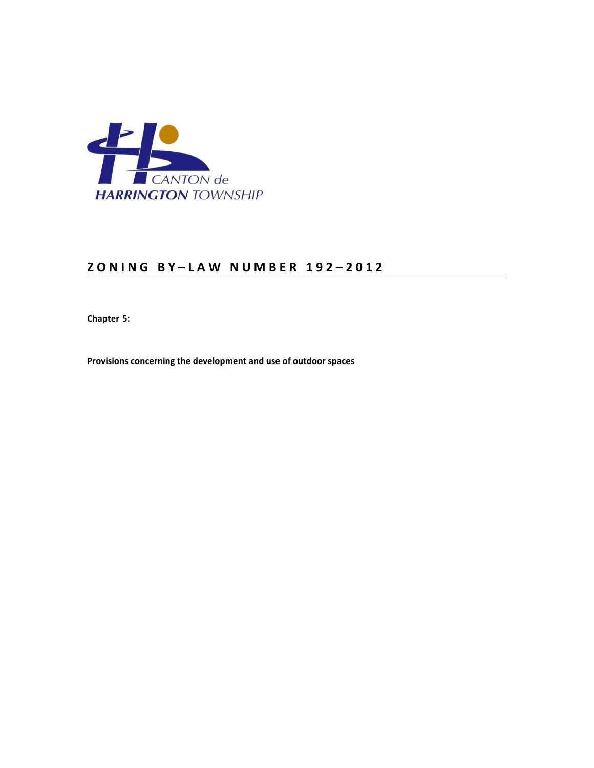

# **Z O N I N G B Y – L A W N U M B E R 1 9 2 – 2 0 1 2**

**Chapter 5:** 

**Provisions concerning the development and use of outdoor spaces**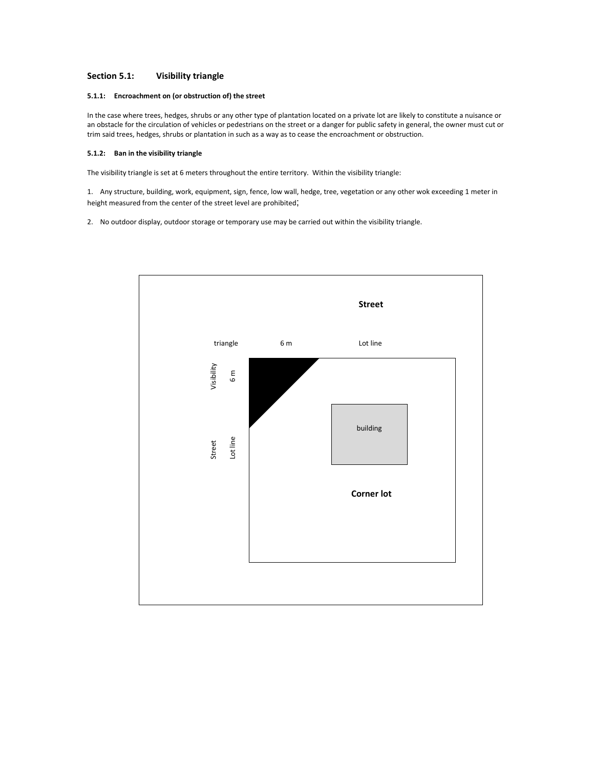# **Section 5.1: Visibility triangle**

# **5.1.1: Encroachment on (or obstruction of) the street**

In the case where trees, hedges, shrubs or any other type of plantation located on a private lot are likely to constitute a nuisance or an obstacle for the circulation of vehicles or pedestrians on the street or a danger for public safety in general, the owner must cut or trim said trees, hedges, shrubs or plantation in such as a way as to cease the encroachment or obstruction.

# **5.1.2: Ban in the visibility triangle**

The visibility triangle is set at 6 meters throughout the entire territory. Within the visibility triangle:

1. Any structure, building, work, equipment, sign, fence, low wall, hedge, tree, vegetation or any other wok exceeding 1 meter in height measured from the center of the street level are prohibited;

2. No outdoor display, outdoor storage or temporary use may be carried out within the visibility triangle.

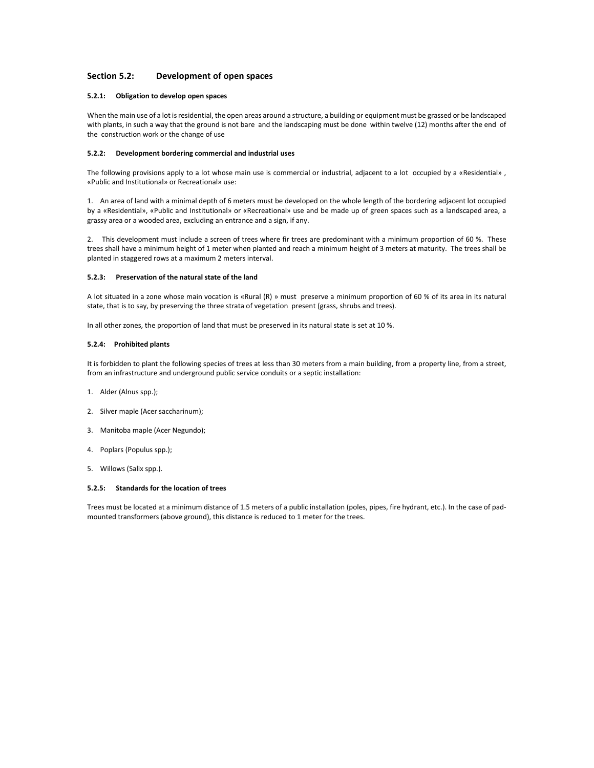# **Section 5.2: Development of open spaces**

## **5.2.1: Obligation to develop open spaces**

When the main use of a lot is residential, the open areas around a structure, a building or equipment must be grassed or be landscaped with plants, in such a way that the ground is not bare and the landscaping must be done within twelve (12) months after the end of the construction work or the change of use

## **5.2.2: Development bordering commercial and industrial uses**

The following provisions apply to a lot whose main use is commercial or industrial, adjacent to a lot occupied by a «Residential» , «Public and Institutional» or Recreational» use:

1. An area of land with a minimal depth of 6 meters must be developed on the whole length of the bordering adjacent lot occupied by a «Residential», «Public and Institutional» or «Recreational» use and be made up of green spaces such as a landscaped area, a grassy area or a wooded area, excluding an entrance and a sign, if any.

2. This development must include a screen of trees where fir trees are predominant with a minimum proportion of 60 %. These trees shall have a minimum height of 1 meter when planted and reach a minimum height of 3 meters at maturity. The trees shall be planted in staggered rows at a maximum 2 meters interval.

## **5.2.3: Preservation of the natural state of the land**

A lot situated in a zone whose main vocation is «Rural (R) » must preserve a minimum proportion of 60 % of its area in its natural state, that is to say, by preserving the three strata of vegetation present (grass, shrubs and trees).

In all other zones, the proportion of land that must be preserved in its natural state is set at 10 %.

#### **5.2.4: Prohibited plants**

It is forbidden to plant the following species of trees at less than 30 meters from a main building, from a property line, from a street, from an infrastructure and underground public service conduits or a septic installation:

- 1. Alder (Alnus spp.);
- 2. Silver maple (Acer saccharinum);
- 3. Manitoba maple (Acer Negundo);
- 4. Poplars (Populus spp.);
- 5. Willows (Salix spp.).

#### **5.2.5: Standards for the location of trees**

Trees must be located at a minimum distance of 1.5 meters of a public installation (poles, pipes, fire hydrant, etc.). In the case of padmounted transformers (above ground), this distance is reduced to 1 meter for the trees.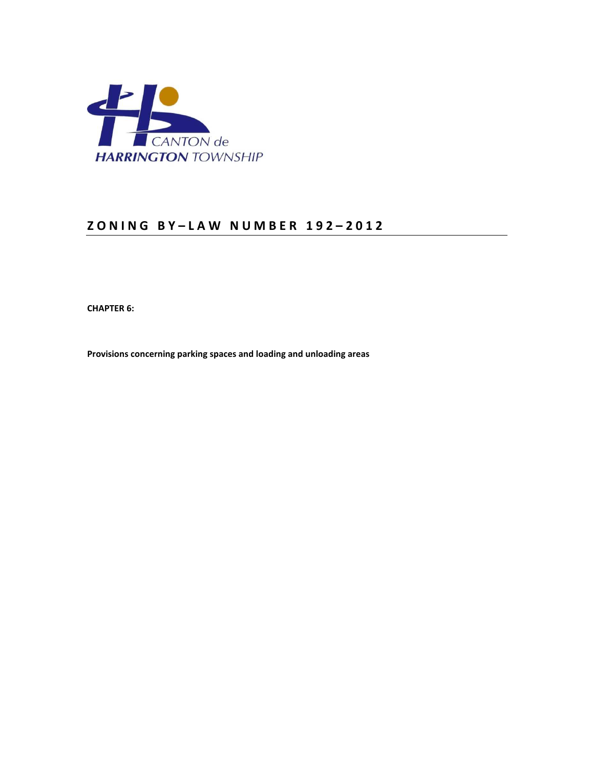

# **Z O N I N G B Y – L A W N U M B E R 1 9 2 – 2 0 1 2**

**CHAPTER 6:** 

**Provisions concerning parking spaces and loading and unloading areas**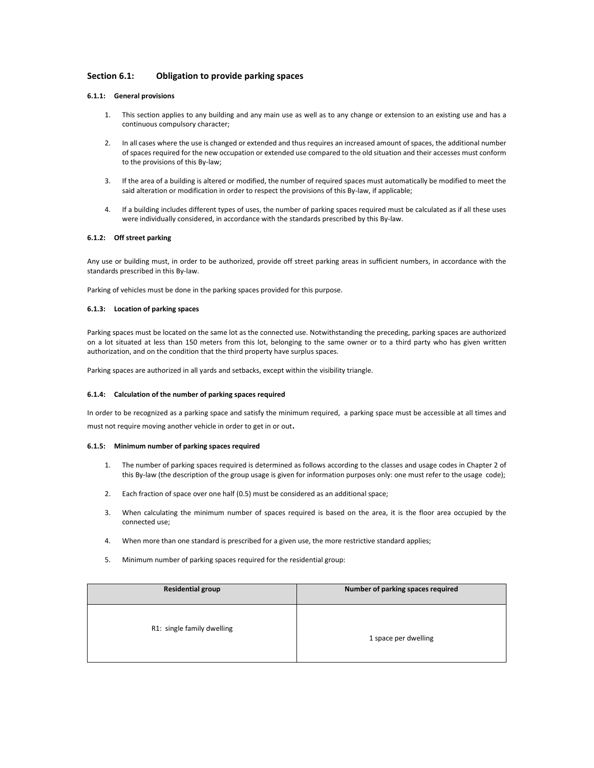# **Section 6.1: Obligation to provide parking spaces**

# **6.1.1: General provisions**

- 1. This section applies to any building and any main use as well as to any change or extension to an existing use and has a continuous compulsory character;
- 2. In all cases where the use is changed or extended and thus requires an increased amount of spaces, the additional number of spaces required for the new occupation or extended use compared to the old situation and their accesses must conform to the provisions of this By-law;
- 3. If the area of a building is altered or modified, the number of required spaces must automatically be modified to meet the said alteration or modification in order to respect the provisions of this By-law, if applicable;
- 4. If a building includes different types of uses, the number of parking spaces required must be calculated as if all these uses were individually considered, in accordance with the standards prescribed by this By-law.

# **6.1.2: Off street parking**

Any use or building must, in order to be authorized, provide off street parking areas in sufficient numbers, in accordance with the standards prescribed in this By-law.

Parking of vehicles must be done in the parking spaces provided for this purpose.

#### **6.1.3: Location of parking spaces**

Parking spaces must be located on the same lot as the connected use. Notwithstanding the preceding, parking spaces are authorized on a lot situated at less than 150 meters from this lot, belonging to the same owner or to a third party who has given written authorization, and on the condition that the third property have surplus spaces.

Parking spaces are authorized in all yards and setbacks, except within the visibility triangle.

#### **6.1.4: Calculation of the number of parking spaces required**

In order to be recognized as a parking space and satisfy the minimum required, a parking space must be accessible at all times and must not require moving another vehicle in order to get in or out.

#### **6.1.5: Minimum number of parking spaces required**

- 1. The number of parking spaces required is determined as follows according to the classes and usage codes in Chapter 2 of this By-law (the description of the group usage is given for information purposes only: one must refer to the usage code);
- 2. Each fraction of space over one half (0.5) must be considered as an additional space;
- 3. When calculating the minimum number of spaces required is based on the area, it is the floor area occupied by the connected use;
- 4. When more than one standard is prescribed for a given use, the more restrictive standard applies;
- 5. Minimum number of parking spaces required for the residential group:

| <b>Residential group</b>   | Number of parking spaces required |
|----------------------------|-----------------------------------|
| R1: single family dwelling | 1 space per dwelling              |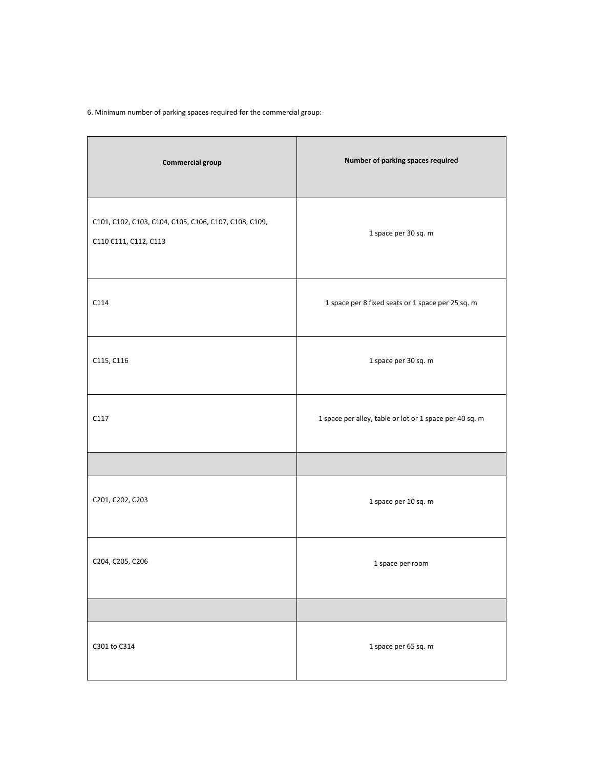6. Minimum number of parking spaces required for the commercial group:

| <b>Commercial group</b>                                                        | Number of parking spaces required                       |
|--------------------------------------------------------------------------------|---------------------------------------------------------|
| C101, C102, C103, C104, C105, C106, C107, C108, C109,<br>C110 C111, C112, C113 | 1 space per 30 sq. m                                    |
| C114                                                                           | 1 space per 8 fixed seats or 1 space per 25 sq. m       |
| C115, C116                                                                     | 1 space per 30 sq. m                                    |
| C117                                                                           | 1 space per alley, table or lot or 1 space per 40 sq. m |
|                                                                                |                                                         |
| C201, C202, C203                                                               | 1 space per 10 sq. m                                    |
| C204, C205, C206                                                               | 1 space per room                                        |
|                                                                                |                                                         |
| C301 to C314                                                                   | 1 space per 65 sq. m                                    |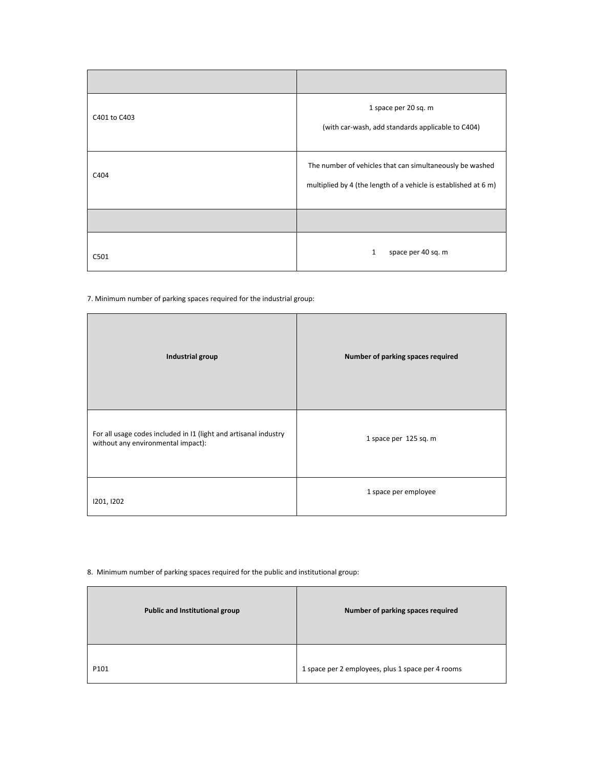| C401 to C403 | 1 space per 20 sq. m<br>(with car-wash, add standards applicable to C404)                                                   |
|--------------|-----------------------------------------------------------------------------------------------------------------------------|
| C404         | The number of vehicles that can simultaneously be washed<br>multiplied by 4 (the length of a vehicle is established at 6 m) |
|              |                                                                                                                             |
| C501         | space per 40 sq. m<br>1                                                                                                     |

7. Minimum number of parking spaces required for the industrial group:

| Industrial group                                                                                       | Number of parking spaces required |
|--------------------------------------------------------------------------------------------------------|-----------------------------------|
| For all usage codes included in I1 (light and artisanal industry<br>without any environmental impact): | 1 space per 125 sq. m             |
| 1201, 1202                                                                                             | 1 space per employee              |

# 8. Minimum number of parking spaces required for the public and institutional group:

Ē

| <b>Public and Institutional group</b> | Number of parking spaces required                 |
|---------------------------------------|---------------------------------------------------|
| P101                                  | 1 space per 2 employees, plus 1 space per 4 rooms |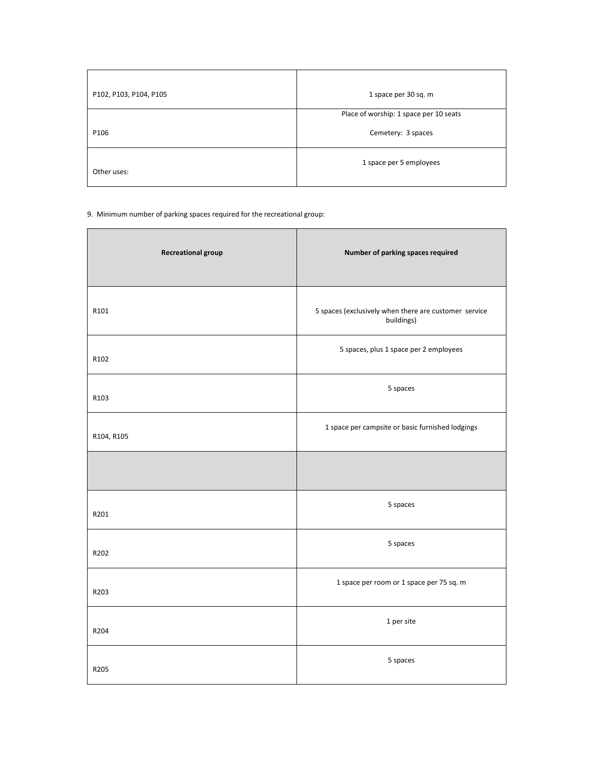| P102, P103, P104, P105 | 1 space per 30 sq. m                   |
|------------------------|----------------------------------------|
|                        | Place of worship: 1 space per 10 seats |
| P106                   | Cemetery: 3 spaces                     |
| Other uses:            | 1 space per 5 employees                |

9. Minimum number of parking spaces required for the recreational group:

| <b>Recreational group</b> | Number of parking spaces required                                   |
|---------------------------|---------------------------------------------------------------------|
| R101                      | 5 spaces (exclusively when there are customer service<br>buildings) |
| R102                      | 5 spaces, plus 1 space per 2 employees                              |
| R103                      | 5 spaces                                                            |
| R104, R105                | 1 space per campsite or basic furnished lodgings                    |
|                           |                                                                     |
| R201                      | 5 spaces                                                            |
| R202                      | 5 spaces                                                            |
| R203                      | 1 space per room or 1 space per 75 sq. m                            |
| R204                      | 1 per site                                                          |
| R205                      | 5 spaces                                                            |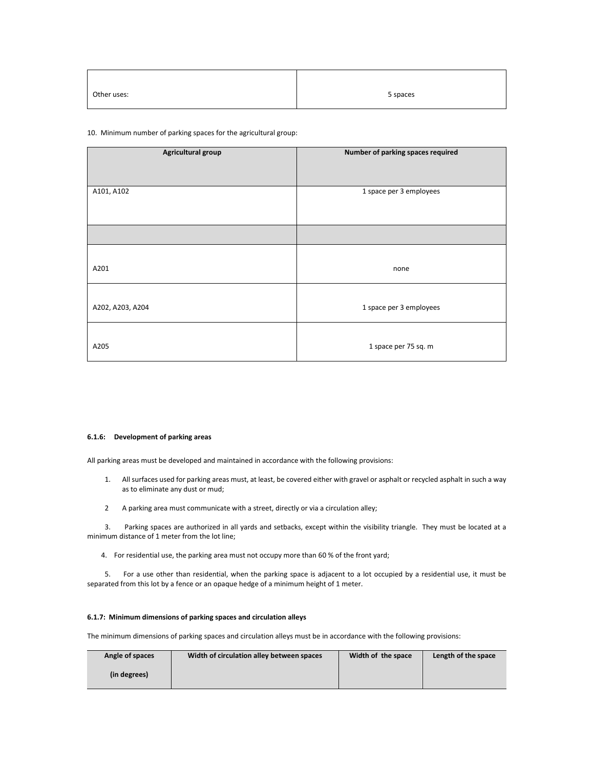| Other uses: | 5 spaces |
|-------------|----------|

# 10. Minimum number of parking spaces for the agricultural group:

| Agricultural group | Number of parking spaces required |
|--------------------|-----------------------------------|
| A101, A102         | 1 space per 3 employees           |
|                    |                                   |
| A201               | none                              |
| A202, A203, A204   | 1 space per 3 employees           |
| A205               | 1 space per 75 sq. m              |

# **6.1.6: Development of parking areas**

All parking areas must be developed and maintained in accordance with the following provisions:

- 1. All surfaces used for parking areas must, at least, be covered either with gravel or asphalt or recycled asphalt in such a way as to eliminate any dust or mud;
- 2 A parking area must communicate with a street, directly or via a circulation alley;

 3. Parking spaces are authorized in all yards and setbacks, except within the visibility triangle. They must be located at a minimum distance of 1 meter from the lot line;

4. For residential use, the parking area must not occupy more than 60 % of the front yard;

 5. For a use other than residential, when the parking space is adjacent to a lot occupied by a residential use, it must be separated from this lot by a fence or an opaque hedge of a minimum height of 1 meter.

## **6.1.7: Minimum dimensions of parking spaces and circulation alleys**

The minimum dimensions of parking spaces and circulation alleys must be in accordance with the following provisions:

| Angle of spaces | Width of circulation alley between spaces | Width of the space | Length of the space |
|-----------------|-------------------------------------------|--------------------|---------------------|
| (in degrees)    |                                           |                    |                     |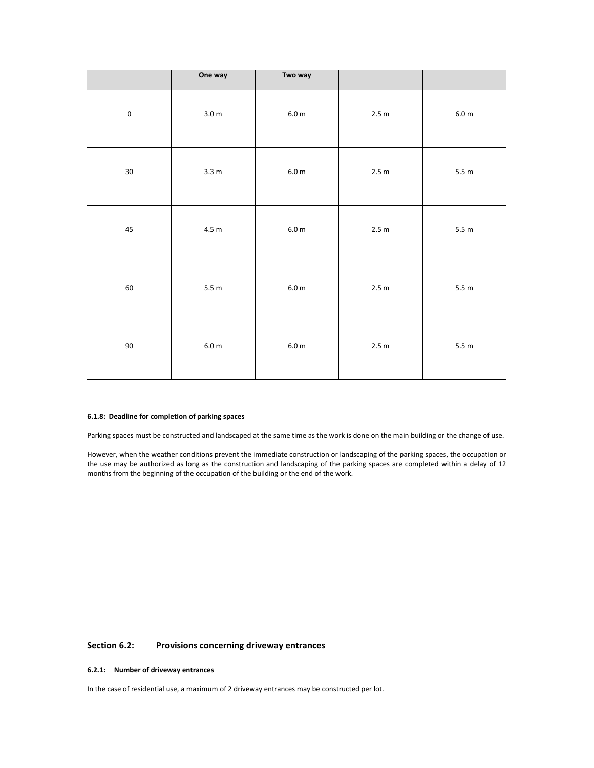|           | One way            | Two way           |       |                    |
|-----------|--------------------|-------------------|-------|--------------------|
| $\pmb{0}$ | 3.0 <sub>m</sub>   | $6.0\;\mathrm{m}$ | 2.5 m | $6.0\;\mathrm{m}$  |
| $30\,$    | 3.3 m              | $6.0\;\mathrm{m}$ | 2.5 m | 5.5 m              |
| $\bf 45$  | $4.5\; \mathrm{m}$ | $6.0\;\mathrm{m}$ | 2.5 m | 5.5m               |
| 60        | 5.5 m              | $6.0\;\mathrm{m}$ | 2.5 m | 5.5 m              |
| $90\,$    | 6.0 m              | $6.0\;\mathrm{m}$ | 2.5 m | $5.5\; \textrm{m}$ |

# **6.1.8: Deadline for completion of parking spaces**

Parking spaces must be constructed and landscaped at the same time as the work is done on the main building or the change of use.

However, when the weather conditions prevent the immediate construction or landscaping of the parking spaces, the occupation or the use may be authorized as long as the construction and landscaping of the parking spaces are completed within a delay of 12 months from the beginning of the occupation of the building or the end of the work.

# **Section 6.2: Provisions concerning driveway entrances**

# **6.2.1: Number of driveway entrances**

In the case of residential use, a maximum of 2 driveway entrances may be constructed per lot.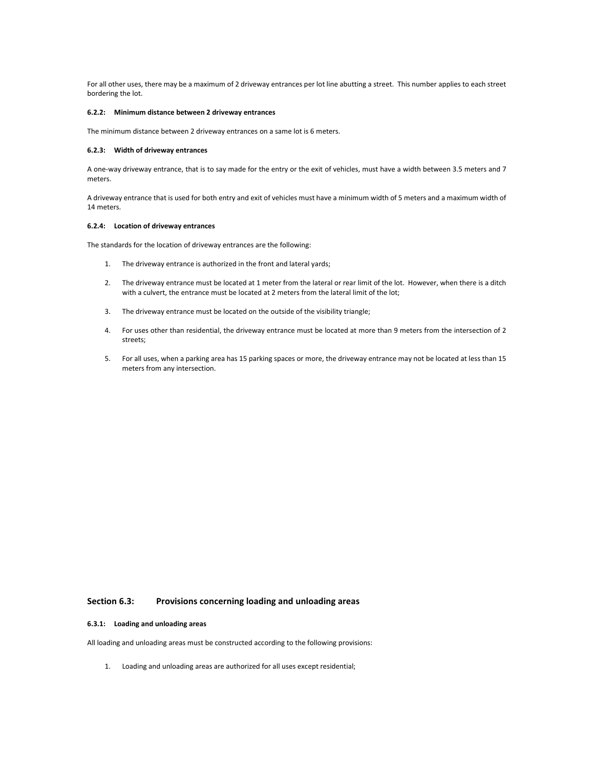For all other uses, there may be a maximum of 2 driveway entrances per lot line abutting a street. This number applies to each street bordering the lot.

#### **6.2.2: Minimum distance between 2 driveway entrances**

The minimum distance between 2 driveway entrances on a same lot is 6 meters.

### **6.2.3: Width of driveway entrances**

A one-way driveway entrance, that is to say made for the entry or the exit of vehicles, must have a width between 3.5 meters and 7 meters.

A driveway entrance that is used for both entry and exit of vehicles must have a minimum width of 5 meters and a maximum width of 14 meters.

#### **6.2.4: Location of driveway entrances**

The standards for the location of driveway entrances are the following:

- 1. The driveway entrance is authorized in the front and lateral yards;
- 2. The driveway entrance must be located at 1 meter from the lateral or rear limit of the lot. However, when there is a ditch with a culvert, the entrance must be located at 2 meters from the lateral limit of the lot;
- 3. The driveway entrance must be located on the outside of the visibility triangle;
- 4. For uses other than residential, the driveway entrance must be located at more than 9 meters from the intersection of 2 streets;
- 5. For all uses, when a parking area has 15 parking spaces or more, the driveway entrance may not be located at less than 15 meters from any intersection.

# **Section 6.3: Provisions concerning loading and unloading areas**

### **6.3.1: Loading and unloading areas**

All loading and unloading areas must be constructed according to the following provisions:

1. Loading and unloading areas are authorized for all uses except residential;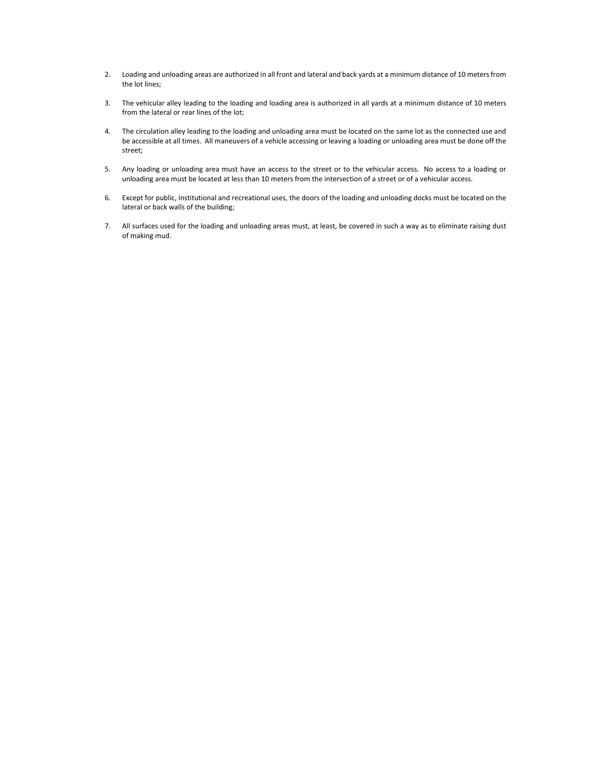- 2. Loading and unloading areas are authorized in all front and lateral and back yards at a minimum distance of 10 meters from the lot lines;
- 3. The vehicular alley leading to the loading and loading area is authorized in all yards at a minimum distance of 10 meters from the lateral or rear lines of the lot;
- 4. The circulation alley leading to the loading and unloading area must be located on the same lot as the connected use and be accessible at all times. All maneuvers of a vehicle accessing or leaving a loading or unloading area must be done off the street;
- 5. Any loading or unloading area must have an access to the street or to the vehicular access. No access to a loading or unloading area must be located at less than 10 meters from the intersection of a street or of a vehicular access.
- 6. Except for public, institutional and recreational uses, the doors of the loading and unloading docks must be located on the lateral or back walls of the building;
- 7. All surfaces used for the loading and unloading areas must, at least, be covered in such a way as to eliminate raising dust of making mud.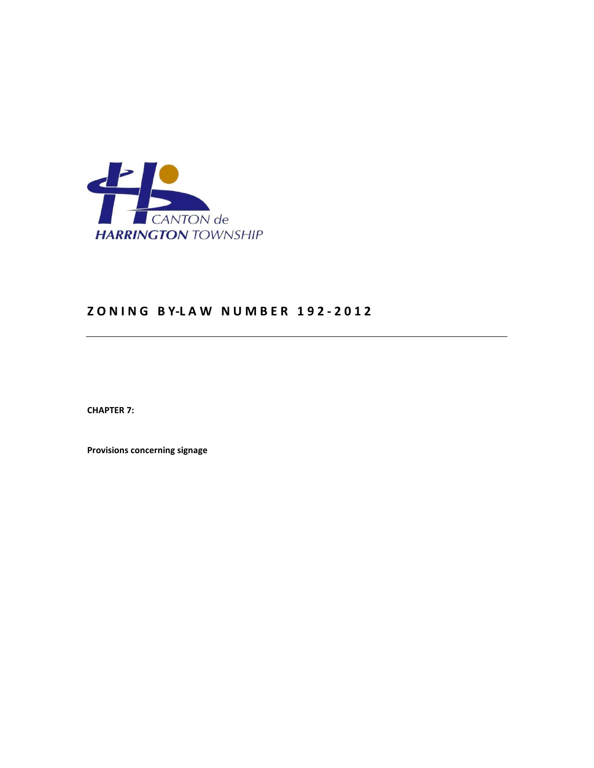

# **Z O N I N G B Y-L A W N U M B E R 1 9 2 - 2 0 1 2**

**CHAPTER 7:** 

**Provisions concerning signage**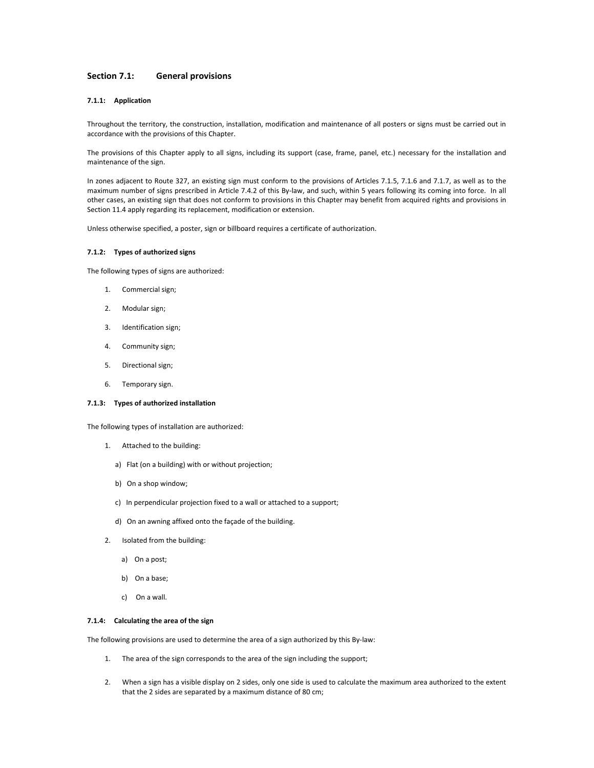# **Section 7.1: General provisions**

# **7.1.1: Application**

Throughout the territory, the construction, installation, modification and maintenance of all posters or signs must be carried out in accordance with the provisions of this Chapter.

The provisions of this Chapter apply to all signs, including its support (case, frame, panel, etc.) necessary for the installation and maintenance of the sign.

In zones adjacent to Route 327, an existing sign must conform to the provisions of Articles 7.1.5, 7.1.6 and 7.1.7, as well as to the maximum number of signs prescribed in Article 7.4.2 of this By-law, and such, within 5 years following its coming into force. In all other cases, an existing sign that does not conform to provisions in this Chapter may benefit from acquired rights and provisions in Section 11.4 apply regarding its replacement, modification or extension.

Unless otherwise specified, a poster, sign or billboard requires a certificate of authorization.

# **7.1.2: Types of authorized signs**

The following types of signs are authorized:

- 1. Commercial sign;
- 2. Modular sign;
- 3. Identification sign;
- 4. Community sign;
- 5. Directional sign;
- 6. Temporary sign.

#### **7.1.3: Types of authorized installation**

The following types of installation are authorized:

- 1. Attached to the building:
	- a) Flat (on a building) with or without projection;
	- b) On a shop window;
	- c) In perpendicular projection fixed to a wall or attached to a support;
	- d) On an awning affixed onto the façade of the building.
- 2. Isolated from the building:
	- a) On a post;
	- b) On a base;
	- c) On a wall.

#### **7.1.4: Calculating the area of the sign**

The following provisions are used to determine the area of a sign authorized by this By-law:

- 1. The area of the sign corresponds to the area of the sign including the support;
- 2. When a sign has a visible display on 2 sides, only one side is used to calculate the maximum area authorized to the extent that the 2 sides are separated by a maximum distance of 80 cm;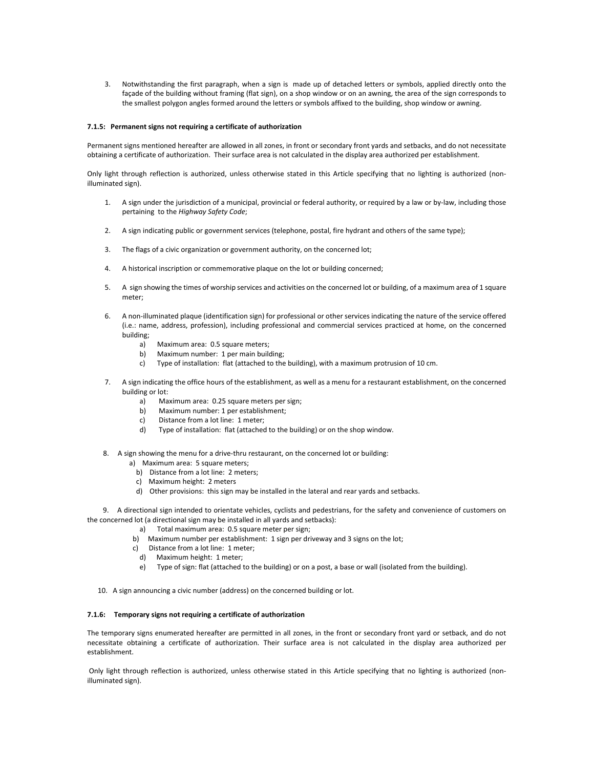3. Notwithstanding the first paragraph, when a sign is made up of detached letters or symbols, applied directly onto the façade of the building without framing (flat sign), on a shop window or on an awning, the area of the sign corresponds to the smallest polygon angles formed around the letters or symbols affixed to the building, shop window or awning.

## **7.1.5: Permanent signs not requiring a certificate of authorization**

Permanent signs mentioned hereafter are allowed in all zones, in front or secondary front yards and setbacks, and do not necessitate obtaining a certificate of authorization. Their surface area is not calculated in the display area authorized per establishment.

Only light through reflection is authorized, unless otherwise stated in this Article specifying that no lighting is authorized (nonilluminated sign).

- 1. A sign under the jurisdiction of a municipal, provincial or federal authority, or required by a law or by-law, including those pertaining to the *Highway Safety Code*;
- 2. A sign indicating public or government services (telephone, postal, fire hydrant and others of the same type);
- 3. The flags of a civic organization or government authority, on the concerned lot;
- 4. A historical inscription or commemorative plaque on the lot or building concerned;
- 5. A sign showing the times of worship services and activities on the concerned lot or building, of a maximum area of 1 square meter;
- 6. A non-illuminated plaque (identification sign) for professional or other services indicating the nature of the service offered (i.e.: name, address, profession), including professional and commercial services practiced at home, on the concerned building;
	- a) Maximum area: 0.5 square meters;
	- b) Maximum number: 1 per main building;
	- c) Type of installation: flat (attached to the building), with a maximum protrusion of 10 cm.
- 7. A sign indicating the office hours of the establishment, as well as a menu for a restaurant establishment, on the concerned building or lot:
	- a) Maximum area: 0.25 square meters per sign;
	- b) Maximum number: 1 per establishment;
	- c) Distance from a lot line: 1 meter;
	- d) Type of installation: flat (attached to the building) or on the shop window.
- 8. A sign showing the menu for a drive-thru restaurant, on the concerned lot or building:
	- a) Maximum area: 5 square meters;
	- b) Distance from a lot line: 2 meters;
	- c) Maximum height: 2 meters
	- d) Other provisions: this sign may be installed in the lateral and rear yards and setbacks.

 9. A directional sign intended to orientate vehicles, cyclists and pedestrians, for the safety and convenience of customers on the concerned lot (a directional sign may be installed in all yards and setbacks):

- a) Total maximum area: 0.5 square meter per sign;
- b) Maximum number per establishment: 1 sign per driveway and 3 signs on the lot;
- c) Distance from a lot line: 1 meter;
	- d) Maximum height: 1 meter;
	- e) Type of sign: flat (attached to the building) or on a post, a base or wall (isolated from the building).
- 10. A sign announcing a civic number (address) on the concerned building or lot.

# **7.1.6: Temporary signs not requiring a certificate of authorization**

The temporary signs enumerated hereafter are permitted in all zones, in the front or secondary front yard or setback, and do not necessitate obtaining a certificate of authorization. Their surface area is not calculated in the display area authorized per establishment.

 Only light through reflection is authorized, unless otherwise stated in this Article specifying that no lighting is authorized (nonilluminated sign).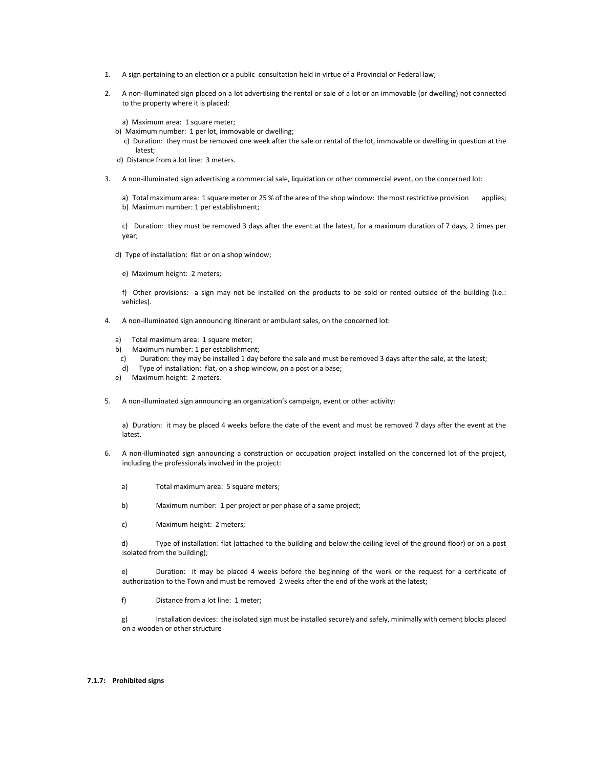- 1. A sign pertaining to an election or a public consultation held in virtue of a Provincial or Federal law;
- 2. A non-illuminated sign placed on a lot advertising the rental or sale of a lot or an immovable (or dwelling) not connected to the property where it is placed:

a) Maximum area: 1 square meter;

- b) Maximum number: 1 per lot, immovable or dwelling;
- c) Duration: they must be removed one week after the sale or rental of the lot, immovable or dwelling in question at the latest;

d) Distance from a lot line: 3 meters.

3. A non-illuminated sign advertising a commercial sale, liquidation or other commercial event, on the concerned lot:

a) Total maximum area: 1 square meter or 25 % of the area of the shop window: the most restrictive provision applies; b) Maximum number: 1 per establishment;

c) Duration: they must be removed 3 days after the event at the latest, for a maximum duration of 7 days, 2 times per year;

- d) Type of installation: flat or on a shop window;
	- e) Maximum height: 2 meters;

f) Other provisions: a sign may not be installed on the products to be sold or rented outside of the building (i.e.: vehicles).

- 4. A non-illuminated sign announcing itinerant or ambulant sales, on the concerned lot:
	- a) Total maximum area: 1 square meter;
	- b) Maximum number: 1 per establishment;
	- c) Duration: they may be installed 1 day before the sale and must be removed 3 days after the sale, at the latest;
	- d) Type of installation: flat, on a shop window, on a post or a base;
	- e) Maximum height: 2 meters.
- 5. A non-illuminated sign announcing an organization's campaign, event or other activity:

a) Duration: it may be placed 4 weeks before the date of the event and must be removed 7 days after the event at the latest.

- 6. A non-illuminated sign announcing a construction or occupation project installed on the concerned lot of the project, including the professionals involved in the project:
	- a) Total maximum area: 5 square meters;
	- b) Maximum number: 1 per project or per phase of a same project;
	- c) Maximum height: 2 meters;

d) Type of installation: flat (attached to the building and below the ceiling level of the ground floor) or on a post isolated from the building);

e) Duration: it may be placed 4 weeks before the beginning of the work or the request for a certificate of authorization to the Town and must be removed 2 weeks after the end of the work at the latest;

f) Distance from a lot line: 1 meter;

g) Installation devices: the isolated sign must be installed securely and safely, minimally with cement blocks placed on a wooden or other structure

#### **7.1.7: Prohibited signs**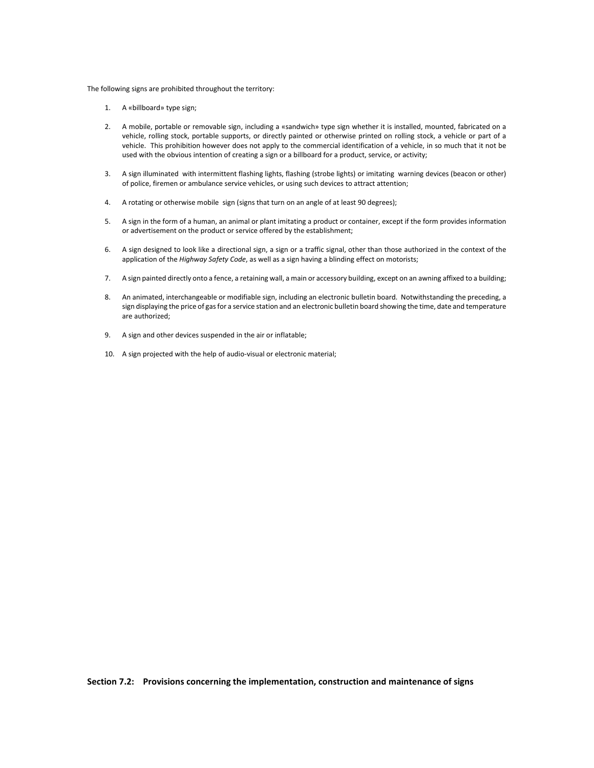The following signs are prohibited throughout the territory:

- 1. A «billboard» type sign;
- 2. A mobile, portable or removable sign, including a «sandwich» type sign whether it is installed, mounted, fabricated on a vehicle, rolling stock, portable supports, or directly painted or otherwise printed on rolling stock, a vehicle or part of a vehicle. This prohibition however does not apply to the commercial identification of a vehicle, in so much that it not be used with the obvious intention of creating a sign or a billboard for a product, service, or activity;
- 3. A sign illuminated with intermittent flashing lights, flashing (strobe lights) or imitating warning devices (beacon or other) of police, firemen or ambulance service vehicles, or using such devices to attract attention;
- 4. A rotating or otherwise mobile sign (signs that turn on an angle of at least 90 degrees);
- 5. A sign in the form of a human, an animal or plant imitating a product or container, except if the form provides information or advertisement on the product or service offered by the establishment;
- 6. A sign designed to look like a directional sign, a sign or a traffic signal, other than those authorized in the context of the application of the *Highway Safety Code*, as well as a sign having a blinding effect on motorists;
- 7. A sign painted directly onto a fence, a retaining wall, a main or accessory building, except on an awning affixed to a building;
- 8. An animated, interchangeable or modifiable sign, including an electronic bulletin board. Notwithstanding the preceding, a sign displaying the price of gas for a service station and an electronic bulletin board showing the time, date and temperature are authorized;
- 9. A sign and other devices suspended in the air or inflatable;
- 10. A sign projected with the help of audio-visual or electronic material;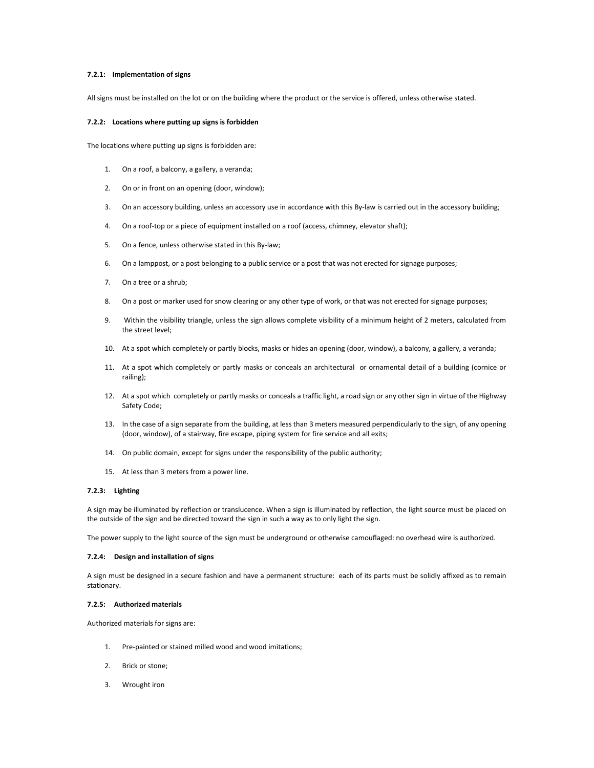# **7.2.1: Implementation of signs**

All signs must be installed on the lot or on the building where the product or the service is offered, unless otherwise stated.

## **7.2.2: Locations where putting up signs is forbidden**

The locations where putting up signs is forbidden are:

- 1. On a roof, a balcony, a gallery, a veranda;
- 2. On or in front on an opening (door, window);
- 3. On an accessory building, unless an accessory use in accordance with this By-law is carried out in the accessory building;
- 4. On a roof-top or a piece of equipment installed on a roof (access, chimney, elevator shaft);
- 5. On a fence, unless otherwise stated in this By-law;
- 6. On a lamppost, or a post belonging to a public service or a post that was not erected for signage purposes;
- 7. On a tree or a shrub;
- 8. On a post or marker used for snow clearing or any other type of work, or that was not erected for signage purposes;
- 9. Within the visibility triangle, unless the sign allows complete visibility of a minimum height of 2 meters, calculated from the street level;
- 10. At a spot which completely or partly blocks, masks or hides an opening (door, window), a balcony, a gallery, a veranda;
- 11. At a spot which completely or partly masks or conceals an architectural or ornamental detail of a building (cornice or railing);
- 12. At a spot which completely or partly masks or conceals a traffic light, a road sign or any other sign in virtue of the Highway Safety Code;
- 13. In the case of a sign separate from the building, at less than 3 meters measured perpendicularly to the sign, of any opening (door, window), of a stairway, fire escape, piping system for fire service and all exits;
- 14. On public domain, except for signs under the responsibility of the public authority;
- 15. At less than 3 meters from a power line.

# **7.2.3: Lighting**

A sign may be illuminated by reflection or translucence. When a sign is illuminated by reflection, the light source must be placed on the outside of the sign and be directed toward the sign in such a way as to only light the sign.

The power supply to the light source of the sign must be underground or otherwise camouflaged: no overhead wire is authorized.

#### **7.2.4: Design and installation of signs**

A sign must be designed in a secure fashion and have a permanent structure: each of its parts must be solidly affixed as to remain stationary.

#### **7.2.5: Authorized materials**

Authorized materials for signs are:

- 1. Pre-painted or stained milled wood and wood imitations;
- 2. Brick or stone;
- 3. Wrought iron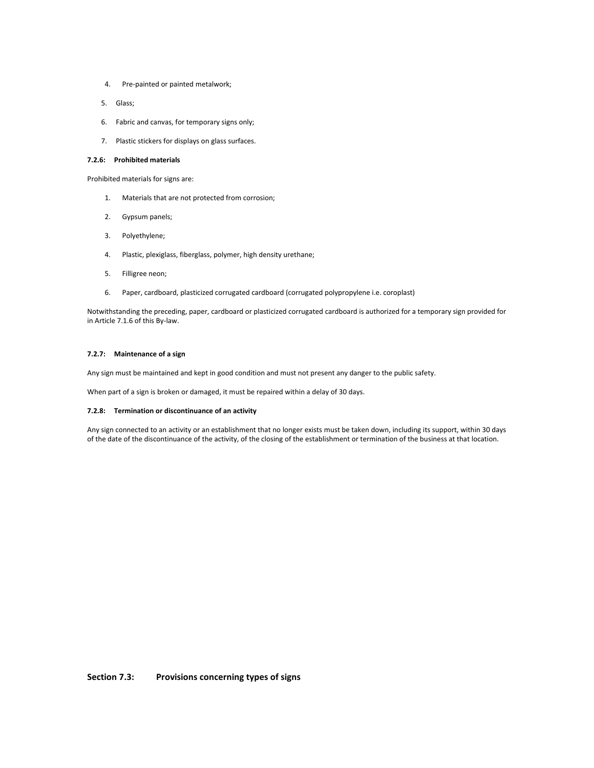- 4. Pre-painted or painted metalwork;
- 5. Glass;
- 6. Fabric and canvas, for temporary signs only;
- 7. Plastic stickers for displays on glass surfaces.

# **7.2.6: Prohibited materials**

Prohibited materials for signs are:

- 1. Materials that are not protected from corrosion;
- 2. Gypsum panels;
- 3. Polyethylene;
- 4. Plastic, plexiglass, fiberglass, polymer, high density urethane;
- 5. Filligree neon;
- 6. Paper, cardboard, plasticized corrugated cardboard (corrugated polypropylene i.e. coroplast)

Notwithstanding the preceding, paper, cardboard or plasticized corrugated cardboard is authorized for a temporary sign provided for in Article 7.1.6 of this By-law.

# **7.2.7: Maintenance of a sign**

Any sign must be maintained and kept in good condition and must not present any danger to the public safety.

When part of a sign is broken or damaged, it must be repaired within a delay of 30 days.

# **7.2.8: Termination or discontinuance of an activity**

Any sign connected to an activity or an establishment that no longer exists must be taken down, including its support, within 30 days of the date of the discontinuance of the activity, of the closing of the establishment or termination of the business at that location.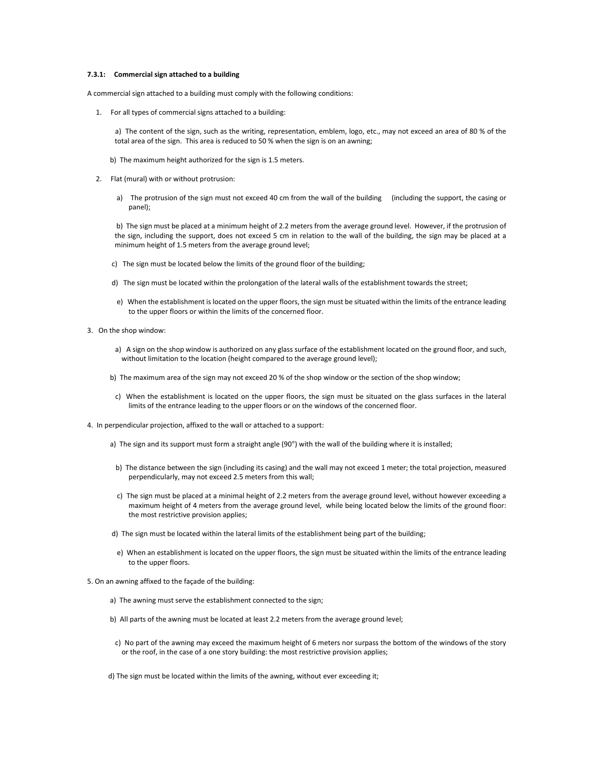## **7.3.1: Commercial sign attached to a building**

A commercial sign attached to a building must comply with the following conditions:

1. For all types of commercial signs attached to a building:

 a) The content of the sign, such as the writing, representation, emblem, logo, etc., may not exceed an area of 80 % of the total area of the sign. This area is reduced to 50 % when the sign is on an awning;

- b) The maximum height authorized for the sign is 1.5 meters.
- 2. Flat (mural) with or without protrusion:
	- a) The protrusion of the sign must not exceed 40 cm from the wall of the building (including the support, the casing or panel);

 b) The sign must be placed at a minimum height of 2.2 meters from the average ground level. However, if the protrusion of the sign, including the support, does not exceed 5 cm in relation to the wall of the building, the sign may be placed at a minimum height of 1.5 meters from the average ground level;

- c) The sign must be located below the limits of the ground floor of the building;
- d) The sign must be located within the prolongation of the lateral walls of the establishment towards the street;
- e) When the establishment is located on the upper floors, the sign must be situated within the limits of the entrance leading to the upper floors or within the limits of the concerned floor.
- 3. On the shop window:
	- a) A sign on the shop window is authorized on any glass surface of the establishment located on the ground floor, and such, without limitation to the location (height compared to the average ground level);
	- b) The maximum area of the sign may not exceed 20 % of the shop window or the section of the shop window;
	- c) When the establishment is located on the upper floors, the sign must be situated on the glass surfaces in the lateral limits of the entrance leading to the upper floors or on the windows of the concerned floor.
- 4. In perpendicular projection, affixed to the wall or attached to a support:
	- a) The sign and its support must form a straight angle (90°) with the wall of the building where it is installed;
	- b) The distance between the sign (including its casing) and the wall may not exceed 1 meter; the total projection, measured perpendicularly, may not exceed 2.5 meters from this wall;
	- c) The sign must be placed at a minimal height of 2.2 meters from the average ground level, without however exceeding a maximum height of 4 meters from the average ground level, while being located below the limits of the ground floor: the most restrictive provision applies;
	- d) The sign must be located within the lateral limits of the establishment being part of the building;
	- e) When an establishment is located on the upper floors, the sign must be situated within the limits of the entrance leading to the upper floors.
- 5. On an awning affixed to the façade of the building:
	- a) The awning must serve the establishment connected to the sign;
	- b) All parts of the awning must be located at least 2.2 meters from the average ground level;
	- c) No part of the awning may exceed the maximum height of 6 meters nor surpass the bottom of the windows of the story or the roof, in the case of a one story building: the most restrictive provision applies;
	- d) The sign must be located within the limits of the awning, without ever exceeding it;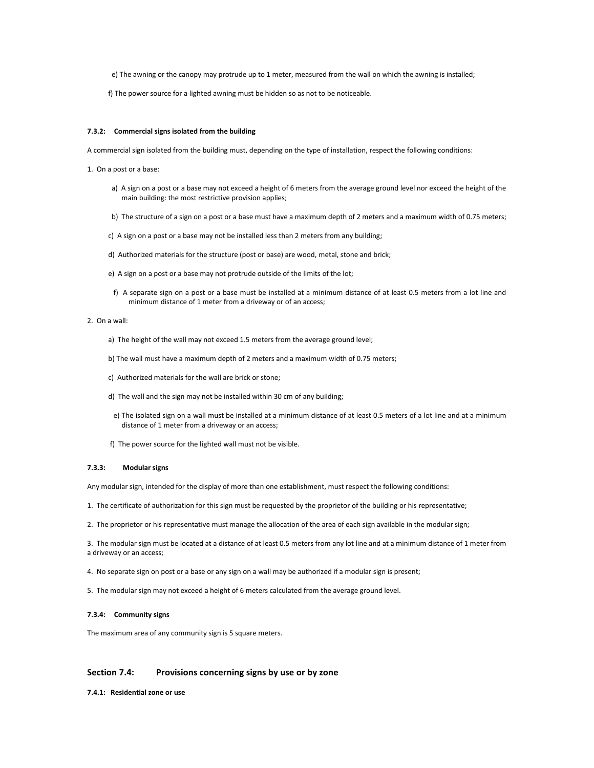e) The awning or the canopy may protrude up to 1 meter, measured from the wall on which the awning is installed;

f) The power source for a lighted awning must be hidden so as not to be noticeable.

#### **7.3.2: Commercial signs isolated from the building**

A commercial sign isolated from the building must, depending on the type of installation, respect the following conditions:

- 1. On a post or a base:
	- a) A sign on a post or a base may not exceed a height of 6 meters from the average ground level nor exceed the height of the main building: the most restrictive provision applies;
	- b) The structure of a sign on a post or a base must have a maximum depth of 2 meters and a maximum width of 0.75 meters;
	- c) A sign on a post or a base may not be installed less than 2 meters from any building;
	- d) Authorized materials for the structure (post or base) are wood, metal, stone and brick;
	- e) A sign on a post or a base may not protrude outside of the limits of the lot;
	- f) A separate sign on a post or a base must be installed at a minimum distance of at least 0.5 meters from a lot line and minimum distance of 1 meter from a driveway or of an access;

## 2. On a wall:

- a) The height of the wall may not exceed 1.5 meters from the average ground level;
- b) The wall must have a maximum depth of 2 meters and a maximum width of 0.75 meters;
- c) Authorized materials for the wall are brick or stone;
- d) The wall and the sign may not be installed within 30 cm of any building;
- e) The isolated sign on a wall must be installed at a minimum distance of at least 0.5 meters of a lot line and at a minimum distance of 1 meter from a driveway or an access;
- f) The power source for the lighted wall must not be visible.

# **7.3.3: Modular signs**

Any modular sign, intended for the display of more than one establishment, must respect the following conditions:

- 1. The certificate of authorization for this sign must be requested by the proprietor of the building or his representative;
- 2. The proprietor or his representative must manage the allocation of the area of each sign available in the modular sign;

3. The modular sign must be located at a distance of at least 0.5 meters from any lot line and at a minimum distance of 1 meter from a driveway or an access;

- 4. No separate sign on post or a base or any sign on a wall may be authorized if a modular sign is present;
- 5. The modular sign may not exceed a height of 6 meters calculated from the average ground level.

# **7.3.4: Community signs**

The maximum area of any community sign is 5 square meters.

# **Section 7.4: Provisions concerning signs by use or by zone**

**7.4.1: Residential zone or use**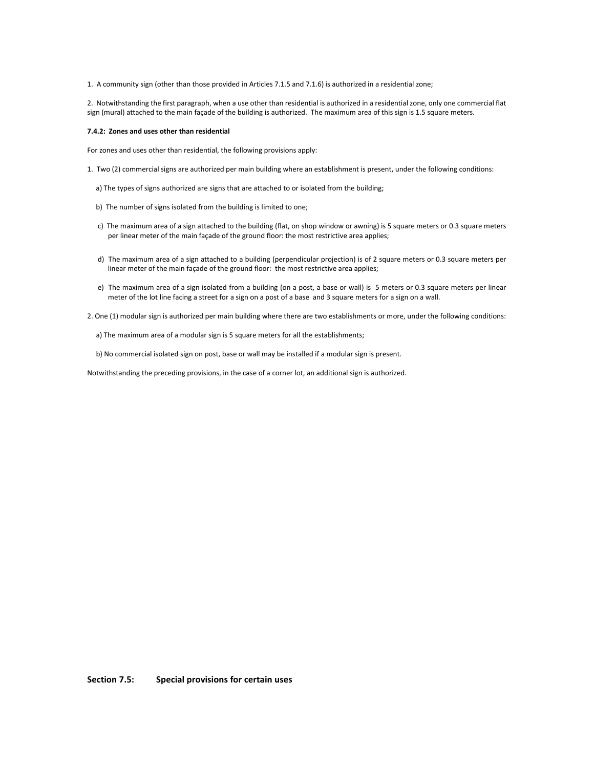1. A community sign (other than those provided in Articles 7.1.5 and 7.1.6) is authorized in a residential zone;

2. Notwithstanding the first paragraph, when a use other than residential is authorized in a residential zone, only one commercial flat sign (mural) attached to the main façade of the building is authorized. The maximum area of this sign is 1.5 square meters.

## **7.4.2: Zones and uses other than residential**

For zones and uses other than residential, the following provisions apply:

- 1. Two (2) commercial signs are authorized per main building where an establishment is present, under the following conditions:
	- a) The types of signs authorized are signs that are attached to or isolated from the building;
	- b) The number of signs isolated from the building is limited to one;
	- c) The maximum area of a sign attached to the building (flat, on shop window or awning) is 5 square meters or 0.3 square meters per linear meter of the main façade of the ground floor: the most restrictive area applies;
	- d) The maximum area of a sign attached to a building (perpendicular projection) is of 2 square meters or 0.3 square meters per linear meter of the main façade of the ground floor: the most restrictive area applies;
	- e) The maximum area of a sign isolated from a building (on a post, a base or wall) is 5 meters or 0.3 square meters per linear meter of the lot line facing a street for a sign on a post of a base and 3 square meters for a sign on a wall.

2. One (1) modular sign is authorized per main building where there are two establishments or more, under the following conditions:

a) The maximum area of a modular sign is 5 square meters for all the establishments;

b) No commercial isolated sign on post, base or wall may be installed if a modular sign is present.

Notwithstanding the preceding provisions, in the case of a corner lot, an additional sign is authorized.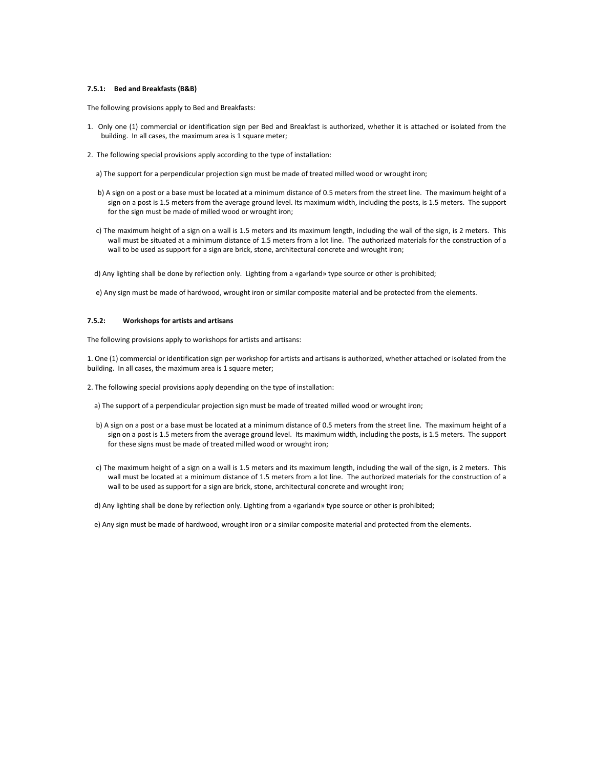## **7.5.1: Bed and Breakfasts (B&B)**

The following provisions apply to Bed and Breakfasts:

- 1. Only one (1) commercial or identification sign per Bed and Breakfast is authorized, whether it is attached or isolated from the building. In all cases, the maximum area is 1 square meter;
- 2. The following special provisions apply according to the type of installation:
	- a) The support for a perpendicular projection sign must be made of treated milled wood or wrought iron;
	- b) A sign on a post or a base must be located at a minimum distance of 0.5 meters from the street line. The maximum height of a sign on a post is 1.5 meters from the average ground level. Its maximum width, including the posts, is 1.5 meters. The support for the sign must be made of milled wood or wrought iron;
	- c) The maximum height of a sign on a wall is 1.5 meters and its maximum length, including the wall of the sign, is 2 meters. This wall must be situated at a minimum distance of 1.5 meters from a lot line. The authorized materials for the construction of a wall to be used as support for a sign are brick, stone, architectural concrete and wrought iron;
	- d) Any lighting shall be done by reflection only. Lighting from a «garland» type source or other is prohibited;
	- e) Any sign must be made of hardwood, wrought iron or similar composite material and be protected from the elements.

## **7.5.2: Workshops for artists and artisans**

The following provisions apply to workshops for artists and artisans:

1. One (1) commercial or identification sign per workshop for artists and artisans is authorized, whether attached or isolated from the building. In all cases, the maximum area is 1 square meter;

- 2. The following special provisions apply depending on the type of installation:
	- a) The support of a perpendicular projection sign must be made of treated milled wood or wrought iron;
	- b) A sign on a post or a base must be located at a minimum distance of 0.5 meters from the street line. The maximum height of a sign on a post is 1.5 meters from the average ground level. Its maximum width, including the posts, is 1.5 meters. The support for these signs must be made of treated milled wood or wrought iron;
	- c) The maximum height of a sign on a wall is 1.5 meters and its maximum length, including the wall of the sign, is 2 meters. This wall must be located at a minimum distance of 1.5 meters from a lot line. The authorized materials for the construction of a wall to be used as support for a sign are brick, stone, architectural concrete and wrought iron;
	- d) Any lighting shall be done by reflection only. Lighting from a «garland» type source or other is prohibited;
	- e) Any sign must be made of hardwood, wrought iron or a similar composite material and protected from the elements.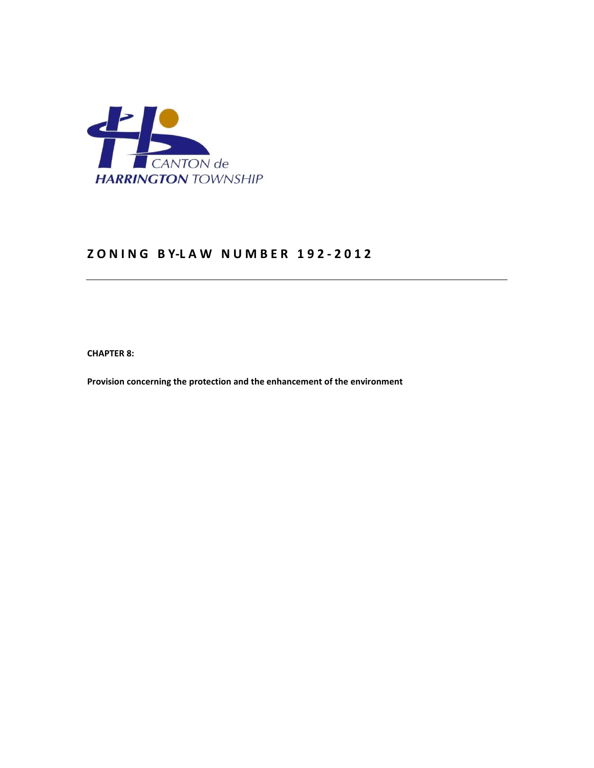

# **Z O N I N G B Y-L A W N U M B E R 1 9 2 - 2 0 1 2**

**CHAPTER 8:** 

**Provision concerning the protection and the enhancement of the environment**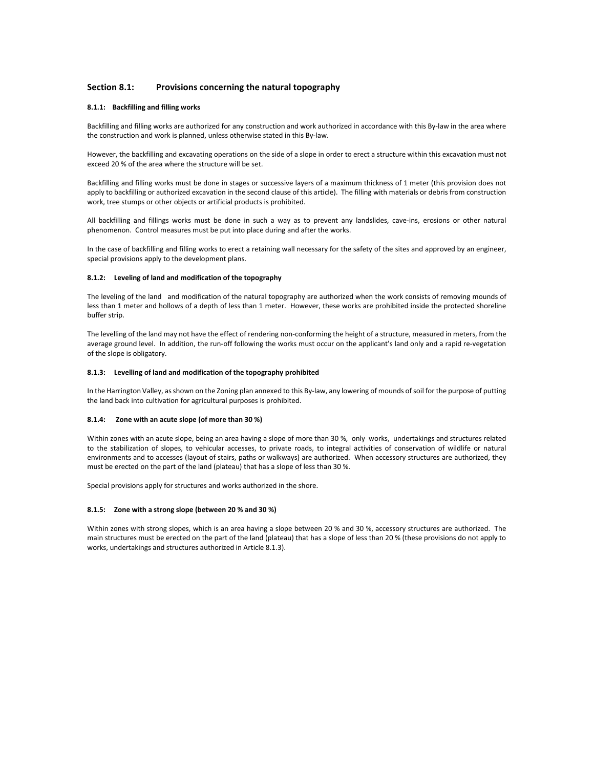## **Section 8.1: Provisions concerning the natural topography**

#### **8.1.1: Backfilling and filling works**

Backfilling and filling works are authorized for any construction and work authorized in accordance with this By-law in the area where the construction and work is planned, unless otherwise stated in this By-law.

However, the backfilling and excavating operations on the side of a slope in order to erect a structure within this excavation must not exceed 20 % of the area where the structure will be set.

Backfilling and filling works must be done in stages or successive layers of a maximum thickness of 1 meter (this provision does not apply to backfilling or authorized excavation in the second clause of this article). The filling with materials or debris from construction work, tree stumps or other objects or artificial products is prohibited.

All backfilling and fillings works must be done in such a way as to prevent any landslides, cave-ins, erosions or other natural phenomenon. Control measures must be put into place during and after the works.

In the case of backfilling and filling works to erect a retaining wall necessary for the safety of the sites and approved by an engineer, special provisions apply to the development plans.

#### **8.1.2: Leveling of land and modification of the topography**

The leveling of the land and modification of the natural topography are authorized when the work consists of removing mounds of less than 1 meter and hollows of a depth of less than 1 meter. However, these works are prohibited inside the protected shoreline buffer strip.

The levelling of the land may not have the effect of rendering non-conforming the height of a structure, measured in meters, from the average ground level. In addition, the run-off following the works must occur on the applicant's land only and a rapid re-vegetation of the slope is obligatory.

#### **8.1.3: Levelling of land and modification of the topography prohibited**

In the Harrington Valley, as shown on the Zoning plan annexed to this By-law, any lowering of mounds of soil for the purpose of putting the land back into cultivation for agricultural purposes is prohibited.

### **8.1.4: Zone with an acute slope (of more than 30 %)**

Within zones with an acute slope, being an area having a slope of more than 30 %, only works, undertakings and structures related to the stabilization of slopes, to vehicular accesses, to private roads, to integral activities of conservation of wildlife or natural environments and to accesses (layout of stairs, paths or walkways) are authorized. When accessory structures are authorized, they must be erected on the part of the land (plateau) that has a slope of less than 30 %.

Special provisions apply for structures and works authorized in the shore.

#### **8.1.5: Zone with a strong slope (between 20 % and 30 %)**

Within zones with strong slopes, which is an area having a slope between 20 % and 30 %, accessory structures are authorized. The main structures must be erected on the part of the land (plateau) that has a slope of less than 20 % (these provisions do not apply to works, undertakings and structures authorized in Article 8.1.3).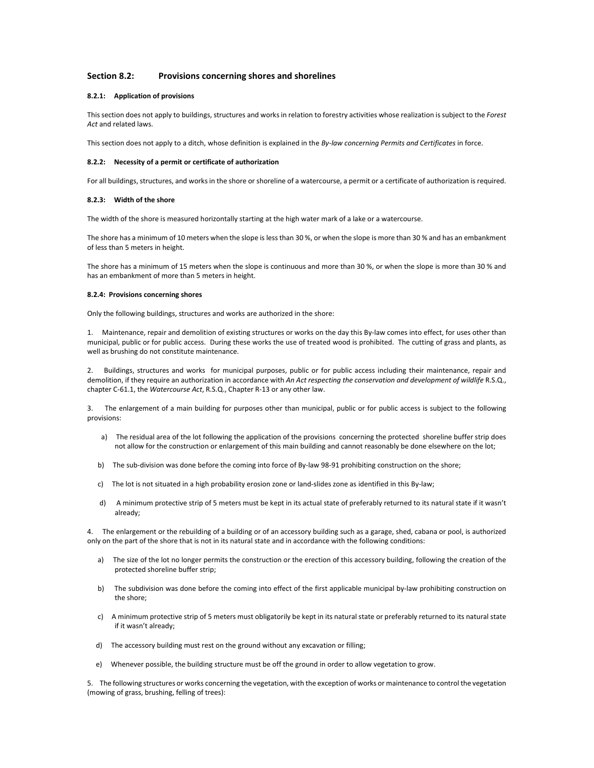## **Section 8.2: Provisions concerning shores and shorelines**

#### **8.2.1: Application of provisions**

This section does not apply to buildings, structures and works in relation to forestry activities whose realization is subject to the *Forest Act* and related laws.

This section does not apply to a ditch, whose definition is explained in the *By-law concerning Permits and Certificates* in force.

#### **8.2.2: Necessity of a permit or certificate of authorization**

For all buildings, structures, and works in the shore or shoreline of a watercourse, a permit or a certificate of authorization is required.

#### **8.2.3: Width of the shore**

The width of the shore is measured horizontally starting at the high water mark of a lake or a watercourse.

The shore has a minimum of 10 meters when the slope is less than 30 %, or when the slope is more than 30 % and has an embankment of less than 5 meters in height.

The shore has a minimum of 15 meters when the slope is continuous and more than 30 %, or when the slope is more than 30 % and has an embankment of more than 5 meters in height.

#### **8.2.4: Provisions concerning shores**

Only the following buildings, structures and works are authorized in the shore:

1. Maintenance, repair and demolition of existing structures or works on the day this By-law comes into effect, for uses other than municipal, public or for public access. During these works the use of treated wood is prohibited. The cutting of grass and plants, as well as brushing do not constitute maintenance.

2. Buildings, structures and works for municipal purposes, public or for public access including their maintenance, repair and demolition, if they require an authorization in accordance with *An Act respecting the conservation and development of wildlife* R.S.Q., chapter C-61.1, the *Watercourse Act*, R.S.Q., Chapter R-13 or any other law.

3. The enlargement of a main building for purposes other than municipal, public or for public access is subject to the following provisions:

- a) The residual area of the lot following the application of the provisions concerning the protected shoreline buffer strip does not allow for the construction or enlargement of this main building and cannot reasonably be done elsewhere on the lot;
- b) The sub-division was done before the coming into force of By-law 98-91 prohibiting construction on the shore;
- c) The lot is not situated in a high probability erosion zone or land-slides zone as identified in this By-law;
- d) A minimum protective strip of 5 meters must be kept in its actual state of preferably returned to its natural state if it wasn't already;

4. The enlargement or the rebuilding of a building or of an accessory building such as a garage, shed, cabana or pool, is authorized only on the part of the shore that is not in its natural state and in accordance with the following conditions:

- a) The size of the lot no longer permits the construction or the erection of this accessory building, following the creation of the protected shoreline buffer strip;
- b) The subdivision was done before the coming into effect of the first applicable municipal by-law prohibiting construction on the shore;
- c) A minimum protective strip of 5 meters must obligatorily be kept in its natural state or preferably returned to its natural state if it wasn't already;
- d) The accessory building must rest on the ground without any excavation or filling;
- e) Whenever possible, the building structure must be off the ground in order to allow vegetation to grow.

5. The following structures or works concerning the vegetation, with the exception of works or maintenance to control the vegetation (mowing of grass, brushing, felling of trees):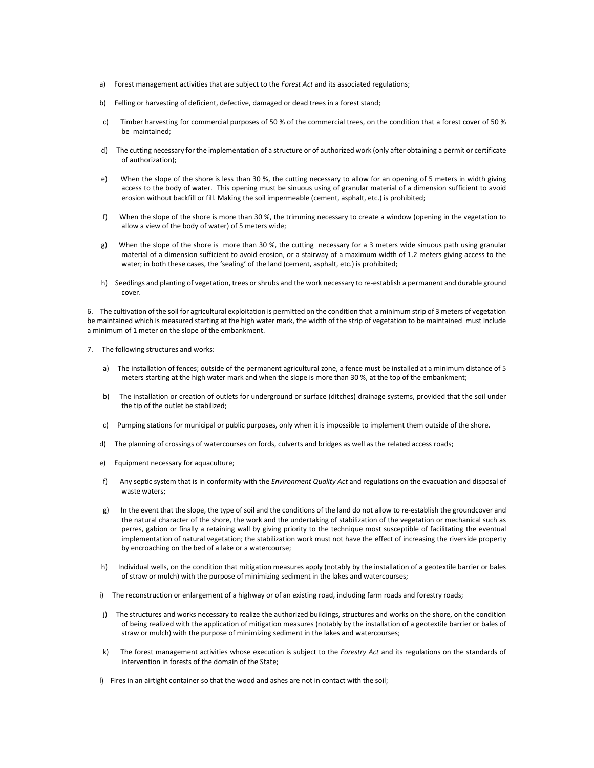- a) Forest management activities that are subject to the *Forest Act* and its associated regulations;
- b) Felling or harvesting of deficient, defective, damaged or dead trees in a forest stand;
- c) Timber harvesting for commercial purposes of 50 % of the commercial trees, on the condition that a forest cover of 50 % be maintained;
- d) The cutting necessary for the implementation of a structure or of authorized work (only after obtaining a permit or certificate of authorization);
- e) When the slope of the shore is less than 30 %, the cutting necessary to allow for an opening of 5 meters in width giving access to the body of water. This opening must be sinuous using of granular material of a dimension sufficient to avoid erosion without backfill or fill. Making the soil impermeable (cement, asphalt, etc.) is prohibited;
- f) When the slope of the shore is more than 30 %, the trimming necessary to create a window (opening in the vegetation to allow a view of the body of water) of 5 meters wide;
- g) When the slope of the shore is more than 30 %, the cutting necessary for a 3 meters wide sinuous path using granular material of a dimension sufficient to avoid erosion, or a stairway of a maximum width of 1.2 meters giving access to the water; in both these cases, the 'sealing' of the land (cement, asphalt, etc.) is prohibited;
- h) Seedlings and planting of vegetation, trees or shrubs and the work necessary to re-establish a permanent and durable ground cover.

6. The cultivation of the soil for agricultural exploitation is permitted on the condition that a minimum strip of 3 meters of vegetation be maintained which is measured starting at the high water mark, the width of the strip of vegetation to be maintained must include a minimum of 1 meter on the slope of the embankment.

- 7. The following structures and works:
	- a) The installation of fences; outside of the permanent agricultural zone, a fence must be installed at a minimum distance of 5 meters starting at the high water mark and when the slope is more than 30 %, at the top of the embankment;
	- b) The installation or creation of outlets for underground or surface (ditches) drainage systems, provided that the soil under the tip of the outlet be stabilized;
	- c) Pumping stations for municipal or public purposes, only when it is impossible to implement them outside of the shore.
	- d) The planning of crossings of watercourses on fords, culverts and bridges as well as the related access roads;
	- e) Equipment necessary for aquaculture;
	- f) Any septic system that is in conformity with the *Environment Quality Act* and regulations on the evacuation and disposal of waste waters;
	- g) In the event that the slope, the type of soil and the conditions of the land do not allow to re-establish the groundcover and the natural character of the shore, the work and the undertaking of stabilization of the vegetation or mechanical such as perres, gabion or finally a retaining wall by giving priority to the technique most susceptible of facilitating the eventual implementation of natural vegetation; the stabilization work must not have the effect of increasing the riverside property by encroaching on the bed of a lake or a watercourse;
	- h) Individual wells, on the condition that mitigation measures apply (notably by the installation of a geotextile barrier or bales of straw or mulch) with the purpose of minimizing sediment in the lakes and watercourses;
	- i) The reconstruction or enlargement of a highway or of an existing road, including farm roads and forestry roads;
	- j) The structures and works necessary to realize the authorized buildings, structures and works on the shore, on the condition of being realized with the application of mitigation measures (notably by the installation of a geotextile barrier or bales of straw or mulch) with the purpose of minimizing sediment in the lakes and watercourses;
	- k) The forest management activities whose execution is subject to the *Forestry Act* and its regulations on the standards of intervention in forests of the domain of the State;
	- l) Fires in an airtight container so that the wood and ashes are not in contact with the soil;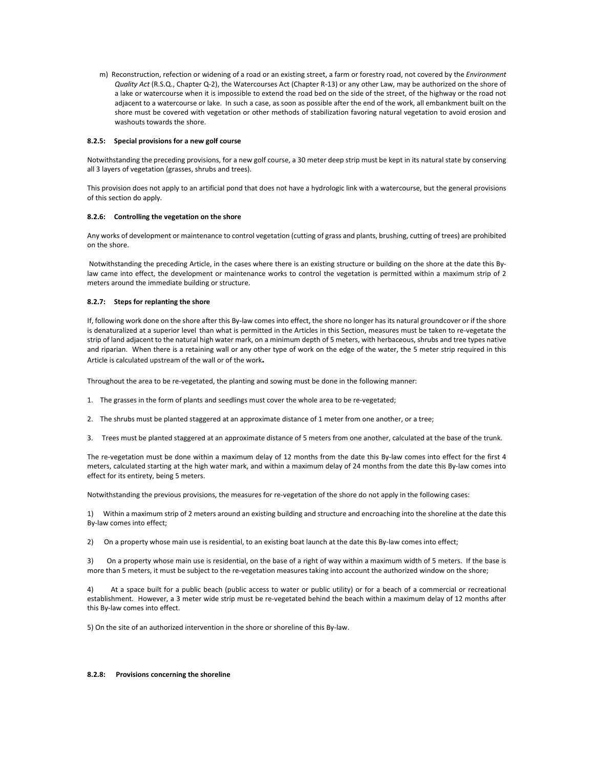m) Reconstruction, refection or widening of a road or an existing street, a farm or forestry road, not covered by the *Environment Quality Act* (R.S.Q., Chapter Q-2), the Watercourses Act (Chapter R-13) or any other Law, may be authorized on the shore of a lake or watercourse when it is impossible to extend the road bed on the side of the street, of the highway or the road not adjacent to a watercourse or lake. In such a case, as soon as possible after the end of the work, all embankment built on the shore must be covered with vegetation or other methods of stabilization favoring natural vegetation to avoid erosion and washouts towards the shore.

#### **8.2.5: Special provisions for a new golf course**

Notwithstanding the preceding provisions, for a new golf course, a 30 meter deep strip must be kept in its natural state by conserving all 3 layers of vegetation (grasses, shrubs and trees).

This provision does not apply to an artificial pond that does not have a hydrologic link with a watercourse, but the general provisions of this section do apply.

## **8.2.6: Controlling the vegetation on the shore**

Any works of development or maintenance to control vegetation (cutting of grass and plants, brushing, cutting of trees) are prohibited on the shore.

 Notwithstanding the preceding Article, in the cases where there is an existing structure or building on the shore at the date this Bylaw came into effect, the development or maintenance works to control the vegetation is permitted within a maximum strip of 2 meters around the immediate building or structure.

#### **8.2.7: Steps for replanting the shore**

If, following work done on the shore after this By-law comes into effect, the shore no longer has its natural groundcover or if the shore is denaturalized at a superior level than what is permitted in the Articles in this Section, measures must be taken to re-vegetate the strip of land adjacent to the natural high water mark, on a minimum depth of 5 meters, with herbaceous, shrubs and tree types native and riparian. When there is a retaining wall or any other type of work on the edge of the water, the 5 meter strip required in this Article is calculated upstream of the wall or of the work**.** 

Throughout the area to be re-vegetated, the planting and sowing must be done in the following manner:

- 1. The grasses in the form of plants and seedlings must cover the whole area to be re-vegetated;
- 2. The shrubs must be planted staggered at an approximate distance of 1 meter from one another, or a tree;
- 3. Trees must be planted staggered at an approximate distance of 5 meters from one another, calculated at the base of the trunk.

The re-vegetation must be done within a maximum delay of 12 months from the date this By-law comes into effect for the first 4 meters, calculated starting at the high water mark, and within a maximum delay of 24 months from the date this By-law comes into effect for its entirety, being 5 meters.

Notwithstanding the previous provisions, the measures for re-vegetation of the shore do not apply in the following cases:

1) Within a maximum strip of 2 meters around an existing building and structure and encroaching into the shoreline at the date this By-law comes into effect;

2) On a property whose main use is residential, to an existing boat launch at the date this By-law comes into effect;

3) On a property whose main use is residential, on the base of a right of way within a maximum width of 5 meters. If the base is more than 5 meters, it must be subject to the re-vegetation measures taking into account the authorized window on the shore;

4) At a space built for a public beach (public access to water or public utility) or for a beach of a commercial or recreational establishment. However, a 3 meter wide strip must be re-vegetated behind the beach within a maximum delay of 12 months after this By-law comes into effect.

5) On the site of an authorized intervention in the shore or shoreline of this By-law.

#### **8.2.8: Provisions concerning the shoreline**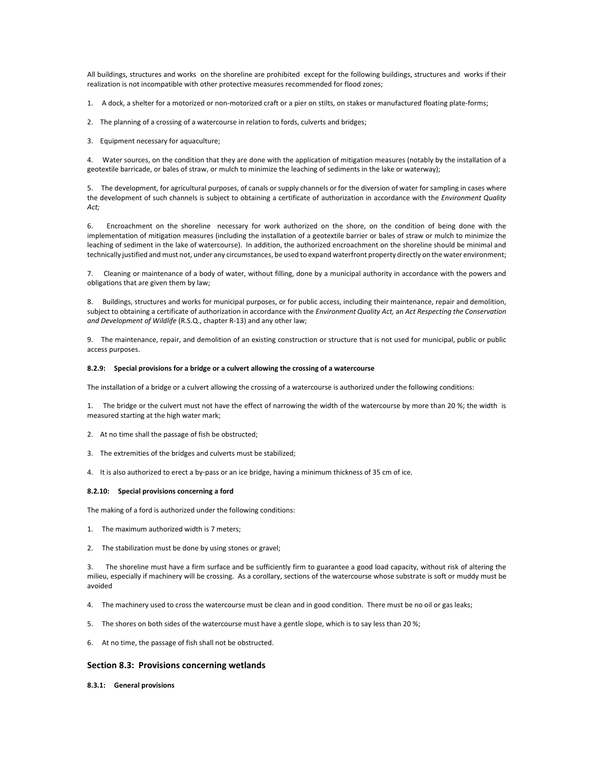All buildings, structures and works on the shoreline are prohibited except for the following buildings, structures and works if their realization is not incompatible with other protective measures recommended for flood zones;

1. A dock, a shelter for a motorized or non-motorized craft or a pier on stilts, on stakes or manufactured floating plate-forms;

- 2. The planning of a crossing of a watercourse in relation to fords, culverts and bridges;
- 3. Equipment necessary for aquaculture;

4. Water sources, on the condition that they are done with the application of mitigation measures (notably by the installation of a geotextile barricade, or bales of straw, or mulch to minimize the leaching of sediments in the lake or waterway);

5. The development, for agricultural purposes, of canals or supply channels or for the diversion of water for sampling in cases where the development of such channels is subject to obtaining a certificate of authorization in accordance with the *Environment Quality Act;* 

6. Encroachment on the shoreline necessary for work authorized on the shore, on the condition of being done with the implementation of mitigation measures (including the installation of a geotextile barrier or bales of straw or mulch to minimize the leaching of sediment in the lake of watercourse). In addition, the authorized encroachment on the shoreline should be minimal and technically justified and must not, under any circumstances, be used to expand waterfront property directly on the water environment;

7. Cleaning or maintenance of a body of water, without filling, done by a municipal authority in accordance with the powers and obligations that are given them by law;

8. Buildings, structures and works for municipal purposes, or for public access, including their maintenance, repair and demolition, subject to obtaining a certificate of authorization in accordance with the *Environment Quality Act,* an *Act Respecting the Conservation and Development of Wildlife* (R.S.Q., chapter R-13) and any other law;

9. The maintenance, repair, and demolition of an existing construction or structure that is not used for municipal, public or public access purposes.

#### **8.2.9: Special provisions for a bridge or a culvert allowing the crossing of a watercourse**

The installation of a bridge or a culvert allowing the crossing of a watercourse is authorized under the following conditions:

1. The bridge or the culvert must not have the effect of narrowing the width of the watercourse by more than 20 %; the width is measured starting at the high water mark;

- 2. At no time shall the passage of fish be obstructed;
- 3. The extremities of the bridges and culverts must be stabilized;
- 4. It is also authorized to erect a by-pass or an ice bridge, having a minimum thickness of 35 cm of ice.

#### **8.2.10: Special provisions concerning a ford**

The making of a ford is authorized under the following conditions:

- 1. The maximum authorized width is 7 meters;
- 2. The stabilization must be done by using stones or gravel;

3. The shoreline must have a firm surface and be sufficiently firm to guarantee a good load capacity, without risk of altering the milieu, especially if machinery will be crossing. As a corollary, sections of the watercourse whose substrate is soft or muddy must be avoided

- 4. The machinery used to cross the watercourse must be clean and in good condition. There must be no oil or gas leaks;
- 5. The shores on both sides of the watercourse must have a gentle slope, which is to say less than 20 %;
- 6. At no time, the passage of fish shall not be obstructed.

## **Section 8.3: Provisions concerning wetlands**

#### **8.3.1: General provisions**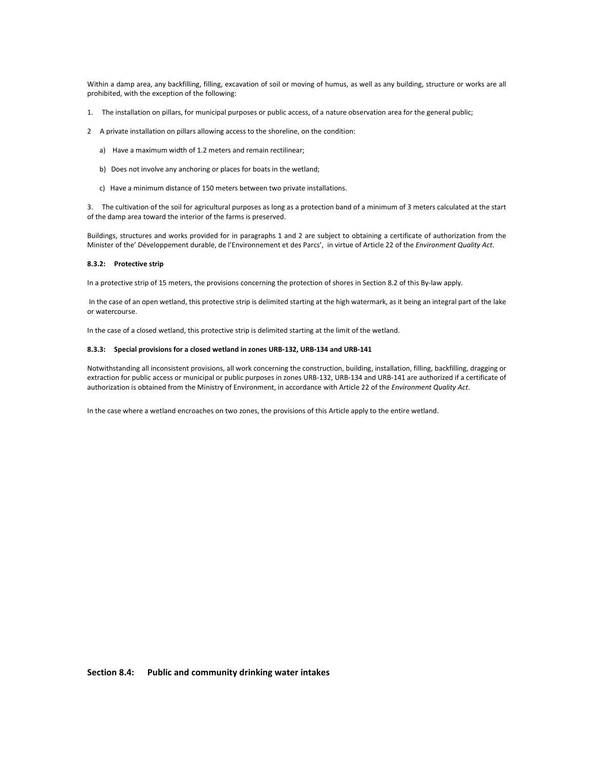Within a damp area, any backfilling, filling, excavation of soil or moving of humus, as well as any building, structure or works are all prohibited, with the exception of the following:

- 1. The installation on pillars, for municipal purposes or public access, of a nature observation area for the general public;
- 2 A private installation on pillars allowing access to the shoreline, on the condition:
	- a) Have a maximum width of 1.2 meters and remain rectilinear;
	- b) Does not involve any anchoring or places for boats in the wetland;
	- c) Have a minimum distance of 150 meters between two private installations.

3. The cultivation of the soil for agricultural purposes as long as a protection band of a minimum of 3 meters calculated at the start of the damp area toward the interior of the farms is preserved.

Buildings, structures and works provided for in paragraphs 1 and 2 are subject to obtaining a certificate of authorization from the Minister of the' Développement durable, de l'Environnement et des Parcs', in virtue of Article 22 of the *Environment Quality Act*.

#### **8.3.2: Protective strip**

In a protective strip of 15 meters, the provisions concerning the protection of shores in Section 8.2 of this By-law apply.

 In the case of an open wetland, this protective strip is delimited starting at the high watermark, as it being an integral part of the lake or watercourse.

In the case of a closed wetland, this protective strip is delimited starting at the limit of the wetland.

#### **8.3.3: Special provisions for a closed wetland in zones URB-132, URB-134 and URB-141**

Notwithstanding all inconsistent provisions, all work concerning the construction, building, installation, filling, backfilling, dragging or extraction for public access or municipal or public purposes in zones URB-132, URB-134 and URB-141 are authorized if a certificate of authorization is obtained from the Ministry of Environment, in accordance with Article 22 of the *Environment Quality Act*.

In the case where a wetland encroaches on two zones, the provisions of this Article apply to the entire wetland.

**Section 8.4: Public and community drinking water intakes**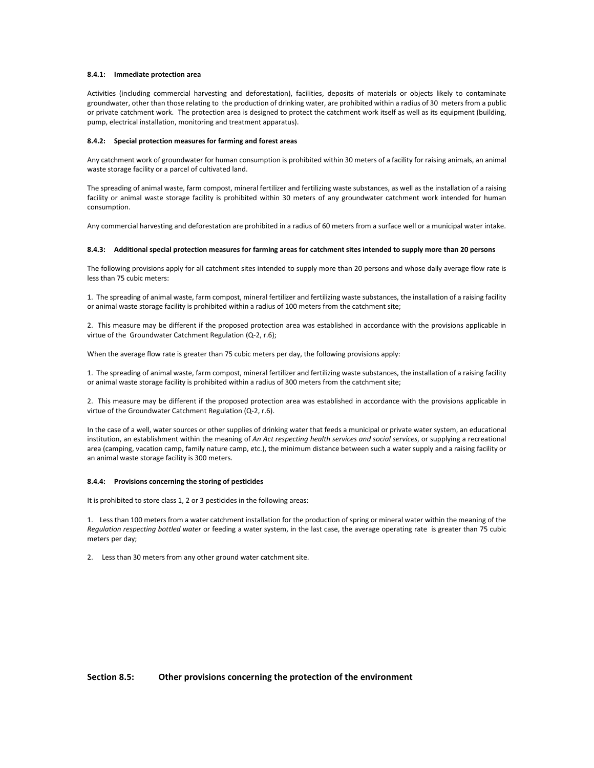#### **8.4.1: Immediate protection area**

Activities (including commercial harvesting and deforestation), facilities, deposits of materials or objects likely to contaminate groundwater, other than those relating to the production of drinking water, are prohibited within a radius of 30 meters from a public or private catchment work. The protection area is designed to protect the catchment work itself as well as its equipment (building, pump, electrical installation, monitoring and treatment apparatus).

#### **8.4.2: Special protection measures for farming and forest areas**

Any catchment work of groundwater for human consumption is prohibited within 30 meters of a facility for raising animals, an animal waste storage facility or a parcel of cultivated land.

The spreading of animal waste, farm compost, mineral fertilizer and fertilizing waste substances, as well as the installation of a raising facility or animal waste storage facility is prohibited within 30 meters of any groundwater catchment work intended for human consumption.

Any commercial harvesting and deforestation are prohibited in a radius of 60 meters from a surface well or a municipal water intake.

#### **8.4.3: Additional special protection measures for farming areas for catchment sites intended to supply more than 20 persons**

The following provisions apply for all catchment sites intended to supply more than 20 persons and whose daily average flow rate is less than 75 cubic meters:

1. The spreading of animal waste, farm compost, mineral fertilizer and fertilizing waste substances, the installation of a raising facility or animal waste storage facility is prohibited within a radius of 100 meters from the catchment site;

2. This measure may be different if the proposed protection area was established in accordance with the provisions applicable in virtue of the Groundwater Catchment Regulation (Q-2, r.6);

When the average flow rate is greater than 75 cubic meters per day, the following provisions apply:

1. The spreading of animal waste, farm compost, mineral fertilizer and fertilizing waste substances, the installation of a raising facility or animal waste storage facility is prohibited within a radius of 300 meters from the catchment site;

2. This measure may be different if the proposed protection area was established in accordance with the provisions applicable in virtue of the Groundwater Catchment Regulation (Q-2, r.6).

In the case of a well, water sources or other supplies of drinking water that feeds a municipal or private water system, an educational institution, an establishment within the meaning of *An Act respecting health services and social services*, or supplying a recreational area (camping, vacation camp, family nature camp, etc.), the minimum distance between such a water supply and a raising facility or an animal waste storage facility is 300 meters.

#### **8.4.4: Provisions concerning the storing of pesticides**

It is prohibited to store class 1, 2 or 3 pesticides in the following areas:

1. Less than 100 meters from a water catchment installation for the production of spring or mineral water within the meaning of the *Regulation respecting bottled water* or feeding a water system, in the last case, the average operating rate is greater than 75 cubic meters per day;

2. Less than 30 meters from any other ground water catchment site.

## **Section 8.5: Other provisions concerning the protection of the environment**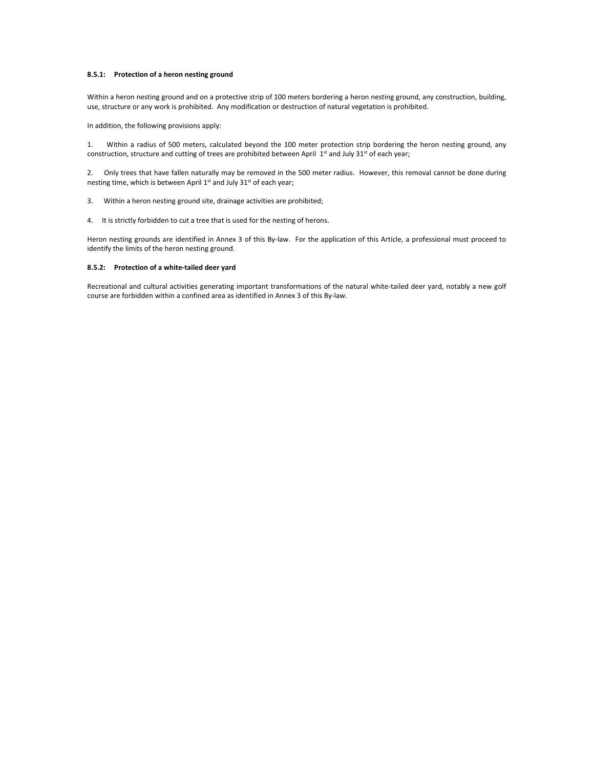### **8.5.1: Protection of a heron nesting ground**

Within a heron nesting ground and on a protective strip of 100 meters bordering a heron nesting ground, any construction, building, use, structure or any work is prohibited. Any modification or destruction of natural vegetation is prohibited.

In addition, the following provisions apply:

1. Within a radius of 500 meters, calculated beyond the 100 meter protection strip bordering the heron nesting ground, any construction, structure and cutting of trees are prohibited between April 1<sup>st</sup> and July 31<sup>st</sup> of each year;

2. Only trees that have fallen naturally may be removed in the 500 meter radius. However, this removal cannot be done during nesting time, which is between April 1<sup>st</sup> and July 31<sup>st</sup> of each year;

3. Within a heron nesting ground site, drainage activities are prohibited;

4. It is strictly forbidden to cut a tree that is used for the nesting of herons.

Heron nesting grounds are identified in Annex 3 of this By-law. For the application of this Article, a professional must proceed to identify the limits of the heron nesting ground.

## **8.5.2: Protection of a white-tailed deer yard**

Recreational and cultural activities generating important transformations of the natural white-tailed deer yard, notably a new golf course are forbidden within a confined area as identified in Annex 3 of this By-law.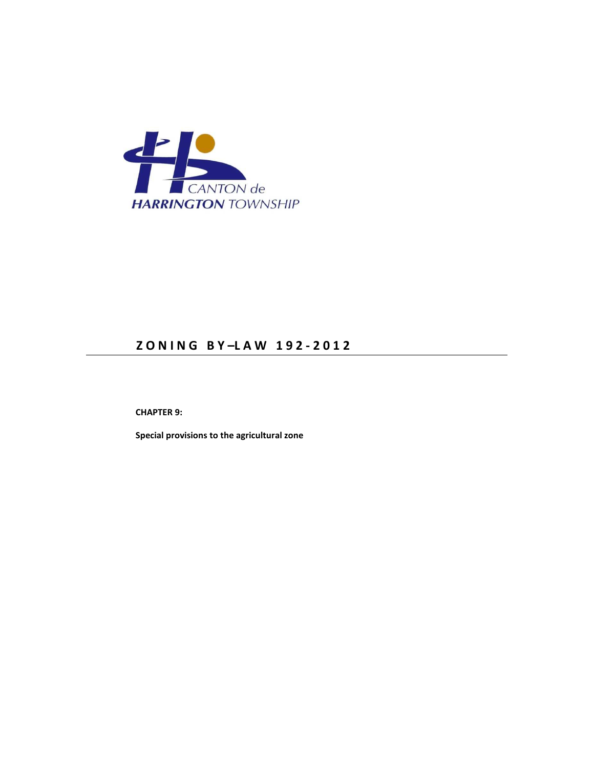

# **Z O N I N G B Y –L A W 1 9 2 - 2 0 1 2**

 **CHAPTER 9:** 

 **Special provisions to the agricultural zone**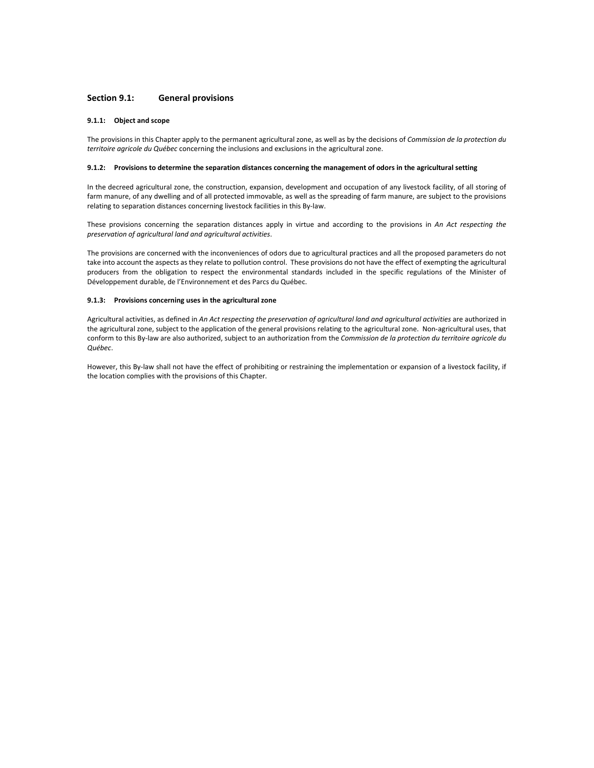## **Section 9.1: General provisions**

#### **9.1.1: Object and scope**

The provisions in this Chapter apply to the permanent agricultural zone, as well as by the decisions of *Commission de la protection du territoire agricole du Québec* concerning the inclusions and exclusions in the agricultural zone.

#### **9.1.2: Provisions to determine the separation distances concerning the management of odors in the agricultural setting**

In the decreed agricultural zone, the construction, expansion, development and occupation of any livestock facility, of all storing of farm manure, of any dwelling and of all protected immovable, as well as the spreading of farm manure, are subject to the provisions relating to separation distances concerning livestock facilities in this By-law.

These provisions concerning the separation distances apply in virtue and according to the provisions in *An Act respecting the preservation of agricultural land and agricultural activities*.

The provisions are concerned with the inconveniences of odors due to agricultural practices and all the proposed parameters do not take into account the aspects as they relate to pollution control. These provisions do not have the effect of exempting the agricultural producers from the obligation to respect the environmental standards included in the specific regulations of the Minister of Développement durable, de l'Environnement et des Parcs du Québec.

#### **9.1.3: Provisions concerning uses in the agricultural zone**

Agricultural activities, as defined in An Act respecting the preservation of agricultural land and agricultural activities are authorized in the agricultural zone, subject to the application of the general provisions relating to the agricultural zone. Non-agricultural uses, that conform to this By-law are also authorized, subject to an authorization from the *Commission de la protection du territoire agricole du Québec*.

However, this By-law shall not have the effect of prohibiting or restraining the implementation or expansion of a livestock facility, if the location complies with the provisions of this Chapter.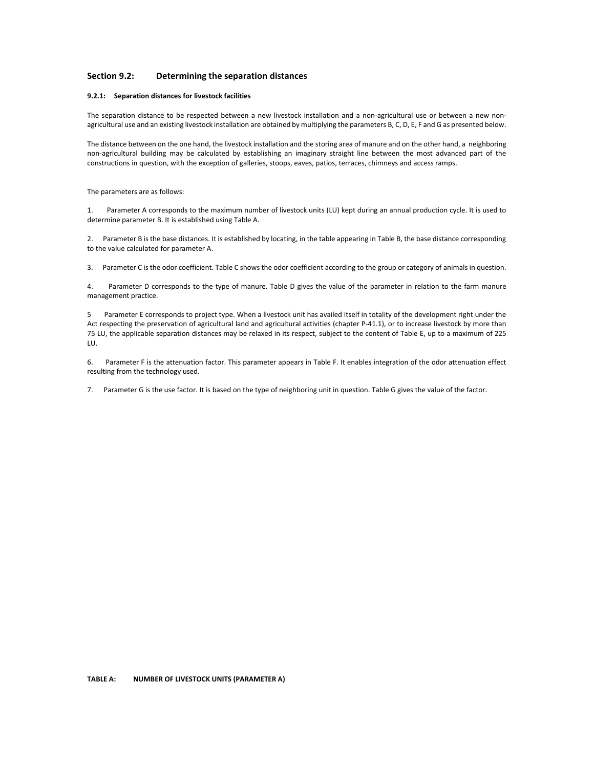## **Section 9.2: Determining the separation distances**

#### **9.2.1: Separation distances for livestock facilities**

The separation distance to be respected between a new livestock installation and a non-agricultural use or between a new nonagricultural use and an existing livestock installation are obtained by multiplying the parameters B, C, D, E, F and G as presented below.

The distance between on the one hand, the livestock installation and the storing area of manure and on the other hand, a neighboring non-agricultural building may be calculated by establishing an imaginary straight line between the most advanced part of the constructions in question, with the exception of galleries, stoops, eaves, patios, terraces, chimneys and access ramps.

The parameters are as follows:

1. Parameter A corresponds to the maximum number of livestock units (LU) kept during an annual production cycle. It is used to determine parameter B. It is established using Table A.

2. Parameter B is the base distances. It is established by locating, in the table appearing in Table B, the base distance corresponding to the value calculated for parameter A.

3. Parameter C is the odor coefficient. Table C shows the odor coefficient according to the group or category of animals in question.

4. Parameter D corresponds to the type of manure. Table D gives the value of the parameter in relation to the farm manure management practice.

5 Parameter E corresponds to project type. When a livestock unit has availed itself in totality of the development right under the Act respecting the preservation of agricultural land and agricultural activities (chapter P-41.1), or to increase livestock by more than 75 LU, the applicable separation distances may be relaxed in its respect, subject to the content of Table E, up to a maximum of 225 LU.

6. Parameter F is the attenuation factor. This parameter appears in Table F. It enables integration of the odor attenuation effect resulting from the technology used.

7. Parameter G is the use factor. It is based on the type of neighboring unit in question. Table G gives the value of the factor.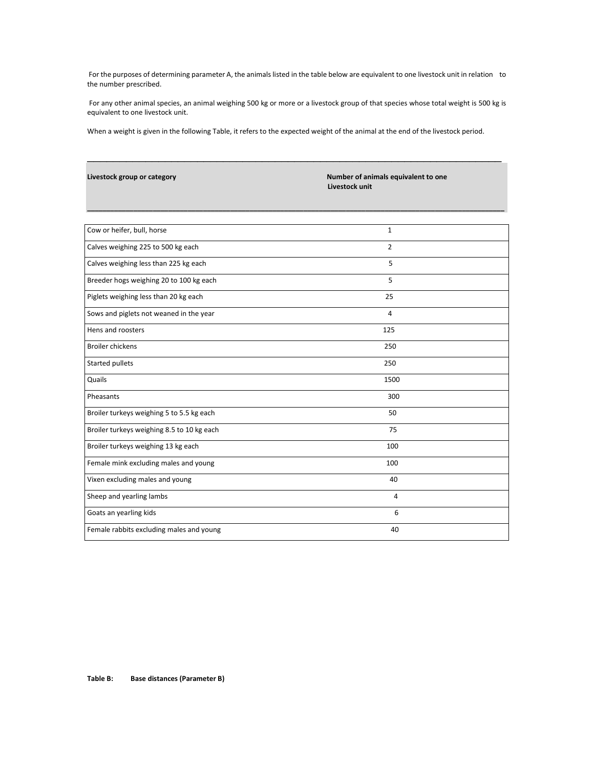For the purposes of determining parameter A, the animals listed in the table below are equivalent to one livestock unit in relation to the number prescribed.

 For any other animal species, an animal weighing 500 kg or more or a livestock group of that species whose total weight is 500 kg is equivalent to one livestock unit.

\_\_\_\_\_\_\_\_\_\_\_\_\_\_\_\_\_\_\_\_\_\_\_\_\_\_\_\_\_\_\_\_\_\_\_\_\_\_\_\_\_\_\_\_\_\_\_\_\_\_\_\_\_\_\_\_\_\_\_\_\_\_\_\_

**\_\_\_\_\_\_\_\_\_\_\_\_\_\_\_\_\_\_\_\_\_\_\_\_\_\_\_\_\_\_\_\_\_\_\_\_\_\_\_\_\_\_\_\_\_\_\_\_\_\_\_\_\_\_\_\_\_\_\_\_\_\_\_\_\_\_\_\_\_\_\_\_\_\_\_\_\_\_\_\_\_\_\_\_\_\_\_\_\_\_\_\_\_\_\_\_\_\_\_\_\_\_\_\_\_\_\_\_** 

When a weight is given in the following Table, it refers to the expected weight of the animal at the end of the livestock period.

|  |  | Livestock group or category |
|--|--|-----------------------------|
|--|--|-----------------------------|

**Number of animals equivalent to one Livestock unit** 

| Cow or heifer, bull, horse                 | $\mathbf{1}$   |  |
|--------------------------------------------|----------------|--|
| Calves weighing 225 to 500 kg each         | $\overline{2}$ |  |
| Calves weighing less than 225 kg each      | 5              |  |
| Breeder hogs weighing 20 to 100 kg each    | 5              |  |
| Piglets weighing less than 20 kg each      | 25             |  |
| Sows and piglets not weaned in the year    | $\overline{4}$ |  |
| Hens and roosters                          | 125            |  |
| <b>Broiler chickens</b>                    | 250            |  |
| <b>Started pullets</b>                     | 250            |  |
| Quails                                     | 1500           |  |
| Pheasants                                  | 300            |  |
| Broiler turkeys weighing 5 to 5.5 kg each  | 50             |  |
| Broiler turkeys weighing 8.5 to 10 kg each | 75             |  |
| Broiler turkeys weighing 13 kg each        | 100            |  |
| Female mink excluding males and young      | 100            |  |
| Vixen excluding males and young            | 40             |  |
| Sheep and yearling lambs                   | 4              |  |
| Goats an yearling kids                     | 6              |  |
| Female rabbits excluding males and young   | 40             |  |
|                                            |                |  |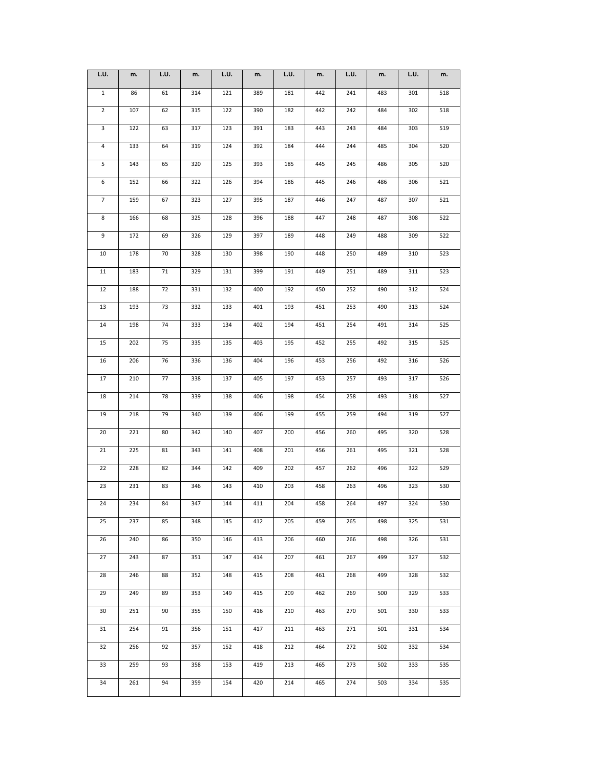| L.U.           | m.  | L.U. | m.  | L.U. | m.  | L.U. | m.  | L.U. | m.  | L.U. | m.  |
|----------------|-----|------|-----|------|-----|------|-----|------|-----|------|-----|
| $\mathbf{1}$   | 86  | 61   | 314 | 121  | 389 | 181  | 442 | 241  | 483 | 301  | 518 |
| $\overline{2}$ | 107 | 62   | 315 | 122  | 390 | 182  | 442 | 242  | 484 | 302  | 518 |
| 3              | 122 | 63   | 317 | 123  | 391 | 183  | 443 | 243  | 484 | 303  | 519 |
| $\overline{4}$ | 133 | 64   | 319 | 124  | 392 | 184  | 444 | 244  | 485 | 304  | 520 |
| 5              | 143 | 65   | 320 | 125  | 393 | 185  | 445 | 245  | 486 | 305  | 520 |
| 6              | 152 | 66   | 322 | 126  | 394 | 186  | 445 | 246  | 486 | 306  | 521 |
| $\overline{7}$ | 159 | 67   | 323 | 127  | 395 | 187  | 446 | 247  | 487 | 307  | 521 |
| 8              | 166 | 68   | 325 | 128  | 396 | 188  | 447 | 248  | 487 | 308  | 522 |
| 9              | 172 | 69   | 326 | 129  | 397 | 189  | 448 | 249  | 488 | 309  | 522 |
| 10             | 178 | 70   | 328 | 130  | 398 | 190  | 448 | 250  | 489 | 310  | 523 |
| 11             | 183 | 71   | 329 | 131  | 399 | 191  | 449 | 251  | 489 | 311  | 523 |
| 12             | 188 | 72   | 331 | 132  | 400 | 192  | 450 | 252  | 490 | 312  | 524 |
| 13             | 193 | 73   | 332 | 133  | 401 | 193  | 451 | 253  | 490 | 313  | 524 |
| 14             | 198 | 74   | 333 | 134  | 402 | 194  | 451 | 254  | 491 | 314  | 525 |
| 15             | 202 | 75   | 335 | 135  | 403 | 195  | 452 | 255  | 492 | 315  | 525 |
| 16             | 206 | 76   | 336 | 136  | 404 | 196  | 453 | 256  | 492 | 316  | 526 |
| 17             | 210 | 77   | 338 | 137  | 405 | 197  | 453 | 257  | 493 | 317  | 526 |
| 18             | 214 | 78   | 339 | 138  | 406 | 198  | 454 | 258  | 493 | 318  | 527 |
| 19             | 218 | 79   | 340 | 139  | 406 | 199  | 455 | 259  | 494 | 319  | 527 |
| 20             | 221 | 80   | 342 | 140  | 407 | 200  | 456 | 260  | 495 | 320  | 528 |
| 21             | 225 | 81   | 343 | 141  | 408 | 201  | 456 | 261  | 495 | 321  | 528 |
| 22             | 228 | 82   | 344 | 142  | 409 | 202  | 457 | 262  | 496 | 322  | 529 |
| 23             | 231 | 83   | 346 | 143  | 410 | 203  | 458 | 263  | 496 | 323  | 530 |
| 24             | 234 | 84   | 347 | 144  | 411 | 204  | 458 | 264  | 497 | 324  | 530 |
| 25             | 237 | 85   | 348 | 145  | 412 | 205  | 459 | 265  | 498 | 325  | 531 |
| 26             | 240 | 86   | 350 | 146  | 413 | 206  | 460 | 266  | 498 | 326  | 531 |
| 27             | 243 | 87   | 351 | 147  | 414 | 207  | 461 | 267  | 499 | 327  | 532 |
| 28             | 246 | 88   | 352 | 148  | 415 | 208  | 461 | 268  | 499 | 328  | 532 |
| 29             | 249 | 89   | 353 | 149  | 415 | 209  | 462 | 269  | 500 | 329  | 533 |
| 30             | 251 | 90   | 355 | 150  | 416 | 210  | 463 | 270  | 501 | 330  | 533 |
| 31             | 254 | 91   | 356 | 151  | 417 | 211  | 463 | 271  | 501 | 331  | 534 |
| 32             | 256 | 92   | 357 | 152  | 418 | 212  | 464 | 272  | 502 | 332  | 534 |
| 33             | 259 | 93   | 358 | 153  | 419 | 213  | 465 | 273  | 502 | 333  | 535 |
| 34             | 261 | 94   | 359 | 154  | 420 | 214  | 465 | 274  | 503 | 334  | 535 |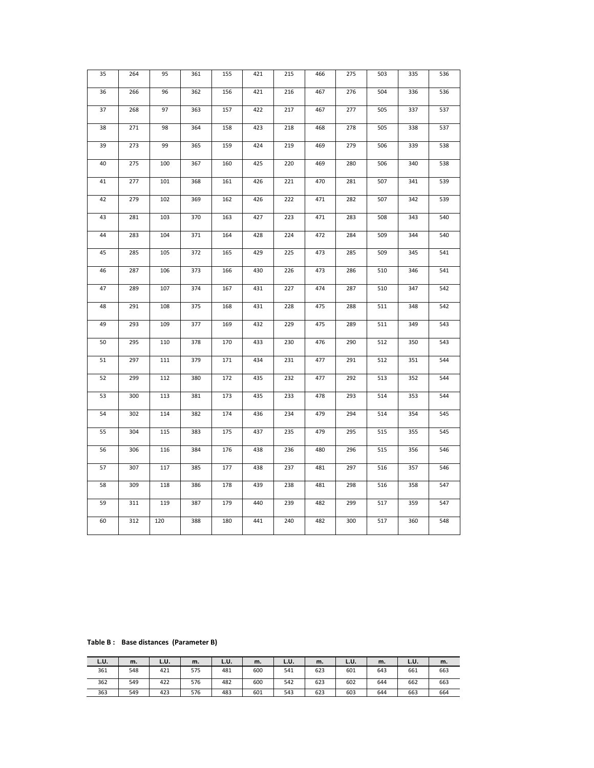| 35 | 264 | 95  | 361 | 155 | 421 | 215 | 466 | 275 | 503 | 335 | 536 |
|----|-----|-----|-----|-----|-----|-----|-----|-----|-----|-----|-----|
| 36 | 266 | 96  | 362 | 156 | 421 | 216 | 467 | 276 | 504 | 336 | 536 |
| 37 | 268 | 97  | 363 | 157 | 422 | 217 | 467 | 277 | 505 | 337 | 537 |
| 38 | 271 | 98  | 364 | 158 | 423 | 218 | 468 | 278 | 505 | 338 | 537 |
| 39 | 273 | 99  | 365 | 159 | 424 | 219 | 469 | 279 | 506 | 339 | 538 |
| 40 | 275 | 100 | 367 | 160 | 425 | 220 | 469 | 280 | 506 | 340 | 538 |
| 41 | 277 | 101 | 368 | 161 | 426 | 221 | 470 | 281 | 507 | 341 | 539 |
| 42 | 279 | 102 | 369 | 162 | 426 | 222 | 471 | 282 | 507 | 342 | 539 |
| 43 | 281 | 103 | 370 | 163 | 427 | 223 | 471 | 283 | 508 | 343 | 540 |
| 44 | 283 | 104 | 371 | 164 | 428 | 224 | 472 | 284 | 509 | 344 | 540 |
| 45 | 285 | 105 | 372 | 165 | 429 | 225 | 473 | 285 | 509 | 345 | 541 |
| 46 | 287 | 106 | 373 | 166 | 430 | 226 | 473 | 286 | 510 | 346 | 541 |
| 47 | 289 | 107 | 374 | 167 | 431 | 227 | 474 | 287 | 510 | 347 | 542 |
| 48 | 291 | 108 | 375 | 168 | 431 | 228 | 475 | 288 | 511 | 348 | 542 |
| 49 | 293 | 109 | 377 | 169 | 432 | 229 | 475 | 289 | 511 | 349 | 543 |
| 50 | 295 | 110 | 378 | 170 | 433 | 230 | 476 | 290 | 512 | 350 | 543 |
| 51 | 297 | 111 | 379 | 171 | 434 | 231 | 477 | 291 | 512 | 351 | 544 |
| 52 | 299 | 112 | 380 | 172 | 435 | 232 | 477 | 292 | 513 | 352 | 544 |
| 53 | 300 | 113 | 381 | 173 | 435 | 233 | 478 | 293 | 514 | 353 | 544 |
| 54 | 302 | 114 | 382 | 174 | 436 | 234 | 479 | 294 | 514 | 354 | 545 |
| 55 | 304 | 115 | 383 | 175 | 437 | 235 | 479 | 295 | 515 | 355 | 545 |
| 56 | 306 | 116 | 384 | 176 | 438 | 236 | 480 | 296 | 515 | 356 | 546 |
| 57 | 307 | 117 | 385 | 177 | 438 | 237 | 481 | 297 | 516 | 357 | 546 |
| 58 | 309 | 118 | 386 | 178 | 439 | 238 | 481 | 298 | 516 | 358 | 547 |
| 59 | 311 | 119 | 387 | 179 | 440 | 239 | 482 | 299 | 517 | 359 | 547 |
| 60 | 312 | 120 | 388 | 180 | 441 | 240 | 482 | 300 | 517 | 360 | 548 |
|    |     |     |     |     |     |     |     |     |     |     |     |

**Table B : Base distances (Parameter B)** 

| L.U. | m.  | L.U. | m.  | L.U. | m.  | L.U. | m.  | L.U. | m.  | L.U. | m.  |
|------|-----|------|-----|------|-----|------|-----|------|-----|------|-----|
| 361  | 548 | 421  | 575 | 481  | 600 | 541  | 623 | 601  | 643 | 661  | 663 |
| 362  | 549 | 422  | 576 | 482  | 600 | 542  | 623 | 602  | 644 | 662  | 663 |
| 363  | 549 | 423  | 576 | 483  | 601 | 543  | 623 | 603  | 644 | 663  | 664 |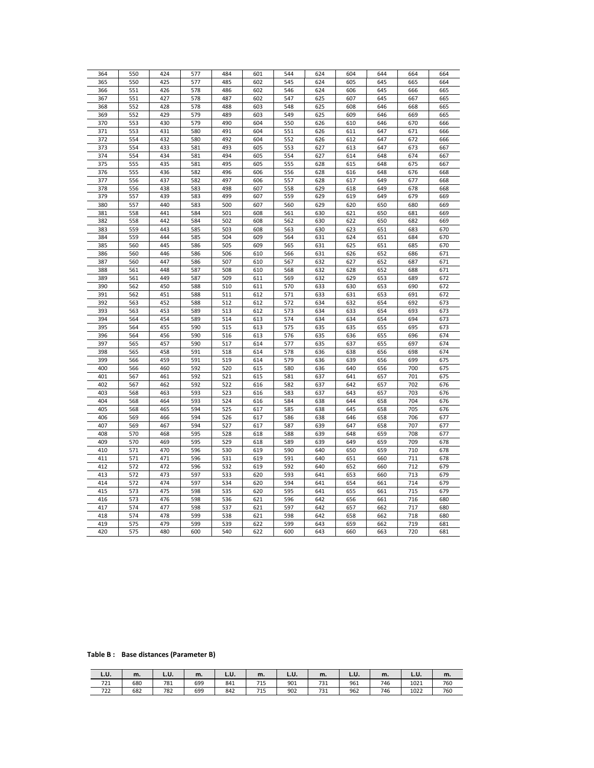| 364 | 550        | 424 | 577 | 484 | 601 | 544 | 624        | 604        | 644        | 664 | 664 |
|-----|------------|-----|-----|-----|-----|-----|------------|------------|------------|-----|-----|
| 365 | 550        | 425 | 577 | 485 | 602 | 545 | 624        | 605        | 645        | 665 | 664 |
| 366 | 551        | 426 | 578 | 486 | 602 | 546 | 624        | 606        | 645        | 666 | 665 |
| 367 | 551        | 427 | 578 | 487 | 602 | 547 | 625        | 607        | 645        | 667 | 665 |
|     |            |     |     |     |     |     |            |            |            |     |     |
| 368 | 552        | 428 | 578 | 488 | 603 | 548 | 625        | 608        | 646        | 668 | 665 |
| 369 | 552        | 429 | 579 | 489 | 603 | 549 | 625        | 609        | 646        | 669 | 665 |
| 370 | 553        | 430 | 579 | 490 | 604 | 550 | 626        | 610        | 646        | 670 | 666 |
| 371 | 553        | 431 | 580 | 491 | 604 | 551 | 626        | 611        | 647        | 671 | 666 |
| 372 | 554        | 432 | 580 | 492 | 604 | 552 | 626        | 612        | 647        | 672 | 666 |
| 373 | 554        | 433 | 581 | 493 | 605 | 553 | 627        | 613        | 647        | 673 | 667 |
| 374 | 554        | 434 | 581 | 494 | 605 | 554 | 627        | 614        | 648        | 674 | 667 |
| 375 | 555        | 435 | 581 | 495 | 605 | 555 | 628        | 615        | 648        | 675 | 667 |
| 376 | 555        | 436 | 582 | 496 | 606 | 556 | 628        | 616        | 648        | 676 | 668 |
| 377 | 556        | 437 | 582 | 497 | 606 | 557 | 628        | 617        | 649        | 677 | 668 |
| 378 | 556        | 438 | 583 | 498 | 607 | 558 | 629        | 618        | 649        | 678 | 668 |
| 379 | 557        | 439 | 583 | 499 | 607 | 559 | 629        | 619        | 649        | 679 | 669 |
| 380 | 557        | 440 | 583 | 500 | 607 | 560 | 629        | 620        | 650        | 680 | 669 |
| 381 | 558        | 441 | 584 | 501 | 608 | 561 | 630        | 621        | 650        | 681 | 669 |
| 382 | 558        | 442 | 584 | 502 | 608 | 562 | 630        | 622        | 650        | 682 | 669 |
| 383 | 559        | 443 | 585 | 503 | 608 | 563 | 630        | 623        | 651        | 683 | 670 |
| 384 | 559        | 444 | 585 | 504 | 609 | 564 | 631        | 624        | 651        | 684 | 670 |
| 385 | 560        | 445 | 586 | 505 | 609 | 565 | 631        | 625        | 651        | 685 | 670 |
| 386 | 560        | 446 | 586 | 506 | 610 | 566 | 631        | 626        | 652        | 686 | 671 |
| 387 | 560        | 447 | 586 | 507 | 610 | 567 | 632        | 627        | 652        | 687 | 671 |
| 388 | 561        | 448 | 587 | 508 | 610 | 568 | 632        | 628        | 652        | 688 | 671 |
| 389 | 561        | 449 | 587 | 509 | 611 | 569 | 632        | 629        | 653        | 689 | 672 |
| 390 | 562        | 450 | 588 | 510 | 611 | 570 | 633        | 630        | 653        | 690 | 672 |
| 391 | 562        | 451 | 588 | 511 | 612 | 571 | 633        | 631        | 653        | 691 | 672 |
| 392 |            | 452 | 588 | 512 | 612 | 572 |            |            |            | 692 | 673 |
| 393 | 563<br>563 | 453 | 589 | 513 | 612 | 573 | 634<br>634 | 632<br>633 | 654<br>654 | 693 | 673 |
|     |            |     |     |     |     |     |            |            |            |     |     |
| 394 | 564        | 454 | 589 | 514 | 613 | 574 | 634        | 634        | 654        | 694 | 673 |
| 395 | 564        | 455 | 590 | 515 | 613 | 575 | 635        | 635        | 655        | 695 | 673 |
| 396 | 564        | 456 | 590 | 516 | 613 | 576 | 635        | 636        | 655        | 696 | 674 |
| 397 | 565        | 457 | 590 | 517 | 614 | 577 | 635        | 637        | 655        | 697 | 674 |
| 398 | 565        | 458 | 591 | 518 | 614 | 578 | 636        | 638        | 656        | 698 | 674 |
| 399 | 566        | 459 | 591 | 519 | 614 | 579 | 636        | 639        | 656        | 699 | 675 |
| 400 | 566        | 460 | 592 | 520 | 615 | 580 | 636        | 640        | 656        | 700 | 675 |
| 401 | 567        | 461 | 592 | 521 | 615 | 581 | 637        | 641        | 657        | 701 | 675 |
| 402 | 567        | 462 | 592 | 522 | 616 | 582 | 637        | 642        | 657        | 702 | 676 |
| 403 | 568        | 463 | 593 | 523 | 616 | 583 | 637        | 643        | 657        | 703 | 676 |
| 404 | 568        | 464 | 593 | 524 | 616 | 584 | 638        | 644        | 658        | 704 | 676 |
| 405 | 568        | 465 | 594 | 525 | 617 | 585 | 638        | 645        | 658        | 705 | 676 |
| 406 | 569        | 466 | 594 | 526 | 617 | 586 | 638        | 646        | 658        | 706 | 677 |
| 407 | 569        | 467 | 594 | 527 | 617 | 587 | 639        | 647        | 658        | 707 | 677 |
| 408 | 570        | 468 | 595 | 528 | 618 | 588 | 639        | 648        | 659        | 708 | 677 |
| 409 | 570        | 469 | 595 | 529 | 618 | 589 | 639        | 649        | 659        | 709 | 678 |
| 410 | 571        | 470 | 596 | 530 | 619 | 590 | 640        | 650        | 659        | 710 | 678 |
| 411 | 571        | 471 | 596 | 531 | 619 | 591 | 640        | 651        | 660        | 711 | 678 |
| 412 | 572        | 472 | 596 | 532 | 619 | 592 | 640        | 652        | 660        | 712 | 679 |
| 413 | 572        | 473 | 597 | 533 | 620 | 593 | 641        | 653        | 660        | 713 | 679 |
| 414 | 572        | 474 | 597 | 534 | 620 | 594 | 641        | 654        | 661        | 714 | 679 |
| 415 | 573        | 475 | 598 | 535 | 620 | 595 | 641        | 655        | 661        | 715 | 679 |
| 416 | 573        | 476 | 598 | 536 | 621 | 596 | 642        | 656        | 661        | 716 | 680 |
| 417 | 574        | 477 | 598 | 537 | 621 | 597 | 642        | 657        | 662        | 717 | 680 |
| 418 | 574        | 478 | 599 | 538 | 621 | 598 | 642        | 658        | 662        | 718 | 680 |
| 419 | 575        | 479 | 599 | 539 | 622 | 599 | 643        | 659        | 662        | 719 | 681 |
| 420 | 575        | 480 | 600 | 540 | 622 | 600 | 643        | 660        | 663        | 720 | 681 |
|     |            |     |     |     |     |     |            |            |            |     |     |

**Table B : Base distances (Parameter B)** 

| L.U. | m.  | L.U. | m.  | L.U. | m.              | L.U. | m.         | L.v. | m.  | L.U. | m.  |
|------|-----|------|-----|------|-----------------|------|------------|------|-----|------|-----|
| 721  | 680 | 781  | 699 | 841  | 74F<br>,        | 901  | 721<br>ב י | 961  | 746 | 1021 | 760 |
| 722  | 682 | 782  | 699 | 842  | <b>715</b><br>, | 902  | 731        | 962  | 746 | 1022 | 760 |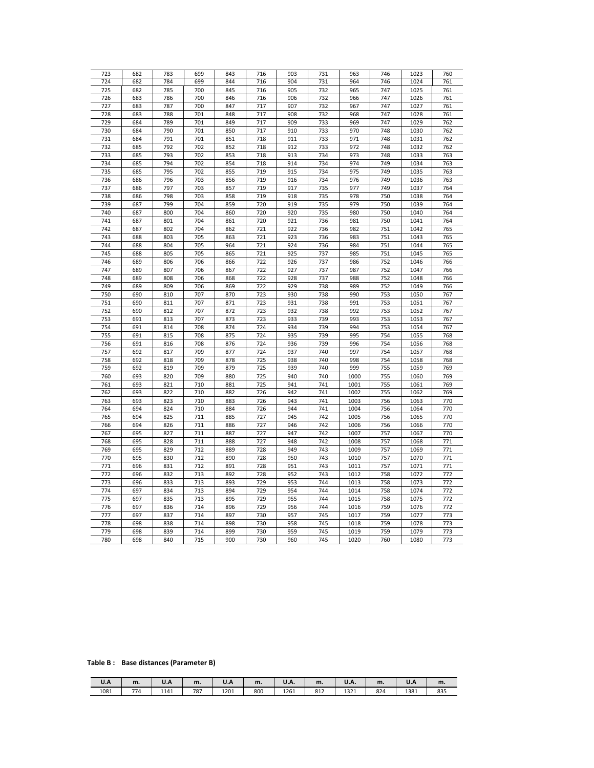| 723 | 682 | 783 | 699 | 843 | 716 | 903 | 731 | 963  | 746 | 1023 | 760 |
|-----|-----|-----|-----|-----|-----|-----|-----|------|-----|------|-----|
| 724 | 682 | 784 | 699 | 844 | 716 | 904 | 731 | 964  | 746 | 1024 | 761 |
| 725 | 682 | 785 | 700 | 845 | 716 | 905 | 732 | 965  | 747 | 1025 | 761 |
| 726 | 683 | 786 | 700 | 846 | 716 | 906 | 732 | 966  | 747 | 1026 | 761 |
| 727 | 683 | 787 | 700 | 847 | 717 | 907 | 732 | 967  | 747 | 1027 | 761 |
| 728 | 683 | 788 | 701 | 848 | 717 | 908 | 732 | 968  | 747 | 1028 | 761 |
| 729 | 684 | 789 | 701 | 849 | 717 | 909 | 733 | 969  | 747 | 1029 | 762 |
| 730 | 684 | 790 | 701 | 850 | 717 | 910 | 733 | 970  | 748 | 1030 | 762 |
| 731 | 684 | 791 | 701 | 851 | 718 | 911 | 733 | 971  | 748 | 1031 | 762 |
|     | 685 | 792 | 702 | 852 | 718 | 912 | 733 | 972  | 748 |      | 762 |
| 732 |     |     |     |     |     |     |     |      |     | 1032 |     |
| 733 | 685 | 793 | 702 | 853 | 718 | 913 | 734 | 973  | 748 | 1033 | 763 |
| 734 | 685 | 794 | 702 | 854 | 718 | 914 | 734 | 974  | 749 | 1034 | 763 |
| 735 | 685 | 795 | 702 | 855 | 719 | 915 | 734 | 975  | 749 | 1035 | 763 |
| 736 | 686 | 796 | 703 | 856 | 719 | 916 | 734 | 976  | 749 | 1036 | 763 |
| 737 | 686 | 797 | 703 | 857 | 719 | 917 | 735 | 977  | 749 | 1037 | 764 |
| 738 | 686 | 798 | 703 | 858 | 719 | 918 | 735 | 978  | 750 | 1038 | 764 |
| 739 | 687 | 799 | 704 | 859 | 720 | 919 | 735 | 979  | 750 | 1039 | 764 |
| 740 | 687 | 800 | 704 | 860 | 720 | 920 | 735 | 980  | 750 | 1040 | 764 |
| 741 | 687 | 801 | 704 | 861 | 720 | 921 | 736 | 981  | 750 | 1041 | 764 |
| 742 | 687 | 802 | 704 | 862 | 721 | 922 | 736 | 982  | 751 | 1042 | 765 |
| 743 | 688 | 803 | 705 | 863 | 721 | 923 | 736 | 983  | 751 | 1043 | 765 |
| 744 | 688 | 804 | 705 | 964 | 721 | 924 | 736 | 984  | 751 | 1044 | 765 |
| 745 | 688 | 805 | 705 | 865 | 721 | 925 | 737 | 985  | 751 | 1045 | 765 |
| 746 | 689 | 806 | 706 | 866 | 722 | 926 | 737 | 986  | 752 | 1046 | 766 |
| 747 | 689 | 807 | 706 | 867 | 722 | 927 | 737 | 987  | 752 | 1047 | 766 |
| 748 | 689 | 808 | 706 | 868 | 722 | 928 | 737 | 988  | 752 | 1048 | 766 |
| 749 | 689 | 809 | 706 | 869 | 722 | 929 | 738 | 989  | 752 | 1049 | 766 |
|     |     |     |     |     |     |     |     |      |     |      |     |
| 750 | 690 | 810 | 707 | 870 | 723 | 930 | 738 | 990  | 753 | 1050 | 767 |
| 751 | 690 | 811 | 707 | 871 | 723 | 931 | 738 | 991  | 753 | 1051 | 767 |
| 752 | 690 | 812 | 707 | 872 | 723 | 932 | 738 | 992  | 753 | 1052 | 767 |
| 753 | 691 | 813 | 707 | 873 | 723 | 933 | 739 | 993  | 753 | 1053 | 767 |
| 754 | 691 | 814 | 708 | 874 | 724 | 934 | 739 | 994  | 753 | 1054 | 767 |
| 755 | 691 | 815 | 708 | 875 | 724 | 935 | 739 | 995  | 754 | 1055 | 768 |
| 756 | 691 | 816 | 708 | 876 | 724 | 936 | 739 | 996  | 754 | 1056 | 768 |
| 757 | 692 | 817 | 709 | 877 | 724 | 937 | 740 | 997  | 754 | 1057 | 768 |
| 758 | 692 | 818 | 709 | 878 | 725 | 938 | 740 | 998  | 754 | 1058 | 768 |
| 759 | 692 | 819 | 709 | 879 | 725 | 939 | 740 | 999  | 755 | 1059 | 769 |
| 760 | 693 | 820 | 709 | 880 | 725 | 940 | 740 | 1000 | 755 | 1060 | 769 |
| 761 | 693 | 821 | 710 | 881 | 725 | 941 | 741 | 1001 | 755 | 1061 | 769 |
| 762 | 693 | 822 | 710 | 882 | 726 | 942 | 741 | 1002 | 755 | 1062 | 769 |
| 763 | 693 | 823 | 710 | 883 | 726 | 943 | 741 | 1003 | 756 | 1063 | 770 |
| 764 | 694 | 824 | 710 | 884 | 726 | 944 | 741 | 1004 | 756 | 1064 | 770 |
| 765 | 694 | 825 | 711 | 885 | 727 | 945 | 742 | 1005 | 756 | 1065 | 770 |
| 766 | 694 | 826 | 711 | 886 | 727 | 946 | 742 | 1006 | 756 | 1066 | 770 |
| 767 | 695 | 827 | 711 | 887 | 727 | 947 | 742 | 1007 | 757 | 1067 | 770 |
| 768 | 695 | 828 | 711 | 888 | 727 | 948 | 742 | 1008 | 757 | 1068 | 771 |
| 769 | 695 | 829 | 712 | 889 | 728 | 949 | 743 | 1009 | 757 | 1069 | 771 |
|     |     |     |     |     |     |     |     |      |     |      |     |
| 770 | 695 | 830 | 712 | 890 | 728 | 950 | 743 | 1010 | 757 | 1070 | 771 |
| 771 | 696 | 831 | 712 | 891 | 728 | 951 | 743 | 1011 | 757 | 1071 | 771 |
| 772 | 696 | 832 | 713 | 892 | 728 | 952 | 743 | 1012 | 758 | 1072 | 772 |
| 773 | 696 | 833 | 713 | 893 | 729 | 953 | 744 | 1013 | 758 | 1073 | 772 |
| 774 | 697 | 834 | 713 | 894 | 729 | 954 | 744 | 1014 | 758 | 1074 | 772 |
| 775 | 697 | 835 | 713 | 895 | 729 | 955 | 744 | 1015 | 758 | 1075 | 772 |
| 776 | 697 | 836 | 714 | 896 | 729 | 956 | 744 | 1016 | 759 | 1076 | 772 |
| 777 | 697 | 837 | 714 | 897 | 730 | 957 | 745 | 1017 | 759 | 1077 | 773 |
| 778 | 698 | 838 | 714 | 898 | 730 | 958 | 745 | 1018 | 759 | 1078 | 773 |
| 779 | 698 | 839 | 714 | 899 | 730 | 959 | 745 | 1019 | 759 | 1079 | 773 |
| 780 | 698 | 840 | 715 | 900 | 730 | 960 | 745 | 1020 | 760 | 1080 | 773 |
|     |     |     |     |     |     |     |     |      |     |      |     |

## **Table B : Base distances (Parameter B)**

| U.A  | m.  | U.A  | m.  | U.A  | m.  | <b>U.A.</b> | m.  | <b>U.A.</b> | m.  | U.A  | m.  |
|------|-----|------|-----|------|-----|-------------|-----|-------------|-----|------|-----|
| 1081 | 774 | 1141 | 787 | 1201 | 800 | 1261        | 812 | 1321        | 824 | 1381 | 835 |
|      |     |      |     |      |     |             |     |             |     |      |     |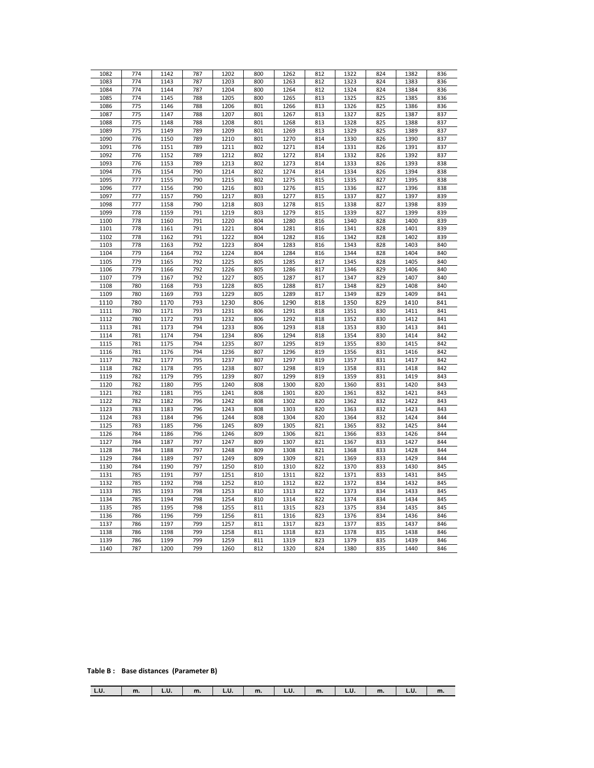| 1082 | 774 | 1142 | 787 | 1202 | 800 | 1262 | 812 | 1322 | 824 | 1382 | 836 |
|------|-----|------|-----|------|-----|------|-----|------|-----|------|-----|
| 1083 | 774 | 1143 | 787 | 1203 | 800 | 1263 | 812 | 1323 | 824 | 1383 | 836 |
| 1084 | 774 | 1144 | 787 | 1204 | 800 | 1264 | 812 | 1324 | 824 | 1384 | 836 |
| 1085 | 774 | 1145 | 788 | 1205 | 800 | 1265 | 813 | 1325 | 825 | 1385 | 836 |
| 1086 | 775 | 1146 | 788 | 1206 | 801 | 1266 | 813 | 1326 | 825 | 1386 | 836 |
|      |     |      |     |      |     |      |     |      |     |      |     |
| 1087 | 775 | 1147 | 788 | 1207 | 801 | 1267 | 813 | 1327 | 825 | 1387 | 837 |
| 1088 | 775 | 1148 | 788 | 1208 | 801 | 1268 | 813 | 1328 | 825 | 1388 | 837 |
| 1089 | 775 | 1149 | 789 | 1209 | 801 | 1269 | 813 | 1329 | 825 | 1389 | 837 |
| 1090 | 776 | 1150 | 789 | 1210 | 801 | 1270 | 814 | 1330 | 826 | 1390 | 837 |
| 1091 | 776 | 1151 | 789 | 1211 | 802 | 1271 | 814 | 1331 | 826 | 1391 | 837 |
| 1092 | 776 | 1152 | 789 | 1212 | 802 | 1272 | 814 | 1332 | 826 | 1392 | 837 |
|      |     |      |     |      |     |      |     |      |     |      |     |
| 1093 | 776 | 1153 | 789 | 1213 | 802 | 1273 | 814 | 1333 | 826 | 1393 | 838 |
| 1094 | 776 | 1154 | 790 | 1214 | 802 | 1274 | 814 | 1334 | 826 | 1394 | 838 |
| 1095 | 777 | 1155 | 790 | 1215 | 802 | 1275 | 815 | 1335 | 827 | 1395 | 838 |
| 1096 | 777 | 1156 | 790 | 1216 | 803 | 1276 | 815 | 1336 | 827 | 1396 | 838 |
| 1097 | 777 | 1157 | 790 | 1217 | 803 | 1277 | 815 | 1337 | 827 | 1397 | 839 |
| 1098 | 777 | 1158 | 790 | 1218 | 803 | 1278 | 815 | 1338 | 827 | 1398 | 839 |
| 1099 | 778 | 1159 | 791 | 1219 | 803 | 1279 | 815 | 1339 | 827 | 1399 | 839 |
|      | 778 | 1160 | 791 | 1220 | 804 | 1280 | 816 | 1340 | 828 |      | 839 |
| 1100 |     |      |     |      |     |      |     |      |     | 1400 |     |
| 1101 | 778 | 1161 | 791 | 1221 | 804 | 1281 | 816 | 1341 | 828 | 1401 | 839 |
| 1102 | 778 | 1162 | 791 | 1222 | 804 | 1282 | 816 | 1342 | 828 | 1402 | 839 |
| 1103 | 778 | 1163 | 792 | 1223 | 804 | 1283 | 816 | 1343 | 828 | 1403 | 840 |
| 1104 | 779 | 1164 | 792 | 1224 | 804 | 1284 | 816 | 1344 | 828 | 1404 | 840 |
| 1105 | 779 | 1165 | 792 | 1225 | 805 | 1285 | 817 | 1345 | 828 | 1405 | 840 |
| 1106 | 779 | 1166 | 792 | 1226 | 805 | 1286 | 817 | 1346 | 829 | 1406 | 840 |
| 1107 | 779 | 1167 | 792 | 1227 | 805 | 1287 | 817 | 1347 | 829 | 1407 | 840 |
|      |     |      |     |      |     |      |     |      |     |      |     |
| 1108 | 780 | 1168 | 793 | 1228 | 805 | 1288 | 817 | 1348 | 829 | 1408 | 840 |
| 1109 | 780 | 1169 | 793 | 1229 | 805 | 1289 | 817 | 1349 | 829 | 1409 | 841 |
| 1110 | 780 | 1170 | 793 | 1230 | 806 | 1290 | 818 | 1350 | 829 | 1410 | 841 |
| 1111 | 780 | 1171 | 793 | 1231 | 806 | 1291 | 818 | 1351 | 830 | 1411 | 841 |
| 1112 | 780 | 1172 | 793 | 1232 | 806 | 1292 | 818 | 1352 | 830 | 1412 | 841 |
| 1113 | 781 | 1173 | 794 | 1233 | 806 | 1293 | 818 | 1353 | 830 | 1413 | 841 |
| 1114 | 781 | 1174 | 794 | 1234 | 806 | 1294 | 818 | 1354 | 830 | 1414 | 842 |
| 1115 | 781 | 1175 | 794 | 1235 | 807 | 1295 | 819 | 1355 | 830 | 1415 | 842 |
|      |     |      |     |      |     |      |     |      |     |      |     |
| 1116 | 781 | 1176 | 794 | 1236 | 807 | 1296 | 819 | 1356 | 831 | 1416 | 842 |
| 1117 | 782 | 1177 | 795 | 1237 | 807 | 1297 | 819 | 1357 | 831 | 1417 | 842 |
| 1118 | 782 | 1178 | 795 | 1238 | 807 | 1298 | 819 | 1358 | 831 | 1418 | 842 |
| 1119 | 782 | 1179 | 795 | 1239 | 807 | 1299 | 819 | 1359 | 831 | 1419 | 843 |
| 1120 | 782 | 1180 | 795 | 1240 | 808 | 1300 | 820 | 1360 | 831 | 1420 | 843 |
| 1121 | 782 | 1181 | 795 | 1241 | 808 | 1301 | 820 | 1361 | 832 | 1421 | 843 |
| 1122 | 782 | 1182 | 796 | 1242 | 808 | 1302 | 820 | 1362 | 832 | 1422 | 843 |
| 1123 | 783 | 1183 | 796 | 1243 | 808 | 1303 | 820 |      | 832 | 1423 | 843 |
|      |     |      |     |      |     |      |     | 1363 |     |      |     |
| 1124 | 783 | 1184 | 796 | 1244 | 808 | 1304 | 820 | 1364 | 832 | 1424 | 844 |
| 1125 | 783 | 1185 | 796 | 1245 | 809 | 1305 | 821 | 1365 | 832 | 1425 | 844 |
| 1126 | 784 | 1186 | 796 | 1246 | 809 | 1306 | 821 | 1366 | 833 | 1426 | 844 |
| 1127 | 784 | 1187 | 797 | 1247 | 809 | 1307 | 821 | 1367 | 833 | 1427 | 844 |
| 1128 | 784 | 1188 | 797 | 1248 | 809 | 1308 | 821 | 1368 | 833 | 1428 | 844 |
| 1129 | 784 | 1189 | 797 | 1249 | 809 | 1309 | 821 | 1369 | 833 | 1429 | 844 |
| 1130 | 784 | 1190 | 797 | 1250 | 810 | 1310 | 822 | 1370 | 833 | 1430 | 845 |
| 1131 | 785 | 1191 | 797 | 1251 | 810 | 1311 | 822 | 1371 | 833 | 1431 | 845 |
| 1132 | 785 | 1192 | 798 | 1252 | 810 | 1312 | 822 | 1372 | 834 | 1432 | 845 |
|      |     |      |     |      |     |      |     |      |     |      |     |
| 1133 | 785 | 1193 | 798 | 1253 | 810 | 1313 | 822 | 1373 | 834 | 1433 | 845 |
| 1134 | 785 | 1194 | 798 | 1254 | 810 | 1314 | 822 | 1374 | 834 | 1434 | 845 |
| 1135 | 785 | 1195 | 798 | 1255 | 811 | 1315 | 823 | 1375 | 834 | 1435 | 845 |
| 1136 | 786 | 1196 | 799 | 1256 | 811 | 1316 | 823 | 1376 | 834 | 1436 | 846 |
| 1137 | 786 | 1197 | 799 | 1257 | 811 | 1317 | 823 | 1377 | 835 | 1437 | 846 |
| 1138 | 786 | 1198 | 799 | 1258 | 811 | 1318 | 823 | 1378 | 835 | 1438 | 846 |
| 1139 | 786 | 1199 | 799 | 1259 | 811 | 1319 | 823 | 1379 | 835 | 1439 | 846 |
|      |     |      |     |      |     |      |     |      |     |      |     |
| 1140 | 787 | 1200 | 799 | 1260 | 812 | 1320 | 824 | 1380 | 835 | 1440 | 846 |

## **Table B : Base distances (Parameter B)**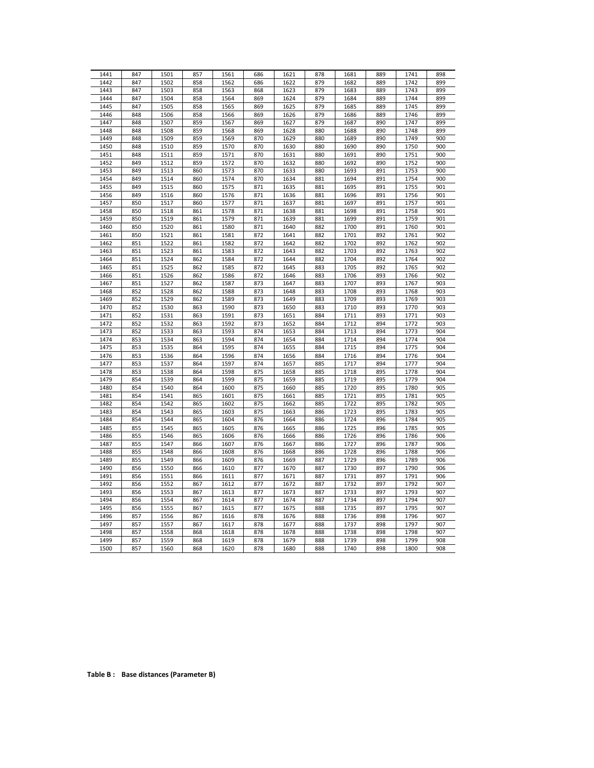| 1441 | 847 | 1501 | 857 | 1561 | 686 | 1621 | 878 | 1681 | 889 | 1741 | 898 |
|------|-----|------|-----|------|-----|------|-----|------|-----|------|-----|
| 1442 | 847 | 1502 | 858 | 1562 | 686 | 1622 | 879 | 1682 | 889 | 1742 | 899 |
| 1443 | 847 | 1503 | 858 | 1563 | 868 | 1623 | 879 | 1683 | 889 | 1743 | 899 |
| 1444 | 847 | 1504 | 858 | 1564 | 869 | 1624 | 879 | 1684 | 889 | 1744 | 899 |
| 1445 | 847 | 1505 | 858 | 1565 | 869 | 1625 | 879 | 1685 | 889 | 1745 | 899 |
| 1446 | 848 | 1506 | 858 | 1566 | 869 | 1626 | 879 | 1686 | 889 | 1746 | 899 |
| 1447 | 848 | 1507 | 859 | 1567 | 869 | 1627 | 879 | 1687 | 890 | 1747 | 899 |
| 1448 | 848 | 1508 | 859 | 1568 | 869 | 1628 | 880 | 1688 | 890 | 1748 | 899 |
| 1449 | 848 | 1509 | 859 | 1569 | 870 | 1629 | 880 | 1689 | 890 | 1749 | 900 |
| 1450 | 848 | 1510 | 859 | 1570 | 870 | 1630 | 880 | 1690 | 890 | 1750 | 900 |
| 1451 | 848 | 1511 | 859 | 1571 | 870 | 1631 | 880 | 1691 | 890 | 1751 | 900 |
| 1452 | 849 | 1512 | 859 | 1572 | 870 | 1632 | 880 | 1692 | 890 | 1752 | 900 |
| 1453 | 849 | 1513 | 860 | 1573 | 870 | 1633 | 880 | 1693 | 891 | 1753 | 900 |
| 1454 | 849 | 1514 | 860 | 1574 | 870 | 1634 | 881 | 1694 | 891 | 1754 | 900 |
| 1455 | 849 | 1515 | 860 | 1575 | 871 | 1635 | 881 | 1695 | 891 | 1755 | 901 |
| 1456 | 849 | 1516 | 860 | 1576 | 871 | 1636 | 881 | 1696 | 891 | 1756 | 901 |
| 1457 | 850 | 1517 | 860 | 1577 | 871 | 1637 | 881 | 1697 | 891 | 1757 | 901 |
| 1458 | 850 | 1518 | 861 | 1578 | 871 | 1638 | 881 | 1698 | 891 | 1758 | 901 |
| 1459 | 850 | 1519 | 861 | 1579 | 871 | 1639 | 881 | 1699 | 891 | 1759 | 901 |
| 1460 | 850 | 1520 | 861 | 1580 | 871 | 1640 | 882 | 1700 | 891 | 1760 | 901 |
| 1461 | 850 | 1521 | 861 | 1581 | 872 | 1641 | 882 | 1701 | 892 | 1761 | 902 |
| 1462 | 851 | 1522 | 861 | 1582 | 872 | 1642 | 882 | 1702 | 892 | 1762 | 902 |
| 1463 | 851 | 1523 | 861 | 1583 | 872 | 1643 | 882 | 1703 | 892 | 1763 | 902 |
| 1464 | 851 | 1524 | 862 | 1584 | 872 | 1644 | 882 | 1704 | 892 | 1764 | 902 |
| 1465 | 851 | 1525 | 862 | 1585 | 872 | 1645 | 883 | 1705 | 892 | 1765 | 902 |
| 1466 | 851 | 1526 | 862 | 1586 | 872 | 1646 | 883 | 1706 | 893 | 1766 | 902 |
| 1467 | 851 | 1527 | 862 | 1587 | 873 | 1647 | 883 | 1707 | 893 | 1767 | 903 |
| 1468 | 852 | 1528 | 862 | 1588 | 873 | 1648 | 883 | 1708 | 893 | 1768 | 903 |
| 1469 | 852 | 1529 | 862 | 1589 | 873 | 1649 | 883 | 1709 | 893 | 1769 | 903 |
| 1470 | 852 | 1530 | 863 | 1590 | 873 | 1650 | 883 | 1710 | 893 | 1770 | 903 |
|      |     |      |     |      |     |      |     |      |     |      | 903 |
| 1471 | 852 | 1531 | 863 | 1591 | 873 | 1651 | 884 | 1711 | 893 | 1771 |     |
| 1472 | 852 | 1532 | 863 | 1592 | 873 | 1652 | 884 | 1712 | 894 | 1772 | 903 |
| 1473 | 852 | 1533 | 863 | 1593 | 874 | 1653 | 884 | 1713 | 894 | 1773 | 904 |
| 1474 | 853 | 1534 | 863 | 1594 | 874 | 1654 | 884 | 1714 | 894 | 1774 | 904 |
| 1475 | 853 | 1535 | 864 | 1595 | 874 | 1655 | 884 | 1715 | 894 | 1775 | 904 |
| 1476 | 853 | 1536 | 864 | 1596 | 874 | 1656 | 884 | 1716 | 894 | 1776 | 904 |
| 1477 | 853 | 1537 | 864 | 1597 | 874 | 1657 | 885 | 1717 | 894 | 1777 | 904 |
| 1478 | 853 | 1538 | 864 | 1598 | 875 | 1658 | 885 | 1718 | 895 | 1778 | 904 |
| 1479 | 854 | 1539 | 864 | 1599 | 875 | 1659 | 885 | 1719 | 895 | 1779 | 904 |
| 1480 | 854 | 1540 | 864 | 1600 | 875 | 1660 | 885 | 1720 | 895 | 1780 | 905 |
| 1481 | 854 | 1541 | 865 | 1601 | 875 | 1661 | 885 | 1721 | 895 | 1781 | 905 |
| 1482 | 854 | 1542 | 865 | 1602 | 875 | 1662 | 885 | 1722 | 895 | 1782 | 905 |
| 1483 | 854 | 1543 | 865 | 1603 | 875 | 1663 | 886 | 1723 | 895 | 1783 | 905 |
| 1484 | 854 | 1544 | 865 | 1604 | 876 | 1664 | 886 | 1724 | 896 | 1784 | 905 |
| 1485 | 855 | 1545 | 865 | 1605 | 876 | 1665 | 886 | 1725 | 896 | 1785 | 905 |
| 1486 | 855 | 1546 | 865 | 1606 | 876 | 1666 | 886 | 1726 | 896 | 1786 | 906 |
| 1487 | 855 | 1547 | 866 | 1607 | 876 | 1667 | 886 | 1727 | 896 | 1787 | 906 |
| 1488 | 855 | 1548 | 866 | 1608 | 876 | 1668 | 886 | 1728 | 896 | 1788 | 906 |
| 1489 | 855 | 1549 | 866 | 1609 | 876 | 1669 | 887 | 1729 | 896 | 1789 | 906 |
| 1490 | 856 | 1550 | 866 | 1610 | 877 | 1670 | 887 | 1730 | 897 | 1790 | 906 |
| 1491 | 856 | 1551 | 866 | 1611 | 877 | 1671 | 887 | 1731 | 897 | 1791 | 906 |
| 1492 | 856 | 1552 | 867 | 1612 | 877 | 1672 | 887 | 1732 | 897 | 1792 | 907 |
| 1493 | 856 | 1553 | 867 | 1613 | 877 | 1673 | 887 | 1733 | 897 | 1793 | 907 |
| 1494 | 856 | 1554 | 867 | 1614 | 877 | 1674 | 887 | 1734 | 897 | 1794 | 907 |
| 1495 | 856 | 1555 | 867 | 1615 | 877 | 1675 | 888 | 1735 | 897 | 1795 | 907 |
| 1496 | 857 | 1556 | 867 | 1616 | 878 | 1676 | 888 | 1736 | 898 | 1796 | 907 |
| 1497 | 857 | 1557 | 867 | 1617 | 878 | 1677 | 888 | 1737 | 898 | 1797 | 907 |
| 1498 | 857 | 1558 | 868 | 1618 | 878 | 1678 | 888 | 1738 | 898 | 1798 | 907 |
| 1499 | 857 | 1559 | 868 | 1619 | 878 | 1679 | 888 | 1739 | 898 | 1799 | 908 |
| 1500 | 857 | 1560 | 868 | 1620 | 878 | 1680 | 888 | 1740 | 898 | 1800 | 908 |

**Table B : Base distances (Parameter B)**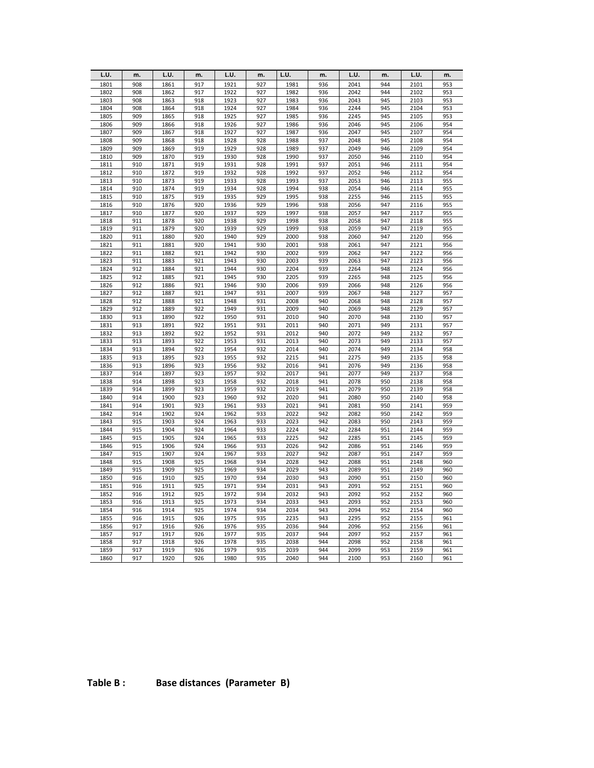| L.U.         | m.         | L.U.         | m.         | L.U.         | m.         | L.U.         | m.         | L.U.         | m.         | L.U.         | m.         |
|--------------|------------|--------------|------------|--------------|------------|--------------|------------|--------------|------------|--------------|------------|
| 1801         | 908        | 1861         | 917        | 1921         | 927        | 1981         | 936        | 2041         | 944        | 2101         | 953        |
| 1802         | 908        | 1862         | 917        | 1922         | 927        | 1982         | 936        | 2042         | 944        | 2102         | 953        |
| 1803         | 908        | 1863         | 918        | 1923         | 927        | 1983         | 936        | 2043         | 945        | 2103         | 953        |
| 1804         | 908        | 1864         | 918        | 1924         | 927        | 1984         | 936        | 2244         | 945        | 2104         | 953        |
| 1805         | 909        | 1865         | 918        | 1925         | 927        | 1985         | 936        | 2245         | 945        | 2105         | 953        |
| 1806         | 909        | 1866         | 918        | 1926         | 927        | 1986         | 936        | 2046         | 945        | 2106         | 954        |
| 1807         | 909        | 1867         | 918        | 1927         | 927        | 1987         | 936        | 2047         | 945        | 2107         | 954        |
| 1808         | 909        | 1868         | 918        | 1928         | 928        | 1988         | 937        | 2048         | 945        | 2108         | 954        |
| 1809         | 909        | 1869         | 919        | 1929         | 928        | 1989         | 937        | 2049         | 946        | 2109         | 954        |
| 1810         | 909        | 1870         | 919        | 1930         | 928        | 1990         | 937        | 2050         | 946        | 2110         | 954        |
| 1811         | 910        | 1871         | 919        | 1931         | 928        | 1991         | 937        | 2051         | 946        | 2111         | 954        |
| 1812         | 910        | 1872         | 919        | 1932         | 928        | 1992         | 937        | 2052         | 946        | 2112         | 954        |
| 1813         | 910        | 1873         | 919        | 1933         | 928        | 1993         | 937        | 2053         | 946        | 2113         | 955        |
| 1814         | 910        | 1874         | 919        | 1934         | 928        | 1994         | 938        | 2054         | 946        | 2114         | 955        |
| 1815         | 910        | 1875         | 919        | 1935         | 929        | 1995         | 938        | 2255         | 946        | 2115         | 955        |
| 1816         | 910        | 1876         | 920        | 1936         | 929        | 1996         | 938        | 2056         | 947        | 2116         | 955        |
| 1817         | 910        | 1877         | 920        | 1937         | 929        | 1997         | 938        | 2057         | 947        | 2117         | 955        |
| 1818         | 911        | 1878         | 920        | 1938         | 929        | 1998         | 938        | 2058         | 947        | 2118         | 955        |
| 1819         | 911        | 1879         | 920        | 1939         | 929        | 1999         | 938        | 2059         | 947        | 2119         | 955        |
| 1820         | 911        | 1880         | 920        | 1940         | 929        | 2000         | 938        | 2060         | 947        | 2120         | 956        |
| 1821         | 911        | 1881         | 920        | 1941         | 930        | 2001         | 938        | 2061         | 947        | 2121         | 956        |
| 1822         | 911        | 1882         | 921        | 1942<br>1943 | 930        | 2002<br>2003 | 939        | 2062         | 947<br>947 | 2122         | 956<br>956 |
| 1823<br>1824 | 911<br>912 | 1883<br>1884 | 921<br>921 | 1944         | 930<br>930 | 2204         | 939<br>939 | 2063<br>2264 | 948        | 2123<br>2124 | 956        |
| 1825         | 912        | 1885         | 921        | 1945         | 930        | 2205         | 939        | 2265         | 948        | 2125         | 956        |
| 1826         | 912        | 1886         | 921        | 1946         | 930        | 2006         | 939        | 2066         | 948        | 2126         | 956        |
| 1827         | 912        | 1887         | 921        | 1947         | 931        | 2007         | 939        | 2067         | 948        | 2127         | 957        |
| 1828         | 912        | 1888         | 921        | 1948         | 931        | 2008         | 940        | 2068         | 948        | 2128         | 957        |
| 1829         | 912        | 1889         | 922        | 1949         | 931        | 2009         | 940        | 2069         | 948        | 2129         | 957        |
| 1830         | 913        | 1890         | 922        | 1950         | 931        | 2010         | 940        | 2070         | 948        | 2130         | 957        |
| 1831         | 913        | 1891         | 922        | 1951         | 931        | 2011         | 940        | 2071         | 949        | 2131         | 957        |
| 1832         | 913        | 1892         | 922        | 1952         | 931        | 2012         | 940        | 2072         | 949        | 2132         | 957        |
| 1833         | 913        | 1893         | 922        | 1953         | 931        | 2013         | 940        | 2073         | 949        | 2133         | 957        |
| 1834         | 913        | 1894         | 922        | 1954         | 932        | 2014         | 940        | 2074         | 949        | 2134         | 958        |
| 1835         | 913        | 1895         | 923        | 1955         | 932        | 2215         | 941        | 2275         | 949        | 2135         | 958        |
| 1836         | 913        | 1896         | 923        | 1956         | 932        | 2016         | 941        | 2076         | 949        | 2136         | 958        |
| 1837         | 914        | 1897         | 923        | 1957         | 932        | 2017         | 941        | 2077         | 949        | 2137         | 958        |
| 1838         | 914        | 1898         | 923        | 1958         | 932        | 2018         | 941        | 2078         | 950        | 2138         | 958        |
| 1839         | 914        | 1899         | 923        | 1959         | 932        | 2019         | 941        | 2079         | 950        | 2139         | 958        |
| 1840         | 914        | 1900         | 923        | 1960         | 932        | 2020         | 941        | 2080         | 950        | 2140         | 958        |
| 1841         | 914        | 1901         | 923        | 1961         | 933        | 2021         | 941        | 2081         | 950        | 2141         | 959        |
| 1842         | 914        | 1902         | 924        | 1962         | 933        | 2022         | 942        | 2082         | 950        | 2142         | 959        |
| 1843         | 915        | 1903         | 924        | 1963         | 933        | 2023         | 942        | 2083         | 950        | 2143         | 959        |
| 1844         | 915        | 1904         | 924        | 1964         | 933        | 2224         | 942        | 2284         | 951        | 2144         | 959        |
| 1845         | 915        | 1905         | 924        | 1965         | 933        | 2225         | 942        | 2285         | 951        | 2145         | 959        |
| 1846         | 915        | 1906         | 924        | 1966         | 933        | 2026         | 942        | 2086         | 951        | 2146         | 959        |
| 1847         | 915        | 1907         | 924        | 1967         | 933        | 2027         | 942        | 2087         | 951        | 2147         | 959        |
| 1848         | 915        | 1908         | 925        | 1968         | 934        | 2028         | 942        | 2088         | 951        | 2148         | 960        |
| 1849         | 915        | 1909         | 925        | 1969         | 934        | 2029         | 943        | 2089         | 951        | 2149         | 960        |
| 1850         | 916        | 1910         | 925        | 1970         | 934        | 2030         | 943        | 2090         | 951        | 2150         | 960        |
| 1851         | 916        | 1911         | 925        | 1971         | 934        | 2031         | 943        | 2091         | 952        | 2151         | 960        |
| 1852         | 916        | 1912         | 925        | 1972         | 934        | 2032         | 943        | 2092         | 952        | 2152         | 960        |
| 1853         | 916        | 1913         | 925        | 1973         | 934        | 2033         | 943        | 2093         | 952        | 2153         | 960        |
| 1854         | 916        | 1914         | 925        | 1974         | 934        | 2034         | 943        | 2094         | 952        | 2154         | 960        |
| 1855         | 916        | 1915         | 926        | 1975         | 935        | 2235         | 943        | 2295         | 952        | 2155         | 961        |
| 1856         | 917        | 1916         | 926        | 1976         | 935        | 2036         | 944        | 2096         | 952        | 2156         | 961        |
| 1857         | 917        | 1917         | 926        | 1977         | 935        | 2037         | 944        | 2097         | 952        | 2157         | 961        |
| 1858         | 917        | 1918         | 926        | 1978         | 935        | 2038         | 944        | 2098         | 952        | 2158         | 961        |
| 1859         | 917        | 1919         | 926        | 1979         | 935        | 2039         | 944        | 2099         | 953        | 2159         | 961        |
| 1860         | 917        | 1920         | 926        | 1980         | 935        | 2040         | 944        | 2100         | 953        | 2160         | 961        |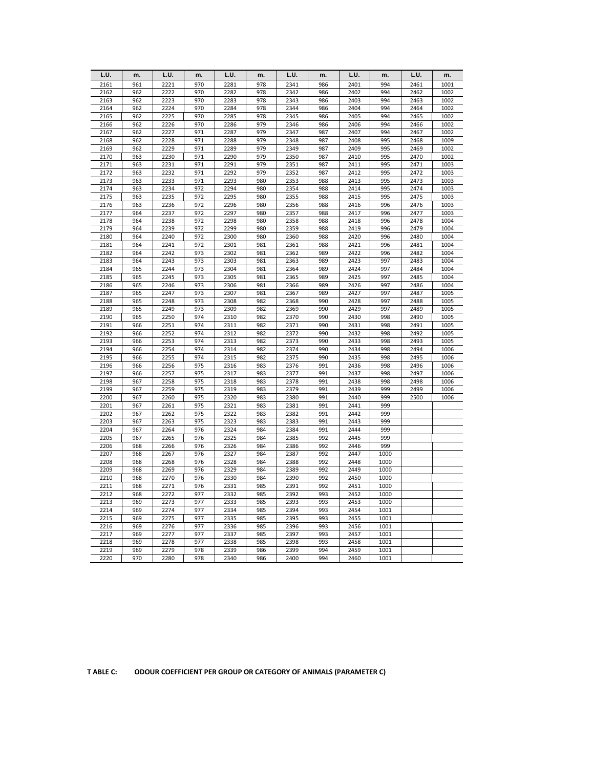| L.U.         | m.         | L.U.         | m.         | L.U.         | m.         | L.U.         | m.         | L.U.         | m.           | L.U.         | m.           |
|--------------|------------|--------------|------------|--------------|------------|--------------|------------|--------------|--------------|--------------|--------------|
| 2161         | 961        | 2221         | 970        | 2281         | 978        | 2341         | 986        | 2401         | 994          | 2461         | 1001         |
| 2162         | 962        | 2222         | 970        | 2282         | 978        | 2342         | 986        | 2402         | 994          | 2462         | 1002         |
| 2163         | 962        | 2223         | 970        | 2283         | 978        | 2343         | 986        | 2403         | 994          | 2463         | 1002         |
| 2164         | 962        | 2224         | 970        | 2284         | 978        | 2344         | 986        | 2404         | 994          | 2464         | 1002         |
| 2165         | 962        | 2225         | 970        | 2285         | 978        | 2345         | 986        | 2405         | 994          | 2465         | 1002         |
| 2166         | 962        | 2226         | 970        | 2286         | 979        | 2346         | 986        | 2406         | 994          | 2466         | 1002         |
| 2167         | 962        | 2227         | 971        | 2287         | 979        | 2347         | 987        | 2407         | 994          | 2467         | 1002         |
| 2168         | 962        | 2228         | 971        | 2288         | 979        | 2348         | 987        | 2408         | 995          | 2468         | 1009         |
| 2169         | 962        | 2229         | 971        | 2289         | 979        | 2349         | 987        | 2409         | 995          | 2469         | 1002         |
| 2170         | 963        | 2230         | 971        | 2290         | 979        | 2350         | 987        | 2410         | 995          | 2470         | 1002         |
| 2171         | 963        | 2231         | 971        | 2291         | 979        | 2351         | 987        | 2411         | 995          | 2471         | 1003         |
| 2172         | 963        | 2232         | 971        | 2292         | 979        | 2352         | 987        | 2412         | 995          | 2472         | 1003         |
| 2173         | 963        | 2233         | 971        | 2293         | 980        | 2353         | 988        | 2413         | 995          | 2473         | 1003         |
| 2174         | 963        | 2234         | 972        | 2294         | 980        | 2354         | 988        | 2414         | 995          | 2474         | 1003         |
| 2175         | 963        | 2235         | 972        | 2295         | 980        | 2355         | 988        | 2415         | 995          | 2475         | 1003         |
| 2176         | 963        | 2236         | 972        | 2296         | 980        | 2356         | 988        | 2416         | 996          | 2476         | 1003         |
| 2177         | 964        | 2237         | 972        | 2297         | 980        | 2357         | 988        | 2417         | 996          | 2477         | 1003         |
| 2178         | 964        | 2238         | 972        | 2298         | 980        | 2358         | 988        | 2418         | 996          | 2478         | 1004         |
| 2179         | 964        | 2239         | 972        | 2299         | 980        | 2359         | 988        | 2419         | 996          | 2479         | 1004         |
| 2180         | 964        | 2240         | 972        | 2300         | 980        | 2360         | 988        | 2420         | 996          | 2480         | 1004         |
| 2181         | 964        | 2241         | 972        | 2301         | 981        | 2361         | 988        | 2421         | 996          | 2481         | 1004         |
| 2182         | 964        | 2242         | 973        | 2302         | 981        | 2362         | 989        | 2422         | 996          | 2482         | 1004         |
| 2183         | 964        | 2243         | 973        | 2303         | 981        | 2363         | 989        | 2423         | 997          | 2483         | 1004         |
| 2184         | 965        | 2244         | 973        | 2304         | 981        | 2364         | 989        | 2424         | 997          | 2484         | 1004         |
| 2185         | 965        | 2245         | 973        | 2305         | 981        | 2365         | 989        | 2425         | 997          | 2485         | 1004         |
| 2186         | 965        | 2246         | 973        | 2306         | 981        | 2366         | 989        | 2426         | 997          | 2486         | 1004         |
| 2187         | 965        | 2247         | 973        | 2307         | 981        | 2367         | 989        | 2427         | 997          | 2487         | 1005         |
| 2188         | 965        | 2248         | 973        | 2308         | 982        | 2368         | 990        | 2428         | 997          | 2488         | 1005         |
| 2189         | 965        | 2249         | 973<br>974 | 2309         | 982        | 2369         | 990<br>990 | 2429         | 997<br>998   | 2489         | 1005         |
| 2190<br>2191 | 965        | 2250<br>2251 | 974        | 2310<br>2311 | 982<br>982 | 2370<br>2371 | 990        | 2430<br>2431 |              | 2490<br>2491 | 1005<br>1005 |
| 2192         | 966<br>966 | 2252         | 974        | 2312         | 982        | 2372         | 990        | 2432         | 998<br>998   | 2492         | 1005         |
| 2193         | 966        | 2253         | 974        | 2313         | 982        | 2373         | 990        | 2433         | 998          | 2493         | 1005         |
| 2194         | 966        | 2254         | 974        | 2314         | 982        | 2374         | 990        | 2434         | 998          | 2494         | 1006         |
| 2195         | 966        | 2255         | 974        | 2315         | 982        | 2375         | 990        | 2435         | 998          | 2495         | 1006         |
| 2196         | 966        | 2256         | 975        | 2316         | 983        | 2376         | 991        | 2436         | 998          | 2496         | 1006         |
| 2197         | 966        | 2257         | 975        | 2317         | 983        | 2377         | 991        | 2437         | 998          | 2497         | 1006         |
| 2198         | 967        | 2258         | 975        | 2318         | 983        | 2378         | 991        | 2438         | 998          | 2498         | 1006         |
| 2199         | 967        | 2259         | 975        | 2319         | 983        | 2379         | 991        | 2439         | 999          | 2499         | 1006         |
| 2200         | 967        | 2260         | 975        | 2320         | 983        | 2380         | 991        | 2440         | 999          | 2500         | 1006         |
| 2201         | 967        | 2261         | 975        | 2321         | 983        | 2381         | 991        | 2441         | 999          |              |              |
| 2202         | 967        | 2262         | 975        | 2322         | 983        | 2382         | 991        | 2442         | 999          |              |              |
| 2203         | 967        | 2263         | 975        | 2323         | 983        | 2383         | 991        | 2443         | 999          |              |              |
| 2204         | 967        | 2264         | 976        | 2324         | 984        | 2384         | 991        | 2444         | 999          |              |              |
| 2205         | 967        | 2265         | 976        | 2325         | 984        | 2385         | 992        | 2445         | 999          |              |              |
| 2206         | 968        | 2266         | 976        | 2326         | 984        | 2386         | 992        | 2446         | 999          |              |              |
| 2207         | 968        | 2267         | 976        | 2327         | 984        | 2387         | 992        | 2447         | 1000         |              |              |
| 2208         | 968        | 2268         | 976        | 2328         | 984        | 2388         | 992        | 2448         | 1000         |              |              |
| 2209         | 968        | 2269         | 976        | 2329         | 984        | 2389         | 992        | 2449         | 1000         |              |              |
| 2210         | 968        | 2270         | 976        | 2330         | 984        | 2390         | 992        | 2450         | 1000         |              |              |
| 2211         | 968        | 2271         | 976        | 2331         | 985        | 2391         | 992        | 2451         | 1000         |              |              |
| 2212         | 968        | 2272         | 977        | 2332         | 985        | 2392         | 993        | 2452         | 1000         |              |              |
| 2213         | 969        | 2273         | 977        | 2333         | 985        | 2393         | 993        | 2453         | 1000         |              |              |
| 2214         | 969        | 2274         | 977        | 2334         | 985        | 2394         | 993        | 2454         | 1001         |              |              |
| 2215         | 969        | 2275         | 977        | 2335         | 985        | 2395         | 993        | 2455         | 1001         |              |              |
| 2216<br>2217 | 969<br>969 | 2276<br>2277 | 977<br>977 | 2336<br>2337 | 985<br>985 | 2396<br>2397 | 993<br>993 | 2456         | 1001         |              |              |
| 2218         | 969        | 2278         | 977        | 2338         | 985        | 2398         | 993        | 2457<br>2458 | 1001<br>1001 |              |              |
| 2219         | 969        | 2279         | 978        | 2339         | 986        | 2399         | 994        | 2459         | 1001         |              |              |
| 2220         | 970        | 2280         | 978        | 2340         | 986        | 2400         | 994        | 2460         | 1001         |              |              |
|              |            |              |            |              |            |              |            |              |              |              |              |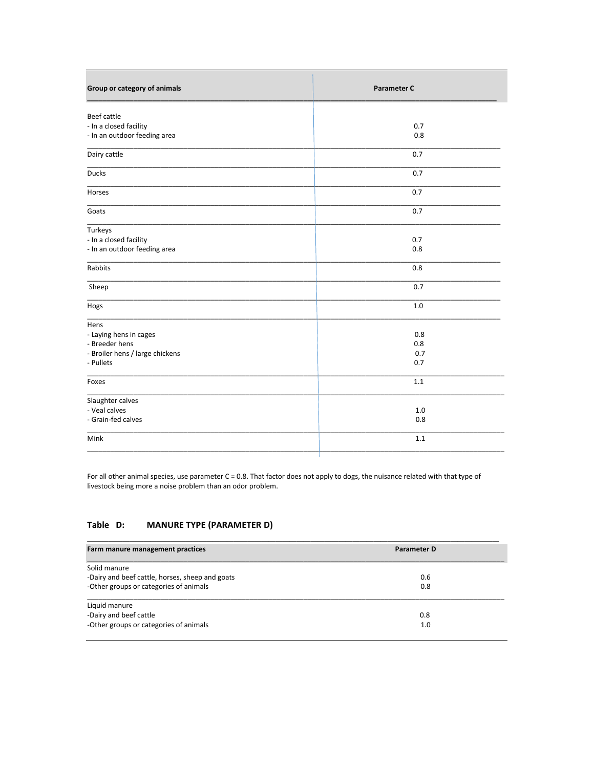| Group or category of animals    | <b>Parameter C</b> |
|---------------------------------|--------------------|
| Beef cattle                     |                    |
| - In a closed facility          | 0.7                |
| - In an outdoor feeding area    | 0.8                |
| Dairy cattle                    | 0.7                |
| <b>Ducks</b>                    | 0.7                |
| Horses                          | 0.7                |
| Goats                           | 0.7                |
| Turkeys                         |                    |
| - In a closed facility          | 0.7                |
| - In an outdoor feeding area    | 0.8                |
| Rabbits                         | 0.8                |
| Sheep                           | 0.7                |
| Hogs                            | 1.0                |
| Hens                            |                    |
| - Laying hens in cages          | 0.8                |
| - Breeder hens                  | 0.8                |
| - Broiler hens / large chickens | 0.7                |
| - Pullets                       | 0.7                |
| Foxes                           | 1.1                |
| Slaughter calves                |                    |
| - Veal calves                   | 1.0                |
| - Grain-fed calves              | 0.8                |
| Mink                            | 1.1                |
|                                 |                    |

For all other animal species, use parameter C = 0.8. That factor does not apply to dogs, the nuisance related with that type of livestock being more a noise problem than an odor problem.

#### **MANURE TYPE (PARAMETER D)** Table D:

| Farm manure management practices                | Parameter D |
|-------------------------------------------------|-------------|
| Solid manure                                    |             |
| -Dairy and beef cattle, horses, sheep and goats | 0.6         |
| -Other groups or categories of animals          | 0.8         |
| Liquid manure                                   |             |
| -Dairy and beef cattle                          | 0.8         |
| -Other groups or categories of animals          | 1.0         |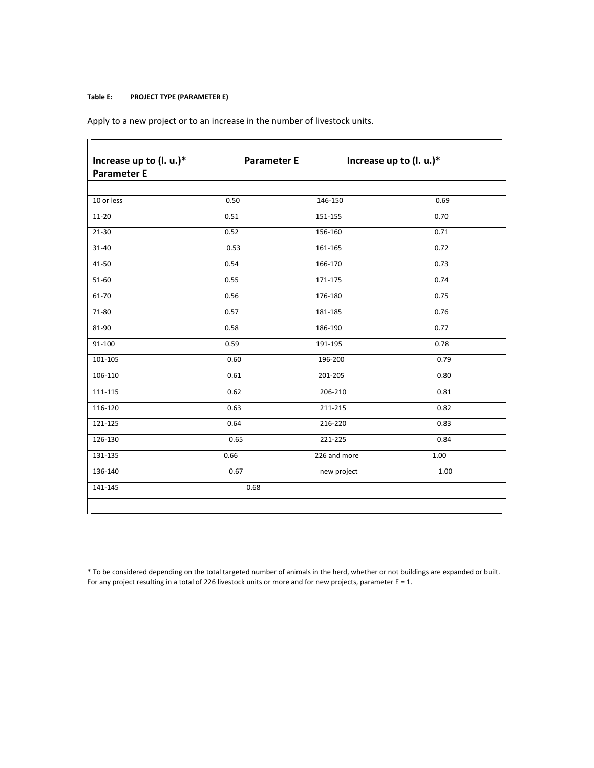## **Table E: PROJECT TYPE (PARAMETER E)**

Apply to a new project or to an increase in the number of livestock units.

| Increase up to (l. u.)* | <b>Parameter E</b> | Increase up to (I. u.)* |      |
|-------------------------|--------------------|-------------------------|------|
| <b>Parameter E</b>      |                    |                         |      |
| 10 or less              | 0.50               | 146-150                 | 0.69 |
|                         |                    |                         |      |
| $11 - 20$               | 0.51               | 151-155                 | 0.70 |
| $21 - 30$               | 0.52               | 156-160                 | 0.71 |
| $31 - 40$               | 0.53               | 161-165                 | 0.72 |
| 41-50                   | 0.54               | 166-170                 | 0.73 |
| 51-60                   | 0.55               | 171-175                 | 0.74 |
| 61-70                   | 0.56               | 176-180                 | 0.75 |
| 71-80                   | 0.57               | 181-185                 | 0.76 |
| 81-90                   | 0.58               | 186-190                 | 0.77 |
| 91-100                  | 0.59               | 191-195                 | 0.78 |
| 101-105                 | 0.60               | 196-200                 | 0.79 |
| 106-110                 | 0.61               | 201-205                 | 0.80 |
| 111-115                 | 0.62               | 206-210                 | 0.81 |
| 116-120                 | 0.63               | 211-215                 | 0.82 |
| 121-125                 | 0.64               | 216-220                 | 0.83 |
| 126-130                 | 0.65               | 221-225                 | 0.84 |
| 131-135                 | 0.66               | 226 and more            | 1.00 |
| 136-140                 | 0.67               | new project             | 1.00 |
| 141-145                 | 0.68               |                         |      |
|                         |                    |                         |      |

\* To be considered depending on the total targeted number of animals in the herd, whether or not buildings are expanded or built. For any project resulting in a total of 226 livestock units or more and for new projects, parameter E = 1.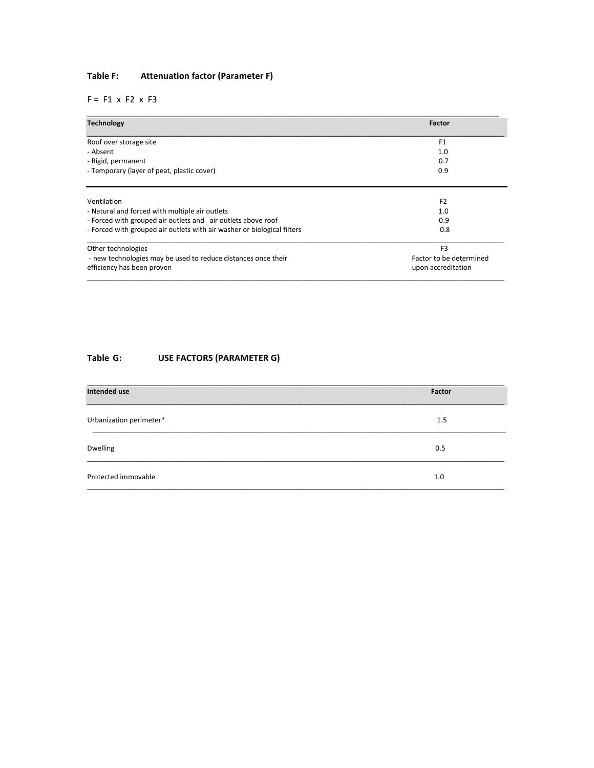# **Table F: Attenuation factor (Parameter F)**

 $F = F1 x F2 x F3$ 

| <b>Technology</b>                                                                           | Factor                                        |
|---------------------------------------------------------------------------------------------|-----------------------------------------------|
| Roof over storage site                                                                      | F <sub>1</sub>                                |
| - Absent                                                                                    | 1.0                                           |
| - Rigid, permanent                                                                          | 0.7                                           |
| - Temporary (layer of peat, plastic cover)                                                  | 0.9                                           |
| Ventilation                                                                                 | F <sub>2</sub>                                |
| - Natural and forced with multiple air outlets                                              | 1.0                                           |
| - Forced with grouped air outlets and air outlets above roof                                | 0.9                                           |
| - Forced with grouped air outlets with air washer or biological filters                     | 0.8                                           |
| Other technologies                                                                          | F <sub>3</sub>                                |
| - new technologies may be used to reduce distances once their<br>efficiency has been proven | Factor to be determined<br>upon accreditation |

# **Table G: USE FACTORS (PARAMETER G)**

| Intended use            | Factor |
|-------------------------|--------|
| Urbanization perimeter* | 1.5    |
| Dwelling                | 0.5    |
| Protected immovable     | 1.0    |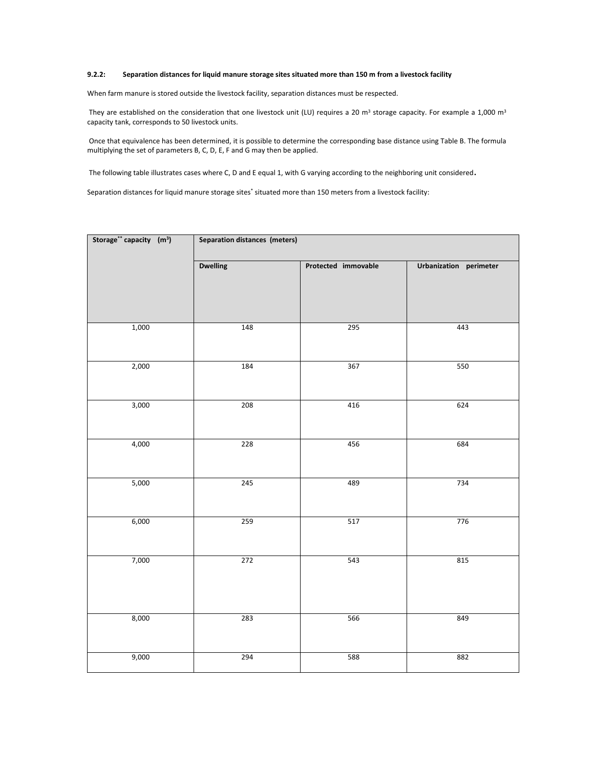## **9.2.2: Separation distances for liquid manure storage sites situated more than 150 m from a livestock facility**

When farm manure is stored outside the livestock facility, separation distances must be respected.

They are established on the consideration that one livestock unit (LU) requires a 20  $m^3$  storage capacity. For example a 1,000  $m^3$ capacity tank, corresponds to 50 livestock units.

 Once that equivalence has been determined, it is possible to determine the corresponding base distance using Table B. The formula multiplying the set of parameters B, C, D, E, F and G may then be applied.

The following table illustrates cases where C, D and E equal 1, with G varying according to the neighboring unit considered.

Separation distances for liquid manure storage sites' situated more than 150 meters from a livestock facility:

| Storage** capacity (m <sup>3</sup> ) | Separation distances (meters) |                     |                        |  |  |
|--------------------------------------|-------------------------------|---------------------|------------------------|--|--|
|                                      | <b>Dwelling</b>               | Protected immovable | Urbanization perimeter |  |  |
| 1,000                                | 148                           | 295                 | 443                    |  |  |
| 2,000                                | 184                           | 367                 | 550                    |  |  |
| 3,000                                | 208                           | 416                 | 624                    |  |  |
| 4,000                                | 228                           | 456                 | 684                    |  |  |
| 5,000                                | 245                           | 489                 | 734                    |  |  |
| 6,000                                | 259                           | 517                 | 776                    |  |  |
| 7,000                                | 272                           | 543                 | 815                    |  |  |
|                                      |                               |                     |                        |  |  |
| 8,000                                | 283                           | 566                 | 849                    |  |  |
| 9,000                                | 294                           | 588                 | 882                    |  |  |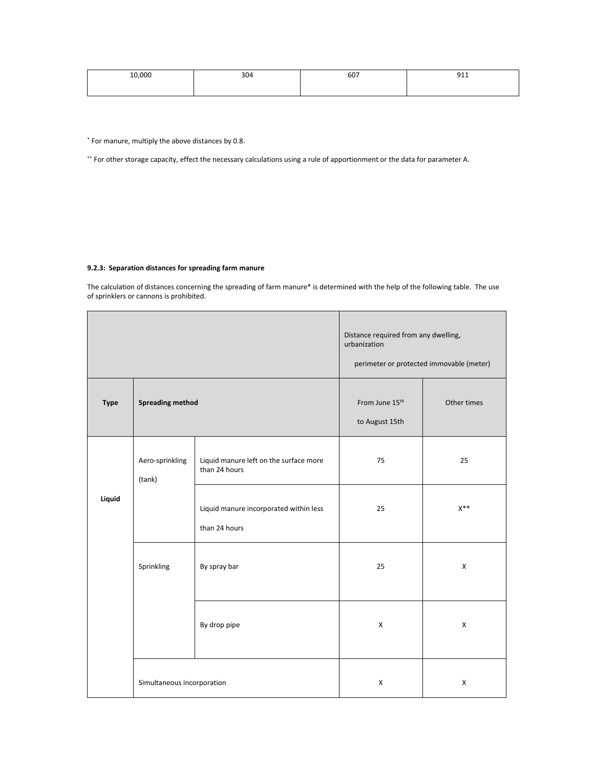| 10,000 | 304 | 607 | n1<br>フエエ |
|--------|-----|-----|-----------|
|        |     |     |           |

\* For manure, multiply the above distances by 0.8.

\*\* For other storage capacity, effect the necessary calculations using a rule of apportionment or the data for parameter A.

# **9.2.3: Separation distances for spreading farm manure**

The calculation of distances concerning the spreading of farm manure\* is determined with the help of the following table. The use of sprinklers or cannons is prohibited.

|             |                            |                                                         | Distance required from any dwelling,<br>urbanization<br>perimeter or protected immovable (meter) |                |  |
|-------------|----------------------------|---------------------------------------------------------|--------------------------------------------------------------------------------------------------|----------------|--|
| <b>Type</b> | <b>Spreading method</b>    |                                                         | From June 15 <sup>th</sup><br>to August 15th                                                     | Other times    |  |
|             | Aero-sprinkling<br>(tank)  | Liquid manure left on the surface more<br>than 24 hours | 75                                                                                               | 25             |  |
| Liquid      |                            | Liquid manure incorporated within less<br>than 24 hours | 25                                                                                               | $X^{\ast\ast}$ |  |
|             | Sprinkling                 | By spray bar                                            | 25                                                                                               | X              |  |
|             |                            | By drop pipe                                            | $\mathsf{x}$                                                                                     | $\mathsf{x}$   |  |
|             | Simultaneous incorporation |                                                         | X                                                                                                | $\pmb{\times}$ |  |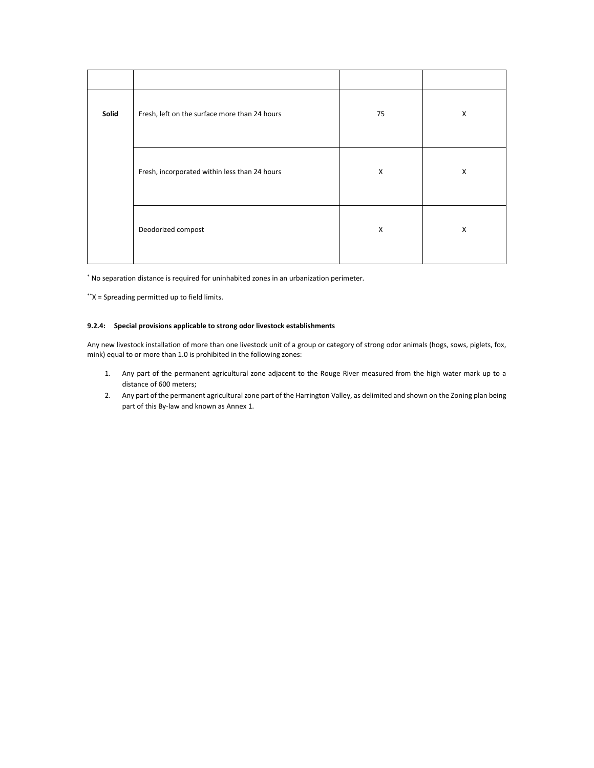| Solid | Fresh, left on the surface more than 24 hours | 75 | X |
|-------|-----------------------------------------------|----|---|
|       | Fresh, incorporated within less than 24 hours | X  | X |
|       | Deodorized compost                            | X  | X |

\* No separation distance is required for uninhabited zones in an urbanization perimeter.

\*\*X = Spreading permitted up to field limits.

## **9.2.4: Special provisions applicable to strong odor livestock establishments**

Any new livestock installation of more than one livestock unit of a group or category of strong odor animals (hogs, sows, piglets, fox, mink) equal to or more than 1.0 is prohibited in the following zones:

- 1. Any part of the permanent agricultural zone adjacent to the Rouge River measured from the high water mark up to a distance of 600 meters;
- 2. Any part of the permanent agricultural zone part of the Harrington Valley, as delimited and shown on the Zoning plan being part of this By-law and known as Annex 1.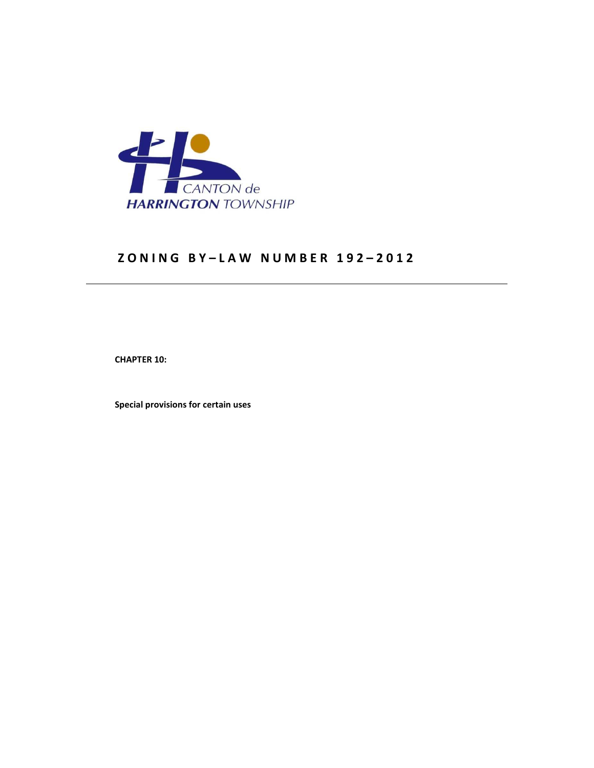

# **Z O N I N G B Y – L A W N U M B E R 1 9 2 – 2 0 1 2**

 **CHAPTER 10:** 

 **Special provisions for certain uses**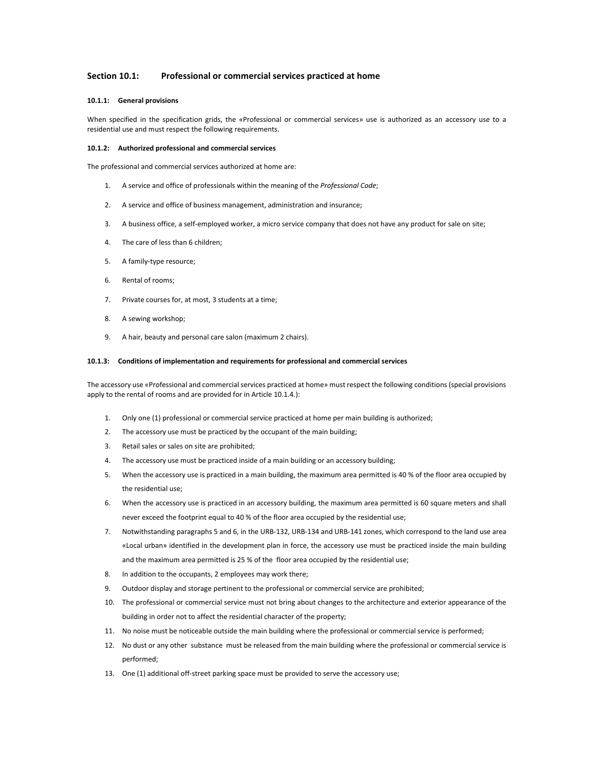## **Section 10.1: Professional or commercial services practiced at home**

#### **10.1.1: General provisions**

When specified in the specification grids, the «Professional or commercial services» use is authorized as an accessory use to a residential use and must respect the following requirements.

#### **10.1.2: Authorized professional and commercial services**

The professional and commercial services authorized at home are:

- 1. A service and office of professionals within the meaning of the *Professional Code*;
- 2. A service and office of business management, administration and insurance;
- 3. A business office, a self-employed worker, a micro service company that does not have any product for sale on site;
- 4. The care of less than 6 children;
- 5. A family-type resource;
- 6. Rental of rooms;
- 7. Private courses for, at most, 3 students at a time;
- 8. A sewing workshop;
- 9. A hair, beauty and personal care salon (maximum 2 chairs).

#### **10.1.3: Conditions of implementation and requirements for professional and commercial services**

The accessory use «Professional and commercial services practiced at home» must respect the following conditions (special provisions apply to the rental of rooms and are provided for in Article 10.1.4.):

- 1. Only one (1) professional or commercial service practiced at home per main building is authorized;
- 2. The accessory use must be practiced by the occupant of the main building;
- 3. Retail sales or sales on site are prohibited;
- 4. The accessory use must be practiced inside of a main building or an accessory building;
- 5. When the accessory use is practiced in a main building, the maximum area permitted is 40 % of the floor area occupied by the residential use;
- 6. When the accessory use is practiced in an accessory building, the maximum area permitted is 60 square meters and shall never exceed the footprint equal to 40 % of the floor area occupied by the residential use;
- 7. Notwithstanding paragraphs 5 and 6, in the URB-132, URB-134 and URB-141 zones, which correspond to the land use area «Local urban» identified in the development plan in force, the accessory use must be practiced inside the main building and the maximum area permitted is 25 % of the floor area occupied by the residential use;
- 8. In addition to the occupants, 2 employees may work there;
- 9. Outdoor display and storage pertinent to the professional or commercial service are prohibited;
- 10. The professional or commercial service must not bring about changes to the architecture and exterior appearance of the building in order not to affect the residential character of the property;
- 11. No noise must be noticeable outside the main building where the professional or commercial service is performed;
- 12. No dust or any other substance must be released from the main building where the professional or commercial service is performed;
- 13. One (1) additional off-street parking space must be provided to serve the accessory use;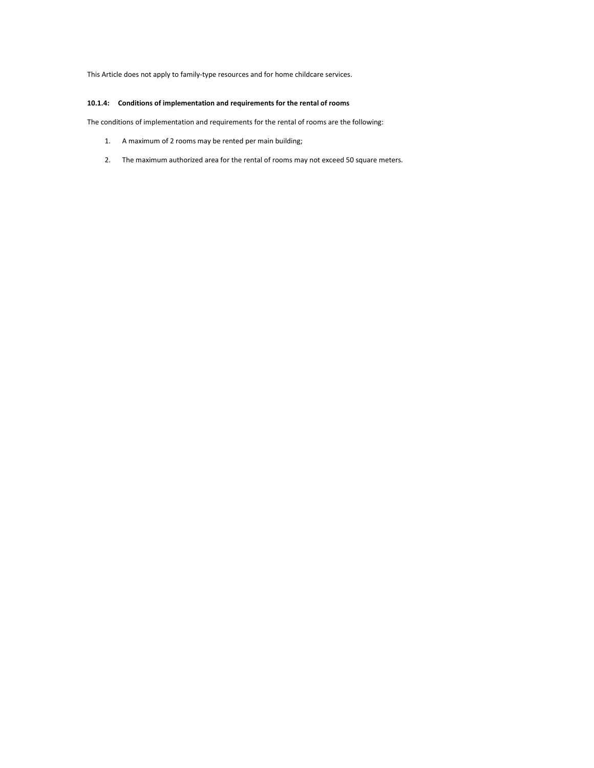This Article does not apply to family-type resources and for home childcare services.

## **10.1.4: Conditions of implementation and requirements for the rental of rooms**

The conditions of implementation and requirements for the rental of rooms are the following:

- 1. A maximum of 2 rooms may be rented per main building;
- 2. The maximum authorized area for the rental of rooms may not exceed 50 square meters.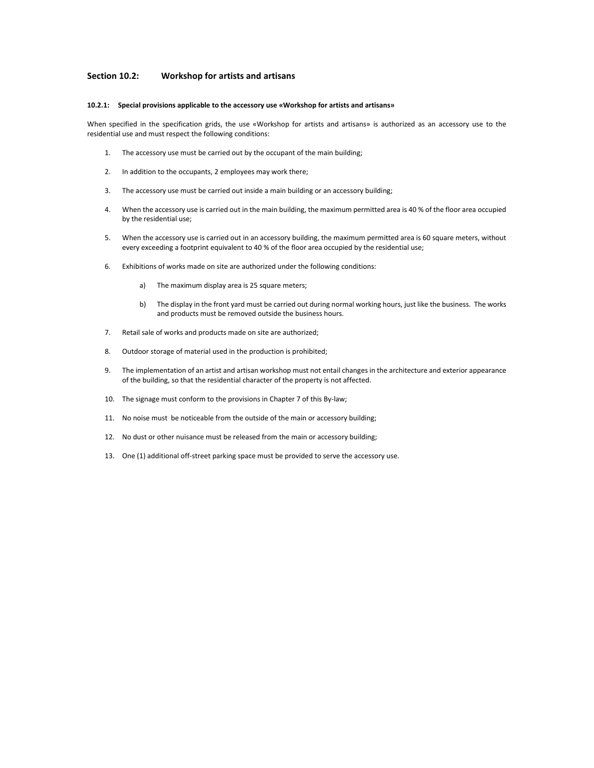## **Section 10.2: Workshop for artists and artisans**

#### **10.2.1: Special provisions applicable to the accessory use «Workshop for artists and artisans»**

When specified in the specification grids, the use «Workshop for artists and artisans» is authorized as an accessory use to the residential use and must respect the following conditions:

- 1. The accessory use must be carried out by the occupant of the main building;
- 2. In addition to the occupants, 2 employees may work there;
- 3. The accessory use must be carried out inside a main building or an accessory building;
- 4. When the accessory use is carried out in the main building, the maximum permitted area is 40 % of the floor area occupied by the residential use;
- 5. When the accessory use is carried out in an accessory building, the maximum permitted area is 60 square meters, without every exceeding a footprint equivalent to 40 % of the floor area occupied by the residential use;
- 6. Exhibitions of works made on site are authorized under the following conditions:
	- a) The maximum display area is 25 square meters;
	- b) The display in the front yard must be carried out during normal working hours, just like the business. The works and products must be removed outside the business hours.
- 7. Retail sale of works and products made on site are authorized;
- 8. Outdoor storage of material used in the production is prohibited;
- 9. The implementation of an artist and artisan workshop must not entail changes in the architecture and exterior appearance of the building, so that the residential character of the property is not affected.
- 10. The signage must conform to the provisions in Chapter 7 of this By-law;
- 11. No noise must be noticeable from the outside of the main or accessory building;
- 12. No dust or other nuisance must be released from the main or accessory building;
- 13. One (1) additional off-street parking space must be provided to serve the accessory use.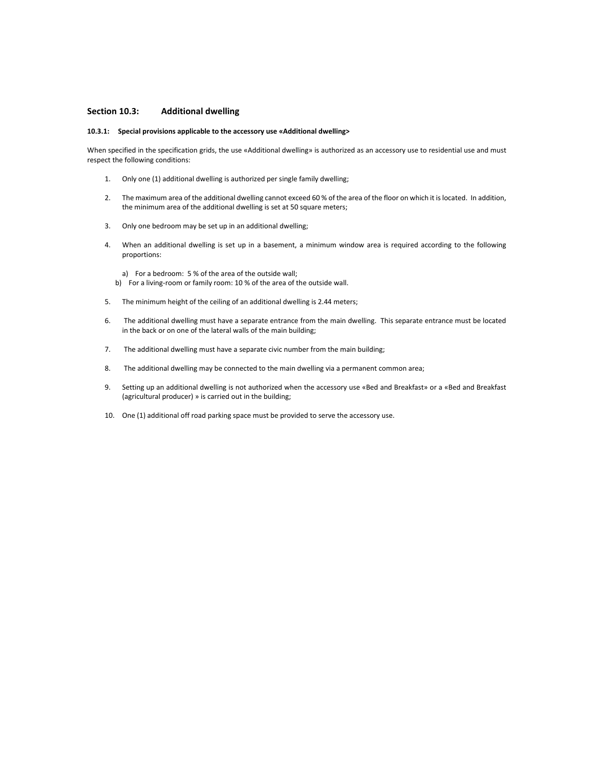## **Section 10.3: Additional dwelling**

#### **10.3.1: Special provisions applicable to the accessory use «Additional dwelling>**

When specified in the specification grids, the use «Additional dwelling» is authorized as an accessory use to residential use and must respect the following conditions:

- 1. Only one (1) additional dwelling is authorized per single family dwelling;
- 2. The maximum area of the additional dwelling cannot exceed 60 % of the area of the floor on which it is located. In addition, the minimum area of the additional dwelling is set at 50 square meters;
- 3. Only one bedroom may be set up in an additional dwelling;
- 4. When an additional dwelling is set up in a basement, a minimum window area is required according to the following proportions:

a) For a bedroom: 5 % of the area of the outside wall; b) For a living-room or family room: 10 % of the area of the outside wall.

- 5. The minimum height of the ceiling of an additional dwelling is 2.44 meters;
- 6. The additional dwelling must have a separate entrance from the main dwelling. This separate entrance must be located in the back or on one of the lateral walls of the main building;
- 7. The additional dwelling must have a separate civic number from the main building;
- 8. The additional dwelling may be connected to the main dwelling via a permanent common area;
- 9. Setting up an additional dwelling is not authorized when the accessory use «Bed and Breakfast» or a «Bed and Breakfast (agricultural producer) » is carried out in the building;
- 10. One (1) additional off road parking space must be provided to serve the accessory use.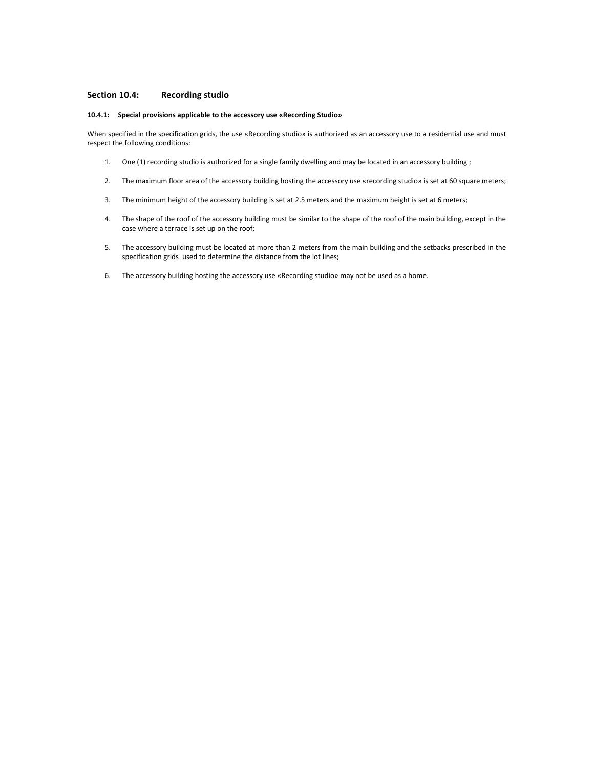# **Section 10.4: Recording studio**

#### **10.4.1: Special provisions applicable to the accessory use «Recording Studio»**

When specified in the specification grids, the use «Recording studio» is authorized as an accessory use to a residential use and must respect the following conditions:

- 1. One (1) recording studio is authorized for a single family dwelling and may be located in an accessory building ;
- 2. The maximum floor area of the accessory building hosting the accessory use «recording studio» is set at 60 square meters;
- 3. The minimum height of the accessory building is set at 2.5 meters and the maximum height is set at 6 meters;
- 4. The shape of the roof of the accessory building must be similar to the shape of the roof of the main building, except in the case where a terrace is set up on the roof;
- 5. The accessory building must be located at more than 2 meters from the main building and the setbacks prescribed in the specification grids used to determine the distance from the lot lines;
- 6. The accessory building hosting the accessory use «Recording studio» may not be used as a home.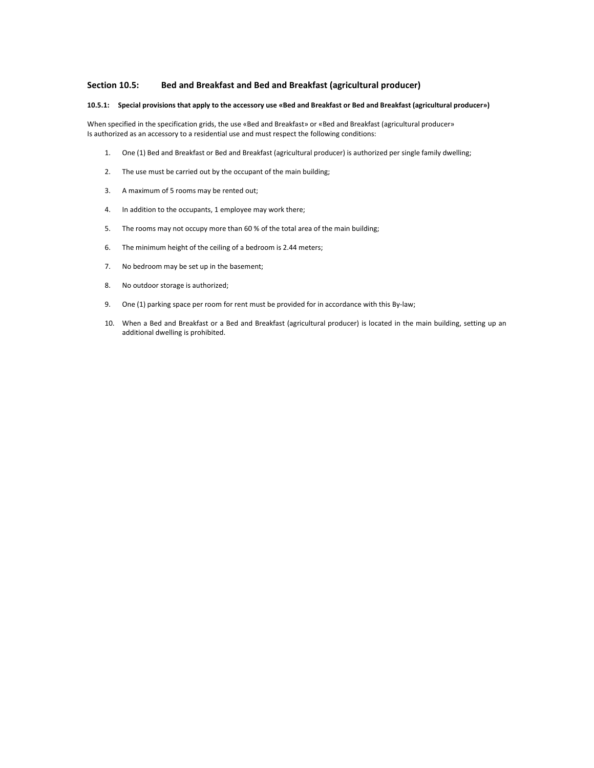## **Section 10.5: Bed and Breakfast and Bed and Breakfast (agricultural producer)**

#### **10.5.1: Special provisions that apply to the accessory use «Bed and Breakfast or Bed and Breakfast (agricultural producer»)**

When specified in the specification grids, the use «Bed and Breakfast» or «Bed and Breakfast (agricultural producer» Is authorized as an accessory to a residential use and must respect the following conditions:

- 1. One (1) Bed and Breakfast or Bed and Breakfast (agricultural producer) is authorized per single family dwelling;
- 2. The use must be carried out by the occupant of the main building;
- 3. A maximum of 5 rooms may be rented out;
- 4. In addition to the occupants, 1 employee may work there;
- 5. The rooms may not occupy more than 60 % of the total area of the main building;
- 6. The minimum height of the ceiling of a bedroom is 2.44 meters;
- 7. No bedroom may be set up in the basement;
- 8. No outdoor storage is authorized;
- 9. One (1) parking space per room for rent must be provided for in accordance with this By-law;
- 10. When a Bed and Breakfast or a Bed and Breakfast (agricultural producer) is located in the main building, setting up an additional dwelling is prohibited.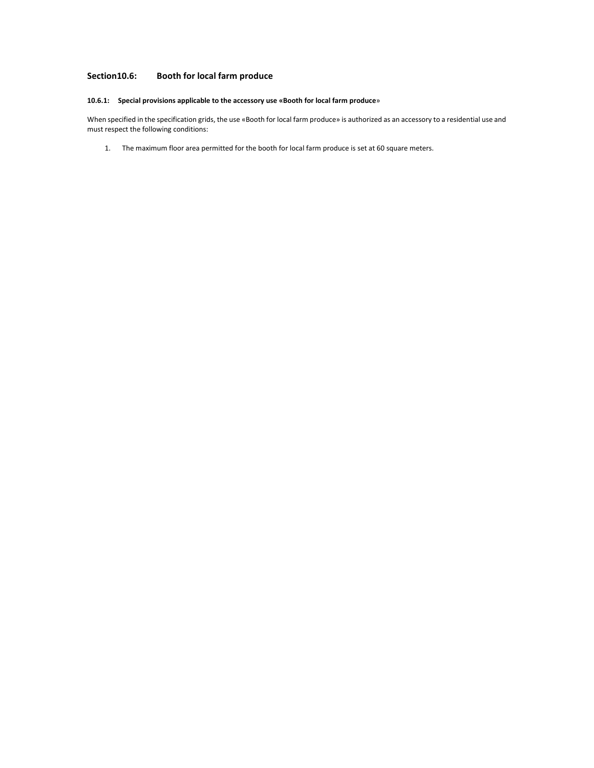# **Section10.6: Booth for local farm produce**

## **10.6.1: Special provisions applicable to the accessory use «Booth for local farm produce**»

When specified in the specification grids, the use «Booth for local farm produce» is authorized as an accessory to a residential use and must respect the following conditions:

1. The maximum floor area permitted for the booth for local farm produce is set at 60 square meters.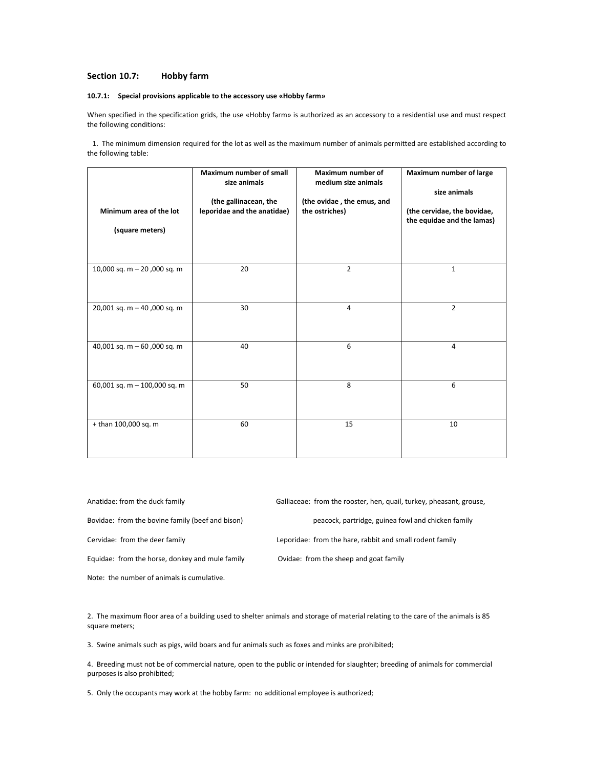### **Section 10.7: Hobby farm**

## **10.7.1: Special provisions applicable to the accessory use «Hobby farm»**

When specified in the specification grids, the use «Hobby farm» is authorized as an accessory to a residential use and must respect the following conditions:

 1. The minimum dimension required for the lot as well as the maximum number of animals permitted are established according to the following table:

| Minimum area of the lot<br>(square meters) | <b>Maximum number of small</b><br>size animals<br>(the gallinacean, the<br>leporidae and the anatidae) | Maximum number of<br>medium size animals<br>(the ovidae, the emus, and<br>the ostriches) | Maximum number of large<br>size animals<br>(the cervidae, the bovidae,<br>the equidae and the lamas) |
|--------------------------------------------|--------------------------------------------------------------------------------------------------------|------------------------------------------------------------------------------------------|------------------------------------------------------------------------------------------------------|
| 10,000 sq. m - 20,000 sq. m                | 20                                                                                                     | $\overline{2}$                                                                           | $\mathbf{1}$                                                                                         |
| 20,001 sq. m - 40,000 sq. m                | 30                                                                                                     | 4                                                                                        | $\overline{2}$                                                                                       |
| 40,001 sq. m $-60$ ,000 sq. m              | 40                                                                                                     | 6                                                                                        | $\overline{4}$                                                                                       |
| 60,001 sq. m - 100,000 sq. m               | 50                                                                                                     | 8                                                                                        | 6                                                                                                    |
| + than 100,000 sq. m                       | 60                                                                                                     | 15                                                                                       | 10                                                                                                   |

Anatidae: from the duck family Galliaceae: from the rooster, hen, quail, turkey, pheasant, grouse, Bovidae: from the bovine family (beef and bison) peacock, partridge, guinea fowl and chicken family Cervidae: from the deer family Leporidae: from the hare, rabbit and small rodent family Equidae: from the horse, donkey and mule family Ovidae: from the sheep and goat family Note: the number of animals is cumulative.

2. The maximum floor area of a building used to shelter animals and storage of material relating to the care of the animals is 85 square meters;

3. Swine animals such as pigs, wild boars and fur animals such as foxes and minks are prohibited;

4. Breeding must not be of commercial nature, open to the public or intended for slaughter; breeding of animals for commercial purposes is also prohibited;

5. Only the occupants may work at the hobby farm: no additional employee is authorized;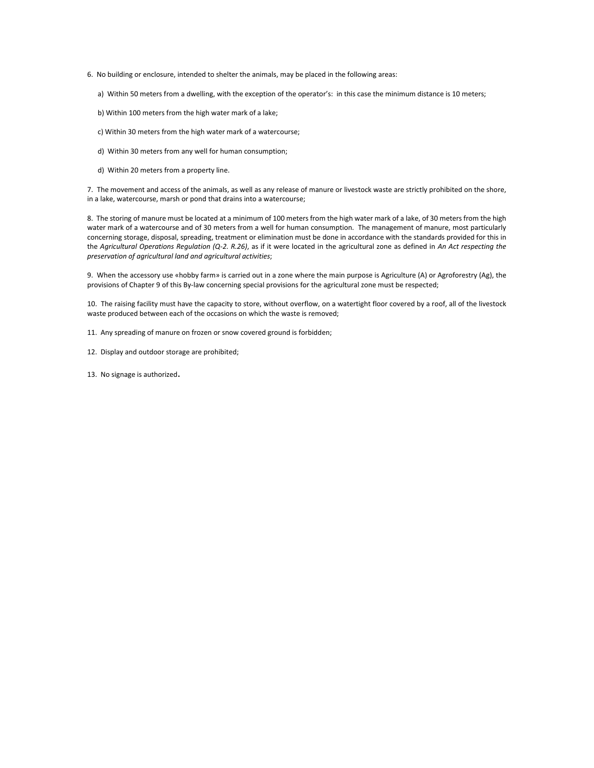- 6. No building or enclosure, intended to shelter the animals, may be placed in the following areas:
	- a) Within 50 meters from a dwelling, with the exception of the operator's: in this case the minimum distance is 10 meters;
	- b) Within 100 meters from the high water mark of a lake;
	- c) Within 30 meters from the high water mark of a watercourse;
	- d) Within 30 meters from any well for human consumption;
	- d) Within 20 meters from a property line.

7. The movement and access of the animals, as well as any release of manure or livestock waste are strictly prohibited on the shore, in a lake, watercourse, marsh or pond that drains into a watercourse;

8. The storing of manure must be located at a minimum of 100 meters from the high water mark of a lake, of 30 meters from the high water mark of a watercourse and of 30 meters from a well for human consumption. The management of manure, most particularly concerning storage, disposal, spreading, treatment or elimination must be done in accordance with the standards provided for this in the *Agricultural Operations Regulation (Q-2. R.26)*, as if it were located in the agricultural zone as defined in *An Act respecting the preservation of agricultural land and agricultural activities*;

9. When the accessory use «hobby farm» is carried out in a zone where the main purpose is Agriculture (A) or Agroforestry (Ag), the provisions of Chapter 9 of this By-law concerning special provisions for the agricultural zone must be respected;

10. The raising facility must have the capacity to store, without overflow, on a watertight floor covered by a roof, all of the livestock waste produced between each of the occasions on which the waste is removed;

- 11. Any spreading of manure on frozen or snow covered ground is forbidden;
- 12. Display and outdoor storage are prohibited;
- 13. No signage is authorized.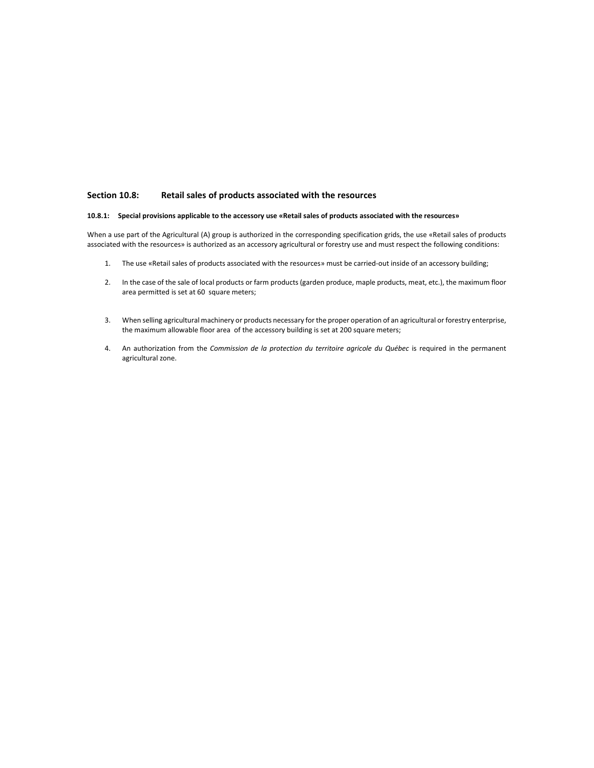# **Section 10.8: Retail sales of products associated with the resources**

# **10.8.1: Special provisions applicable to the accessory use «Retail sales of products associated with the resources»**

When a use part of the Agricultural (A) group is authorized in the corresponding specification grids, the use «Retail sales of products associated with the resources» is authorized as an accessory agricultural or forestry use and must respect the following conditions:

- 1. The use «Retail sales of products associated with the resources» must be carried-out inside of an accessory building;
- 2. In the case of the sale of local products or farm products (garden produce, maple products, meat, etc.), the maximum floor area permitted is set at 60 square meters;
- 3. When selling agricultural machinery or products necessary for the proper operation of an agricultural or forestry enterprise, the maximum allowable floor area of the accessory building is set at 200 square meters;
- 4. An authorization from the *Commission de la protection du territoire agricole du Québec* is required in the permanent agricultural zone.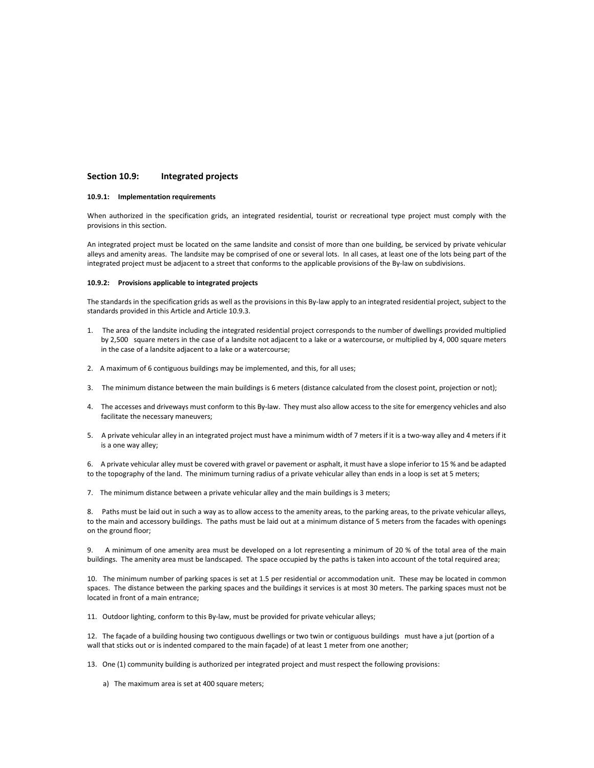# **Section 10.9: Integrated projects**

## **10.9.1: Implementation requirements**

When authorized in the specification grids, an integrated residential, tourist or recreational type project must comply with the provisions in this section.

An integrated project must be located on the same landsite and consist of more than one building, be serviced by private vehicular alleys and amenity areas. The landsite may be comprised of one or several lots. In all cases, at least one of the lots being part of the integrated project must be adjacent to a street that conforms to the applicable provisions of the By-law on subdivisions.

### **10.9.2: Provisions applicable to integrated projects**

The standards in the specification grids as well as the provisions in this By-law apply to an integrated residential project, subject to the standards provided in this Article and Article 10.9.3.

- 1. The area of the landsite including the integrated residential project corresponds to the number of dwellings provided multiplied by 2,500 square meters in the case of a landsite not adjacent to a lake or a watercourse, or multiplied by 4, 000 square meters in the case of a landsite adjacent to a lake or a watercourse;
- 2. A maximum of 6 contiguous buildings may be implemented, and this, for all uses;
- 3. The minimum distance between the main buildings is 6 meters (distance calculated from the closest point, projection or not);
- 4. The accesses and driveways must conform to this By-law. They must also allow access to the site for emergency vehicles and also facilitate the necessary maneuvers;
- 5. A private vehicular alley in an integrated project must have a minimum width of 7 meters if it is a two-way alley and 4 meters if it is a one way alley;

6. A private vehicular alley must be covered with gravel or pavement or asphalt, it must have a slope inferior to 15 % and be adapted to the topography of the land. The minimum turning radius of a private vehicular alley than ends in a loop is set at 5 meters;

7. The minimum distance between a private vehicular alley and the main buildings is 3 meters;

8. Paths must be laid out in such a way as to allow access to the amenity areas, to the parking areas, to the private vehicular alleys, to the main and accessory buildings. The paths must be laid out at a minimum distance of 5 meters from the facades with openings on the ground floor;

9. A minimum of one amenity area must be developed on a lot representing a minimum of 20 % of the total area of the main buildings. The amenity area must be landscaped. The space occupied by the paths is taken into account of the total required area;

10. The minimum number of parking spaces is set at 1.5 per residential or accommodation unit. These may be located in common spaces. The distance between the parking spaces and the buildings it services is at most 30 meters. The parking spaces must not be located in front of a main entrance;

11. Outdoor lighting, conform to this By-law, must be provided for private vehicular alleys;

12. The façade of a building housing two contiguous dwellings or two twin or contiguous buildings must have a jut (portion of a wall that sticks out or is indented compared to the main façade) of at least 1 meter from one another;

13. One (1) community building is authorized per integrated project and must respect the following provisions:

a) The maximum area is set at 400 square meters;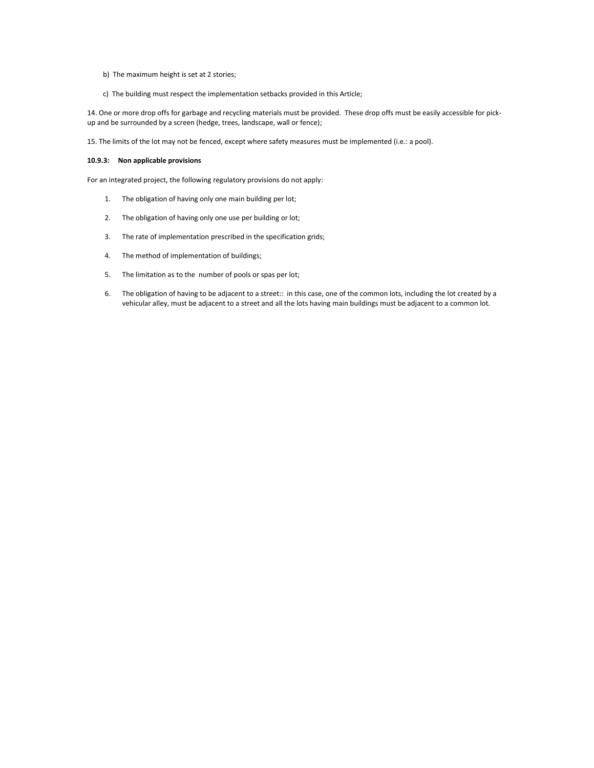- b) The maximum height is set at 2 stories;
- c) The building must respect the implementation setbacks provided in this Article;

14. One or more drop offs for garbage and recycling materials must be provided. These drop offs must be easily accessible for pickup and be surrounded by a screen (hedge, trees, landscape, wall or fence);

15. The limits of the lot may not be fenced, except where safety measures must be implemented (i.e.: a pool).

# **10.9.3: Non applicable provisions**

For an integrated project, the following regulatory provisions do not apply:

- 1. The obligation of having only one main building per lot;
- 2. The obligation of having only one use per building or lot;
- 3. The rate of implementation prescribed in the specification grids;
- 4. The method of implementation of buildings;
- 5. The limitation as to the number of pools or spas per lot;
- 6. The obligation of having to be adjacent to a street:: in this case, one of the common lots, including the lot created by a vehicular alley, must be adjacent to a street and all the lots having main buildings must be adjacent to a common lot.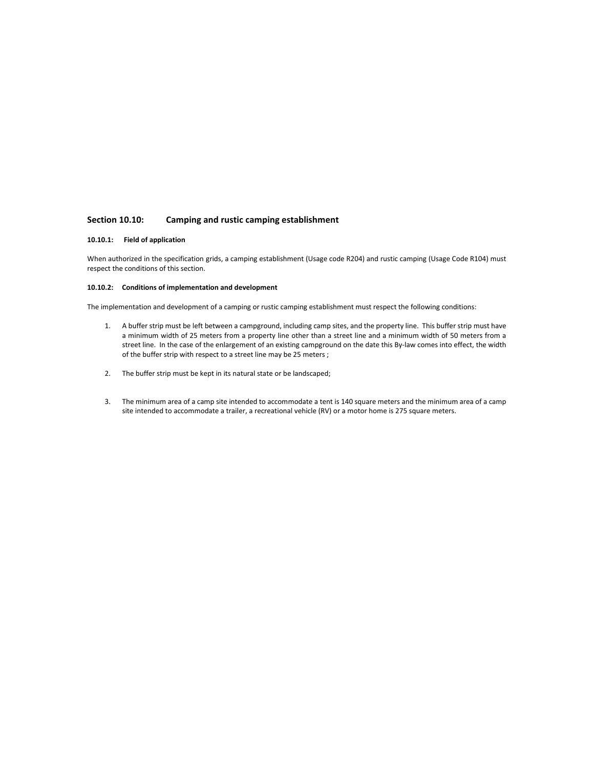# **Section 10.10: Camping and rustic camping establishment**

# **10.10.1: Field of application**

When authorized in the specification grids, a camping establishment (Usage code R204) and rustic camping (Usage Code R104) must respect the conditions of this section.

# **10.10.2: Conditions of implementation and development**

The implementation and development of a camping or rustic camping establishment must respect the following conditions:

- 1. A buffer strip must be left between a campground, including camp sites, and the property line. This buffer strip must have a minimum width of 25 meters from a property line other than a street line and a minimum width of 50 meters from a street line. In the case of the enlargement of an existing campground on the date this By-law comes into effect, the width of the buffer strip with respect to a street line may be 25 meters ;
- 2. The buffer strip must be kept in its natural state or be landscaped;
- 3. The minimum area of a camp site intended to accommodate a tent is 140 square meters and the minimum area of a camp site intended to accommodate a trailer, a recreational vehicle (RV) or a motor home is 275 square meters.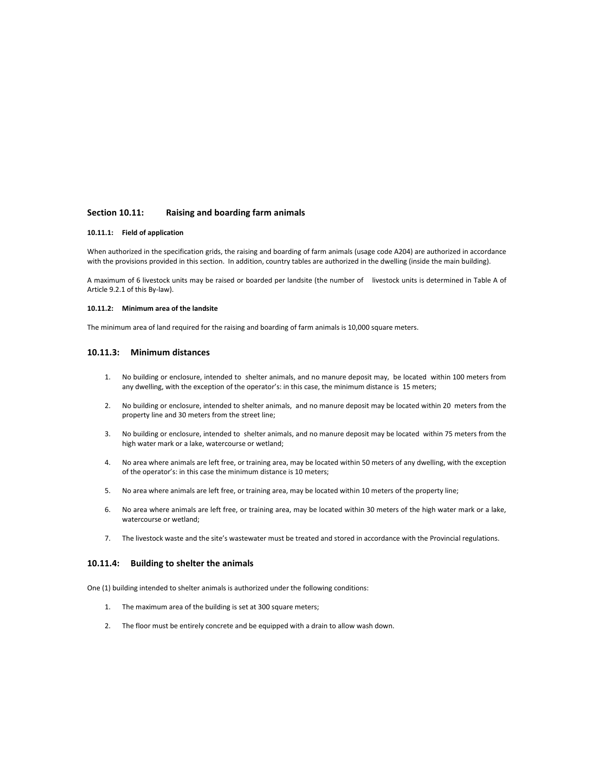# **Section 10.11: Raising and boarding farm animals**

#### **10.11.1: Field of application**

When authorized in the specification grids, the raising and boarding of farm animals (usage code A204) are authorized in accordance with the provisions provided in this section. In addition, country tables are authorized in the dwelling (inside the main building).

A maximum of 6 livestock units may be raised or boarded per landsite (the number of livestock units is determined in Table A of Article 9.2.1 of this By-law).

### **10.11.2: Minimum area of the landsite**

The minimum area of land required for the raising and boarding of farm animals is 10,000 square meters.

# **10.11.3: Minimum distances**

- 1. No building or enclosure, intended to shelter animals, and no manure deposit may, be located within 100 meters from any dwelling, with the exception of the operator's: in this case, the minimum distance is 15 meters;
- 2. No building or enclosure, intended to shelter animals, and no manure deposit may be located within 20 meters from the property line and 30 meters from the street line;
- 3. No building or enclosure, intended to shelter animals, and no manure deposit may be located within 75 meters from the high water mark or a lake, watercourse or wetland;
- 4. No area where animals are left free, or training area, may be located within 50 meters of any dwelling, with the exception of the operator's: in this case the minimum distance is 10 meters;
- 5. No area where animals are left free, or training area, may be located within 10 meters of the property line;
- 6. No area where animals are left free, or training area, may be located within 30 meters of the high water mark or a lake, watercourse or wetland;
- 7. The livestock waste and the site's wastewater must be treated and stored in accordance with the Provincial regulations.

# **10.11.4: Building to shelter the animals**

One (1) building intended to shelter animals is authorized under the following conditions:

- 1. The maximum area of the building is set at 300 square meters;
- 2. The floor must be entirely concrete and be equipped with a drain to allow wash down.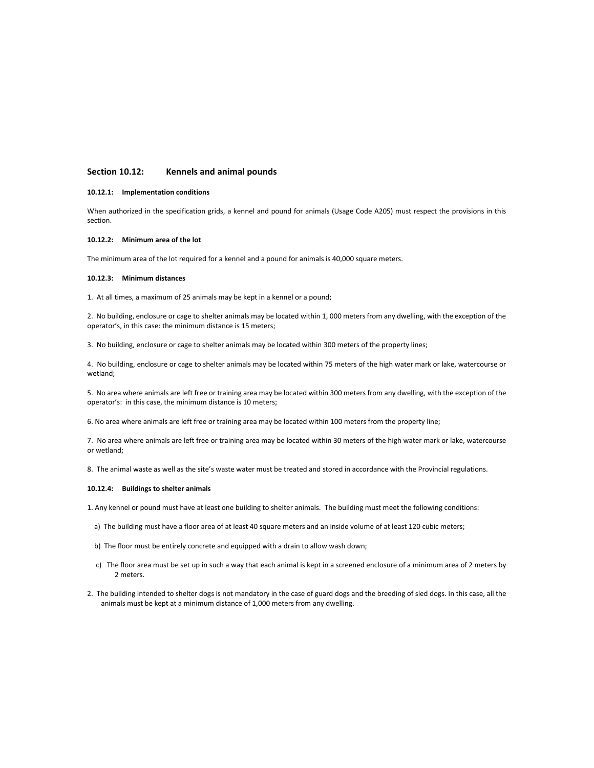# **Section 10.12: Kennels and animal pounds**

### **10.12.1: Implementation conditions**

When authorized in the specification grids, a kennel and pound for animals (Usage Code A205) must respect the provisions in this section.

#### **10.12.2: Minimum area of the lot**

The minimum area of the lot required for a kennel and a pound for animals is 40,000 square meters.

#### **10.12.3: Minimum distances**

1. At all times, a maximum of 25 animals may be kept in a kennel or a pound;

2. No building, enclosure or cage to shelter animals may be located within 1, 000 meters from any dwelling, with the exception of the operator's, in this case: the minimum distance is 15 meters;

3. No building, enclosure or cage to shelter animals may be located within 300 meters of the property lines;

4. No building, enclosure or cage to shelter animals may be located within 75 meters of the high water mark or lake, watercourse or wetland;

5. No area where animals are left free or training area may be located within 300 meters from any dwelling, with the exception of the operator's: in this case, the minimum distance is 10 meters;

6. No area where animals are left free or training area may be located within 100 meters from the property line;

7. No area where animals are left free or training area may be located within 30 meters of the high water mark or lake, watercourse or wetland;

8. The animal waste as well as the site's waste water must be treated and stored in accordance with the Provincial regulations.

#### **10.12.4: Buildings to shelter animals**

1. Any kennel or pound must have at least one building to shelter animals. The building must meet the following conditions:

- a) The building must have a floor area of at least 40 square meters and an inside volume of at least 120 cubic meters;
- b) The floor must be entirely concrete and equipped with a drain to allow wash down;
- c) The floor area must be set up in such a way that each animal is kept in a screened enclosure of a minimum area of 2 meters by 2 meters.
- 2. The building intended to shelter dogs is not mandatory in the case of guard dogs and the breeding of sled dogs. In this case, all the animals must be kept at a minimum distance of 1,000 meters from any dwelling.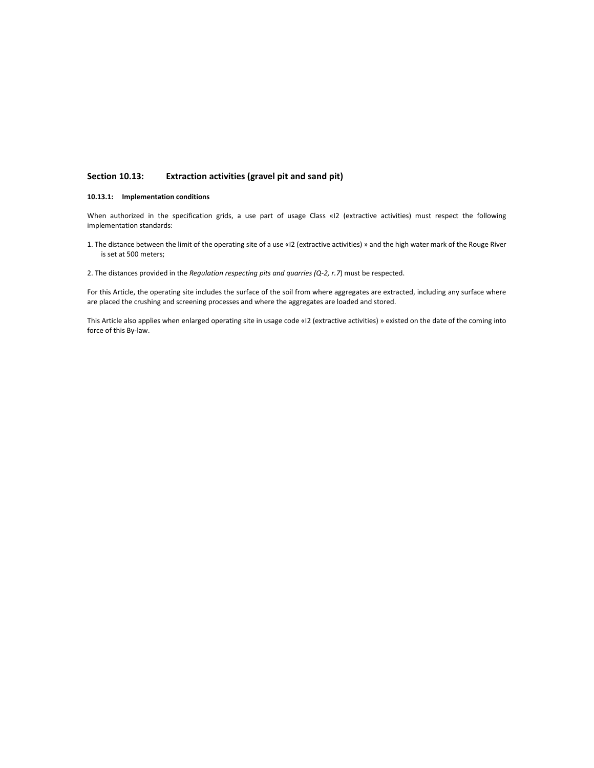# **Section 10.13: Extraction activities (gravel pit and sand pit)**

### **10.13.1: Implementation conditions**

When authorized in the specification grids, a use part of usage Class «I2 (extractive activities) must respect the following implementation standards:

- 1. The distance between the limit of the operating site of a use «I2 (extractive activities) » and the high water mark of the Rouge River is set at 500 meters;
- 2. The distances provided in the *Regulation respecting pits and quarries (Q-2, r.7*) must be respected.

For this Article, the operating site includes the surface of the soil from where aggregates are extracted, including any surface where are placed the crushing and screening processes and where the aggregates are loaded and stored.

This Article also applies when enlarged operating site in usage code «I2 (extractive activities) » existed on the date of the coming into force of this By-law.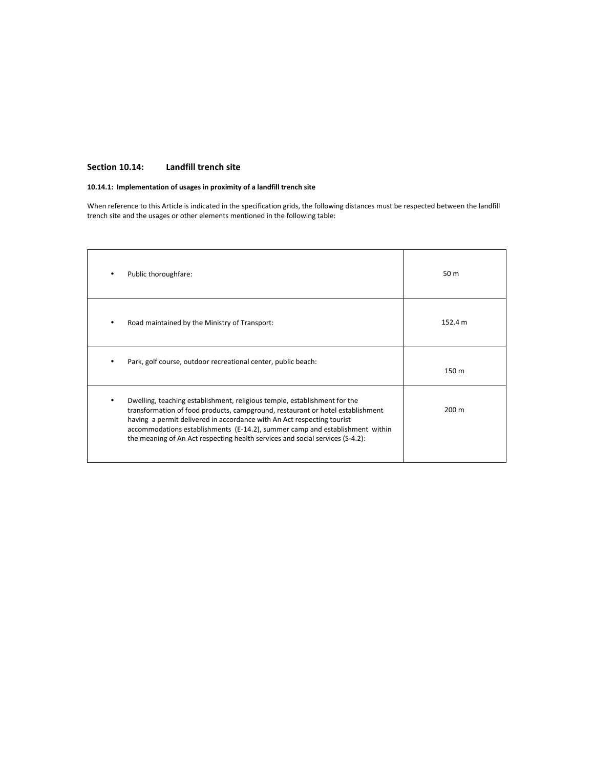# **Section 10.14: Landfill trench site**

# **10.14.1: Implementation of usages in proximity of a landfill trench site**

When reference to this Article is indicated in the specification grids, the following distances must be respected between the landfill trench site and the usages or other elements mentioned in the following table:

| Public thoroughfare:                                                                                                                                                                                                                                                                                                                                                                                   | 50 m            |
|--------------------------------------------------------------------------------------------------------------------------------------------------------------------------------------------------------------------------------------------------------------------------------------------------------------------------------------------------------------------------------------------------------|-----------------|
| Road maintained by the Ministry of Transport:                                                                                                                                                                                                                                                                                                                                                          | 152.4 m         |
| Park, golf course, outdoor recreational center, public beach:                                                                                                                                                                                                                                                                                                                                          | 150 m           |
| Dwelling, teaching establishment, religious temple, establishment for the<br>transformation of food products, campground, restaurant or hotel establishment<br>having a permit delivered in accordance with An Act respecting tourist<br>accommodations establishments (E-14.2), summer camp and establishment within<br>the meaning of An Act respecting health services and social services (S-4.2): | $200 \text{ m}$ |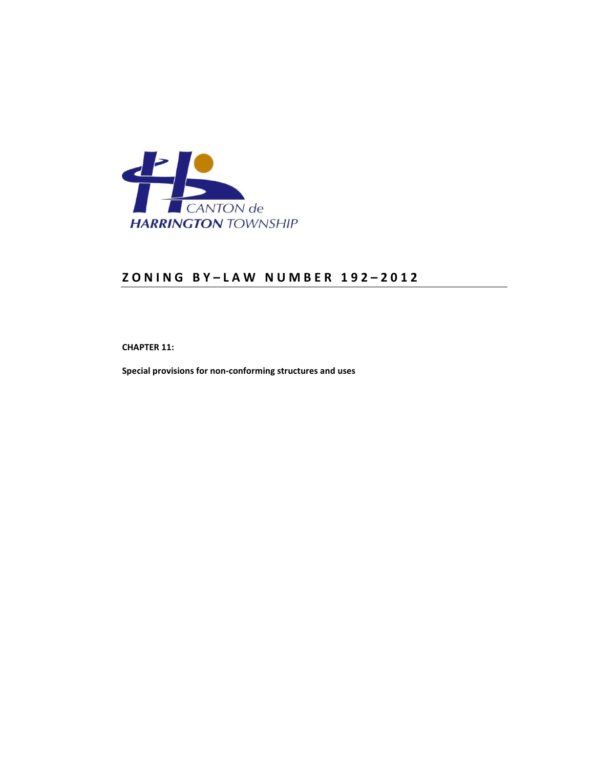

**CHAPTER 11:** 

**Special provisions for non-conforming structures and uses**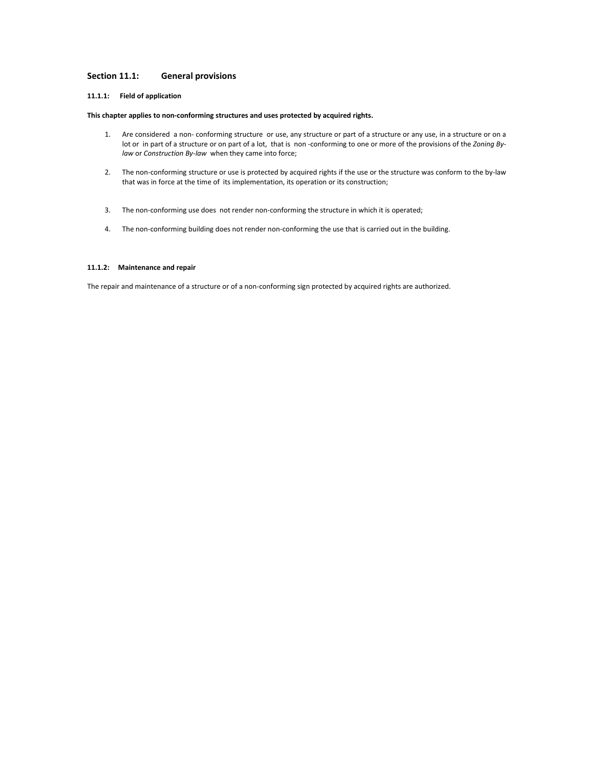# **Section 11.1: General provisions**

# **11.1.1: Field of application**

### **This chapter applies to non-conforming structures and uses protected by acquired rights.**

- 1. Are considered a non- conforming structure or use, any structure or part of a structure or any use, in a structure or on a lot or in part of a structure or on part of a lot, that is non -conforming to one or more of the provisions of the *Zoning Bylaw* or *Construction By-law* when they came into force;
- 2. The non-conforming structure or use is protected by acquired rights if the use or the structure was conform to the by-law that was in force at the time of its implementation, its operation or its construction;
- 3. The non-conforming use does not render non-conforming the structure in which it is operated;
- 4. The non-conforming building does not render non-conforming the use that is carried out in the building.

# **11.1.2: Maintenance and repair**

The repair and maintenance of a structure or of a non-conforming sign protected by acquired rights are authorized.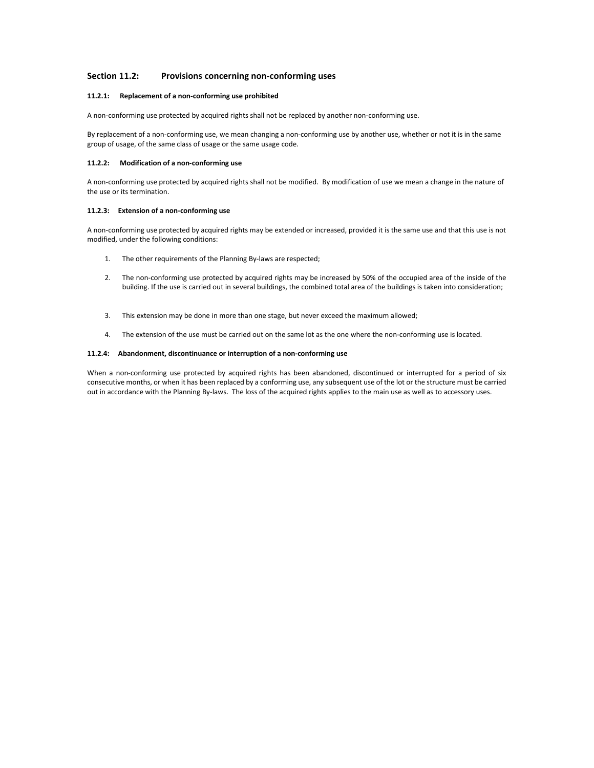# **Section 11.2: Provisions concerning non-conforming uses**

# **11.2.1: Replacement of a non-conforming use prohibited**

A non-conforming use protected by acquired rights shall not be replaced by another non-conforming use.

By replacement of a non-conforming use, we mean changing a non-conforming use by another use, whether or not it is in the same group of usage, of the same class of usage or the same usage code.

#### **11.2.2: Modification of a non-conforming use**

A non-conforming use protected by acquired rights shall not be modified. By modification of use we mean a change in the nature of the use or its termination.

## **11.2.3: Extension of a non-conforming use**

A non-conforming use protected by acquired rights may be extended or increased, provided it is the same use and that this use is not modified, under the following conditions:

- 1. The other requirements of the Planning By-laws are respected;
- 2. The non-conforming use protected by acquired rights may be increased by 50% of the occupied area of the inside of the building. If the use is carried out in several buildings, the combined total area of the buildings is taken into consideration;
- 3. This extension may be done in more than one stage, but never exceed the maximum allowed;
- 4. The extension of the use must be carried out on the same lot as the one where the non-conforming use is located.

## **11.2.4: Abandonment, discontinuance or interruption of a non-conforming use**

When a non-conforming use protected by acquired rights has been abandoned, discontinued or interrupted for a period of six consecutive months, or when it has been replaced by a conforming use, any subsequent use of the lot or the structure must be carried out in accordance with the Planning By-laws. The loss of the acquired rights applies to the main use as well as to accessory uses.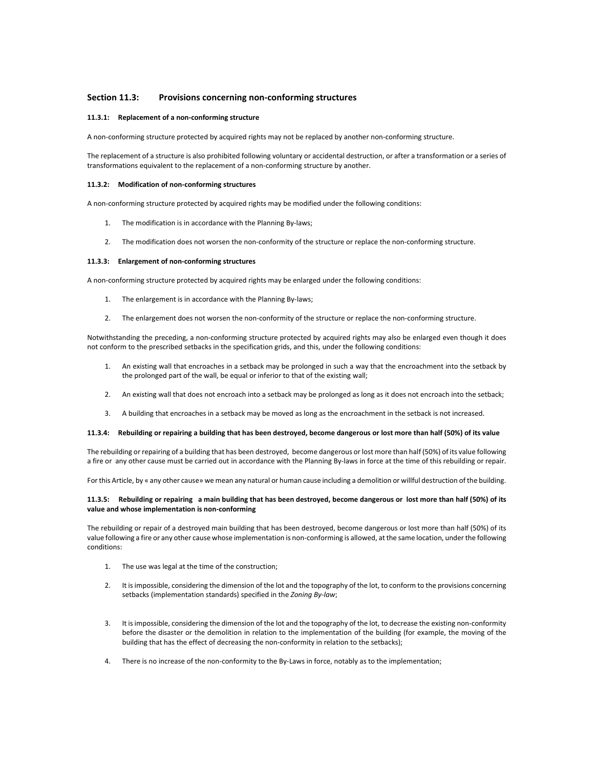## **Section 11.3: Provisions concerning non-conforming structures**

## **11.3.1: Replacement of a non-conforming structure**

A non-conforming structure protected by acquired rights may not be replaced by another non-conforming structure.

The replacement of a structure is also prohibited following voluntary or accidental destruction, or after a transformation or a series of transformations equivalent to the replacement of a non-conforming structure by another.

#### **11.3.2: Modification of non-conforming structures**

A non-conforming structure protected by acquired rights may be modified under the following conditions:

- 1. The modification is in accordance with the Planning By-laws;
- 2. The modification does not worsen the non-conformity of the structure or replace the non-conforming structure.

### **11.3.3: Enlargement of non-conforming structures**

A non-conforming structure protected by acquired rights may be enlarged under the following conditions:

- 1. The enlargement is in accordance with the Planning By-laws;
- 2. The enlargement does not worsen the non-conformity of the structure or replace the non-conforming structure.

Notwithstanding the preceding, a non-conforming structure protected by acquired rights may also be enlarged even though it does not conform to the prescribed setbacks in the specification grids, and this, under the following conditions:

- 1. An existing wall that encroaches in a setback may be prolonged in such a way that the encroachment into the setback by the prolonged part of the wall, be equal or inferior to that of the existing wall;
- 2. An existing wall that does not encroach into a setback may be prolonged as long as it does not encroach into the setback;
- 3. A building that encroaches in a setback may be moved as long as the encroachment in the setback is not increased.

## **11.3.4: Rebuilding or repairing a building that has been destroyed, become dangerous or lost more than half (50%) of its value**

The rebuilding or repairing of a building that has been destroyed, become dangerous or lost more than half (50%) of its value following a fire or any other cause must be carried out in accordance with the Planning By-laws in force at the time of this rebuilding or repair.

For this Article, by « any other cause» we mean any natural or human cause including a demolition or willful destruction of the building.

## **11.3.5: Rebuilding or repairing a main building that has been destroyed, become dangerous or lost more than half (50%) of its value and whose implementation is non-conforming**

The rebuilding or repair of a destroyed main building that has been destroyed, become dangerous or lost more than half (50%) of its value following a fire or any other cause whose implementation is non-conforming is allowed, at the same location, under the following conditions:

- 1. The use was legal at the time of the construction;
- 2. It is impossible, considering the dimension of the lot and the topography of the lot, to conform to the provisions concerning setbacks (implementation standards) specified in the *Zoning By-law*;
- 3. It is impossible, considering the dimension of the lot and the topography of the lot, to decrease the existing non-conformity before the disaster or the demolition in relation to the implementation of the building (for example, the moving of the building that has the effect of decreasing the non-conformity in relation to the setbacks);
- 4. There is no increase of the non-conformity to the By-Laws in force, notably as to the implementation;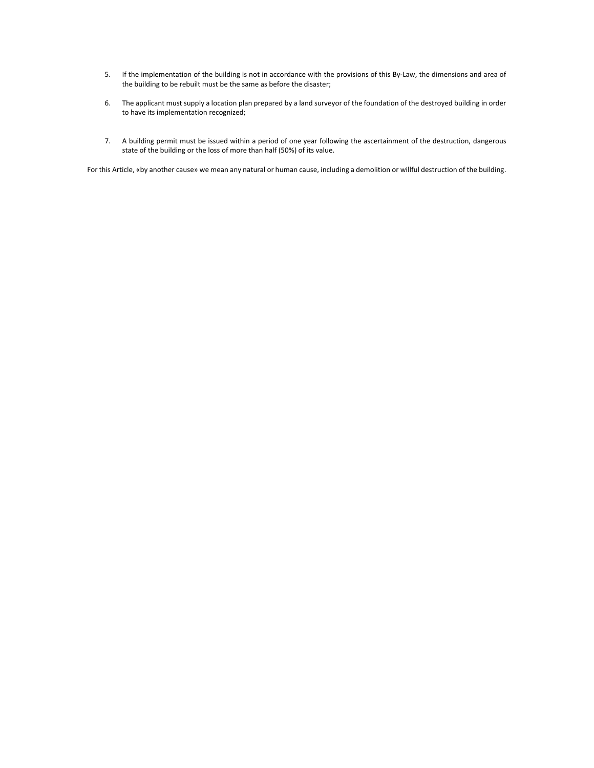- 5. If the implementation of the building is not in accordance with the provisions of this By-Law, the dimensions and area of the building to be rebuilt must be the same as before the disaster;
- 6. The applicant must supply a location plan prepared by a land surveyor of the foundation of the destroyed building in order to have its implementation recognized;
- 7. A building permit must be issued within a period of one year following the ascertainment of the destruction, dangerous state of the building or the loss of more than half (50%) of its value.

For this Article, «by another cause» we mean any natural or human cause, including a demolition or willful destruction of the building.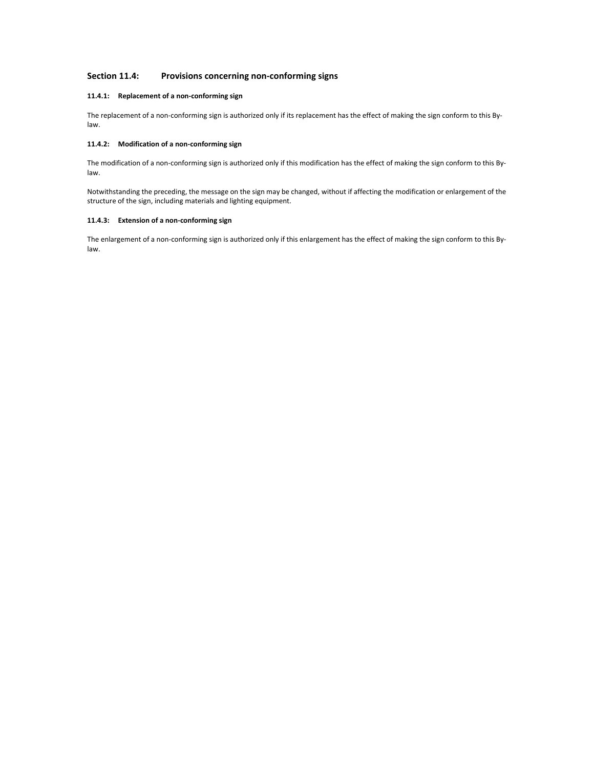# **Section 11.4: Provisions concerning non-conforming signs**

# **11.4.1: Replacement of a non-conforming sign**

The replacement of a non-conforming sign is authorized only if its replacement has the effect of making the sign conform to this Bylaw.

# **11.4.2: Modification of a non-conforming sign**

The modification of a non-conforming sign is authorized only if this modification has the effect of making the sign conform to this Bylaw.

Notwithstanding the preceding, the message on the sign may be changed, without if affecting the modification or enlargement of the structure of the sign, including materials and lighting equipment.

# **11.4.3: Extension of a non-conforming sign**

The enlargement of a non-conforming sign is authorized only if this enlargement has the effect of making the sign conform to this Bylaw.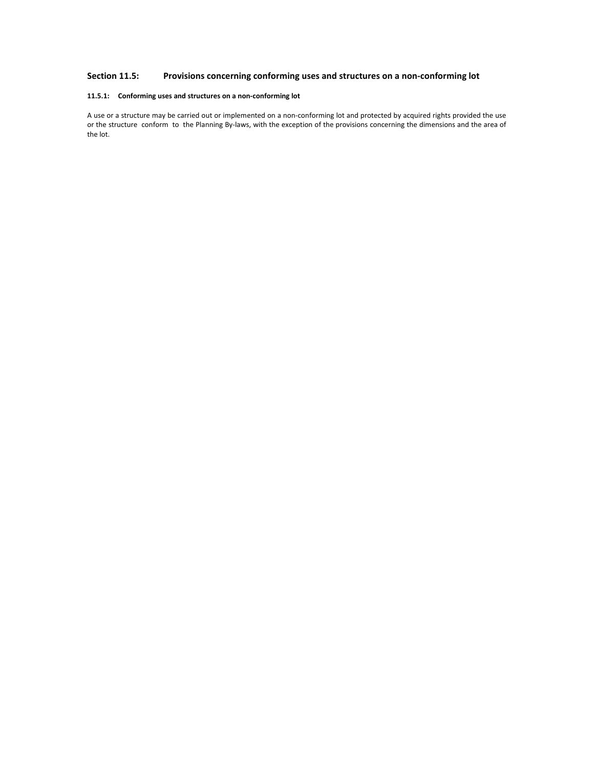# **Section 11.5: Provisions concerning conforming uses and structures on a non-conforming lot**

# **11.5.1: Conforming uses and structures on a non-conforming lot**

A use or a structure may be carried out or implemented on a non-conforming lot and protected by acquired rights provided the use or the structure conform to the Planning By-laws, with the exception of the provisions concerning the dimensions and the area of the lot.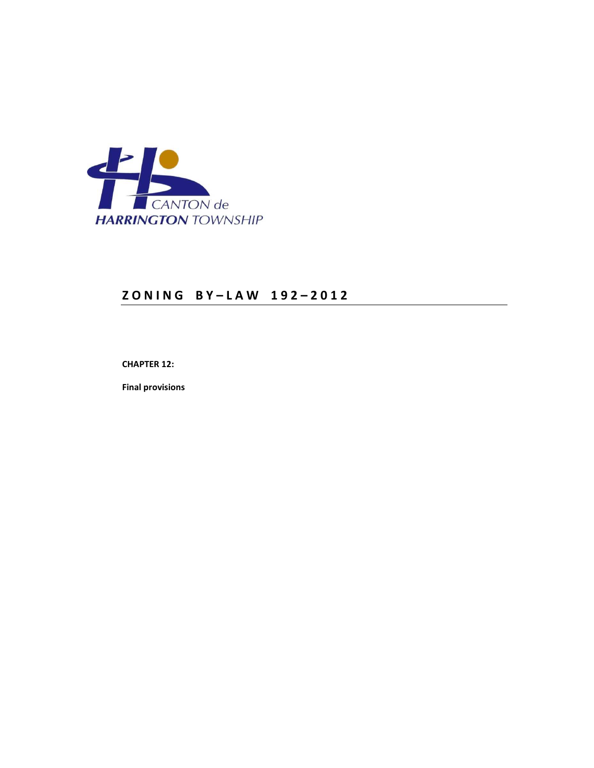

# **Z O N I N G B Y – L A W 1 9 2 – 2 0 1 2**

**CHAPTER 12:** 

**Final provisions**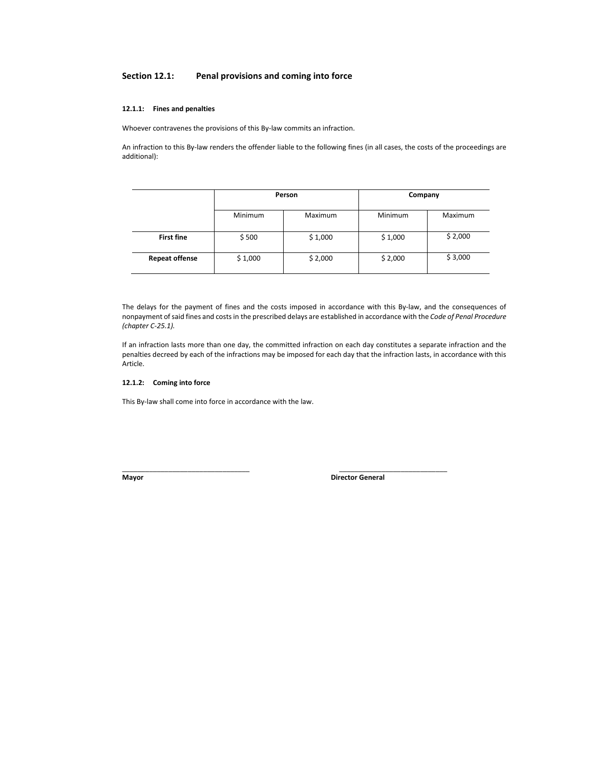# **Section 12.1: Penal provisions and coming into force**

### **12.1.1: Fines and penalties**

Whoever contravenes the provisions of this By-law commits an infraction.

An infraction to this By-law renders the offender liable to the following fines (in all cases, the costs of the proceedings are additional):

|                       | Person         |         | Company        |         |
|-----------------------|----------------|---------|----------------|---------|
|                       | <b>Minimum</b> | Maximum | <b>Minimum</b> | Maximum |
| <b>First fine</b>     | \$500          | \$1,000 | \$1,000        | \$2,000 |
| <b>Repeat offense</b> | \$1,000        | \$2,000 | \$2,000        | \$3,000 |

The delays for the payment of fines and the costs imposed in accordance with this By-law, and the consequences of nonpayment of said fines and costs in the prescribed delays are established in accordance with the *Code of Penal Procedure (chapter C-25.1).*

If an infraction lasts more than one day, the committed infraction on each day constitutes a separate infraction and the penalties decreed by each of the infractions may be imposed for each day that the infraction lasts, in accordance with this Article.

\_\_\_\_\_\_\_\_\_\_\_\_\_\_\_\_\_\_\_\_\_\_\_\_\_\_\_\_\_\_\_\_\_ \_\_\_\_\_\_\_\_\_\_\_\_\_\_\_\_\_\_\_\_\_\_\_\_\_\_\_\_

# **12.1.2: Coming into force**

This By-law shall come into force in accordance with the law.

**Mayor** Director General **CONSISTENT**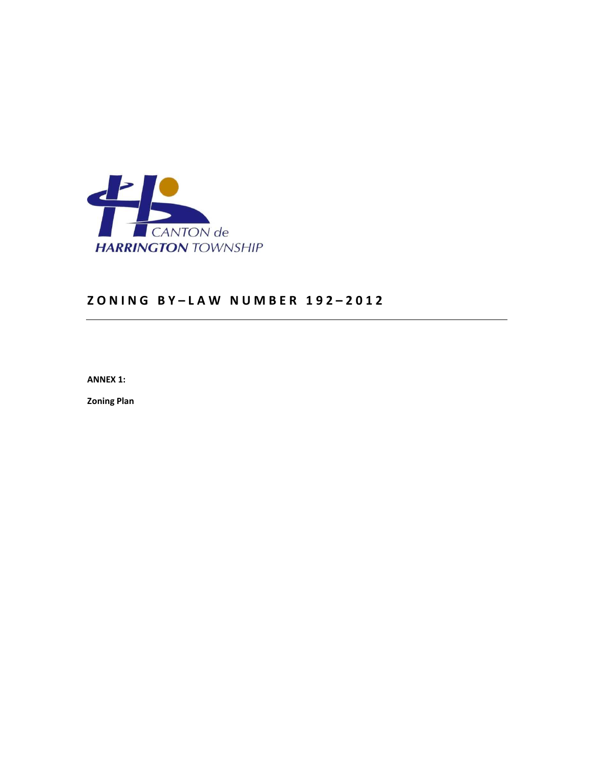

**ANNEX 1:** 

**Zoning Plan**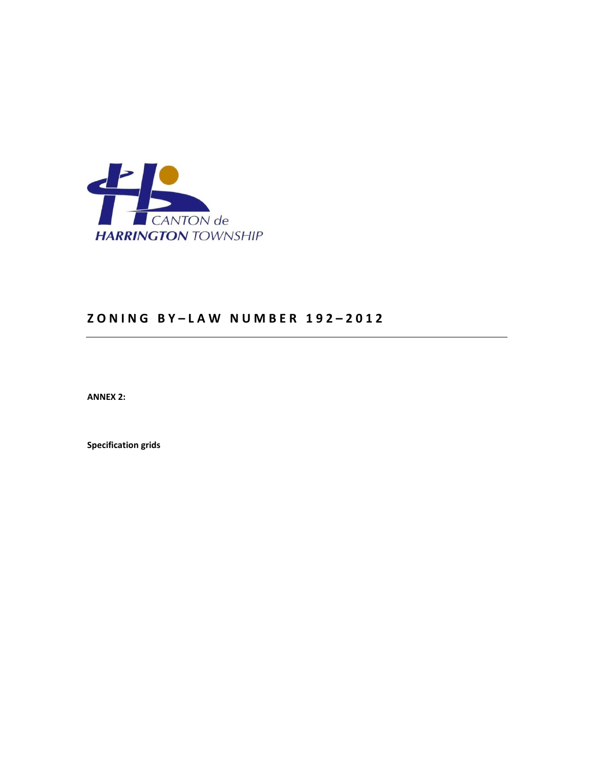

**ANNEX 2:** 

**Specification grids**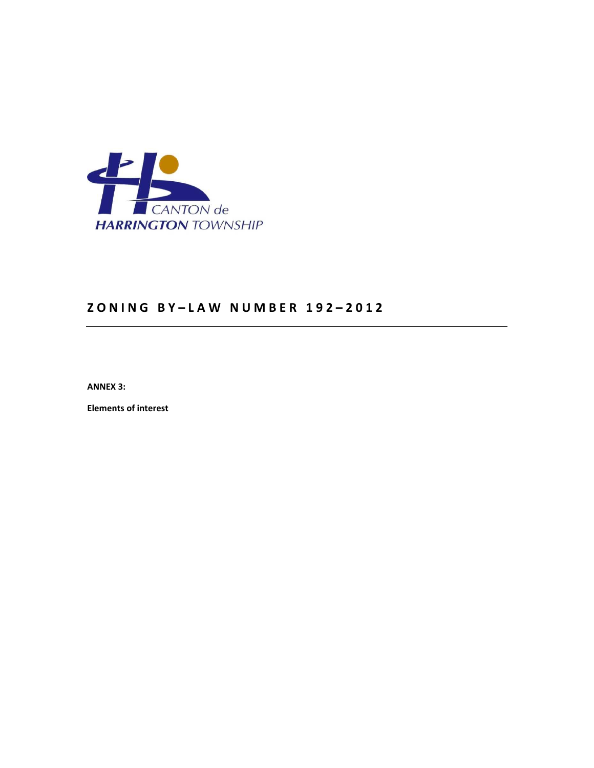

**ANNEX 3:** 

**Elements of interest**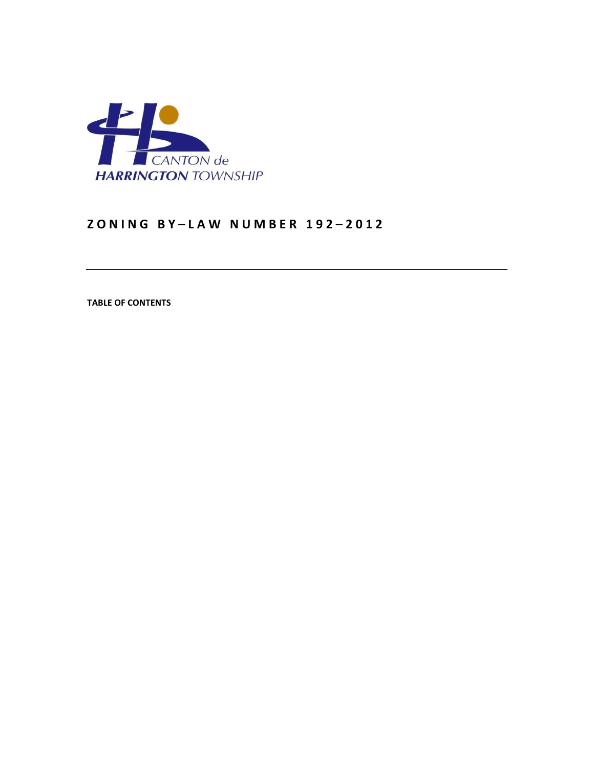

**TABLE OF CONTENTS**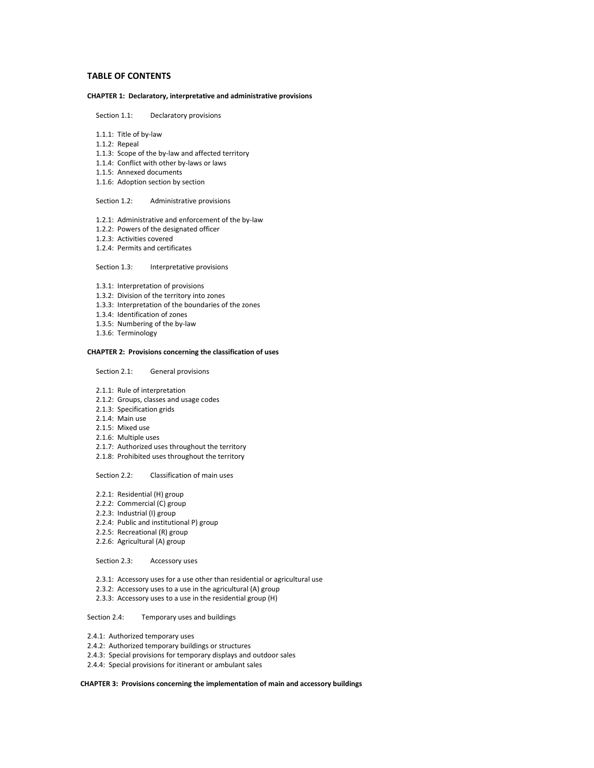# **TABLE OF CONTENTS**

# **CHAPTER 1: Declaratory, interpretative and administrative provisions**

- Section 1.1: Declaratory provisions
- 1.1.1: Title of by-law
- 1.1.2: Repeal
- 1.1.3: Scope of the by-law and affected territory
- 1.1.4: Conflict with other by-laws or laws
- 1.1.5: Annexed documents
- 1.1.6: Adoption section by section

## Section 1.2: Administrative provisions

- 1.2.1: Administrative and enforcement of the by-law
- 1.2.2: Powers of the designated officer
- 1.2.3: Activities covered
- 1.2.4: Permits and certificates

Section 1.3: Interpretative provisions

- 1.3.1: Interpretation of provisions
- 1.3.2: Division of the territory into zones
- 1.3.3: Interpretation of the boundaries of the zones
- 1.3.4: Identification of zones
- 1.3.5: Numbering of the by-law
- 1.3.6: Terminology

# **CHAPTER 2: Provisions concerning the classification of uses**

Section 2.1: General provisions

- 2.1.1: Rule of interpretation
- 2.1.2: Groups, classes and usage codes
- 2.1.3: Specification grids
- 2.1.4: Main use
- 2.1.5: Mixed use
- 2.1.6: Multiple uses
- 2.1.7: Authorized uses throughout the territory
- 2.1.8: Prohibited uses throughout the territory

Section 2.2: Classification of main uses

- 2.2.1: Residential (H) group
- 2.2.2: Commercial (C) group
- 2.2.3: Industrial (I) group
- 2.2.4: Public and institutional P) group
- 2.2.5: Recreational (R) group
- 2.2.6: Agricultural (A) group

# Section 2.3: Accessory uses

- 2.3.1: Accessory uses for a use other than residential or agricultural use
- 2.3.2: Accessory uses to a use in the agricultural (A) group
- 2.3.3: Accessory uses to a use in the residential group (H)

## Section 2.4: Temporary uses and buildings

- 2.4.1: Authorized temporary uses
- 2.4.2: Authorized temporary buildings or structures
- 2.4.3: Special provisions for temporary displays and outdoor sales
- 2.4.4: Special provisions for itinerant or ambulant sales

## **CHAPTER 3: Provisions concerning the implementation of main and accessory buildings**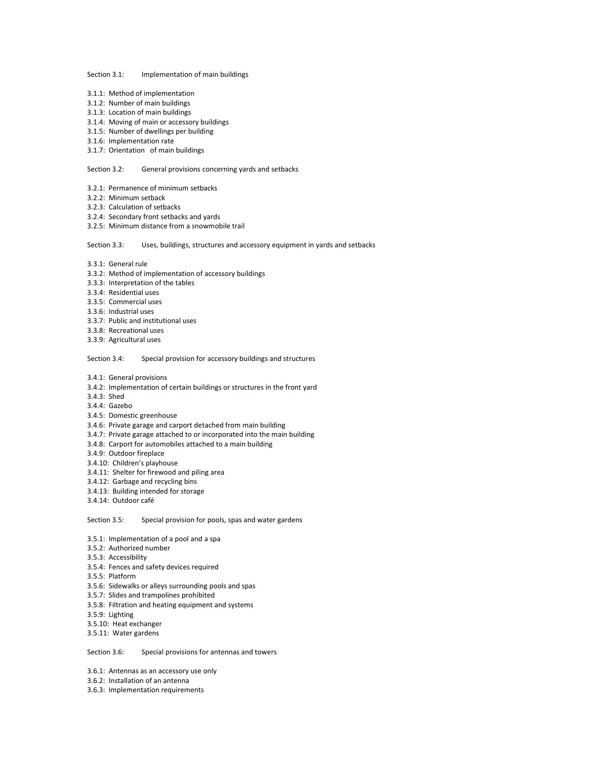Section 3.1: Implementation of main buildings

- 3.1.1: Method of implementation
- 3.1.2: Number of main buildings
- 3.1.3: Location of main buildings
- 3.1.4: Moving of main or accessory buildings
- 3.1.5: Number of dwellings per building
- 3.1.6: Implementation rate
- 3.1.7: Orientation of main buildings

Section 3.2: General provisions concerning yards and setbacks

- 3.2.1: Permanence of minimum setbacks
- 3.2.2: Minimum setback
- 3.2.3: Calculation of setbacks
- 3.2.4: Secondary front setbacks and yards
- 3.2.5: Minimum distance from a snowmobile trail

Section 3.3: Uses, buildings, structures and accessory equipment in yards and setbacks

- 3.3.1: General rule
- 3.3.2: Method of implementation of accessory buildings
- 3.3.3: Interpretation of the tables
- 3.3.4: Residential uses
- 3.3.5: Commercial uses
- 3.3.6: Industrial uses
- 3.3.7: Public and institutional uses
- 3.3.8: Recreational uses
- 3.3.9: Agricultural uses

Section 3.4: Special provision for accessory buildings and structures

- 3.4.1: General provisions
- 3.4.2: Implementation of certain buildings or structures in the front yard
- 3.4.3: Shed
- 3.4.4: Gazebo
- 3.4.5: Domestic greenhouse
- 3.4.6: Private garage and carport detached from main building
- 3.4.7: Private garage attached to or incorporated into the main building
- 3.4.8: Carport for automobiles attached to a main building
- 3.4.9: Outdoor fireplace
- 3.4.10: Children's playhouse
- 3.4.11: Shelter for firewood and piling area
- 3.4.12: Garbage and recycling bins
- 3.4.13: Building intended for storage
- 3.4.14: Outdoor café

Section 3.5: Special provision for pools, spas and water gardens

- 3.5.1: Implementation of a pool and a spa
- 3.5.2: Authorized number
- 3.5.3: Accessibility
- 3.5.4: Fences and safety devices required
- 3.5.5: Platform
- 3.5.6: Sidewalks or alleys surrounding pools and spas
- 3.5.7: Slides and trampolines prohibited
- 3.5.8: Filtration and heating equipment and systems
- 3.5.9: Lighting
- 3.5.10: Heat exchanger
- 3.5.11: Water gardens

Section 3.6: Special provisions for antennas and towers

- 3.6.1: Antennas as an accessory use only
- 3.6.2: Installation of an antenna
- 3.6.3: Implementation requirements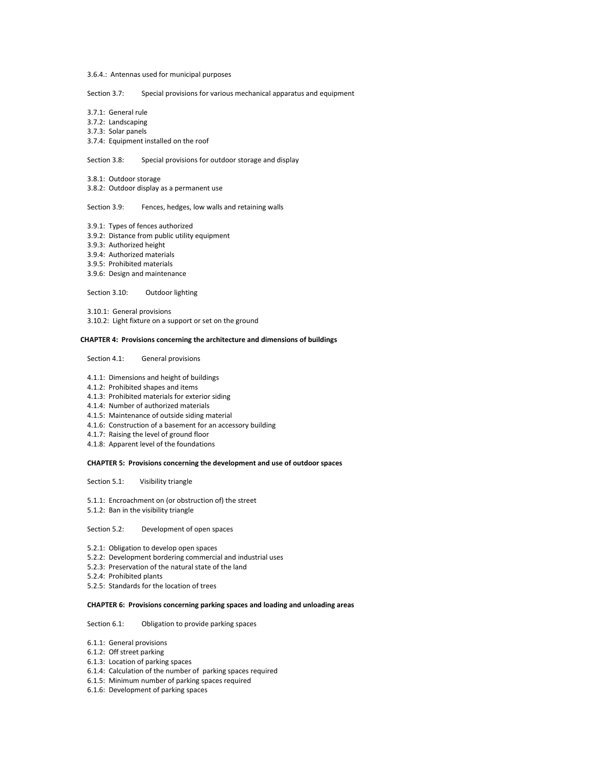3.6.4.: Antennas used for municipal purposes

Section 3.7: Special provisions for various mechanical apparatus and equipment

3.7.1: General rule

3.7.2: Landscaping

3.7.3: Solar panels

3.7.4: Equipment installed on the roof

Section 3.8: Special provisions for outdoor storage and display

3.8.1: Outdoor storage

3.8.2: Outdoor display as a permanent use

Section 3.9: Fences, hedges, low walls and retaining walls

- 3.9.1: Types of fences authorized
- 3.9.2: Distance from public utility equipment
- 3.9.3: Authorized height
- 3.9.4: Authorized materials
- 3.9.5: Prohibited materials
- 3.9.6: Design and maintenance

Section 3.10: Outdoor lighting

3.10.1: General provisions 3.10.2: Light fixture on a support or set on the ground

### **CHAPTER 4: Provisions concerning the architecture and dimensions of buildings**

Section 4.1: General provisions

- 4.1.1: Dimensions and height of buildings
- 4.1.2: Prohibited shapes and items
- 4.1.3: Prohibited materials for exterior siding
- 4.1.4: Number of authorized materials
- 4.1.5: Maintenance of outside siding material
- 4.1.6: Construction of a basement for an accessory building
- 4.1.7: Raising the level of ground floor
- 4.1.8: Apparent level of the foundations

### **CHAPTER 5: Provisions concerning the development and use of outdoor spaces**

Section 5.1: Visibility triangle

- 5.1.1: Encroachment on (or obstruction of) the street
- 5.1.2: Ban in the visibility triangle

Section 5.2: Development of open spaces

- 5.2.1: Obligation to develop open spaces
- 5.2.2: Development bordering commercial and industrial uses
- 5.2.3: Preservation of the natural state of the land
- 5.2.4: Prohibited plants
- 5.2.5: Standards for the location of trees

### **CHAPTER 6: Provisions concerning parking spaces and loading and unloading areas**

Section 6.1: Obligation to provide parking spaces

- 6.1.1: General provisions
- 6.1.2: Off street parking
- 6.1.3: Location of parking spaces
- 6.1.4: Calculation of the number of parking spaces required
- 6.1.5: Minimum number of parking spaces required
- 6.1.6: Development of parking spaces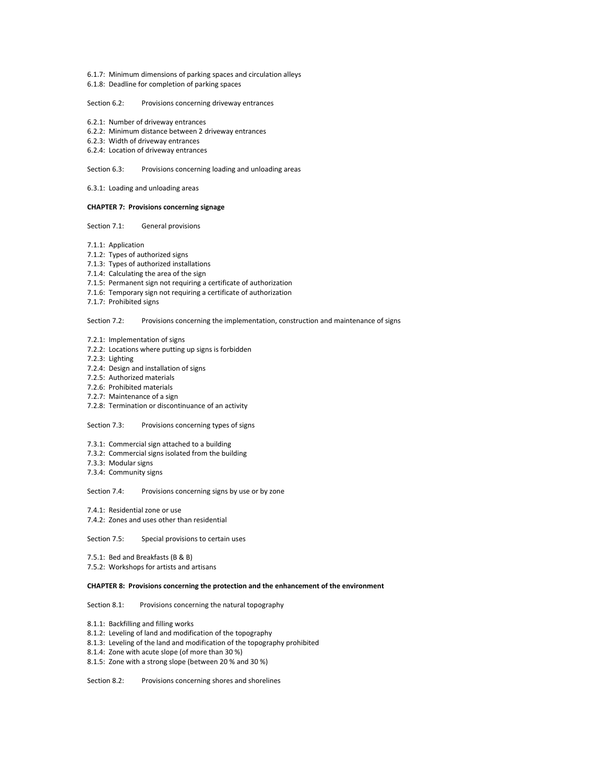- 6.1.7: Minimum dimensions of parking spaces and circulation alleys
- 6.1.8: Deadline for completion of parking spaces

### Section 6.2: Provisions concerning driveway entrances

- 6.2.1: Number of driveway entrances
- 6.2.2: Minimum distance between 2 driveway entrances
- 6.2.3: Width of driveway entrances
- 6.2.4: Location of driveway entrances

Section 6.3: Provisions concerning loading and unloading areas

6.3.1: Loading and unloading areas

## **CHAPTER 7: Provisions concerning signage**

Section 7.1: General provisions

- 7.1.1: Application
- 7.1.2: Types of authorized signs
- 7.1.3: Types of authorized installations
- 7.1.4: Calculating the area of the sign
- 7.1.5: Permanent sign not requiring a certificate of authorization
- 7.1.6: Temporary sign not requiring a certificate of authorization
- 7.1.7: Prohibited signs

Section 7.2: Provisions concerning the implementation, construction and maintenance of signs

- 7.2.1: Implementation of signs
- 7.2.2: Locations where putting up signs is forbidden
- 7.2.3: Lighting
- 7.2.4: Design and installation of signs
- 7.2.5: Authorized materials
- 7.2.6: Prohibited materials
- 7.2.7: Maintenance of a sign
- 7.2.8: Termination or discontinuance of an activity

## Section 7.3: Provisions concerning types of signs

- 7.3.1: Commercial sign attached to a building
- 7.3.2: Commercial signs isolated from the building
- 7.3.3: Modular signs
- 7.3.4: Community signs

Section 7.4: Provisions concerning signs by use or by zone

- 7.4.1: Residential zone or use
- 7.4.2: Zones and uses other than residential

Section 7.5: Special provisions to certain uses

7.5.1: Bed and Breakfasts (B & B) 7.5.2: Workshops for artists and artisans

# **CHAPTER 8: Provisions concerning the protection and the enhancement of the environment**

### Section 8.1: Provisions concerning the natural topography

- 8.1.1: Backfilling and filling works
- 8.1.2: Leveling of land and modification of the topography
- 8.1.3: Leveling of the land and modification of the topography prohibited
- 8.1.4: Zone with acute slope (of more than 30 %)
- 8.1.5: Zone with a strong slope (between 20 % and 30 %)

Section 8.2: Provisions concerning shores and shorelines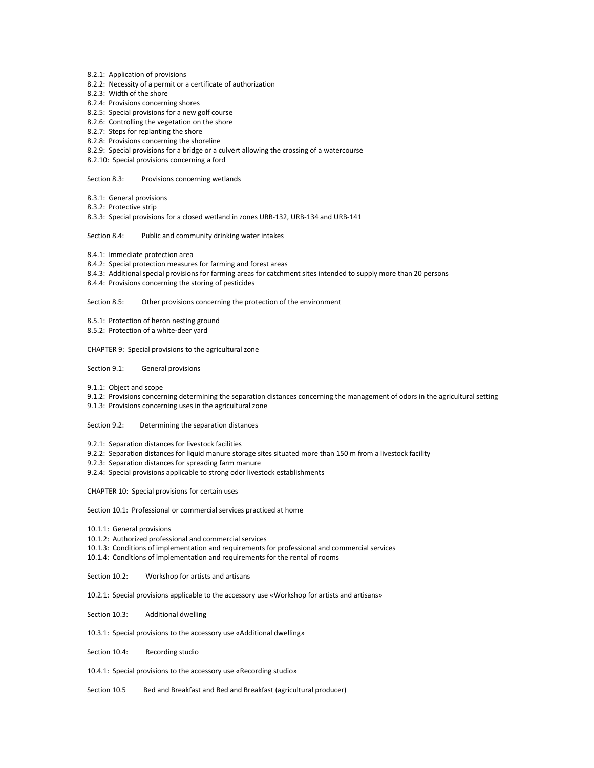- 8.2.1: Application of provisions
- 8.2.2: Necessity of a permit or a certificate of authorization
- 8.2.3: Width of the shore
- 8.2.4: Provisions concerning shores
- 8.2.5: Special provisions for a new golf course
- 8.2.6: Controlling the vegetation on the shore
- 8.2.7: Steps for replanting the shore
- 8.2.8: Provisions concerning the shoreline
- 8.2.9: Special provisions for a bridge or a culvert allowing the crossing of a watercourse
- 8.2.10: Special provisions concerning a ford

Section 8.3: Provisions concerning wetlands

- 8.3.1: General provisions
- 8.3.2: Protective strip
- 8.3.3: Special provisions for a closed wetland in zones URB-132, URB-134 and URB-141

## Section 8.4: Public and community drinking water intakes

- 8.4.1: Immediate protection area
- 8.4.2: Special protection measures for farming and forest areas
- 8.4.3: Additional special provisions for farming areas for catchment sites intended to supply more than 20 persons
- 8.4.4: Provisions concerning the storing of pesticides

## Section 8.5: Other provisions concerning the protection of the environment

- 8.5.1: Protection of heron nesting ground
- 8.5.2: Protection of a white-deer yard
- CHAPTER 9: Special provisions to the agricultural zone
- Section 9.1: General provisions
- 9.1.1: Object and scope
- 9.1.2: Provisions concerning determining the separation distances concerning the management of odors in the agricultural setting
- 9.1.3: Provisions concerning uses in the agricultural zone

## Section 9.2: Determining the separation distances

- 9.2.1: Separation distances for livestock facilities
- 9.2.2: Separation distances for liquid manure storage sites situated more than 150 m from a livestock facility
- 9.2.3: Separation distances for spreading farm manure
- 9.2.4: Special provisions applicable to strong odor livestock establishments

CHAPTER 10: Special provisions for certain uses

Section 10.1: Professional or commercial services practiced at home

- 10.1.1: General provisions
- 10.1.2: Authorized professional and commercial services
- 10.1.3: Conditions of implementation and requirements for professional and commercial services
- 10.1.4: Conditions of implementation and requirements for the rental of rooms
- Section 10.2: Workshop for artists and artisans
- 10.2.1: Special provisions applicable to the accessory use «Workshop for artists and artisans»
- Section 10.3: Additional dwelling
- 10.3.1: Special provisions to the accessory use «Additional dwelling»
- Section 10.4: Recording studio
- 10.4.1: Special provisions to the accessory use «Recording studio»
- Section 10.5 Bed and Breakfast and Bed and Breakfast (agricultural producer)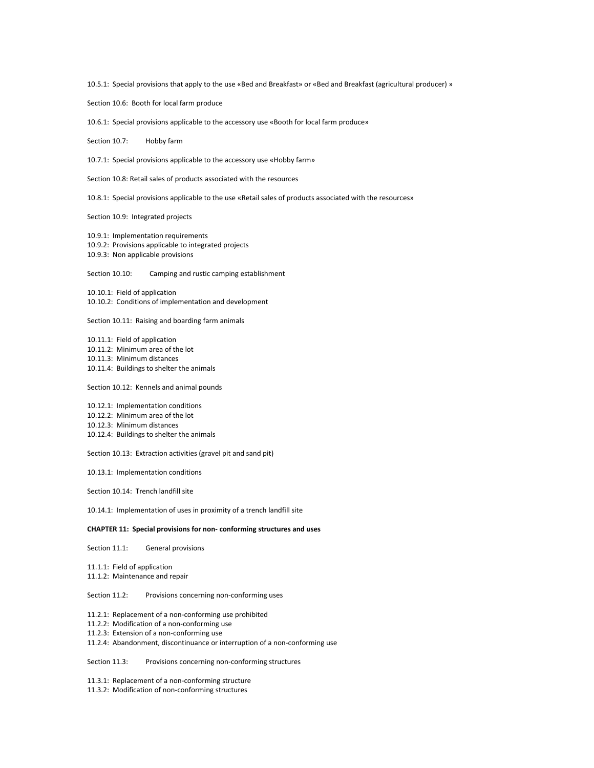10.5.1: Special provisions that apply to the use «Bed and Breakfast» or «Bed and Breakfast (agricultural producer) »

Section 10.6: Booth for local farm produce

10.6.1: Special provisions applicable to the accessory use «Booth for local farm produce»

Section 10.7: Hobby farm

10.7.1: Special provisions applicable to the accessory use «Hobby farm»

Section 10.8: Retail sales of products associated with the resources

10.8.1: Special provisions applicable to the use «Retail sales of products associated with the resources»

Section 10.9: Integrated projects

10.9.1: Implementation requirements 10.9.2: Provisions applicable to integrated projects 10.9.3: Non applicable provisions

Section 10.10: Camping and rustic camping establishment

10.10.1: Field of application 10.10.2: Conditions of implementation and development

Section 10.11: Raising and boarding farm animals

10.11.1: Field of application 10.11.2: Minimum area of the lot 10.11.3: Minimum distances 10.11.4: Buildings to shelter the animals

Section 10.12: Kennels and animal pounds

10.12.1: Implementation conditions 10.12.2: Minimum area of the lot 10.12.3: Minimum distances 10.12.4: Buildings to shelter the animals

Section 10.13: Extraction activities (gravel pit and sand pit)

10.13.1: Implementation conditions

Section 10.14: Trench landfill site

10.14.1: Implementation of uses in proximity of a trench landfill site

#### **CHAPTER 11: Special provisions for non- conforming structures and uses**

Section 11.1: General provisions

11.1.1: Field of application 11.1.2: Maintenance and repair

Section 11.2: Provisions concerning non-conforming uses

11.2.1: Replacement of a non-conforming use prohibited

11.2.2: Modification of a non-conforming use

11.2.3: Extension of a non-conforming use

11.2.4: Abandonment, discontinuance or interruption of a non-conforming use

Section 11.3: Provisions concerning non-conforming structures

11.3.1: Replacement of a non-conforming structure

11.3.2: Modification of non-conforming structures